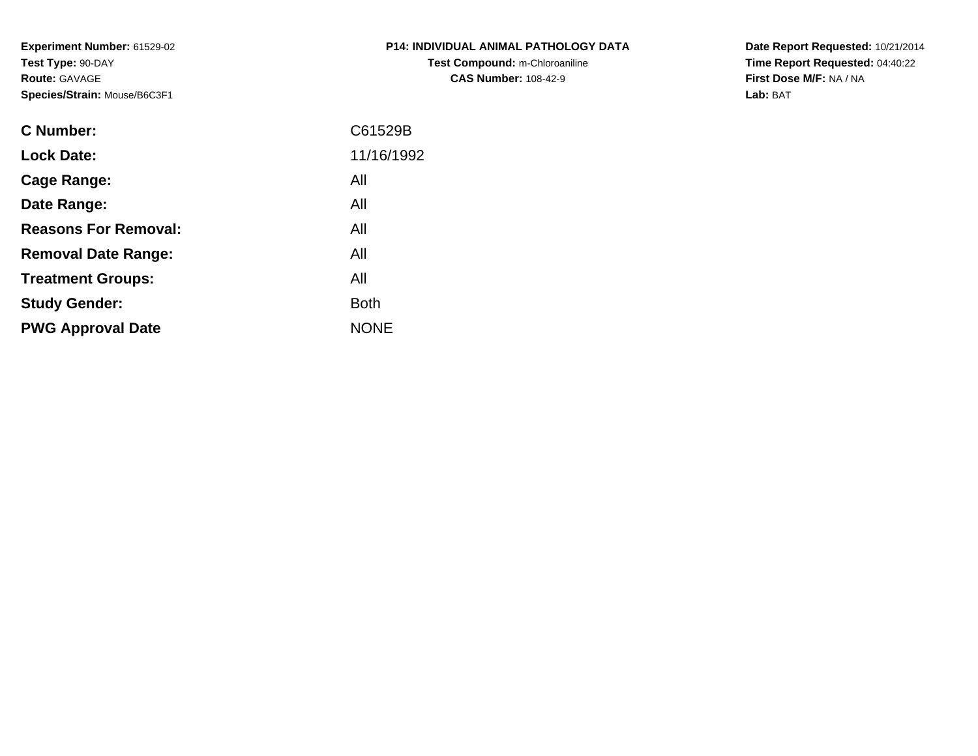**Experiment Number:** 61529-02**Test Type:** 90-DAY**Route:** GAVAGE**Species/Strain:** Mouse/B6C3F1

| <b>P14: INDIVIDUAL ANIMAL PATHOLOGY DATA</b> |
|----------------------------------------------|
| Test Compound: m-Chloroaniline               |
| <b>CAS Number: 108-42-9</b>                  |

**Date Report Requested:** 10/21/2014 **Time Report Requested:** 04:40:22**First Dose M/F:** NA / NA**Lab:** BAT

| <b>C</b> Number:            | C61529B     |
|-----------------------------|-------------|
| <b>Lock Date:</b>           | 11/16/1992  |
| Cage Range:                 | All         |
| Date Range:                 | All         |
| <b>Reasons For Removal:</b> | All         |
| <b>Removal Date Range:</b>  | All         |
| <b>Treatment Groups:</b>    | All         |
| <b>Study Gender:</b>        | <b>Both</b> |
| <b>PWG Approval Date</b>    | <b>NONE</b> |
|                             |             |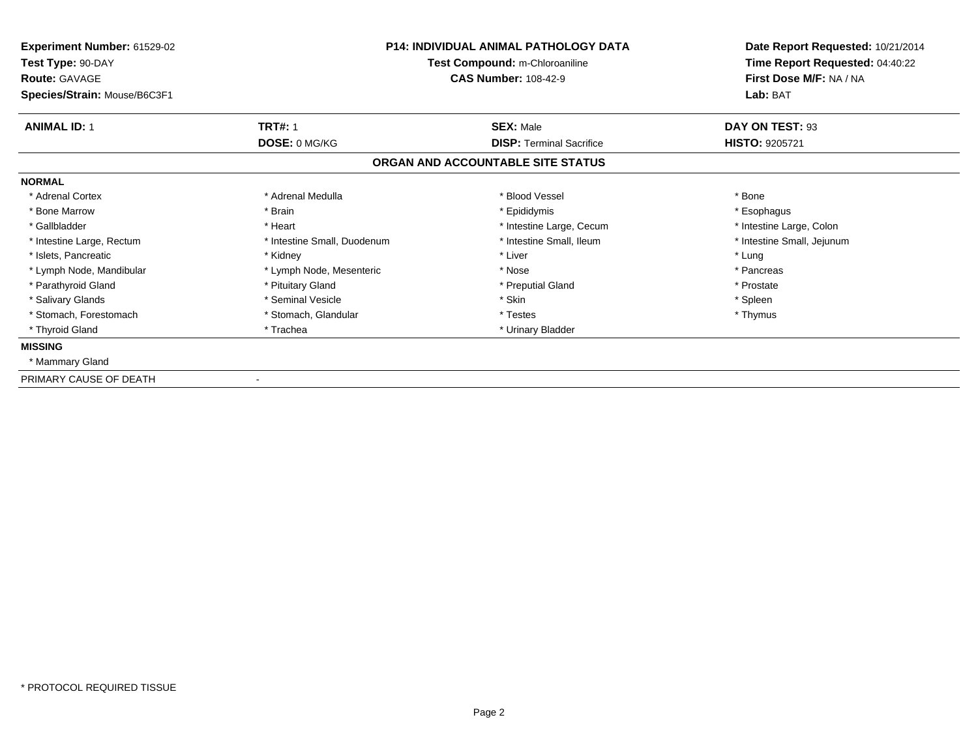| Experiment Number: 61529-02<br>Test Type: 90-DAY<br><b>Route: GAVAGE</b> | <b>P14: INDIVIDUAL ANIMAL PATHOLOGY DATA</b><br>Test Compound: m-Chloroaniline<br><b>CAS Number: 108-42-9</b> |                                   | Date Report Requested: 10/21/2014<br>Time Report Requested: 04:40:22<br>First Dose M/F: NA / NA |  |
|--------------------------------------------------------------------------|---------------------------------------------------------------------------------------------------------------|-----------------------------------|-------------------------------------------------------------------------------------------------|--|
| Species/Strain: Mouse/B6C3F1                                             |                                                                                                               |                                   | Lab: BAT                                                                                        |  |
| <b>ANIMAL ID: 1</b>                                                      | <b>TRT#: 1</b>                                                                                                | <b>SEX: Male</b>                  | DAY ON TEST: 93                                                                                 |  |
|                                                                          | DOSE: 0 MG/KG                                                                                                 | <b>DISP: Terminal Sacrifice</b>   | <b>HISTO: 9205721</b>                                                                           |  |
|                                                                          |                                                                                                               | ORGAN AND ACCOUNTABLE SITE STATUS |                                                                                                 |  |
| <b>NORMAL</b>                                                            |                                                                                                               |                                   |                                                                                                 |  |
| * Adrenal Cortex                                                         | * Adrenal Medulla                                                                                             | * Blood Vessel                    | * Bone                                                                                          |  |
| * Bone Marrow                                                            | * Brain                                                                                                       | * Epididymis                      | * Esophagus                                                                                     |  |
| * Gallbladder                                                            | * Heart                                                                                                       | * Intestine Large, Cecum          | * Intestine Large, Colon                                                                        |  |
| * Intestine Large, Rectum                                                | * Intestine Small, Duodenum                                                                                   | * Intestine Small, Ileum          | * Intestine Small, Jejunum                                                                      |  |
| * Islets, Pancreatic                                                     | * Kidney                                                                                                      | * Liver                           | * Lung                                                                                          |  |
| * Lymph Node, Mandibular                                                 | * Lymph Node, Mesenteric                                                                                      | * Nose                            | * Pancreas                                                                                      |  |
| * Parathyroid Gland                                                      | * Pituitary Gland                                                                                             | * Preputial Gland                 | * Prostate                                                                                      |  |
| * Salivary Glands                                                        | * Seminal Vesicle                                                                                             | * Skin                            | * Spleen                                                                                        |  |
| * Stomach, Forestomach                                                   | * Stomach, Glandular                                                                                          | * Testes                          | * Thymus                                                                                        |  |
| * Thyroid Gland                                                          | * Trachea                                                                                                     | * Urinary Bladder                 |                                                                                                 |  |
| <b>MISSING</b>                                                           |                                                                                                               |                                   |                                                                                                 |  |
| * Mammary Gland                                                          |                                                                                                               |                                   |                                                                                                 |  |
| PRIMARY CAUSE OF DEATH                                                   |                                                                                                               |                                   |                                                                                                 |  |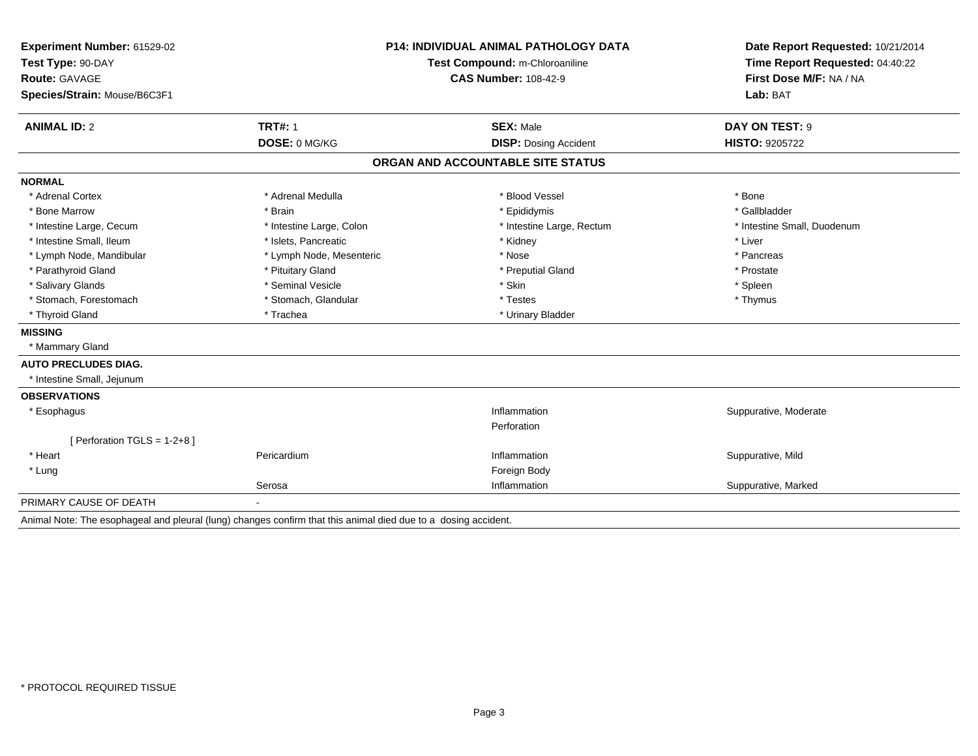| Experiment Number: 61529-02                                                                                    | <b>P14: INDIVIDUAL ANIMAL PATHOLOGY DATA</b><br>Test Compound: m-Chloroaniline<br><b>CAS Number: 108-42-9</b> |                                   | Date Report Requested: 10/21/2014<br>Time Report Requested: 04:40:22<br>First Dose M/F: NA / NA |  |
|----------------------------------------------------------------------------------------------------------------|---------------------------------------------------------------------------------------------------------------|-----------------------------------|-------------------------------------------------------------------------------------------------|--|
| Test Type: 90-DAY                                                                                              |                                                                                                               |                                   |                                                                                                 |  |
| <b>Route: GAVAGE</b>                                                                                           |                                                                                                               |                                   |                                                                                                 |  |
| Species/Strain: Mouse/B6C3F1                                                                                   |                                                                                                               |                                   | Lab: BAT                                                                                        |  |
| <b>ANIMAL ID: 2</b>                                                                                            | <b>TRT#: 1</b>                                                                                                | <b>SEX: Male</b>                  | DAY ON TEST: 9                                                                                  |  |
|                                                                                                                | DOSE: 0 MG/KG                                                                                                 | <b>DISP: Dosing Accident</b>      | <b>HISTO: 9205722</b>                                                                           |  |
|                                                                                                                |                                                                                                               | ORGAN AND ACCOUNTABLE SITE STATUS |                                                                                                 |  |
| <b>NORMAL</b>                                                                                                  |                                                                                                               |                                   |                                                                                                 |  |
| * Adrenal Cortex                                                                                               | * Adrenal Medulla                                                                                             | * Blood Vessel                    | * Bone                                                                                          |  |
| * Bone Marrow                                                                                                  | * Brain                                                                                                       | * Epididymis                      | * Gallbladder                                                                                   |  |
| * Intestine Large, Cecum                                                                                       | * Intestine Large, Colon                                                                                      | * Intestine Large, Rectum         | * Intestine Small, Duodenum                                                                     |  |
| * Intestine Small, Ileum                                                                                       | * Islets. Pancreatic                                                                                          | * Kidney                          | * Liver                                                                                         |  |
| * Lymph Node, Mandibular                                                                                       | * Lymph Node, Mesenteric                                                                                      | * Nose                            | * Pancreas                                                                                      |  |
| * Parathyroid Gland                                                                                            | * Pituitary Gland                                                                                             | * Preputial Gland                 | * Prostate                                                                                      |  |
| * Salivary Glands                                                                                              | * Seminal Vesicle                                                                                             | * Skin                            | * Spleen                                                                                        |  |
| * Stomach, Forestomach                                                                                         | * Stomach, Glandular                                                                                          | * Testes                          | * Thymus                                                                                        |  |
| * Thyroid Gland                                                                                                | * Trachea                                                                                                     | * Urinary Bladder                 |                                                                                                 |  |
| <b>MISSING</b>                                                                                                 |                                                                                                               |                                   |                                                                                                 |  |
| * Mammary Gland                                                                                                |                                                                                                               |                                   |                                                                                                 |  |
| <b>AUTO PRECLUDES DIAG.</b>                                                                                    |                                                                                                               |                                   |                                                                                                 |  |
| * Intestine Small, Jejunum                                                                                     |                                                                                                               |                                   |                                                                                                 |  |
| <b>OBSERVATIONS</b>                                                                                            |                                                                                                               |                                   |                                                                                                 |  |
| * Esophagus                                                                                                    |                                                                                                               | Inflammation                      | Suppurative, Moderate                                                                           |  |
|                                                                                                                |                                                                                                               | Perforation                       |                                                                                                 |  |
| [Perforation TGLS = $1-2+8$ ]                                                                                  |                                                                                                               |                                   |                                                                                                 |  |
| * Heart                                                                                                        | Pericardium                                                                                                   | Inflammation                      | Suppurative, Mild                                                                               |  |
| * Lung                                                                                                         |                                                                                                               | Foreign Body                      |                                                                                                 |  |
|                                                                                                                | Serosa                                                                                                        | Inflammation                      | Suppurative, Marked                                                                             |  |
| PRIMARY CAUSE OF DEATH                                                                                         |                                                                                                               |                                   |                                                                                                 |  |
| Animal Note: The esophageal and pleural (lung) changes confirm that this animal died due to a dosing accident. |                                                                                                               |                                   |                                                                                                 |  |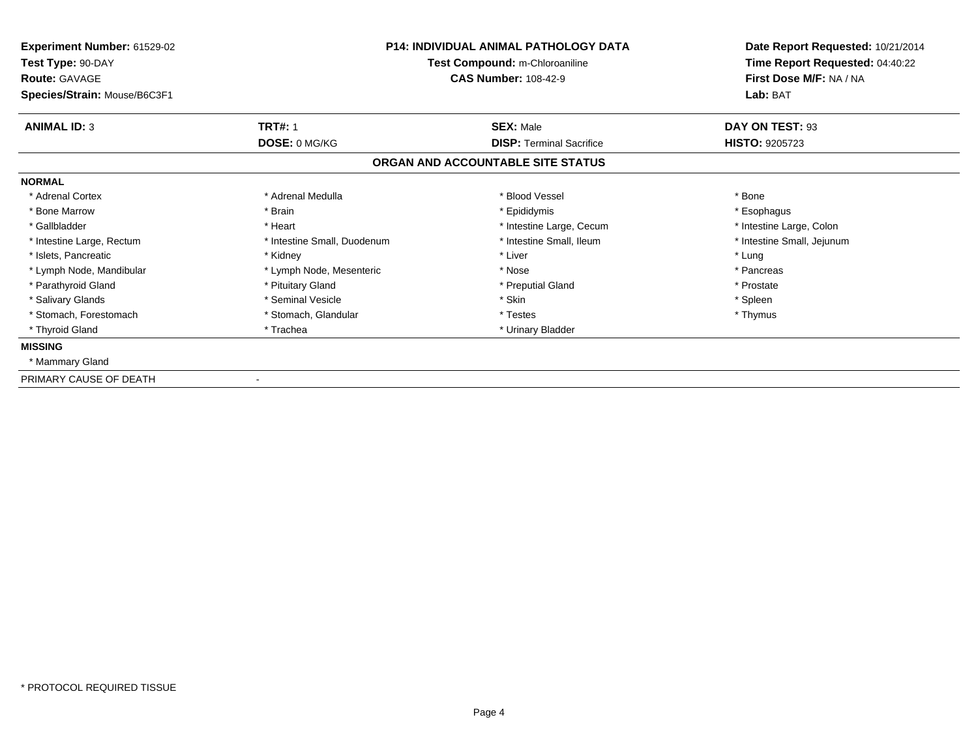| Experiment Number: 61529-02<br>Test Type: 90-DAY<br><b>Route: GAVAGE</b> | <b>P14: INDIVIDUAL ANIMAL PATHOLOGY DATA</b><br>Test Compound: m-Chloroaniline<br><b>CAS Number: 108-42-9</b> |                                   | Date Report Requested: 10/21/2014<br>Time Report Requested: 04:40:22<br>First Dose M/F: NA / NA |  |
|--------------------------------------------------------------------------|---------------------------------------------------------------------------------------------------------------|-----------------------------------|-------------------------------------------------------------------------------------------------|--|
| Species/Strain: Mouse/B6C3F1                                             |                                                                                                               |                                   | Lab: BAT                                                                                        |  |
| <b>ANIMAL ID: 3</b>                                                      | <b>TRT#: 1</b>                                                                                                | <b>SEX: Male</b>                  | DAY ON TEST: 93                                                                                 |  |
|                                                                          | <b>DOSE: 0 MG/KG</b>                                                                                          | <b>DISP: Terminal Sacrifice</b>   | <b>HISTO: 9205723</b>                                                                           |  |
|                                                                          |                                                                                                               | ORGAN AND ACCOUNTABLE SITE STATUS |                                                                                                 |  |
| <b>NORMAL</b>                                                            |                                                                                                               |                                   |                                                                                                 |  |
| * Adrenal Cortex                                                         | * Adrenal Medulla                                                                                             | * Blood Vessel                    | * Bone                                                                                          |  |
| * Bone Marrow                                                            | * Brain                                                                                                       | * Epididymis                      | * Esophagus                                                                                     |  |
| * Gallbladder                                                            | * Heart                                                                                                       | * Intestine Large, Cecum          | * Intestine Large, Colon                                                                        |  |
| * Intestine Large, Rectum                                                | * Intestine Small, Duodenum                                                                                   | * Intestine Small, Ileum          | * Intestine Small, Jejunum                                                                      |  |
| * Islets, Pancreatic                                                     | * Kidney                                                                                                      | * Liver                           | * Lung                                                                                          |  |
| * Lymph Node, Mandibular                                                 | * Lymph Node, Mesenteric                                                                                      | * Nose                            | * Pancreas                                                                                      |  |
| * Parathyroid Gland                                                      | * Pituitary Gland                                                                                             | * Preputial Gland                 | * Prostate                                                                                      |  |
| * Salivary Glands                                                        | * Seminal Vesicle                                                                                             | * Skin                            | * Spleen                                                                                        |  |
| * Stomach, Forestomach                                                   | * Stomach, Glandular                                                                                          | * Testes                          | * Thymus                                                                                        |  |
| * Thyroid Gland                                                          | * Trachea                                                                                                     | * Urinary Bladder                 |                                                                                                 |  |
| <b>MISSING</b>                                                           |                                                                                                               |                                   |                                                                                                 |  |
| * Mammary Gland                                                          |                                                                                                               |                                   |                                                                                                 |  |
| PRIMARY CAUSE OF DEATH                                                   |                                                                                                               |                                   |                                                                                                 |  |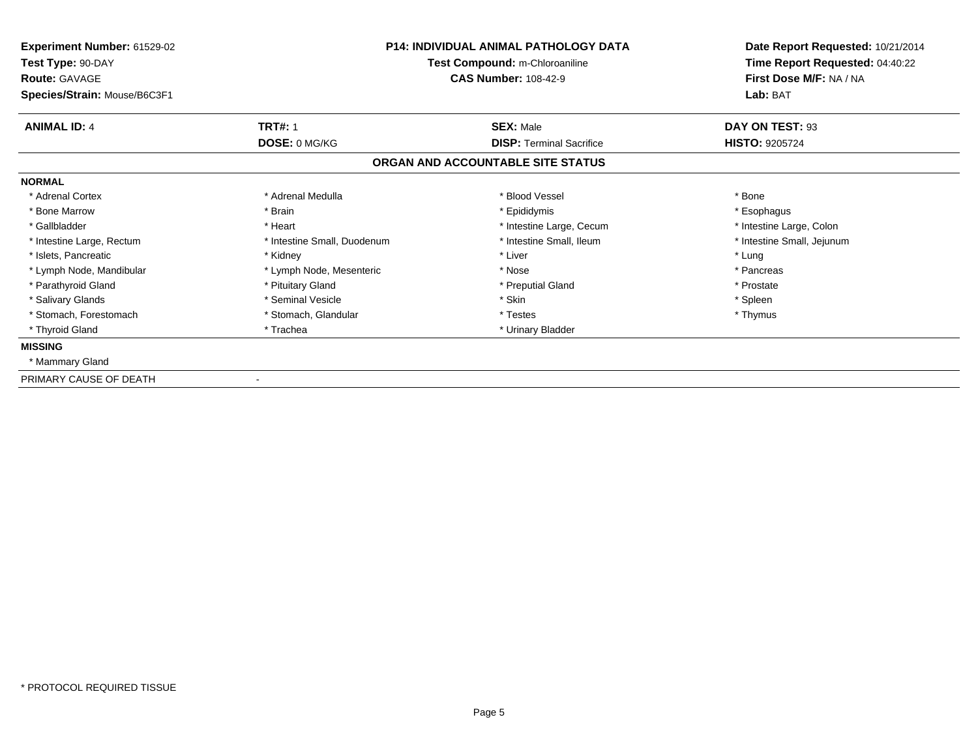| Experiment Number: 61529-02<br>Test Type: 90-DAY<br><b>Route: GAVAGE</b> | <b>P14: INDIVIDUAL ANIMAL PATHOLOGY DATA</b><br>Test Compound: m-Chloroaniline<br><b>CAS Number: 108-42-9</b> |                                   | Date Report Requested: 10/21/2014<br>Time Report Requested: 04:40:22<br>First Dose M/F: NA / NA |  |
|--------------------------------------------------------------------------|---------------------------------------------------------------------------------------------------------------|-----------------------------------|-------------------------------------------------------------------------------------------------|--|
| Species/Strain: Mouse/B6C3F1                                             |                                                                                                               |                                   | Lab: BAT                                                                                        |  |
| <b>ANIMAL ID: 4</b>                                                      | <b>TRT#: 1</b>                                                                                                | <b>SEX: Male</b>                  | DAY ON TEST: 93                                                                                 |  |
|                                                                          | DOSE: 0 MG/KG                                                                                                 | <b>DISP: Terminal Sacrifice</b>   | <b>HISTO: 9205724</b>                                                                           |  |
|                                                                          |                                                                                                               | ORGAN AND ACCOUNTABLE SITE STATUS |                                                                                                 |  |
| <b>NORMAL</b>                                                            |                                                                                                               |                                   |                                                                                                 |  |
| * Adrenal Cortex                                                         | * Adrenal Medulla                                                                                             | * Blood Vessel                    | * Bone                                                                                          |  |
| * Bone Marrow                                                            | * Brain                                                                                                       | * Epididymis                      | * Esophagus                                                                                     |  |
| * Gallbladder                                                            | * Heart                                                                                                       | * Intestine Large, Cecum          | * Intestine Large, Colon                                                                        |  |
| * Intestine Large, Rectum                                                | * Intestine Small, Duodenum                                                                                   | * Intestine Small, Ileum          | * Intestine Small, Jejunum                                                                      |  |
| * Islets, Pancreatic                                                     | * Kidney                                                                                                      | * Liver                           | * Lung                                                                                          |  |
| * Lymph Node, Mandibular                                                 | * Lymph Node, Mesenteric                                                                                      | * Nose                            | * Pancreas                                                                                      |  |
| * Parathyroid Gland                                                      | * Pituitary Gland                                                                                             | * Preputial Gland                 | * Prostate                                                                                      |  |
| * Salivary Glands                                                        | * Seminal Vesicle                                                                                             | * Skin                            | * Spleen                                                                                        |  |
| * Stomach, Forestomach                                                   | * Stomach, Glandular                                                                                          | * Testes                          | * Thymus                                                                                        |  |
| * Thyroid Gland                                                          | * Trachea                                                                                                     | * Urinary Bladder                 |                                                                                                 |  |
| <b>MISSING</b>                                                           |                                                                                                               |                                   |                                                                                                 |  |
| * Mammary Gland                                                          |                                                                                                               |                                   |                                                                                                 |  |
| PRIMARY CAUSE OF DEATH                                                   |                                                                                                               |                                   |                                                                                                 |  |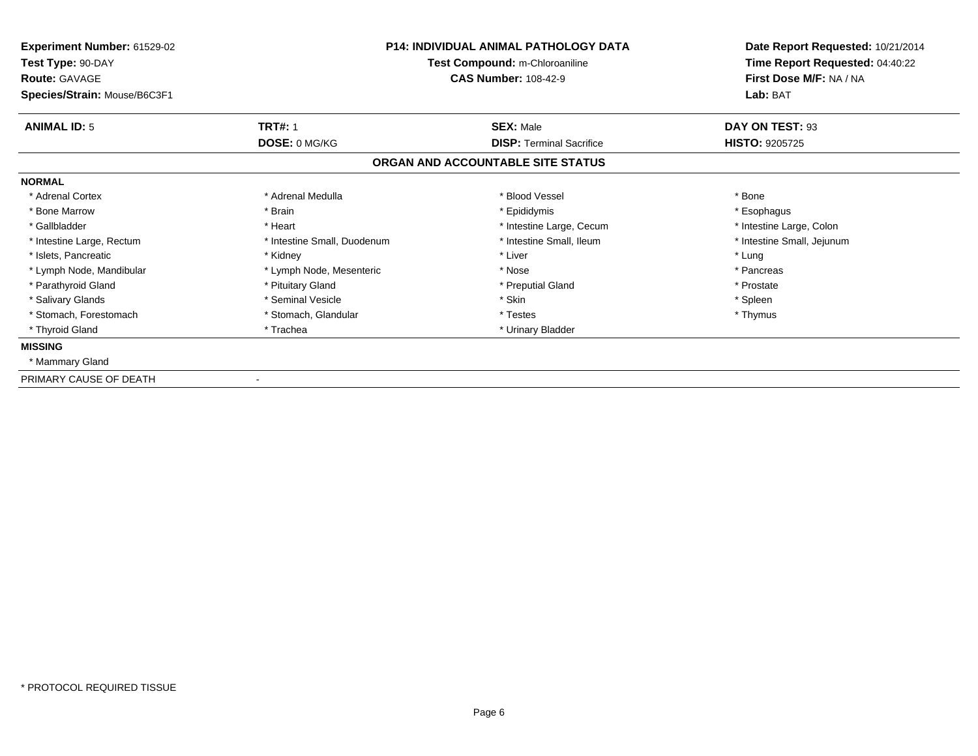| Experiment Number: 61529-02<br>Test Type: 90-DAY<br><b>Route: GAVAGE</b> | <b>P14: INDIVIDUAL ANIMAL PATHOLOGY DATA</b><br>Test Compound: m-Chloroaniline<br><b>CAS Number: 108-42-9</b> |                                   | Date Report Requested: 10/21/2014<br>Time Report Requested: 04:40:22<br>First Dose M/F: NA / NA |  |
|--------------------------------------------------------------------------|---------------------------------------------------------------------------------------------------------------|-----------------------------------|-------------------------------------------------------------------------------------------------|--|
| Species/Strain: Mouse/B6C3F1                                             |                                                                                                               |                                   | Lab: BAT                                                                                        |  |
| <b>ANIMAL ID: 5</b>                                                      | <b>TRT#: 1</b>                                                                                                | <b>SEX: Male</b>                  | DAY ON TEST: 93                                                                                 |  |
|                                                                          | <b>DOSE: 0 MG/KG</b>                                                                                          | <b>DISP: Terminal Sacrifice</b>   | <b>HISTO: 9205725</b>                                                                           |  |
|                                                                          |                                                                                                               | ORGAN AND ACCOUNTABLE SITE STATUS |                                                                                                 |  |
| <b>NORMAL</b>                                                            |                                                                                                               |                                   |                                                                                                 |  |
| * Adrenal Cortex                                                         | * Adrenal Medulla                                                                                             | * Blood Vessel                    | * Bone                                                                                          |  |
| * Bone Marrow                                                            | * Brain                                                                                                       | * Epididymis                      | * Esophagus                                                                                     |  |
| * Gallbladder                                                            | * Heart                                                                                                       | * Intestine Large, Cecum          | * Intestine Large, Colon                                                                        |  |
| * Intestine Large, Rectum                                                | * Intestine Small, Duodenum                                                                                   | * Intestine Small, Ileum          | * Intestine Small, Jejunum                                                                      |  |
| * Islets, Pancreatic                                                     | * Kidney                                                                                                      | * Liver                           | * Lung                                                                                          |  |
| * Lymph Node, Mandibular                                                 | * Lymph Node, Mesenteric                                                                                      | * Nose                            | * Pancreas                                                                                      |  |
| * Parathyroid Gland                                                      | * Pituitary Gland                                                                                             | * Preputial Gland                 | * Prostate                                                                                      |  |
| * Salivary Glands                                                        | * Seminal Vesicle                                                                                             | * Skin                            | * Spleen                                                                                        |  |
| * Stomach, Forestomach                                                   | * Stomach, Glandular                                                                                          | * Testes                          | * Thymus                                                                                        |  |
| * Thyroid Gland                                                          | * Trachea                                                                                                     | * Urinary Bladder                 |                                                                                                 |  |
| <b>MISSING</b>                                                           |                                                                                                               |                                   |                                                                                                 |  |
| * Mammary Gland                                                          |                                                                                                               |                                   |                                                                                                 |  |
| PRIMARY CAUSE OF DEATH                                                   |                                                                                                               |                                   |                                                                                                 |  |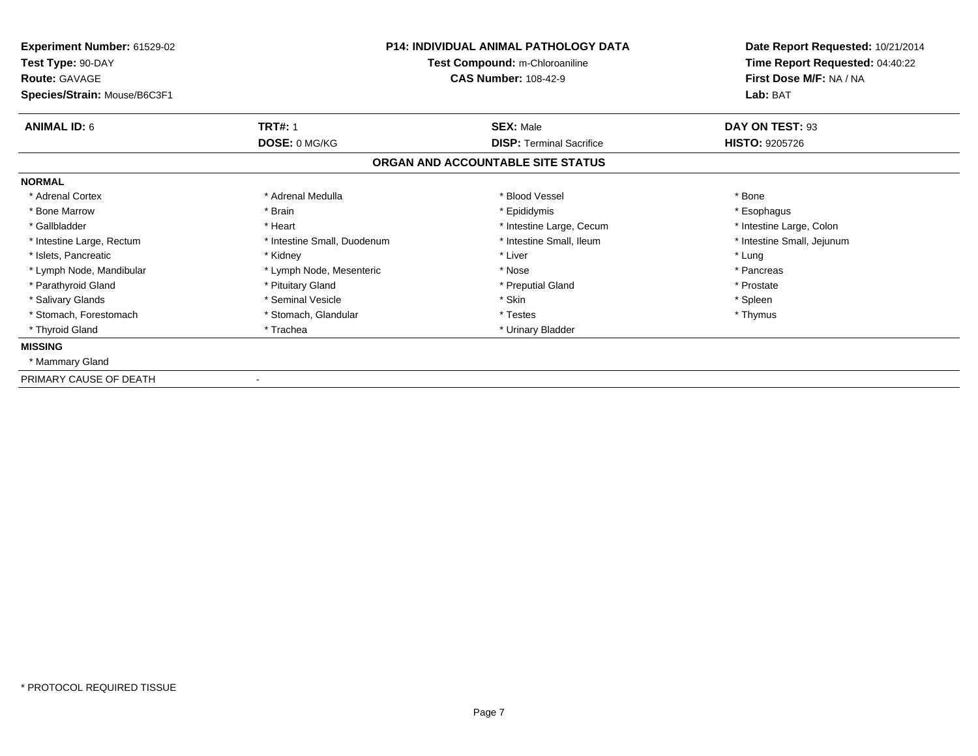| Experiment Number: 61529-02<br>Test Type: 90-DAY<br><b>Route: GAVAGE</b> | <b>P14: INDIVIDUAL ANIMAL PATHOLOGY DATA</b><br>Test Compound: m-Chloroaniline<br><b>CAS Number: 108-42-9</b> |                                   | Date Report Requested: 10/21/2014<br>Time Report Requested: 04:40:22<br>First Dose M/F: NA / NA |  |
|--------------------------------------------------------------------------|---------------------------------------------------------------------------------------------------------------|-----------------------------------|-------------------------------------------------------------------------------------------------|--|
| Species/Strain: Mouse/B6C3F1                                             |                                                                                                               |                                   | Lab: BAT                                                                                        |  |
| <b>ANIMAL ID: 6</b>                                                      | <b>TRT#: 1</b>                                                                                                | <b>SEX: Male</b>                  | DAY ON TEST: 93                                                                                 |  |
|                                                                          | DOSE: 0 MG/KG                                                                                                 | <b>DISP: Terminal Sacrifice</b>   | <b>HISTO: 9205726</b>                                                                           |  |
|                                                                          |                                                                                                               | ORGAN AND ACCOUNTABLE SITE STATUS |                                                                                                 |  |
| <b>NORMAL</b>                                                            |                                                                                                               |                                   |                                                                                                 |  |
| * Adrenal Cortex                                                         | * Adrenal Medulla                                                                                             | * Blood Vessel                    | * Bone                                                                                          |  |
| * Bone Marrow                                                            | * Brain                                                                                                       | * Epididymis                      | * Esophagus                                                                                     |  |
| * Gallbladder                                                            | * Heart                                                                                                       | * Intestine Large, Cecum          | * Intestine Large, Colon                                                                        |  |
| * Intestine Large, Rectum                                                | * Intestine Small, Duodenum                                                                                   | * Intestine Small, Ileum          | * Intestine Small, Jejunum                                                                      |  |
| * Islets, Pancreatic                                                     | * Kidney                                                                                                      | * Liver                           | * Lung                                                                                          |  |
| * Lymph Node, Mandibular                                                 | * Lymph Node, Mesenteric                                                                                      | * Nose                            | * Pancreas                                                                                      |  |
| * Parathyroid Gland                                                      | * Pituitary Gland                                                                                             | * Preputial Gland                 | * Prostate                                                                                      |  |
| * Salivary Glands                                                        | * Seminal Vesicle                                                                                             | * Skin                            | * Spleen                                                                                        |  |
| * Stomach, Forestomach                                                   | * Stomach, Glandular                                                                                          | * Testes                          | * Thymus                                                                                        |  |
| * Thyroid Gland                                                          | * Trachea                                                                                                     | * Urinary Bladder                 |                                                                                                 |  |
| <b>MISSING</b>                                                           |                                                                                                               |                                   |                                                                                                 |  |
| * Mammary Gland                                                          |                                                                                                               |                                   |                                                                                                 |  |
| PRIMARY CAUSE OF DEATH                                                   |                                                                                                               |                                   |                                                                                                 |  |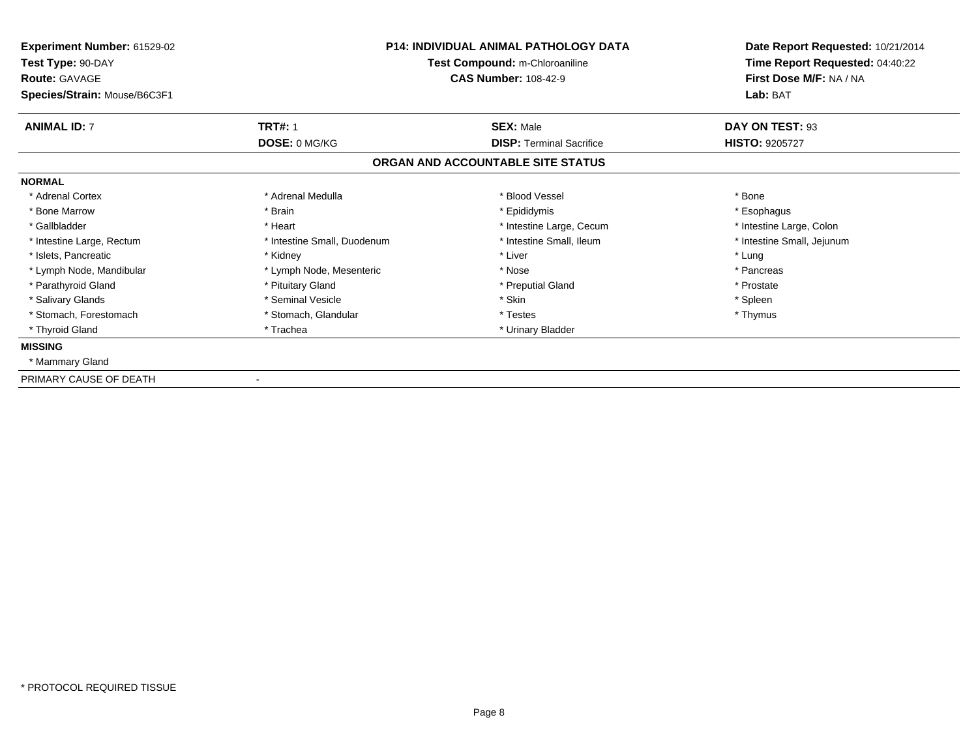| Experiment Number: 61529-02<br>Test Type: 90-DAY<br><b>Route: GAVAGE</b> | <b>P14: INDIVIDUAL ANIMAL PATHOLOGY DATA</b><br>Test Compound: m-Chloroaniline<br><b>CAS Number: 108-42-9</b> |                                   | Date Report Requested: 10/21/2014<br>Time Report Requested: 04:40:22<br>First Dose M/F: NA / NA |  |
|--------------------------------------------------------------------------|---------------------------------------------------------------------------------------------------------------|-----------------------------------|-------------------------------------------------------------------------------------------------|--|
| Species/Strain: Mouse/B6C3F1                                             |                                                                                                               |                                   | Lab: BAT                                                                                        |  |
| <b>ANIMAL ID: 7</b>                                                      | <b>TRT#: 1</b>                                                                                                | <b>SEX: Male</b>                  | DAY ON TEST: 93                                                                                 |  |
|                                                                          | DOSE: 0 MG/KG                                                                                                 | <b>DISP: Terminal Sacrifice</b>   | <b>HISTO: 9205727</b>                                                                           |  |
|                                                                          |                                                                                                               | ORGAN AND ACCOUNTABLE SITE STATUS |                                                                                                 |  |
| <b>NORMAL</b>                                                            |                                                                                                               |                                   |                                                                                                 |  |
| * Adrenal Cortex                                                         | * Adrenal Medulla                                                                                             | * Blood Vessel                    | * Bone                                                                                          |  |
| * Bone Marrow                                                            | * Brain                                                                                                       | * Epididymis                      | * Esophagus                                                                                     |  |
| * Gallbladder                                                            | * Heart                                                                                                       | * Intestine Large, Cecum          | * Intestine Large, Colon                                                                        |  |
| * Intestine Large, Rectum                                                | * Intestine Small, Duodenum                                                                                   | * Intestine Small, Ileum          | * Intestine Small, Jejunum                                                                      |  |
| * Islets, Pancreatic                                                     | * Kidney                                                                                                      | * Liver                           | * Lung                                                                                          |  |
| * Lymph Node, Mandibular                                                 | * Lymph Node, Mesenteric                                                                                      | * Nose                            | * Pancreas                                                                                      |  |
| * Parathyroid Gland                                                      | * Pituitary Gland                                                                                             | * Preputial Gland                 | * Prostate                                                                                      |  |
| * Salivary Glands                                                        | * Seminal Vesicle                                                                                             | * Skin                            | * Spleen                                                                                        |  |
| * Stomach, Forestomach                                                   | * Stomach, Glandular                                                                                          | * Testes                          | * Thymus                                                                                        |  |
| * Thyroid Gland                                                          | * Trachea                                                                                                     | * Urinary Bladder                 |                                                                                                 |  |
| <b>MISSING</b>                                                           |                                                                                                               |                                   |                                                                                                 |  |
| * Mammary Gland                                                          |                                                                                                               |                                   |                                                                                                 |  |
| PRIMARY CAUSE OF DEATH                                                   |                                                                                                               |                                   |                                                                                                 |  |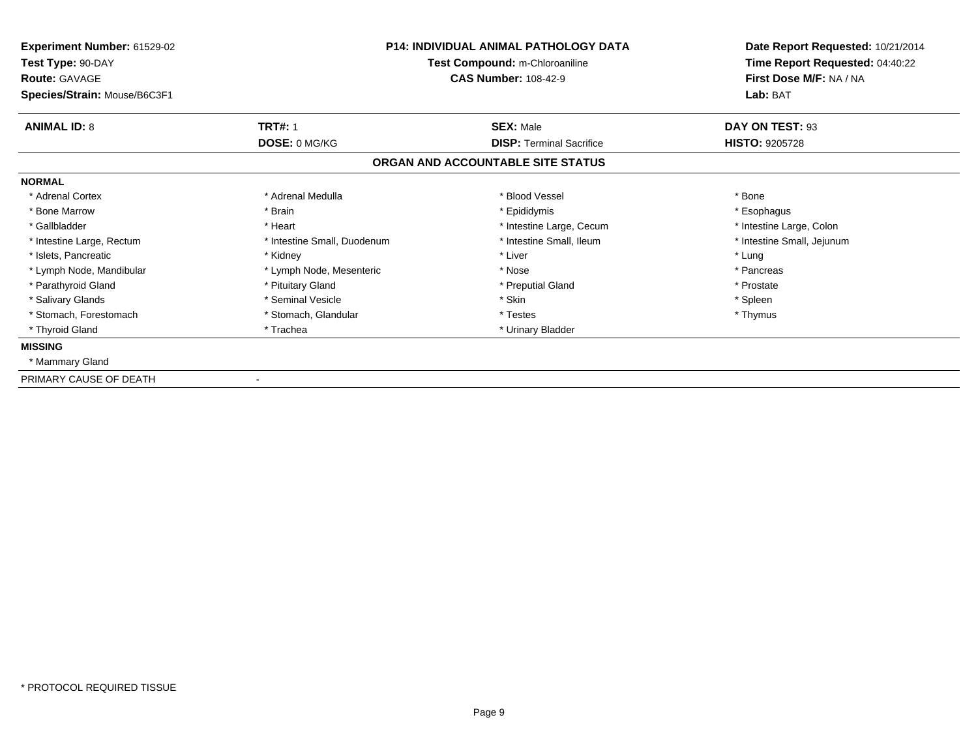| Experiment Number: 61529-02<br>Test Type: 90-DAY<br><b>Route: GAVAGE</b> | <b>P14: INDIVIDUAL ANIMAL PATHOLOGY DATA</b><br>Test Compound: m-Chloroaniline<br><b>CAS Number: 108-42-9</b> |                                   | Date Report Requested: 10/21/2014<br>Time Report Requested: 04:40:22<br>First Dose M/F: NA / NA |  |
|--------------------------------------------------------------------------|---------------------------------------------------------------------------------------------------------------|-----------------------------------|-------------------------------------------------------------------------------------------------|--|
| Species/Strain: Mouse/B6C3F1                                             |                                                                                                               |                                   | Lab: BAT                                                                                        |  |
| <b>ANIMAL ID: 8</b>                                                      | <b>TRT#: 1</b>                                                                                                | <b>SEX: Male</b>                  | DAY ON TEST: 93                                                                                 |  |
|                                                                          | DOSE: 0 MG/KG                                                                                                 | <b>DISP: Terminal Sacrifice</b>   | <b>HISTO: 9205728</b>                                                                           |  |
|                                                                          |                                                                                                               | ORGAN AND ACCOUNTABLE SITE STATUS |                                                                                                 |  |
| <b>NORMAL</b>                                                            |                                                                                                               |                                   |                                                                                                 |  |
| * Adrenal Cortex                                                         | * Adrenal Medulla                                                                                             | * Blood Vessel                    | * Bone                                                                                          |  |
| * Bone Marrow                                                            | * Brain                                                                                                       | * Epididymis                      | * Esophagus                                                                                     |  |
| * Gallbladder                                                            | * Heart                                                                                                       | * Intestine Large, Cecum          | * Intestine Large, Colon                                                                        |  |
| * Intestine Large, Rectum                                                | * Intestine Small, Duodenum                                                                                   | * Intestine Small, Ileum          | * Intestine Small, Jejunum                                                                      |  |
| * Islets, Pancreatic                                                     | * Kidney                                                                                                      | * Liver                           | * Lung                                                                                          |  |
| * Lymph Node, Mandibular                                                 | * Lymph Node, Mesenteric                                                                                      | * Nose                            | * Pancreas                                                                                      |  |
| * Parathyroid Gland                                                      | * Pituitary Gland                                                                                             | * Preputial Gland                 | * Prostate                                                                                      |  |
| * Salivary Glands                                                        | * Seminal Vesicle                                                                                             | * Skin                            | * Spleen                                                                                        |  |
| * Stomach, Forestomach                                                   | * Stomach, Glandular                                                                                          | * Testes                          | * Thymus                                                                                        |  |
| * Thyroid Gland                                                          | * Trachea                                                                                                     | * Urinary Bladder                 |                                                                                                 |  |
| <b>MISSING</b>                                                           |                                                                                                               |                                   |                                                                                                 |  |
| * Mammary Gland                                                          |                                                                                                               |                                   |                                                                                                 |  |
| PRIMARY CAUSE OF DEATH                                                   |                                                                                                               |                                   |                                                                                                 |  |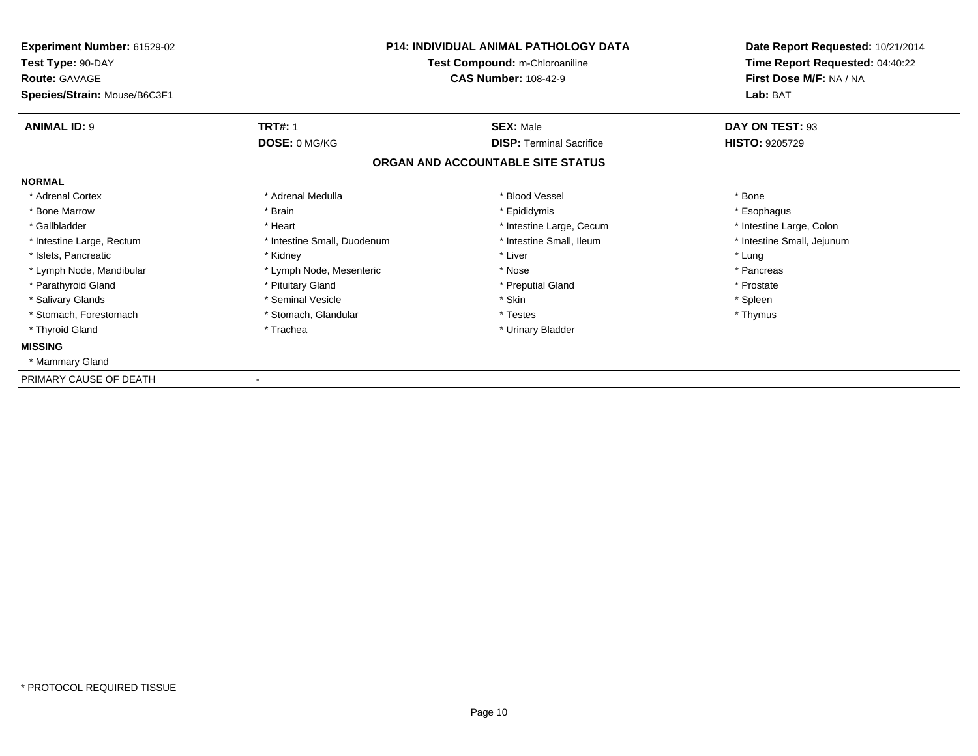| Experiment Number: 61529-02<br>Test Type: 90-DAY<br><b>Route: GAVAGE</b> | <b>P14: INDIVIDUAL ANIMAL PATHOLOGY DATA</b><br>Test Compound: m-Chloroaniline<br><b>CAS Number: 108-42-9</b> |                                   | Date Report Requested: 10/21/2014<br>Time Report Requested: 04:40:22<br>First Dose M/F: NA / NA |  |
|--------------------------------------------------------------------------|---------------------------------------------------------------------------------------------------------------|-----------------------------------|-------------------------------------------------------------------------------------------------|--|
| Species/Strain: Mouse/B6C3F1                                             |                                                                                                               |                                   | Lab: BAT                                                                                        |  |
| <b>ANIMAL ID: 9</b>                                                      | <b>TRT#: 1</b>                                                                                                | <b>SEX: Male</b>                  | DAY ON TEST: 93                                                                                 |  |
|                                                                          | DOSE: 0 MG/KG                                                                                                 | <b>DISP: Terminal Sacrifice</b>   | <b>HISTO: 9205729</b>                                                                           |  |
|                                                                          |                                                                                                               | ORGAN AND ACCOUNTABLE SITE STATUS |                                                                                                 |  |
| <b>NORMAL</b>                                                            |                                                                                                               |                                   |                                                                                                 |  |
| * Adrenal Cortex                                                         | * Adrenal Medulla                                                                                             | * Blood Vessel                    | * Bone                                                                                          |  |
| * Bone Marrow                                                            | * Brain                                                                                                       | * Epididymis                      | * Esophagus                                                                                     |  |
| * Gallbladder                                                            | * Heart                                                                                                       | * Intestine Large, Cecum          | * Intestine Large, Colon                                                                        |  |
| * Intestine Large, Rectum                                                | * Intestine Small, Duodenum                                                                                   | * Intestine Small, Ileum          | * Intestine Small, Jejunum                                                                      |  |
| * Islets, Pancreatic                                                     | * Kidney                                                                                                      | * Liver                           | * Lung                                                                                          |  |
| * Lymph Node, Mandibular                                                 | * Lymph Node, Mesenteric                                                                                      | * Nose                            | * Pancreas                                                                                      |  |
| * Parathyroid Gland                                                      | * Pituitary Gland                                                                                             | * Preputial Gland                 | * Prostate                                                                                      |  |
| * Salivary Glands                                                        | * Seminal Vesicle                                                                                             | * Skin                            | * Spleen                                                                                        |  |
| * Stomach, Forestomach                                                   | * Stomach, Glandular                                                                                          | * Testes                          | * Thymus                                                                                        |  |
| * Thyroid Gland                                                          | * Trachea                                                                                                     | * Urinary Bladder                 |                                                                                                 |  |
| <b>MISSING</b>                                                           |                                                                                                               |                                   |                                                                                                 |  |
| * Mammary Gland                                                          |                                                                                                               |                                   |                                                                                                 |  |
| PRIMARY CAUSE OF DEATH                                                   |                                                                                                               |                                   |                                                                                                 |  |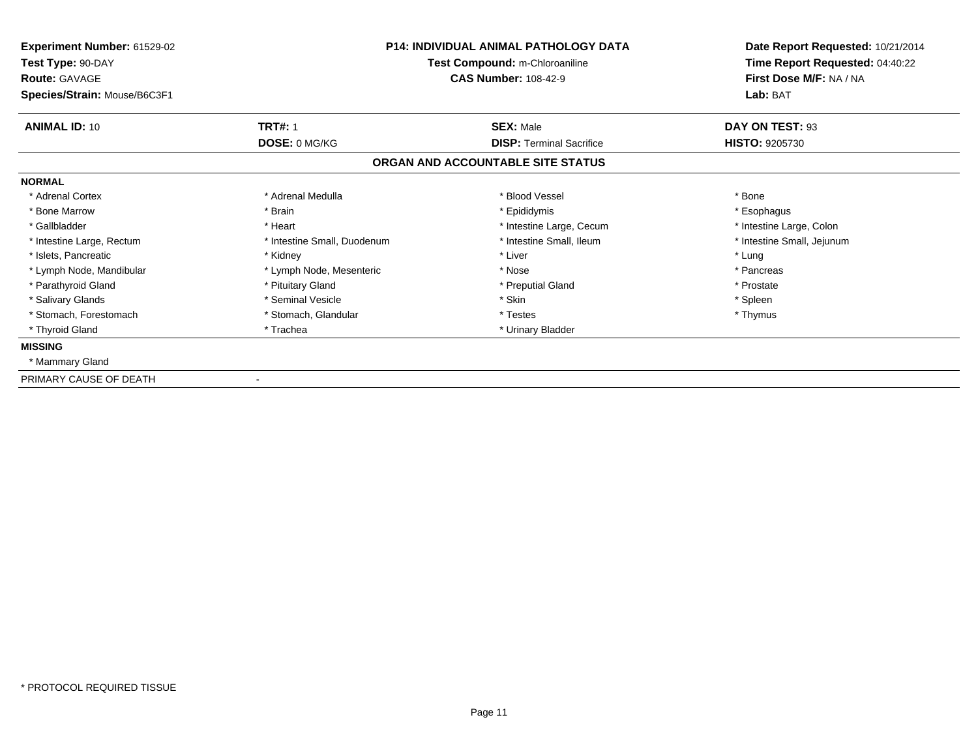| Experiment Number: 61529-02<br>Test Type: 90-DAY<br><b>Route: GAVAGE</b> | <b>P14: INDIVIDUAL ANIMAL PATHOLOGY DATA</b><br>Test Compound: m-Chloroaniline<br><b>CAS Number: 108-42-9</b> |                                   | Date Report Requested: 10/21/2014<br>Time Report Requested: 04:40:22<br>First Dose M/F: NA / NA |  |
|--------------------------------------------------------------------------|---------------------------------------------------------------------------------------------------------------|-----------------------------------|-------------------------------------------------------------------------------------------------|--|
| Species/Strain: Mouse/B6C3F1                                             |                                                                                                               |                                   | Lab: BAT                                                                                        |  |
| <b>ANIMAL ID: 10</b>                                                     | <b>TRT#: 1</b>                                                                                                | <b>SEX: Male</b>                  | DAY ON TEST: 93                                                                                 |  |
|                                                                          | DOSE: 0 MG/KG                                                                                                 | <b>DISP: Terminal Sacrifice</b>   | <b>HISTO: 9205730</b>                                                                           |  |
|                                                                          |                                                                                                               | ORGAN AND ACCOUNTABLE SITE STATUS |                                                                                                 |  |
| <b>NORMAL</b>                                                            |                                                                                                               |                                   |                                                                                                 |  |
| * Adrenal Cortex                                                         | * Adrenal Medulla                                                                                             | * Blood Vessel                    | * Bone                                                                                          |  |
| * Bone Marrow                                                            | * Brain                                                                                                       | * Epididymis                      | * Esophagus                                                                                     |  |
| * Gallbladder                                                            | * Heart                                                                                                       | * Intestine Large, Cecum          | * Intestine Large, Colon                                                                        |  |
| * Intestine Large, Rectum                                                | * Intestine Small, Duodenum                                                                                   | * Intestine Small, Ileum          | * Intestine Small, Jejunum                                                                      |  |
| * Islets, Pancreatic                                                     | * Kidney                                                                                                      | * Liver                           | * Lung                                                                                          |  |
| * Lymph Node, Mandibular                                                 | * Lymph Node, Mesenteric                                                                                      | * Nose                            | * Pancreas                                                                                      |  |
| * Parathyroid Gland                                                      | * Pituitary Gland                                                                                             | * Preputial Gland                 | * Prostate                                                                                      |  |
| * Salivary Glands                                                        | * Seminal Vesicle                                                                                             | * Skin                            | * Spleen                                                                                        |  |
| * Stomach, Forestomach                                                   | * Stomach, Glandular                                                                                          | * Testes                          | * Thymus                                                                                        |  |
| * Thyroid Gland                                                          | * Trachea                                                                                                     | * Urinary Bladder                 |                                                                                                 |  |
| <b>MISSING</b>                                                           |                                                                                                               |                                   |                                                                                                 |  |
| * Mammary Gland                                                          |                                                                                                               |                                   |                                                                                                 |  |
| PRIMARY CAUSE OF DEATH                                                   |                                                                                                               |                                   |                                                                                                 |  |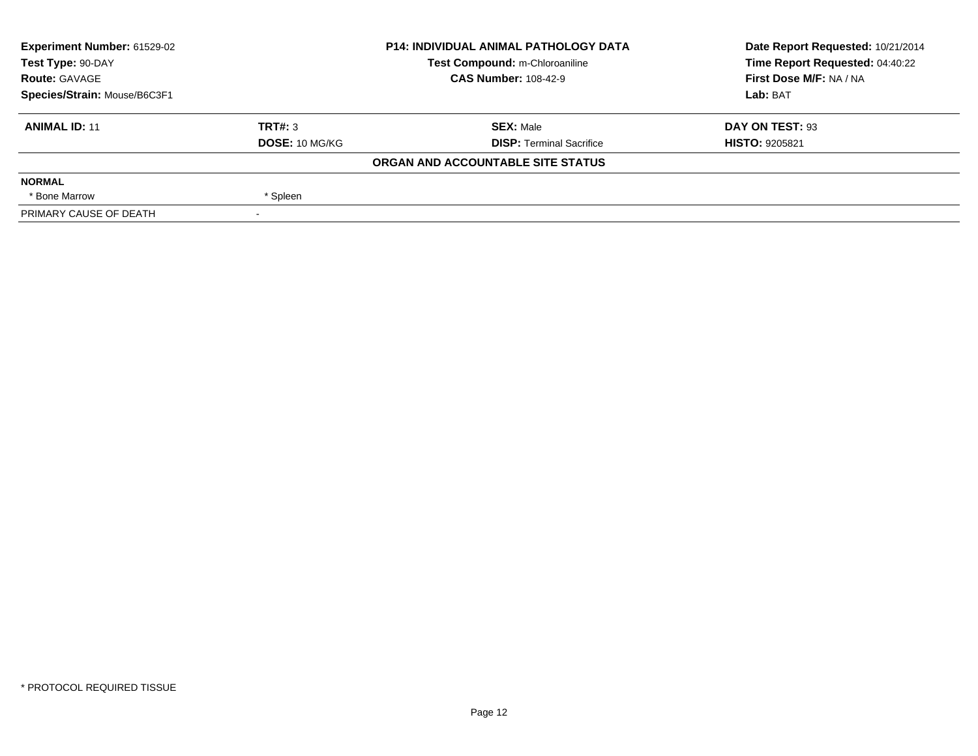| Experiment Number: 61529-02  |                | <b>P14: INDIVIDUAL ANIMAL PATHOLOGY DATA</b> | Date Report Requested: 10/21/2014 |
|------------------------------|----------------|----------------------------------------------|-----------------------------------|
| Test Type: 90-DAY            |                | Test Compound: m-Chloroaniline               | Time Report Requested: 04:40:22   |
| <b>Route: GAVAGE</b>         |                | <b>CAS Number: 108-42-9</b>                  | First Dose M/F: NA / NA           |
| Species/Strain: Mouse/B6C3F1 |                |                                              | Lab: BAT                          |
| <b>ANIMAL ID: 11</b>         | TRT#: 3        | <b>SEX: Male</b>                             | DAY ON TEST: 93                   |
|                              | DOSE: 10 MG/KG | <b>DISP: Terminal Sacrifice</b>              | <b>HISTO: 9205821</b>             |
|                              |                | ORGAN AND ACCOUNTABLE SITE STATUS            |                                   |
| <b>NORMAL</b>                |                |                                              |                                   |
| * Bone Marrow                | * Spleen       |                                              |                                   |
| PRIMARY CAUSE OF DEATH       |                |                                              |                                   |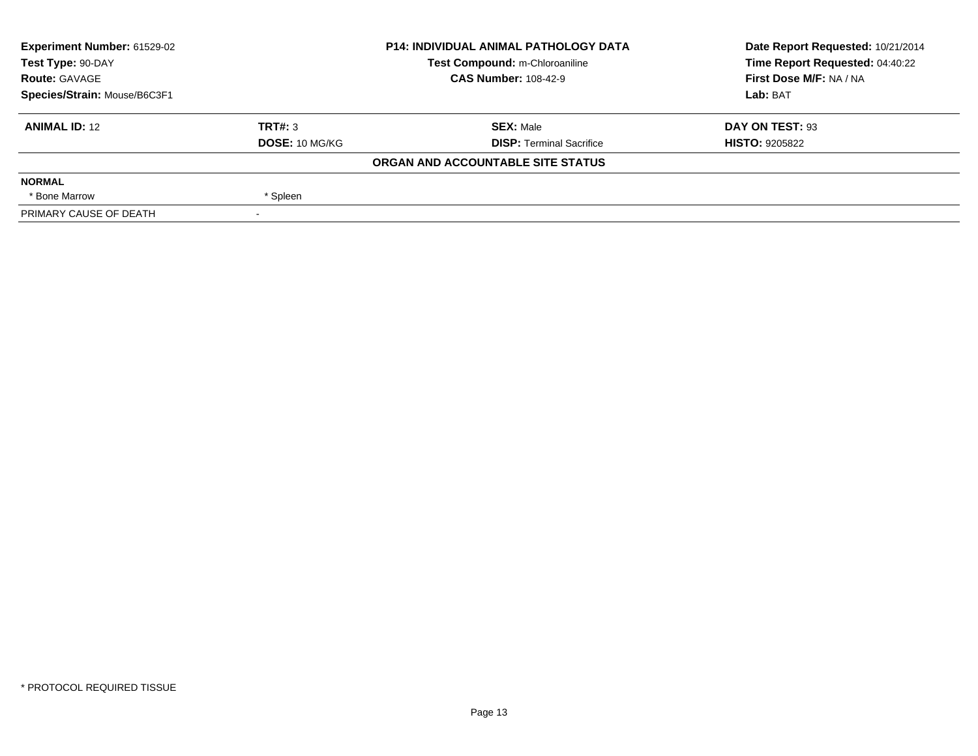| Experiment Number: 61529-02  | <b>P14: INDIVIDUAL ANIMAL PATHOLOGY DATA</b><br>Test Compound: m-Chloroaniline |                                   | Date Report Requested: 10/21/2014 |
|------------------------------|--------------------------------------------------------------------------------|-----------------------------------|-----------------------------------|
| Test Type: 90-DAY            |                                                                                |                                   | Time Report Requested: 04:40:22   |
| <b>Route: GAVAGE</b>         |                                                                                | <b>CAS Number: 108-42-9</b>       | First Dose M/F: NA / NA           |
| Species/Strain: Mouse/B6C3F1 |                                                                                |                                   | Lab: BAT                          |
| <b>ANIMAL ID: 12</b>         | TRT#: 3                                                                        | <b>SEX: Male</b>                  | DAY ON TEST: 93                   |
|                              | DOSE: 10 MG/KG                                                                 | <b>DISP: Terminal Sacrifice</b>   | <b>HISTO: 9205822</b>             |
|                              |                                                                                | ORGAN AND ACCOUNTABLE SITE STATUS |                                   |
| <b>NORMAL</b>                |                                                                                |                                   |                                   |
| * Bone Marrow                | * Spleen                                                                       |                                   |                                   |
| PRIMARY CAUSE OF DEATH       |                                                                                |                                   |                                   |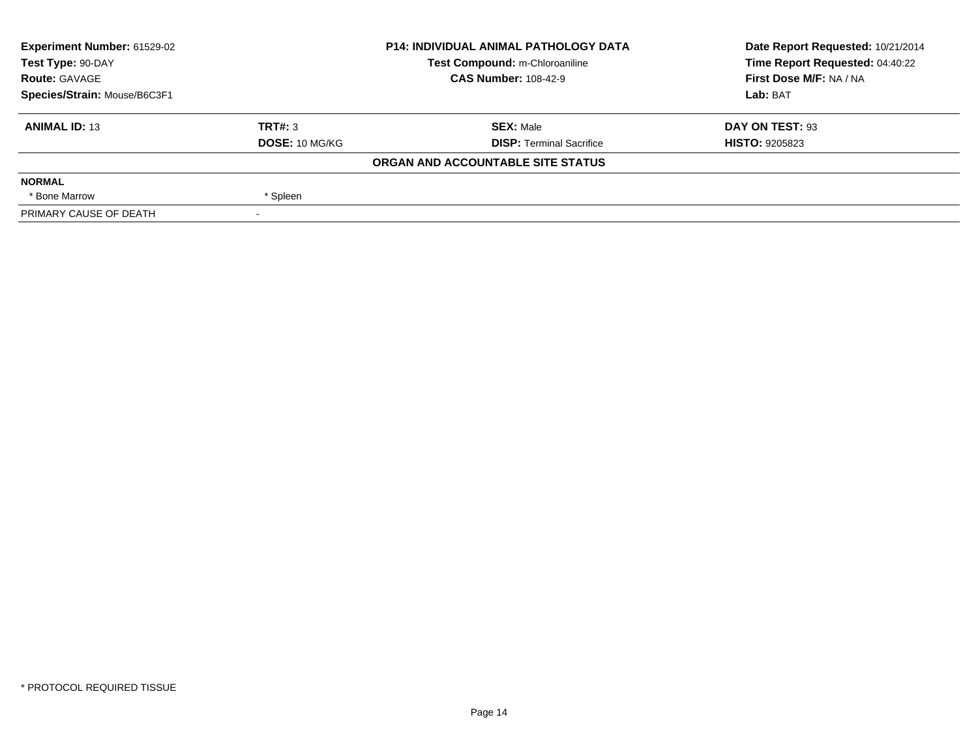| Experiment Number: 61529-02  | <b>P14: INDIVIDUAL ANIMAL PATHOLOGY DATA</b> |                                   | Date Report Requested: 10/21/2014 |
|------------------------------|----------------------------------------------|-----------------------------------|-----------------------------------|
| Test Type: 90-DAY            |                                              | Test Compound: m-Chloroaniline    | Time Report Requested: 04:40:22   |
| <b>Route: GAVAGE</b>         |                                              | <b>CAS Number: 108-42-9</b>       | First Dose M/F: NA / NA           |
| Species/Strain: Mouse/B6C3F1 |                                              |                                   | Lab: BAT                          |
| <b>ANIMAL ID: 13</b>         | TRT#: 3                                      | <b>SEX: Male</b>                  | DAY ON TEST: 93                   |
|                              | DOSE: 10 MG/KG                               | <b>DISP: Terminal Sacrifice</b>   | <b>HISTO: 9205823</b>             |
|                              |                                              | ORGAN AND ACCOUNTABLE SITE STATUS |                                   |
| <b>NORMAL</b>                |                                              |                                   |                                   |
| * Bone Marrow                | * Spleen                                     |                                   |                                   |
| PRIMARY CAUSE OF DEATH       |                                              |                                   |                                   |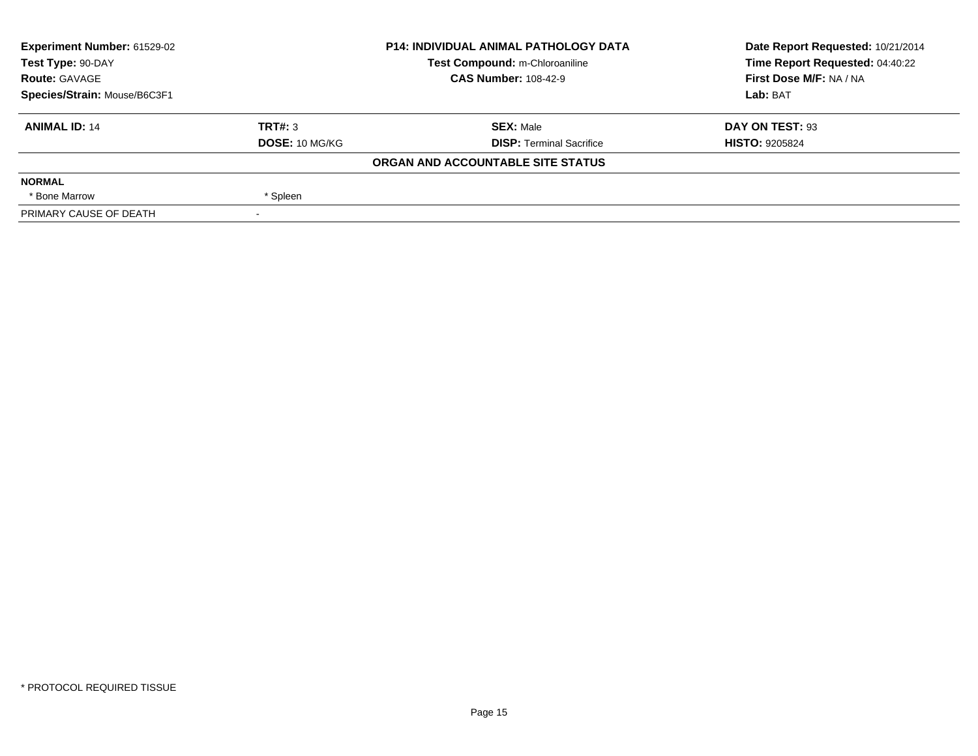| Experiment Number: 61529-02  |                | <b>P14: INDIVIDUAL ANIMAL PATHOLOGY DATA</b> | Date Report Requested: 10/21/2014 |
|------------------------------|----------------|----------------------------------------------|-----------------------------------|
| Test Type: 90-DAY            |                | Test Compound: m-Chloroaniline               | Time Report Requested: 04:40:22   |
| <b>Route: GAVAGE</b>         |                | <b>CAS Number: 108-42-9</b>                  | First Dose M/F: NA / NA           |
| Species/Strain: Mouse/B6C3F1 |                |                                              | Lab: BAT                          |
| <b>ANIMAL ID: 14</b>         | TRT#: 3        | <b>SEX: Male</b>                             | DAY ON TEST: 93                   |
|                              | DOSE: 10 MG/KG | <b>DISP: Terminal Sacrifice</b>              | <b>HISTO: 9205824</b>             |
|                              |                | ORGAN AND ACCOUNTABLE SITE STATUS            |                                   |
| <b>NORMAL</b>                |                |                                              |                                   |
| * Bone Marrow                | * Spleen       |                                              |                                   |
| PRIMARY CAUSE OF DEATH       |                |                                              |                                   |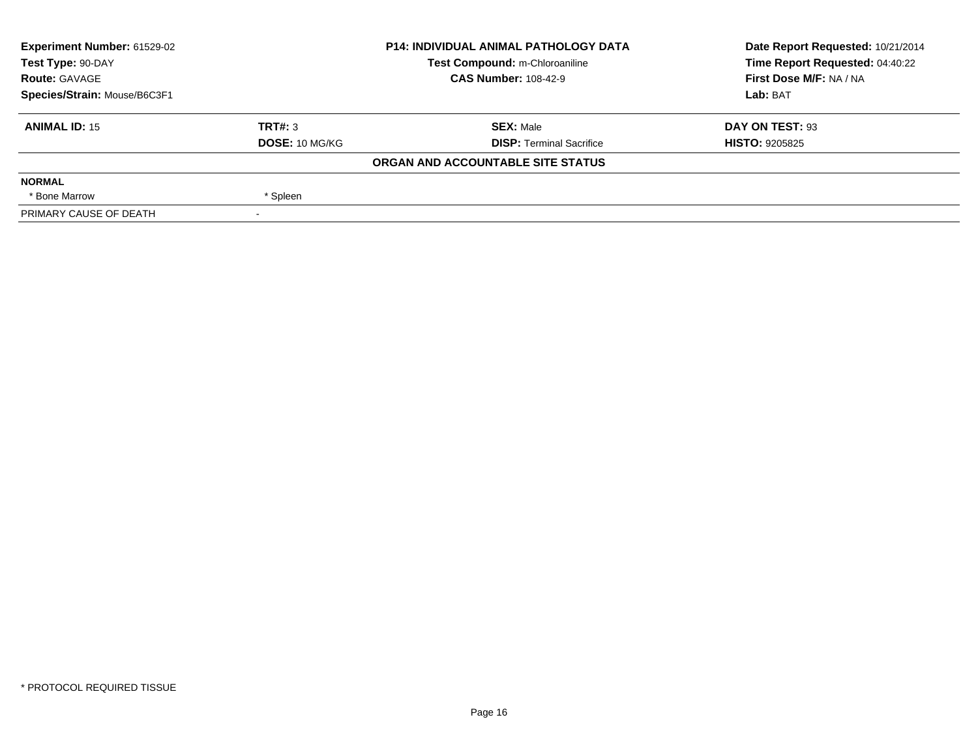| Experiment Number: 61529-02  | <b>P14: INDIVIDUAL ANIMAL PATHOLOGY DATA</b><br>Test Compound: m-Chloroaniline |                                   | Date Report Requested: 10/21/2014 |
|------------------------------|--------------------------------------------------------------------------------|-----------------------------------|-----------------------------------|
| Test Type: 90-DAY            |                                                                                |                                   | Time Report Requested: 04:40:22   |
| <b>Route: GAVAGE</b>         |                                                                                | <b>CAS Number: 108-42-9</b>       | First Dose M/F: NA / NA           |
| Species/Strain: Mouse/B6C3F1 |                                                                                |                                   | Lab: BAT                          |
| <b>ANIMAL ID: 15</b>         | TRT#: 3                                                                        | <b>SEX: Male</b>                  | DAY ON TEST: 93                   |
|                              | DOSE: 10 MG/KG                                                                 | <b>DISP:</b> Terminal Sacrifice   | <b>HISTO: 9205825</b>             |
|                              |                                                                                | ORGAN AND ACCOUNTABLE SITE STATUS |                                   |
| <b>NORMAL</b>                |                                                                                |                                   |                                   |
| * Bone Marrow                | * Spleen                                                                       |                                   |                                   |
| PRIMARY CAUSE OF DEATH       |                                                                                |                                   |                                   |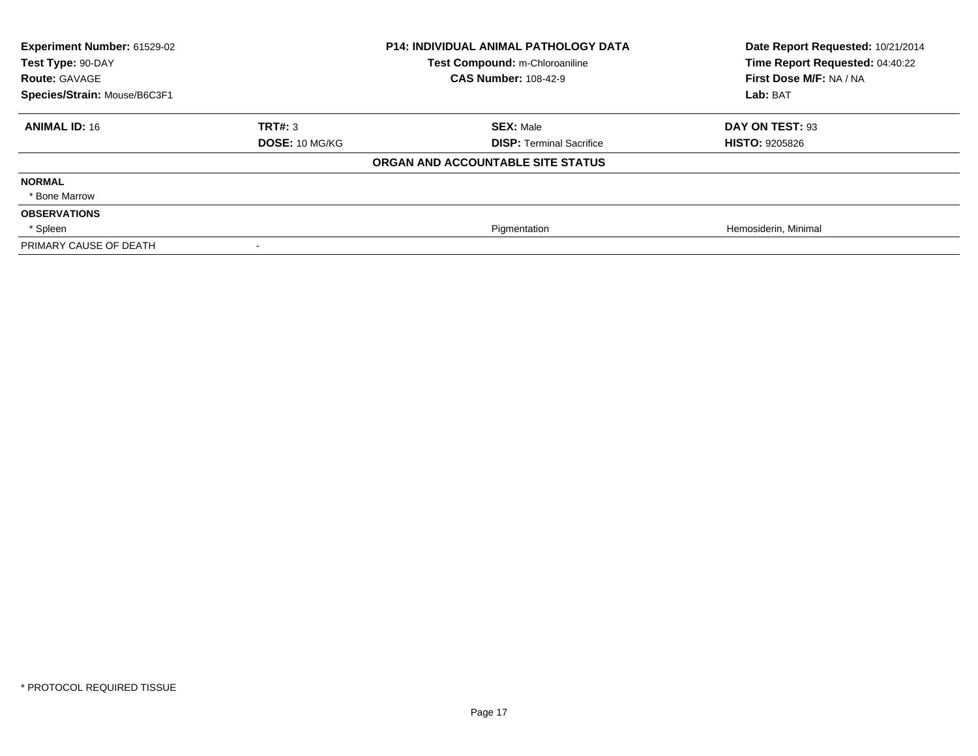| Experiment Number: 61529-02<br>Test Type: 90-DAY |                       | <b>P14: INDIVIDUAL ANIMAL PATHOLOGY DATA</b><br>Test Compound: m-Chloroaniline | Date Report Requested: 10/21/2014<br>Time Report Requested: 04:40:22 |
|--------------------------------------------------|-----------------------|--------------------------------------------------------------------------------|----------------------------------------------------------------------|
| <b>Route: GAVAGE</b>                             |                       | <b>CAS Number: 108-42-9</b>                                                    | First Dose M/F: NA / NA                                              |
| Species/Strain: Mouse/B6C3F1                     |                       |                                                                                | Lab: BAT                                                             |
| <b>ANIMAL ID: 16</b>                             | TRT#: 3               | <b>SEX: Male</b>                                                               | DAY ON TEST: 93                                                      |
|                                                  | <b>DOSE: 10 MG/KG</b> | <b>DISP: Terminal Sacrifice</b>                                                | <b>HISTO: 9205826</b>                                                |
|                                                  |                       | ORGAN AND ACCOUNTABLE SITE STATUS                                              |                                                                      |
| <b>NORMAL</b>                                    |                       |                                                                                |                                                                      |
| * Bone Marrow                                    |                       |                                                                                |                                                                      |
| <b>OBSERVATIONS</b>                              |                       |                                                                                |                                                                      |
| * Spleen                                         |                       | Pigmentation                                                                   | Hemosiderin, Minimal                                                 |
| PRIMARY CAUSE OF DEATH                           |                       |                                                                                |                                                                      |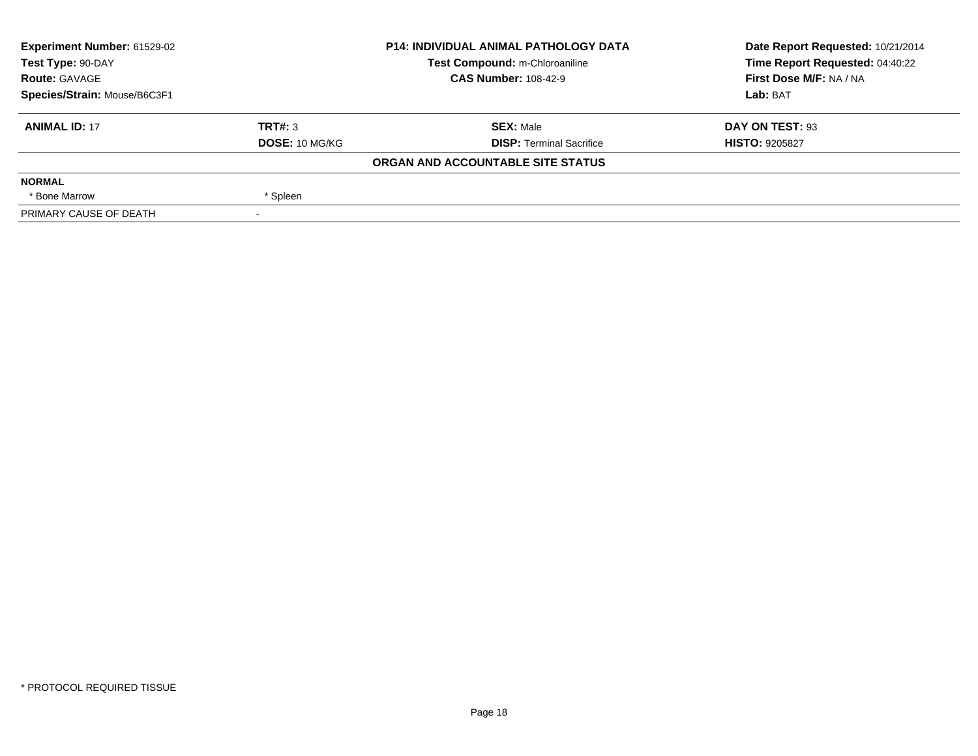| Experiment Number: 61529-02  |                                | <b>P14: INDIVIDUAL ANIMAL PATHOLOGY DATA</b> | Date Report Requested: 10/21/2014 |
|------------------------------|--------------------------------|----------------------------------------------|-----------------------------------|
| Test Type: 90-DAY            | Test Compound: m-Chloroaniline |                                              | Time Report Requested: 04:40:22   |
| <b>Route: GAVAGE</b>         |                                | <b>CAS Number: 108-42-9</b>                  | First Dose M/F: NA / NA           |
| Species/Strain: Mouse/B6C3F1 |                                |                                              | Lab: BAT                          |
| <b>ANIMAL ID: 17</b>         | TRT#: 3                        | <b>SEX: Male</b>                             | DAY ON TEST: 93                   |
|                              | DOSE: 10 MG/KG                 | <b>DISP: Terminal Sacrifice</b>              | <b>HISTO: 9205827</b>             |
|                              |                                | ORGAN AND ACCOUNTABLE SITE STATUS            |                                   |
| <b>NORMAL</b>                |                                |                                              |                                   |
| * Bone Marrow                | * Spleen                       |                                              |                                   |
| PRIMARY CAUSE OF DEATH       |                                |                                              |                                   |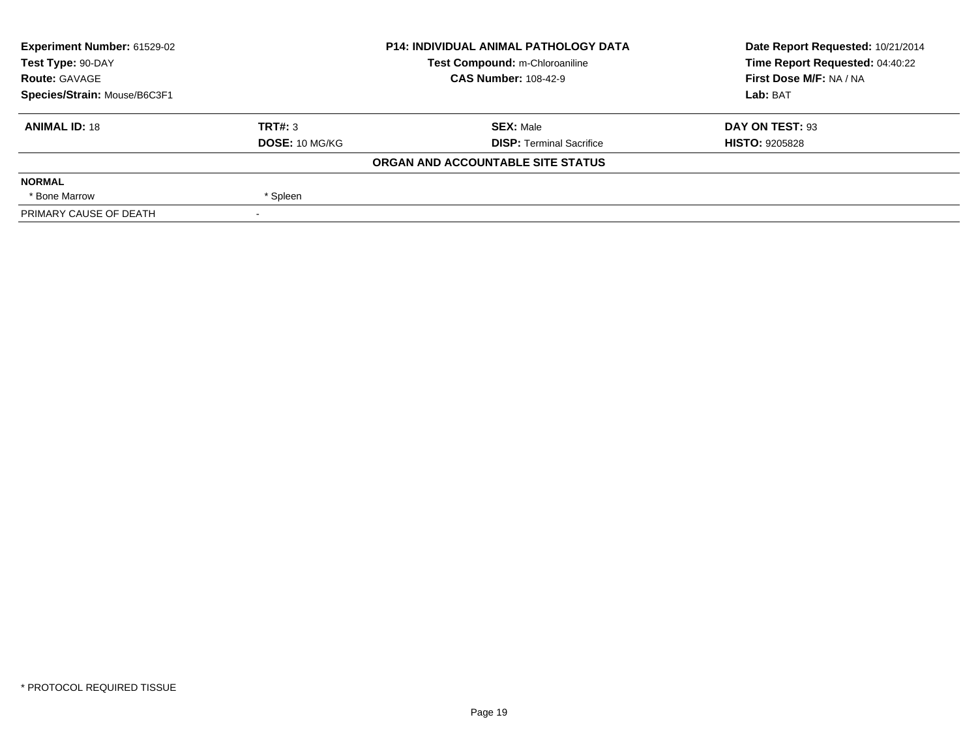| Experiment Number: 61529-02  | <b>P14: INDIVIDUAL ANIMAL PATHOLOGY DATA</b><br>Test Compound: m-Chloroaniline |                                   | Date Report Requested: 10/21/2014 |
|------------------------------|--------------------------------------------------------------------------------|-----------------------------------|-----------------------------------|
| Test Type: 90-DAY            |                                                                                |                                   | Time Report Requested: 04:40:22   |
| <b>Route: GAVAGE</b>         |                                                                                | <b>CAS Number: 108-42-9</b>       | First Dose M/F: NA / NA           |
| Species/Strain: Mouse/B6C3F1 |                                                                                |                                   | Lab: BAT                          |
| <b>ANIMAL ID: 18</b>         | TRT#: 3                                                                        | <b>SEX: Male</b>                  | DAY ON TEST: 93                   |
|                              | DOSE: 10 MG/KG                                                                 | <b>DISP:</b> Terminal Sacrifice   | <b>HISTO: 9205828</b>             |
|                              |                                                                                | ORGAN AND ACCOUNTABLE SITE STATUS |                                   |
| <b>NORMAL</b>                |                                                                                |                                   |                                   |
| * Bone Marrow                | * Spleen                                                                       |                                   |                                   |
| PRIMARY CAUSE OF DEATH       |                                                                                |                                   |                                   |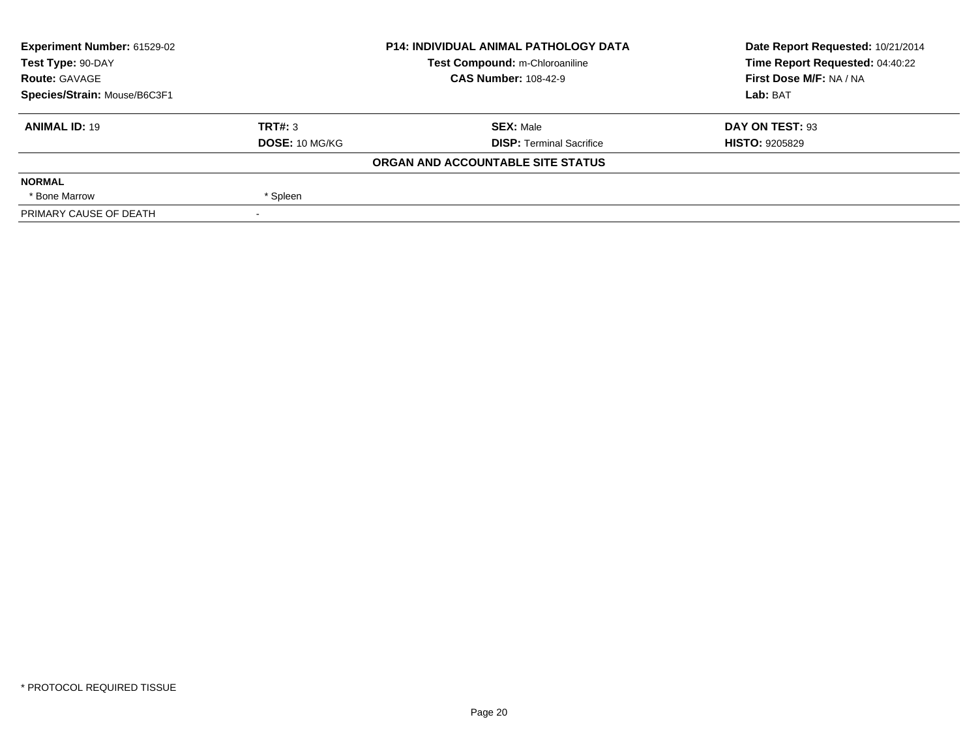| Experiment Number: 61529-02  | <b>P14: INDIVIDUAL ANIMAL PATHOLOGY DATA</b><br>Test Compound: m-Chloroaniline |                                   | Date Report Requested: 10/21/2014 |
|------------------------------|--------------------------------------------------------------------------------|-----------------------------------|-----------------------------------|
| Test Type: 90-DAY            |                                                                                |                                   | Time Report Requested: 04:40:22   |
| <b>Route: GAVAGE</b>         |                                                                                | <b>CAS Number: 108-42-9</b>       | First Dose M/F: NA / NA           |
| Species/Strain: Mouse/B6C3F1 |                                                                                |                                   | Lab: BAT                          |
| <b>ANIMAL ID: 19</b>         | TRT#: 3                                                                        | <b>SEX: Male</b>                  | DAY ON TEST: 93                   |
|                              | DOSE: 10 MG/KG                                                                 | <b>DISP:</b> Terminal Sacrifice   | <b>HISTO: 9205829</b>             |
|                              |                                                                                | ORGAN AND ACCOUNTABLE SITE STATUS |                                   |
| <b>NORMAL</b>                |                                                                                |                                   |                                   |
| * Bone Marrow                | * Spleen                                                                       |                                   |                                   |
| PRIMARY CAUSE OF DEATH       |                                                                                |                                   |                                   |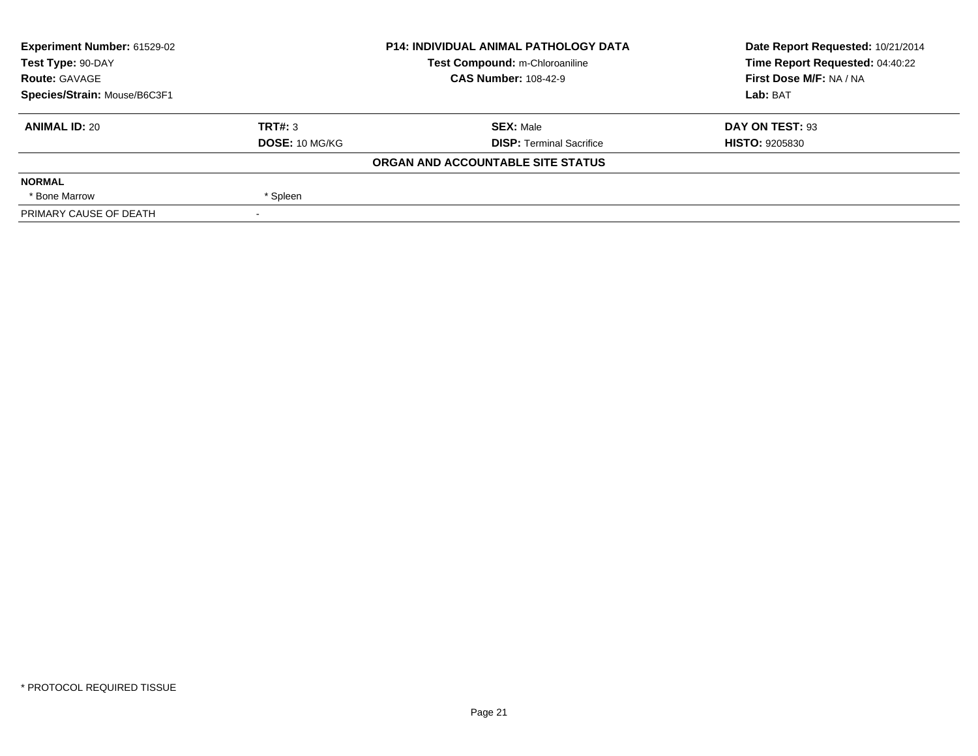| Experiment Number: 61529-02  |                | <b>P14: INDIVIDUAL ANIMAL PATHOLOGY DATA</b> | Date Report Requested: 10/21/2014 |
|------------------------------|----------------|----------------------------------------------|-----------------------------------|
| Test Type: 90-DAY            |                | Test Compound: m-Chloroaniline               | Time Report Requested: 04:40:22   |
| <b>Route: GAVAGE</b>         |                | <b>CAS Number: 108-42-9</b>                  | First Dose M/F: NA / NA           |
| Species/Strain: Mouse/B6C3F1 |                |                                              | Lab: BAT                          |
| <b>ANIMAL ID: 20</b>         | TRT#: 3        | <b>SEX: Male</b>                             | DAY ON TEST: 93                   |
|                              | DOSE: 10 MG/KG | <b>DISP: Terminal Sacrifice</b>              | <b>HISTO: 9205830</b>             |
|                              |                | ORGAN AND ACCOUNTABLE SITE STATUS            |                                   |
| <b>NORMAL</b>                |                |                                              |                                   |
| * Bone Marrow                | * Spleen       |                                              |                                   |
| PRIMARY CAUSE OF DEATH       |                |                                              |                                   |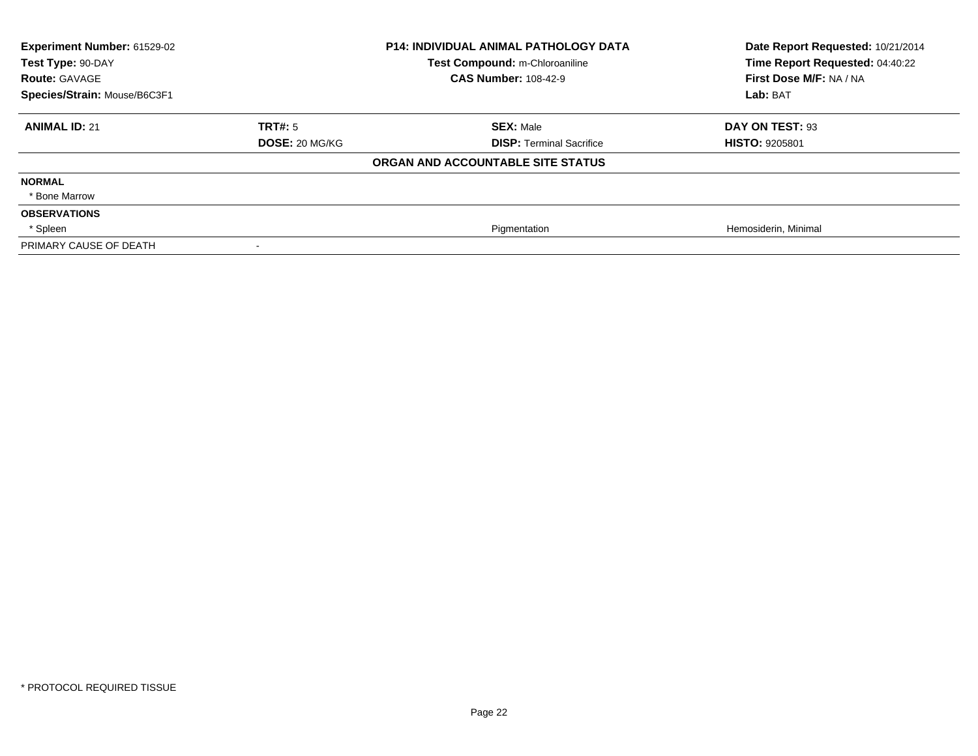| Experiment Number: 61529-02<br>Test Type: 90-DAY<br><b>Route: GAVAGE</b><br>Species/Strain: Mouse/B6C3F1 |                       | P14: INDIVIDUAL ANIMAL PATHOLOGY DATA<br>Test Compound: m-Chloroaniline<br><b>CAS Number: 108-42-9</b> | Date Report Requested: 10/21/2014<br>Time Report Requested: 04:40:22<br>First Dose M/F: NA / NA<br>Lab: BAT |
|----------------------------------------------------------------------------------------------------------|-----------------------|--------------------------------------------------------------------------------------------------------|-------------------------------------------------------------------------------------------------------------|
| <b>ANIMAL ID: 21</b>                                                                                     | TRT#: 5               | <b>SEX: Male</b>                                                                                       | DAY ON TEST: 93                                                                                             |
|                                                                                                          | <b>DOSE: 20 MG/KG</b> | <b>DISP: Terminal Sacrifice</b>                                                                        | <b>HISTO: 9205801</b>                                                                                       |
|                                                                                                          |                       | ORGAN AND ACCOUNTABLE SITE STATUS                                                                      |                                                                                                             |
| <b>NORMAL</b>                                                                                            |                       |                                                                                                        |                                                                                                             |
| * Bone Marrow                                                                                            |                       |                                                                                                        |                                                                                                             |
| <b>OBSERVATIONS</b>                                                                                      |                       |                                                                                                        |                                                                                                             |
| * Spleen                                                                                                 |                       | Pigmentation                                                                                           | Hemosiderin, Minimal                                                                                        |
| PRIMARY CAUSE OF DEATH                                                                                   |                       |                                                                                                        |                                                                                                             |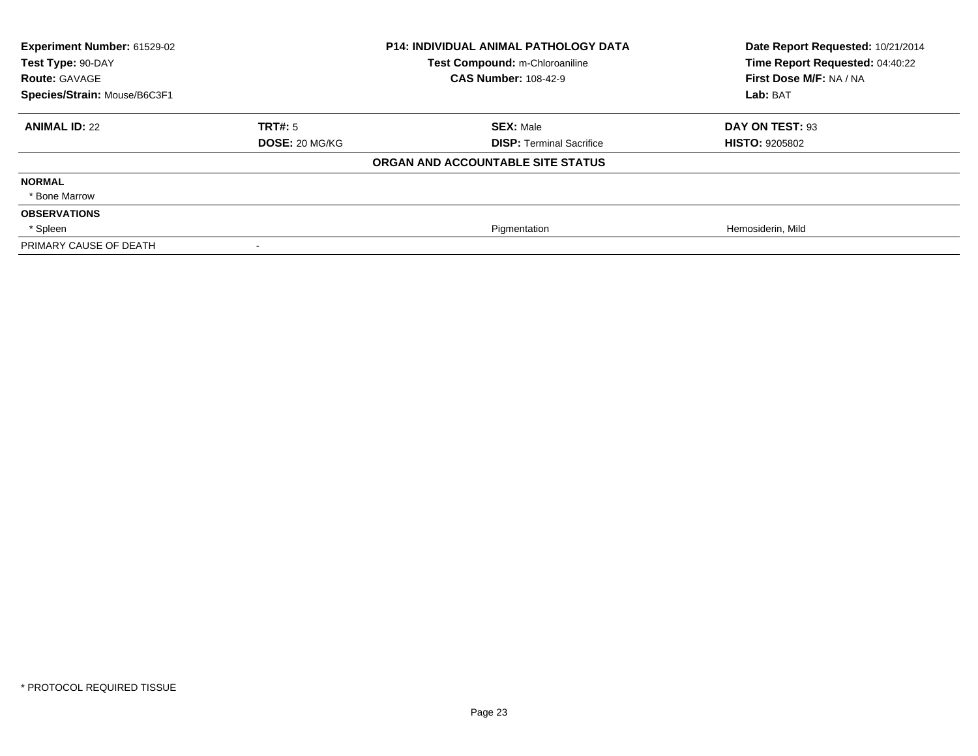| Experiment Number: 61529-02<br>Test Type: 90-DAY |                       | <b>P14: INDIVIDUAL ANIMAL PATHOLOGY DATA</b><br>Test Compound: m-Chloroaniline | Date Report Requested: 10/21/2014<br>Time Report Requested: 04:40:22 |
|--------------------------------------------------|-----------------------|--------------------------------------------------------------------------------|----------------------------------------------------------------------|
| <b>Route: GAVAGE</b>                             |                       | <b>CAS Number: 108-42-9</b>                                                    | First Dose M/F: NA / NA                                              |
| Species/Strain: Mouse/B6C3F1                     |                       |                                                                                | Lab: BAT                                                             |
| <b>ANIMAL ID: 22</b>                             | <b>TRT#: 5</b>        | <b>SEX: Male</b>                                                               | DAY ON TEST: 93                                                      |
|                                                  | <b>DOSE: 20 MG/KG</b> | <b>DISP: Terminal Sacrifice</b>                                                | <b>HISTO: 9205802</b>                                                |
|                                                  |                       | ORGAN AND ACCOUNTABLE SITE STATUS                                              |                                                                      |
| <b>NORMAL</b>                                    |                       |                                                                                |                                                                      |
| * Bone Marrow                                    |                       |                                                                                |                                                                      |
| <b>OBSERVATIONS</b>                              |                       |                                                                                |                                                                      |
| * Spleen                                         |                       | Pigmentation                                                                   | Hemosiderin, Mild                                                    |
| PRIMARY CAUSE OF DEATH                           |                       |                                                                                |                                                                      |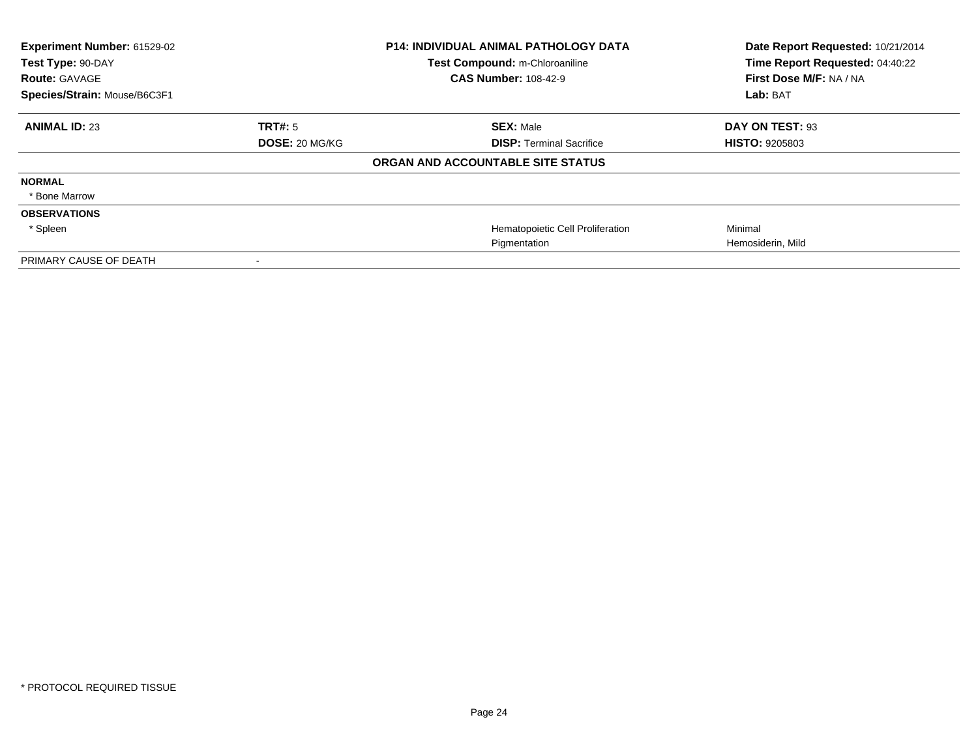| Experiment Number: 61529-02<br>Test Type: 90-DAY<br><b>Route: GAVAGE</b><br>Species/Strain: Mouse/B6C3F1 |                       | <b>P14: INDIVIDUAL ANIMAL PATHOLOGY DATA</b><br>Test Compound: m-Chloroaniline<br><b>CAS Number: 108-42-9</b> | Date Report Requested: 10/21/2014<br>Time Report Requested: 04:40:22<br>First Dose M/F: NA / NA<br>Lab: BAT |
|----------------------------------------------------------------------------------------------------------|-----------------------|---------------------------------------------------------------------------------------------------------------|-------------------------------------------------------------------------------------------------------------|
|                                                                                                          |                       |                                                                                                               |                                                                                                             |
| <b>ANIMAL ID: 23</b>                                                                                     | <b>TRT#: 5</b>        | <b>SEX: Male</b>                                                                                              | DAY ON TEST: 93                                                                                             |
|                                                                                                          | <b>DOSE: 20 MG/KG</b> | <b>DISP:</b> Terminal Sacrifice                                                                               | <b>HISTO: 9205803</b>                                                                                       |
|                                                                                                          |                       | ORGAN AND ACCOUNTABLE SITE STATUS                                                                             |                                                                                                             |
| <b>NORMAL</b>                                                                                            |                       |                                                                                                               |                                                                                                             |
| * Bone Marrow                                                                                            |                       |                                                                                                               |                                                                                                             |
| <b>OBSERVATIONS</b>                                                                                      |                       |                                                                                                               |                                                                                                             |
| * Spleen                                                                                                 |                       | Hematopoietic Cell Proliferation                                                                              | Minimal                                                                                                     |
|                                                                                                          |                       | Pigmentation                                                                                                  | Hemosiderin, Mild                                                                                           |
| PRIMARY CAUSE OF DEATH                                                                                   |                       |                                                                                                               |                                                                                                             |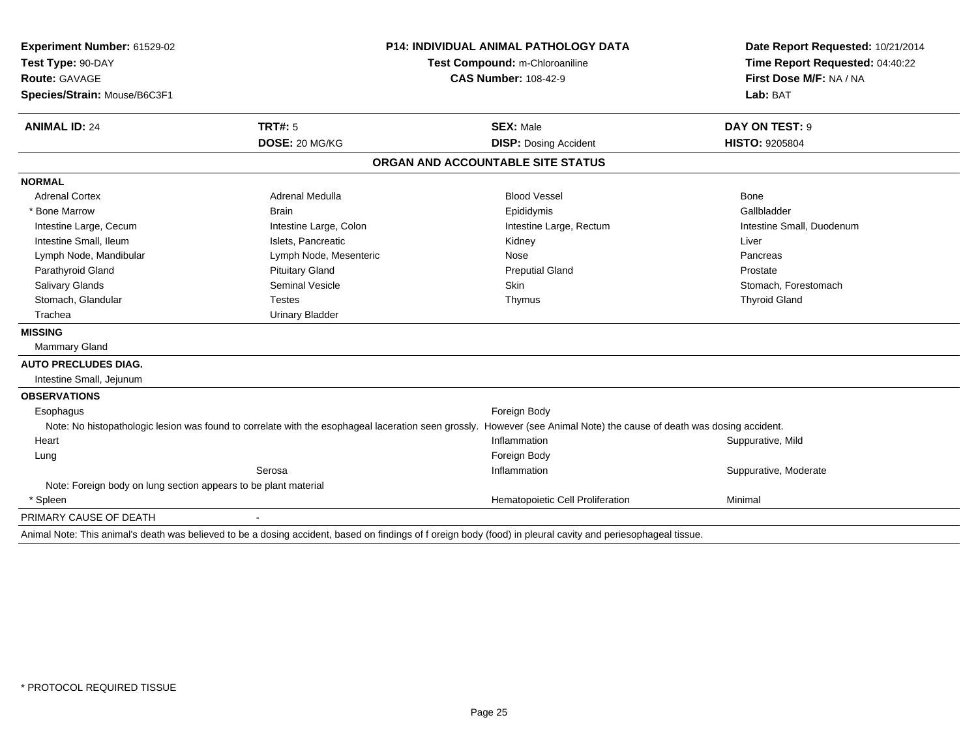| Experiment Number: 61529-02                                     |                                | <b>P14: INDIVIDUAL ANIMAL PATHOLOGY DATA</b>                                                                                                                          |                                                                      |
|-----------------------------------------------------------------|--------------------------------|-----------------------------------------------------------------------------------------------------------------------------------------------------------------------|----------------------------------------------------------------------|
| Test Type: 90-DAY                                               | Test Compound: m-Chloroaniline |                                                                                                                                                                       | Date Report Requested: 10/21/2014<br>Time Report Requested: 04:40:22 |
| <b>Route: GAVAGE</b>                                            |                                | <b>CAS Number: 108-42-9</b>                                                                                                                                           | First Dose M/F: NA / NA                                              |
| Species/Strain: Mouse/B6C3F1                                    |                                |                                                                                                                                                                       | Lab: BAT                                                             |
| <b>ANIMAL ID: 24</b>                                            | TRT#: 5                        | <b>SEX: Male</b>                                                                                                                                                      | DAY ON TEST: 9                                                       |
|                                                                 | DOSE: 20 MG/KG                 | <b>DISP: Dosing Accident</b>                                                                                                                                          | <b>HISTO: 9205804</b>                                                |
|                                                                 |                                | ORGAN AND ACCOUNTABLE SITE STATUS                                                                                                                                     |                                                                      |
| <b>NORMAL</b>                                                   |                                |                                                                                                                                                                       |                                                                      |
| <b>Adrenal Cortex</b>                                           | <b>Adrenal Medulla</b>         | <b>Blood Vessel</b>                                                                                                                                                   | Bone                                                                 |
| * Bone Marrow                                                   | <b>Brain</b>                   | Epididymis                                                                                                                                                            | Gallbladder                                                          |
| Intestine Large, Cecum                                          | Intestine Large, Colon         | Intestine Large, Rectum                                                                                                                                               | Intestine Small, Duodenum                                            |
| Intestine Small, Ileum                                          | Islets, Pancreatic             | Kidney                                                                                                                                                                | Liver                                                                |
| Lymph Node, Mandibular                                          | Lymph Node, Mesenteric         | Nose                                                                                                                                                                  | Pancreas                                                             |
| Parathyroid Gland                                               | <b>Pituitary Gland</b>         | <b>Preputial Gland</b>                                                                                                                                                | Prostate                                                             |
| Salivary Glands                                                 | <b>Seminal Vesicle</b>         | Skin                                                                                                                                                                  | Stomach, Forestomach                                                 |
| Stomach, Glandular                                              | <b>Testes</b>                  | Thymus                                                                                                                                                                | <b>Thyroid Gland</b>                                                 |
| Trachea                                                         | <b>Urinary Bladder</b>         |                                                                                                                                                                       |                                                                      |
| <b>MISSING</b>                                                  |                                |                                                                                                                                                                       |                                                                      |
| <b>Mammary Gland</b>                                            |                                |                                                                                                                                                                       |                                                                      |
| <b>AUTO PRECLUDES DIAG.</b>                                     |                                |                                                                                                                                                                       |                                                                      |
| Intestine Small, Jejunum                                        |                                |                                                                                                                                                                       |                                                                      |
| <b>OBSERVATIONS</b>                                             |                                |                                                                                                                                                                       |                                                                      |
| Esophagus                                                       |                                | Foreign Body                                                                                                                                                          |                                                                      |
|                                                                 |                                | Note: No histopathologic lesion was found to correlate with the esophageal laceration seen grossly. However (see Animal Note) the cause of death was dosing accident. |                                                                      |
| Heart                                                           |                                | Inflammation                                                                                                                                                          | Suppurative, Mild                                                    |
| Lung                                                            |                                | Foreign Body                                                                                                                                                          |                                                                      |
|                                                                 | Serosa                         | Inflammation                                                                                                                                                          | Suppurative, Moderate                                                |
| Note: Foreign body on lung section appears to be plant material |                                |                                                                                                                                                                       |                                                                      |
| * Spleen                                                        |                                | Hematopoietic Cell Proliferation                                                                                                                                      | Minimal                                                              |
| PRIMARY CAUSE OF DEATH                                          |                                |                                                                                                                                                                       |                                                                      |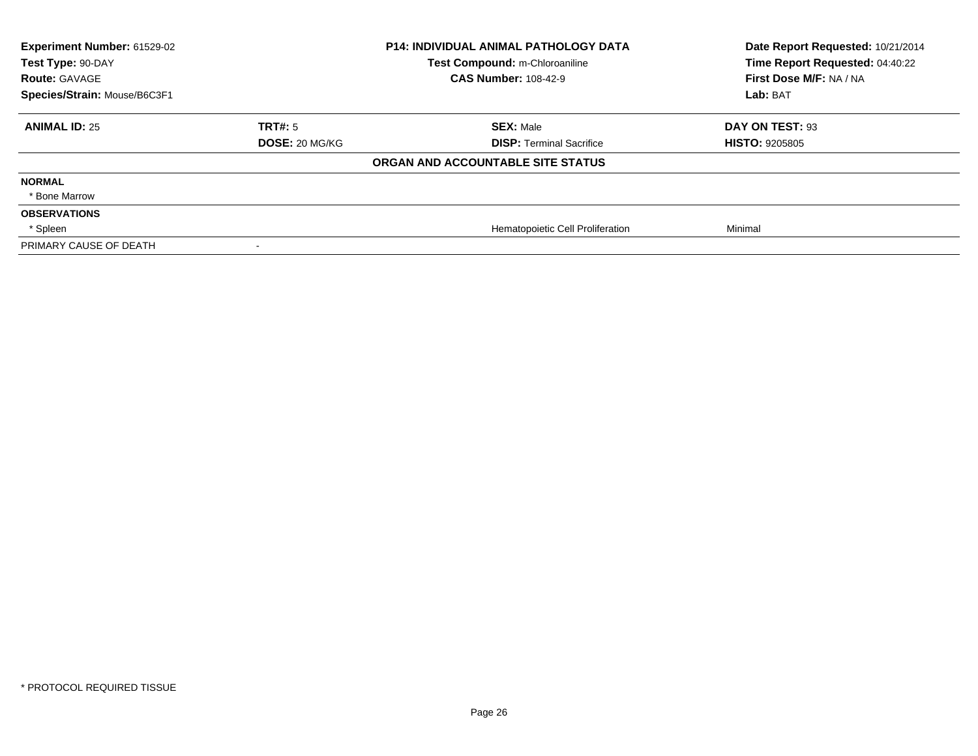| Experiment Number: 61529-02<br>Test Type: 90-DAY |                       | <b>P14: INDIVIDUAL ANIMAL PATHOLOGY DATA</b><br>Test Compound: m-Chloroaniline | Date Report Requested: 10/21/2014<br>Time Report Requested: 04:40:22 |
|--------------------------------------------------|-----------------------|--------------------------------------------------------------------------------|----------------------------------------------------------------------|
| <b>Route: GAVAGE</b>                             |                       | <b>CAS Number: 108-42-9</b>                                                    | First Dose M/F: NA / NA                                              |
| Species/Strain: Mouse/B6C3F1                     |                       |                                                                                | Lab: BAT                                                             |
| <b>ANIMAL ID: 25</b>                             | TRT#: 5               | <b>SEX: Male</b>                                                               | DAY ON TEST: 93                                                      |
|                                                  | <b>DOSE: 20 MG/KG</b> | <b>DISP: Terminal Sacrifice</b>                                                | <b>HISTO: 9205805</b>                                                |
|                                                  |                       | ORGAN AND ACCOUNTABLE SITE STATUS                                              |                                                                      |
| <b>NORMAL</b>                                    |                       |                                                                                |                                                                      |
| * Bone Marrow                                    |                       |                                                                                |                                                                      |
| <b>OBSERVATIONS</b>                              |                       |                                                                                |                                                                      |
| * Spleen                                         |                       | Hematopoietic Cell Proliferation                                               | Minimal                                                              |
| PRIMARY CAUSE OF DEATH                           |                       |                                                                                |                                                                      |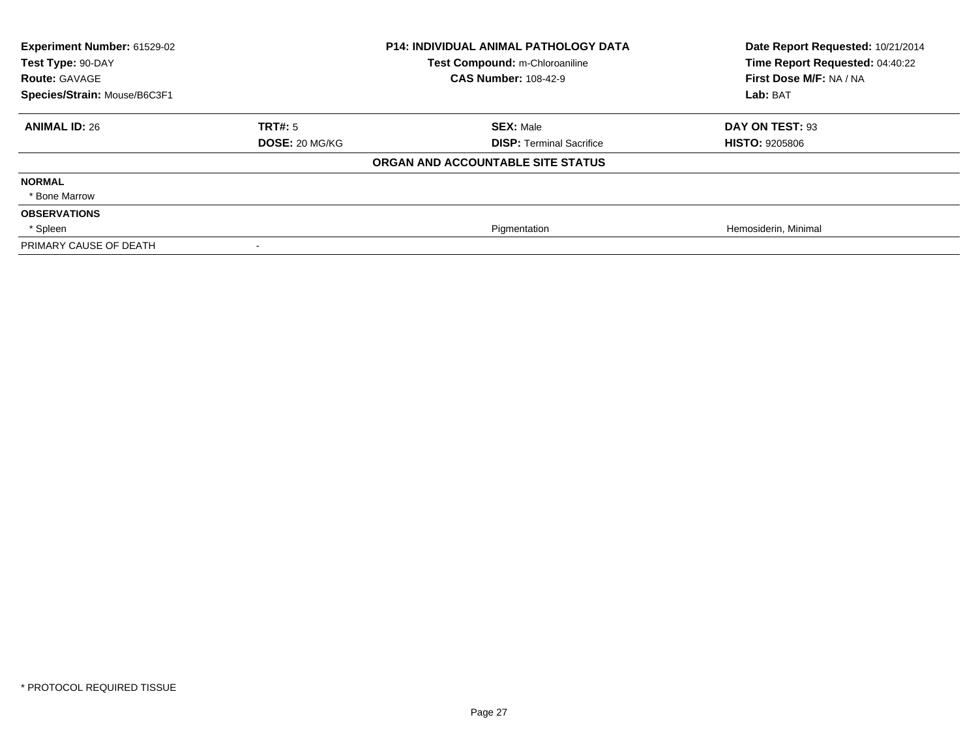| Experiment Number: 61529-02<br>Test Type: 90-DAY |                       | <b>P14: INDIVIDUAL ANIMAL PATHOLOGY DATA</b><br>Test Compound: m-Chloroaniline | Date Report Requested: 10/21/2014<br>Time Report Requested: 04:40:22 |
|--------------------------------------------------|-----------------------|--------------------------------------------------------------------------------|----------------------------------------------------------------------|
| <b>Route: GAVAGE</b>                             |                       | <b>CAS Number: 108-42-9</b>                                                    | First Dose M/F: NA / NA                                              |
| Species/Strain: Mouse/B6C3F1                     |                       |                                                                                | Lab: BAT                                                             |
| <b>ANIMAL ID: 26</b>                             | <b>TRT#: 5</b>        | <b>SEX: Male</b>                                                               | DAY ON TEST: 93                                                      |
|                                                  | <b>DOSE: 20 MG/KG</b> | <b>DISP: Terminal Sacrifice</b>                                                | <b>HISTO: 9205806</b>                                                |
|                                                  |                       | ORGAN AND ACCOUNTABLE SITE STATUS                                              |                                                                      |
| <b>NORMAL</b>                                    |                       |                                                                                |                                                                      |
| * Bone Marrow                                    |                       |                                                                                |                                                                      |
| <b>OBSERVATIONS</b>                              |                       |                                                                                |                                                                      |
| * Spleen                                         |                       | Pigmentation                                                                   | Hemosiderin, Minimal                                                 |
| PRIMARY CAUSE OF DEATH                           |                       |                                                                                |                                                                      |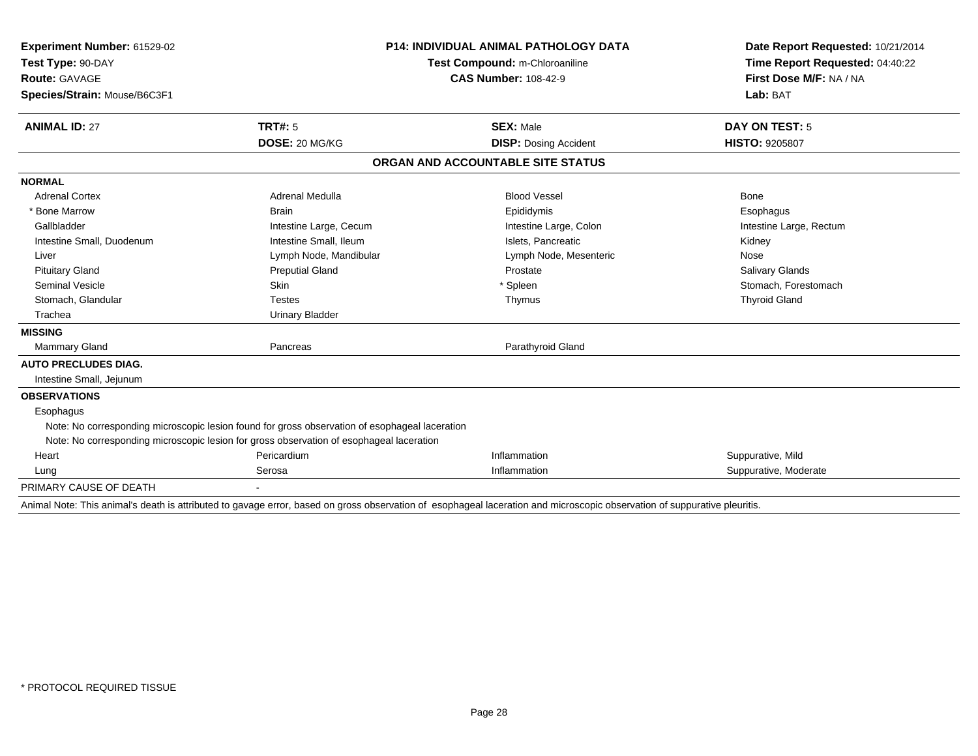| Experiment Number: 61529-02  |                                                                                                | <b>P14: INDIVIDUAL ANIMAL PATHOLOGY DATA</b>                                                                                                                              | Date Report Requested: 10/21/2014 |
|------------------------------|------------------------------------------------------------------------------------------------|---------------------------------------------------------------------------------------------------------------------------------------------------------------------------|-----------------------------------|
| Test Type: 90-DAY            | Test Compound: m-Chloroaniline                                                                 |                                                                                                                                                                           | Time Report Requested: 04:40:22   |
| <b>Route: GAVAGE</b>         |                                                                                                | <b>CAS Number: 108-42-9</b>                                                                                                                                               | First Dose M/F: NA / NA           |
| Species/Strain: Mouse/B6C3F1 |                                                                                                |                                                                                                                                                                           | Lab: BAT                          |
|                              |                                                                                                |                                                                                                                                                                           |                                   |
| <b>ANIMAL ID: 27</b>         | TRT#: 5                                                                                        | <b>SEX: Male</b>                                                                                                                                                          | DAY ON TEST: 5                    |
|                              | DOSE: 20 MG/KG                                                                                 | <b>DISP: Dosing Accident</b>                                                                                                                                              | <b>HISTO: 9205807</b>             |
|                              |                                                                                                | ORGAN AND ACCOUNTABLE SITE STATUS                                                                                                                                         |                                   |
| <b>NORMAL</b>                |                                                                                                |                                                                                                                                                                           |                                   |
| <b>Adrenal Cortex</b>        | Adrenal Medulla                                                                                | <b>Blood Vessel</b>                                                                                                                                                       | Bone                              |
| * Bone Marrow                | <b>Brain</b>                                                                                   | Epididymis                                                                                                                                                                | Esophagus                         |
| Gallbladder                  | Intestine Large, Cecum                                                                         | Intestine Large, Colon                                                                                                                                                    | Intestine Large, Rectum           |
| Intestine Small, Duodenum    | Intestine Small, Ileum                                                                         | Islets. Pancreatic                                                                                                                                                        | Kidney                            |
| Liver                        | Lymph Node, Mandibular                                                                         | Lymph Node, Mesenteric                                                                                                                                                    | Nose                              |
| <b>Pituitary Gland</b>       | <b>Preputial Gland</b>                                                                         | Prostate                                                                                                                                                                  | Salivary Glands                   |
| <b>Seminal Vesicle</b>       | <b>Skin</b>                                                                                    | * Spleen                                                                                                                                                                  | Stomach, Forestomach              |
| Stomach, Glandular           | <b>Testes</b>                                                                                  | Thymus                                                                                                                                                                    | <b>Thyroid Gland</b>              |
| Trachea                      | <b>Urinary Bladder</b>                                                                         |                                                                                                                                                                           |                                   |
| <b>MISSING</b>               |                                                                                                |                                                                                                                                                                           |                                   |
| <b>Mammary Gland</b>         | Pancreas                                                                                       | Parathyroid Gland                                                                                                                                                         |                                   |
| <b>AUTO PRECLUDES DIAG.</b>  |                                                                                                |                                                                                                                                                                           |                                   |
| Intestine Small, Jejunum     |                                                                                                |                                                                                                                                                                           |                                   |
| <b>OBSERVATIONS</b>          |                                                                                                |                                                                                                                                                                           |                                   |
| Esophagus                    |                                                                                                |                                                                                                                                                                           |                                   |
|                              | Note: No corresponding microscopic lesion found for gross observation of esophageal laceration |                                                                                                                                                                           |                                   |
|                              | Note: No corresponding microscopic lesion for gross observation of esophageal laceration       |                                                                                                                                                                           |                                   |
| Heart                        | Pericardium                                                                                    | Inflammation                                                                                                                                                              | Suppurative, Mild                 |
| Lung                         | Serosa                                                                                         | Inflammation                                                                                                                                                              | Suppurative, Moderate             |
| PRIMARY CAUSE OF DEATH       |                                                                                                |                                                                                                                                                                           |                                   |
|                              |                                                                                                | Animal Note: This animal's death is attributed to gavage error, based on gross observation of esophageal laceration and microscopic observation of suppurative pleuritis. |                                   |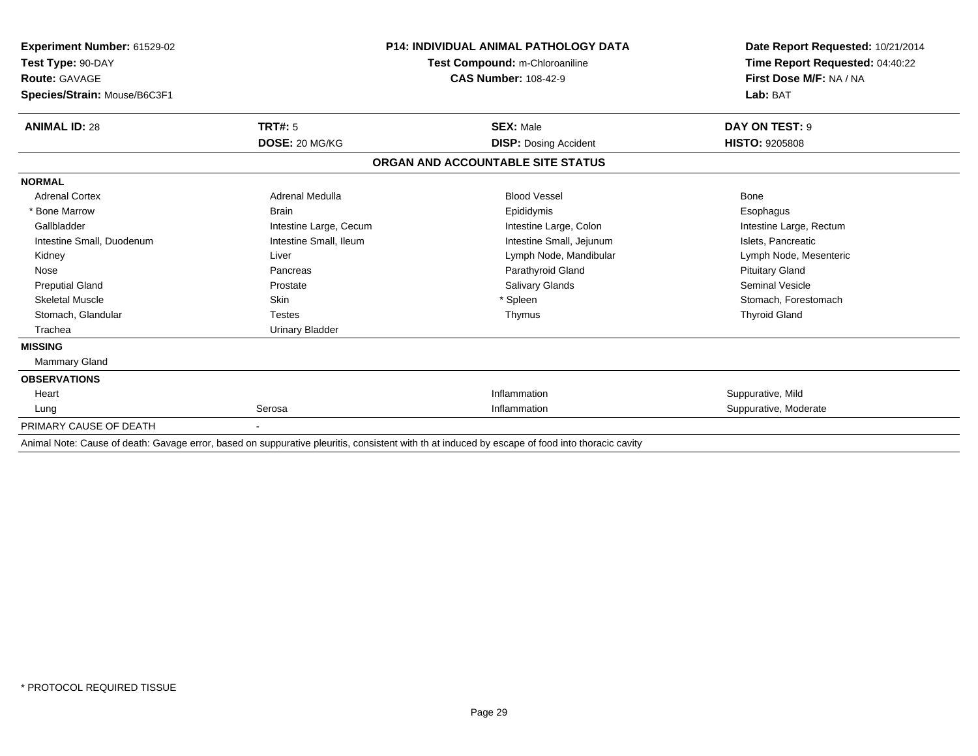| Experiment Number: 61529-02<br>Test Type: 90-DAY<br><b>Route: GAVAGE</b> |                        | <b>P14: INDIVIDUAL ANIMAL PATHOLOGY DATA</b><br>Test Compound: m-Chloroaniline<br><b>CAS Number: 108-42-9</b>                                                                                                                             | Date Report Requested: 10/21/2014<br>Time Report Requested: 04:40:22<br>First Dose M/F: NA / NA |
|--------------------------------------------------------------------------|------------------------|-------------------------------------------------------------------------------------------------------------------------------------------------------------------------------------------------------------------------------------------|-------------------------------------------------------------------------------------------------|
| Species/Strain: Mouse/B6C3F1                                             |                        |                                                                                                                                                                                                                                           | Lab: BAT                                                                                        |
| <b>ANIMAL ID: 28</b>                                                     | TRT#: 5                | <b>SEX: Male</b>                                                                                                                                                                                                                          | DAY ON TEST: 9                                                                                  |
|                                                                          | DOSE: 20 MG/KG         | <b>DISP: Dosing Accident</b>                                                                                                                                                                                                              | <b>HISTO: 9205808</b>                                                                           |
|                                                                          |                        | ORGAN AND ACCOUNTABLE SITE STATUS                                                                                                                                                                                                         |                                                                                                 |
| <b>NORMAL</b>                                                            |                        |                                                                                                                                                                                                                                           |                                                                                                 |
| <b>Adrenal Cortex</b>                                                    | Adrenal Medulla        | <b>Blood Vessel</b>                                                                                                                                                                                                                       | Bone                                                                                            |
| * Bone Marrow                                                            | <b>Brain</b>           | Epididymis                                                                                                                                                                                                                                | Esophagus                                                                                       |
| Gallbladder                                                              | Intestine Large, Cecum | Intestine Large, Colon                                                                                                                                                                                                                    | Intestine Large, Rectum                                                                         |
| Intestine Small, Duodenum                                                | Intestine Small, Ileum | Intestine Small, Jejunum                                                                                                                                                                                                                  | Islets, Pancreatic                                                                              |
| Kidney                                                                   | Liver                  | Lymph Node, Mandibular                                                                                                                                                                                                                    | Lymph Node, Mesenteric                                                                          |
| Nose                                                                     | Pancreas               | Parathyroid Gland                                                                                                                                                                                                                         | <b>Pituitary Gland</b>                                                                          |
| <b>Preputial Gland</b>                                                   | Prostate               | Salivary Glands                                                                                                                                                                                                                           | <b>Seminal Vesicle</b>                                                                          |
| <b>Skeletal Muscle</b>                                                   | Skin                   | Spleen                                                                                                                                                                                                                                    | Stomach, Forestomach                                                                            |
| Stomach, Glandular                                                       | <b>Testes</b>          | Thymus                                                                                                                                                                                                                                    | <b>Thyroid Gland</b>                                                                            |
| Trachea                                                                  | <b>Urinary Bladder</b> |                                                                                                                                                                                                                                           |                                                                                                 |
| <b>MISSING</b>                                                           |                        |                                                                                                                                                                                                                                           |                                                                                                 |
| <b>Mammary Gland</b>                                                     |                        |                                                                                                                                                                                                                                           |                                                                                                 |
| <b>OBSERVATIONS</b>                                                      |                        |                                                                                                                                                                                                                                           |                                                                                                 |
| Heart                                                                    |                        | Inflammation                                                                                                                                                                                                                              | Suppurative, Mild                                                                               |
| Lung                                                                     | Serosa                 | Inflammation                                                                                                                                                                                                                              | Suppurative, Moderate                                                                           |
| PRIMARY CAUSE OF DEATH                                                   |                        |                                                                                                                                                                                                                                           |                                                                                                 |
|                                                                          |                        | $\mathcal{L}_1$ . The compact of the distribution of the distribution of the contribution of the compact of $\mathcal{L}_2$ . The compact of the contribution of the contribution of the contribution of the contribution of the contribu |                                                                                                 |

Animal Note: Cause of death: Gavage error, based on suppurative pleuritis, consistent with th at induced by escape of food into thoracic cavity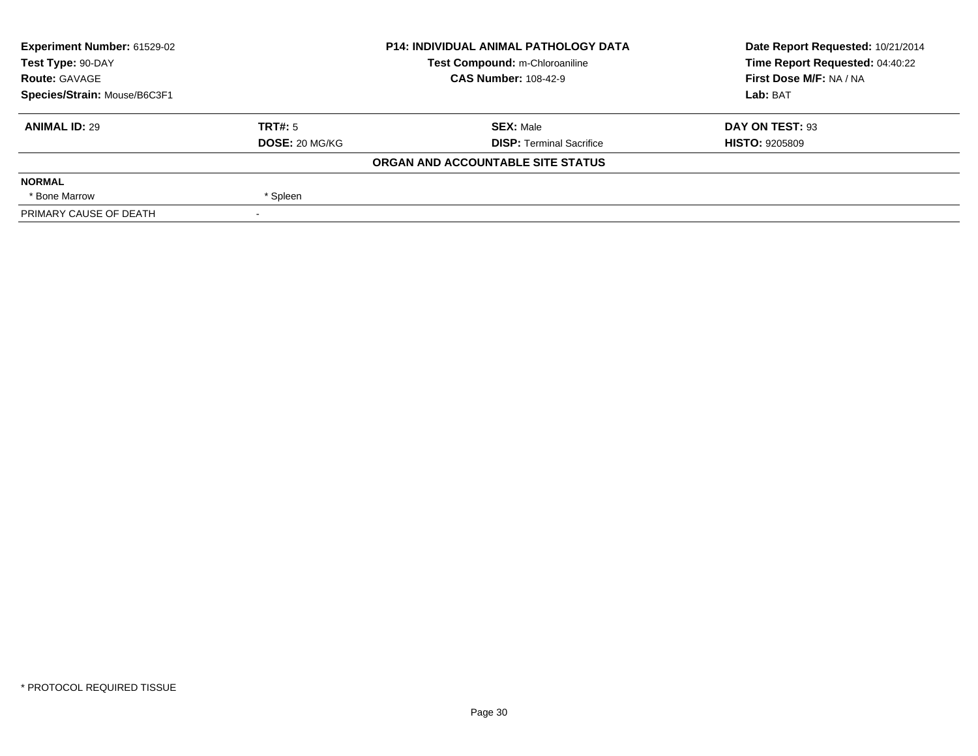| Experiment Number: 61529-02                                                                                |                | <b>P14: INDIVIDUAL ANIMAL PATHOLOGY DATA</b> | Date Report Requested: 10/21/2014 |
|------------------------------------------------------------------------------------------------------------|----------------|----------------------------------------------|-----------------------------------|
| Test Type: 90-DAY<br>Test Compound: m-Chloroaniline<br><b>CAS Number: 108-42-9</b><br><b>Route: GAVAGE</b> |                |                                              | Time Report Requested: 04:40:22   |
|                                                                                                            |                |                                              | First Dose M/F: NA / NA           |
| Species/Strain: Mouse/B6C3F1                                                                               |                |                                              | Lab: BAT                          |
| <b>ANIMAL ID: 29</b>                                                                                       | TRT#: 5        | <b>SEX: Male</b>                             | DAY ON TEST: 93                   |
|                                                                                                            | DOSE: 20 MG/KG | <b>DISP: Terminal Sacrifice</b>              | <b>HISTO: 9205809</b>             |
|                                                                                                            |                | ORGAN AND ACCOUNTABLE SITE STATUS            |                                   |
| <b>NORMAL</b>                                                                                              |                |                                              |                                   |
| * Bone Marrow                                                                                              | * Spleen       |                                              |                                   |
| PRIMARY CAUSE OF DEATH                                                                                     |                |                                              |                                   |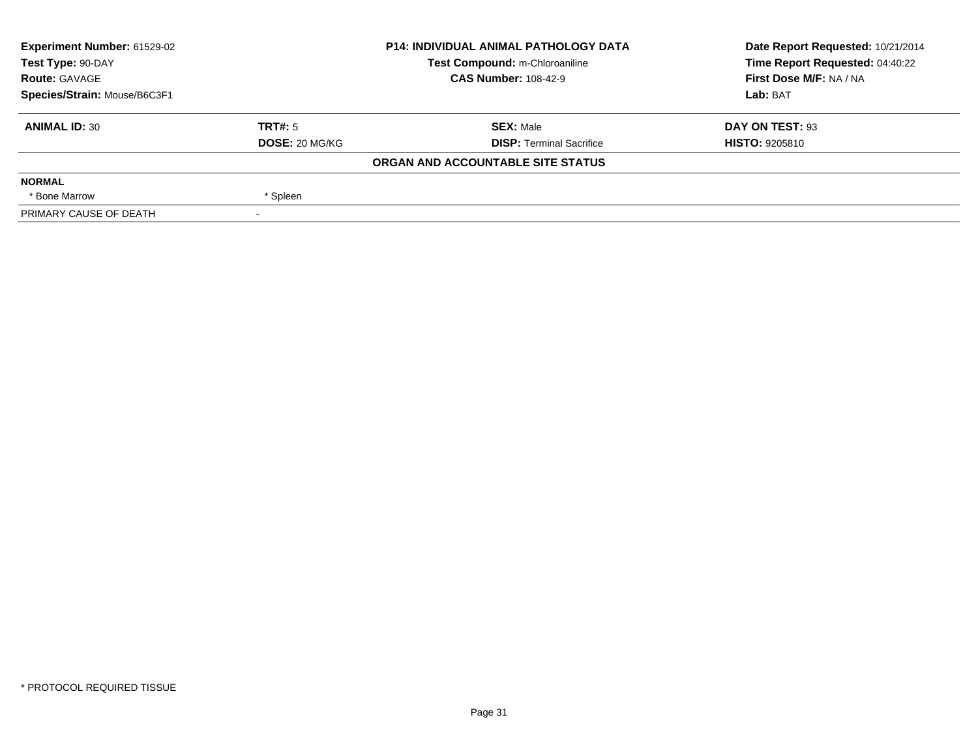| Experiment Number: 61529-02                                                                                |                | <b>P14: INDIVIDUAL ANIMAL PATHOLOGY DATA</b> | Date Report Requested: 10/21/2014 |
|------------------------------------------------------------------------------------------------------------|----------------|----------------------------------------------|-----------------------------------|
| Test Type: 90-DAY<br>Test Compound: m-Chloroaniline<br><b>CAS Number: 108-42-9</b><br><b>Route: GAVAGE</b> |                |                                              | Time Report Requested: 04:40:22   |
|                                                                                                            |                |                                              | First Dose M/F: NA / NA           |
| Species/Strain: Mouse/B6C3F1                                                                               |                |                                              | Lab: BAT                          |
| <b>ANIMAL ID: 30</b>                                                                                       | TRT#: 5        | <b>SEX: Male</b>                             | DAY ON TEST: 93                   |
|                                                                                                            | DOSE: 20 MG/KG | <b>DISP: Terminal Sacrifice</b>              | <b>HISTO: 9205810</b>             |
|                                                                                                            |                | ORGAN AND ACCOUNTABLE SITE STATUS            |                                   |
| <b>NORMAL</b>                                                                                              |                |                                              |                                   |
| * Bone Marrow                                                                                              | * Spleen       |                                              |                                   |
| PRIMARY CAUSE OF DEATH                                                                                     |                |                                              |                                   |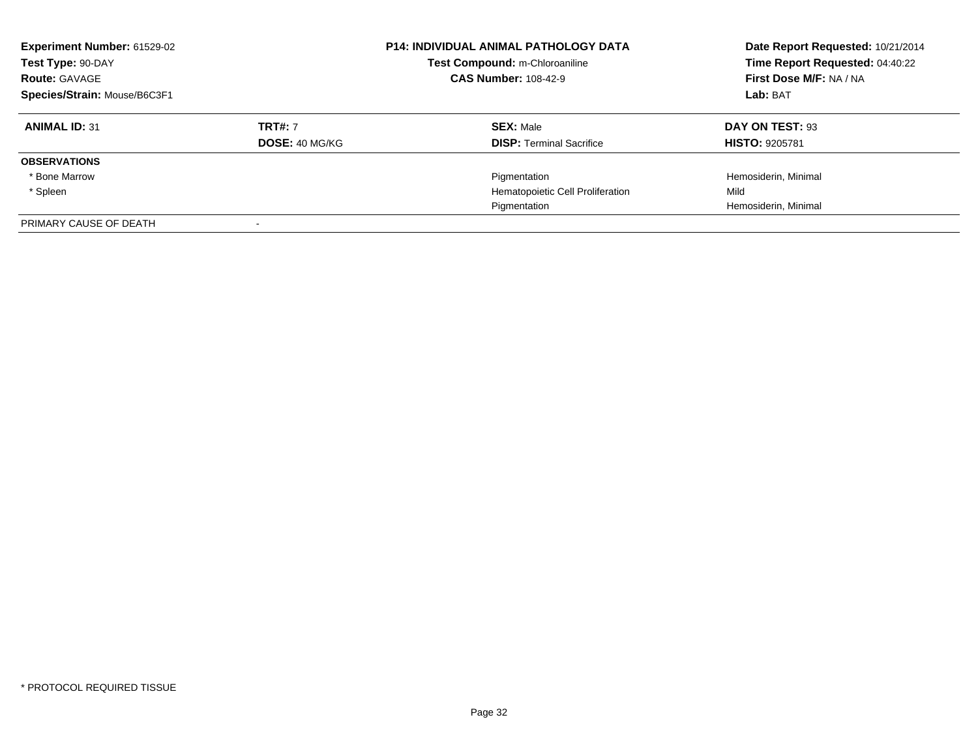| <b>Experiment Number: 61529-02</b><br>Test Type: 90-DAY<br><b>Route: GAVAGE</b><br>Species/Strain: Mouse/B6C3F1 |                       | <b>P14: INDIVIDUAL ANIMAL PATHOLOGY DATA</b><br>Test Compound: m-Chloroaniline<br><b>CAS Number: 108-42-9</b> | Date Report Requested: 10/21/2014<br>Time Report Requested: 04:40:22<br>First Dose M/F: NA / NA<br>Lab: BAT |
|-----------------------------------------------------------------------------------------------------------------|-----------------------|---------------------------------------------------------------------------------------------------------------|-------------------------------------------------------------------------------------------------------------|
| <b>ANIMAL ID: 31</b>                                                                                            | <b>TRT#: 7</b>        | <b>SEX: Male</b>                                                                                              | DAY ON TEST: 93                                                                                             |
|                                                                                                                 | <b>DOSE: 40 MG/KG</b> | <b>DISP: Terminal Sacrifice</b>                                                                               | <b>HISTO: 9205781</b>                                                                                       |
| <b>OBSERVATIONS</b>                                                                                             |                       |                                                                                                               |                                                                                                             |
| * Bone Marrow                                                                                                   |                       | Pigmentation                                                                                                  | Hemosiderin, Minimal                                                                                        |
| * Spleen                                                                                                        |                       | Hematopoietic Cell Proliferation                                                                              | Mild                                                                                                        |
|                                                                                                                 |                       | Pigmentation                                                                                                  | Hemosiderin, Minimal                                                                                        |
| PRIMARY CAUSE OF DEATH                                                                                          |                       |                                                                                                               |                                                                                                             |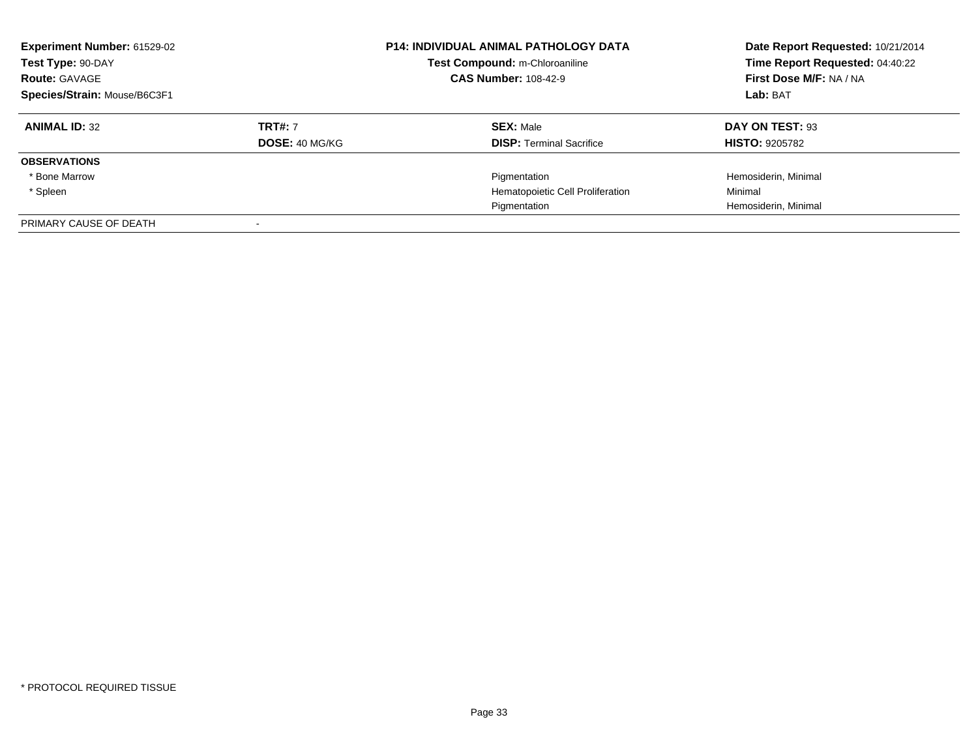| <b>Experiment Number: 61529-02</b><br>Test Type: 90-DAY<br><b>Route: GAVAGE</b><br>Species/Strain: Mouse/B6C3F1 |                                  | <b>P14: INDIVIDUAL ANIMAL PATHOLOGY DATA</b><br>Test Compound: m-Chloroaniline<br><b>CAS Number: 108-42-9</b> | Date Report Requested: 10/21/2014<br>Time Report Requested: 04:40:22<br>First Dose M/F: NA / NA<br>Lab: BAT |
|-----------------------------------------------------------------------------------------------------------------|----------------------------------|---------------------------------------------------------------------------------------------------------------|-------------------------------------------------------------------------------------------------------------|
| <b>ANIMAL ID: 32</b>                                                                                            | <b>TRT#: 7</b><br>DOSE: 40 MG/KG | <b>SEX: Male</b><br><b>DISP: Terminal Sacrifice</b>                                                           | DAY ON TEST: 93<br><b>HISTO: 9205782</b>                                                                    |
| <b>OBSERVATIONS</b>                                                                                             |                                  |                                                                                                               |                                                                                                             |
| * Bone Marrow                                                                                                   |                                  | Pigmentation                                                                                                  | Hemosiderin, Minimal                                                                                        |
| * Spleen                                                                                                        |                                  | Hematopoietic Cell Proliferation                                                                              | Minimal                                                                                                     |
|                                                                                                                 |                                  | Pigmentation                                                                                                  | Hemosiderin, Minimal                                                                                        |
| PRIMARY CAUSE OF DEATH                                                                                          |                                  |                                                                                                               |                                                                                                             |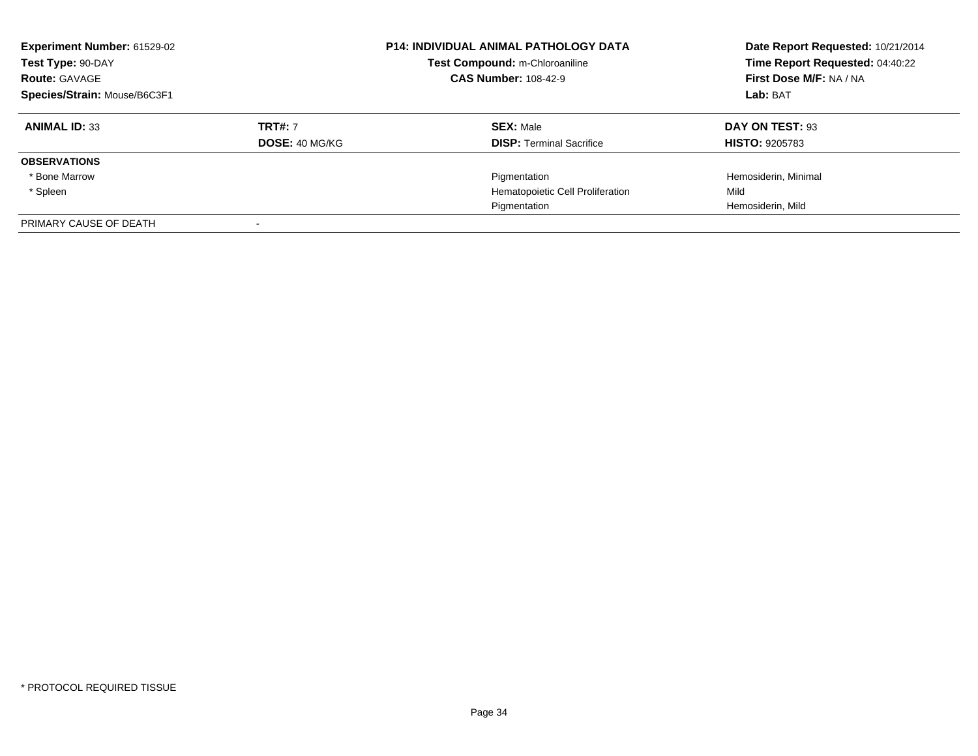| <b>Experiment Number: 61529-02</b><br>Test Type: 90-DAY<br><b>Route: GAVAGE</b><br>Species/Strain: Mouse/B6C3F1 |                       | <b>P14: INDIVIDUAL ANIMAL PATHOLOGY DATA</b><br>Test Compound: m-Chloroaniline<br><b>CAS Number: 108-42-9</b> | Date Report Requested: 10/21/2014<br>Time Report Requested: 04:40:22<br>First Dose M/F: NA / NA<br>Lab: BAT |
|-----------------------------------------------------------------------------------------------------------------|-----------------------|---------------------------------------------------------------------------------------------------------------|-------------------------------------------------------------------------------------------------------------|
| <b>ANIMAL ID: 33</b>                                                                                            | <b>TRT#: 7</b>        | <b>SEX: Male</b>                                                                                              | DAY ON TEST: 93                                                                                             |
|                                                                                                                 | <b>DOSE: 40 MG/KG</b> | <b>DISP: Terminal Sacrifice</b>                                                                               | <b>HISTO: 9205783</b>                                                                                       |
| <b>OBSERVATIONS</b>                                                                                             |                       |                                                                                                               |                                                                                                             |
| * Bone Marrow                                                                                                   |                       | Pigmentation                                                                                                  | Hemosiderin, Minimal                                                                                        |
| * Spleen                                                                                                        |                       | Hematopoietic Cell Proliferation                                                                              | Mild                                                                                                        |
|                                                                                                                 |                       | Pigmentation                                                                                                  | Hemosiderin, Mild                                                                                           |
| PRIMARY CAUSE OF DEATH                                                                                          |                       |                                                                                                               |                                                                                                             |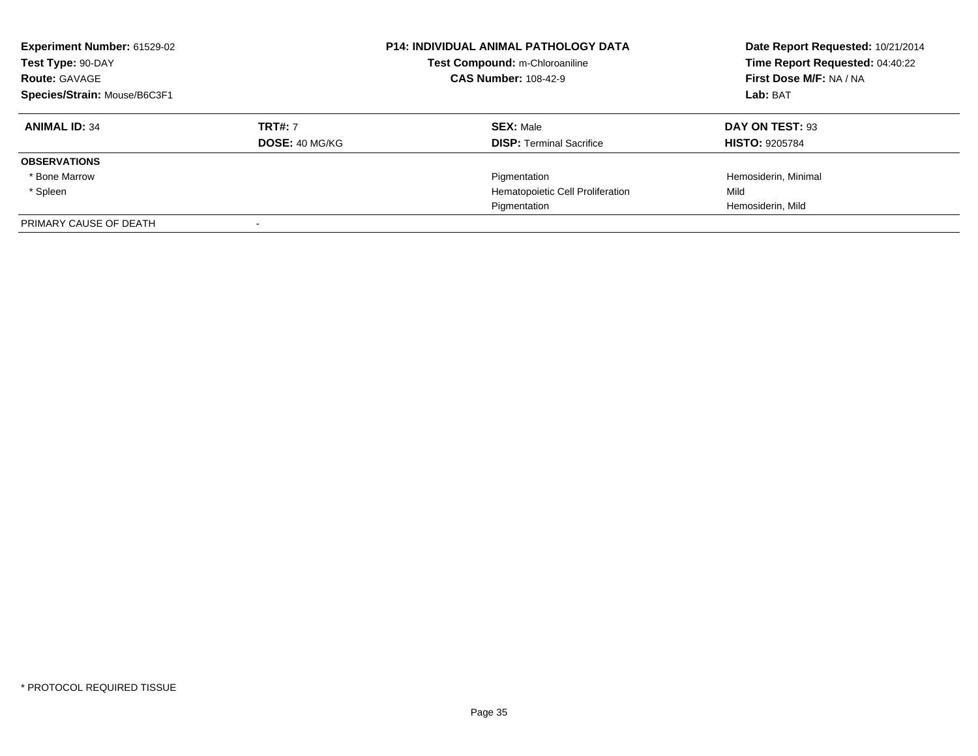| <b>Experiment Number: 61529-02</b><br>Test Type: 90-DAY<br><b>Route: GAVAGE</b><br>Species/Strain: Mouse/B6C3F1 |                                  | <b>P14: INDIVIDUAL ANIMAL PATHOLOGY DATA</b><br>Test Compound: m-Chloroaniline<br><b>CAS Number: 108-42-9</b> | Date Report Requested: 10/21/2014<br>Time Report Requested: 04:40:22<br>First Dose M/F: NA / NA<br>Lab: BAT |
|-----------------------------------------------------------------------------------------------------------------|----------------------------------|---------------------------------------------------------------------------------------------------------------|-------------------------------------------------------------------------------------------------------------|
| <b>ANIMAL ID: 34</b>                                                                                            | <b>TRT#: 7</b><br>DOSE: 40 MG/KG | <b>SEX: Male</b><br><b>DISP: Terminal Sacrifice</b>                                                           | DAY ON TEST: 93<br><b>HISTO: 9205784</b>                                                                    |
| <b>OBSERVATIONS</b>                                                                                             |                                  |                                                                                                               |                                                                                                             |
| * Bone Marrow                                                                                                   |                                  | Pigmentation                                                                                                  | Hemosiderin, Minimal                                                                                        |
| * Spleen                                                                                                        |                                  | Hematopoietic Cell Proliferation                                                                              | Mild                                                                                                        |
|                                                                                                                 |                                  | Pigmentation                                                                                                  | Hemosiderin, Mild                                                                                           |
| PRIMARY CAUSE OF DEATH                                                                                          |                                  |                                                                                                               |                                                                                                             |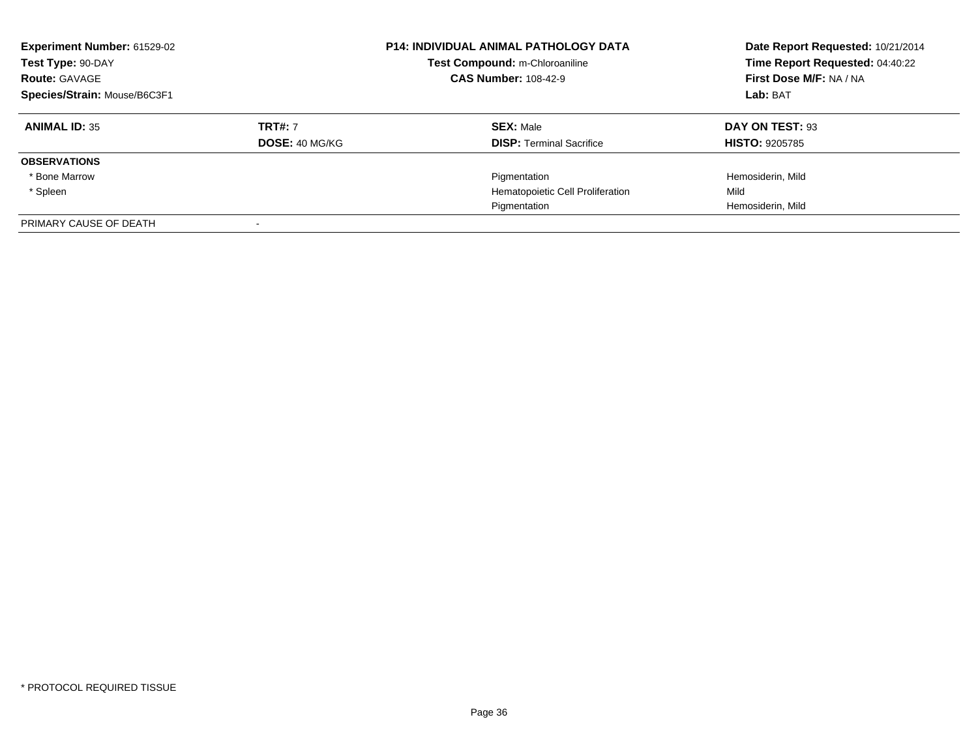| Experiment Number: 61529-02<br>Test Type: 90-DAY<br><b>Route: GAVAGE</b><br>Species/Strain: Mouse/B6C3F1 |                                  | <b>P14: INDIVIDUAL ANIMAL PATHOLOGY DATA</b><br>Test Compound: m-Chloroaniline<br><b>CAS Number: 108-42-9</b> | Date Report Requested: 10/21/2014<br>Time Report Requested: 04:40:22<br>First Dose M/F: NA / NA<br>Lab: BAT |
|----------------------------------------------------------------------------------------------------------|----------------------------------|---------------------------------------------------------------------------------------------------------------|-------------------------------------------------------------------------------------------------------------|
| <b>ANIMAL ID: 35</b>                                                                                     | <b>TRT#: 7</b><br>DOSE: 40 MG/KG | <b>SEX: Male</b><br><b>DISP:</b> Terminal Sacrifice                                                           | DAY ON TEST: 93<br><b>HISTO: 9205785</b>                                                                    |
| <b>OBSERVATIONS</b>                                                                                      |                                  |                                                                                                               |                                                                                                             |
| * Bone Marrow                                                                                            |                                  | Pigmentation                                                                                                  | Hemosiderin, Mild                                                                                           |
| * Spleen                                                                                                 |                                  | Hematopoietic Cell Proliferation                                                                              | Mild                                                                                                        |
|                                                                                                          |                                  | Pigmentation                                                                                                  | Hemosiderin, Mild                                                                                           |
| PRIMARY CAUSE OF DEATH                                                                                   |                                  |                                                                                                               |                                                                                                             |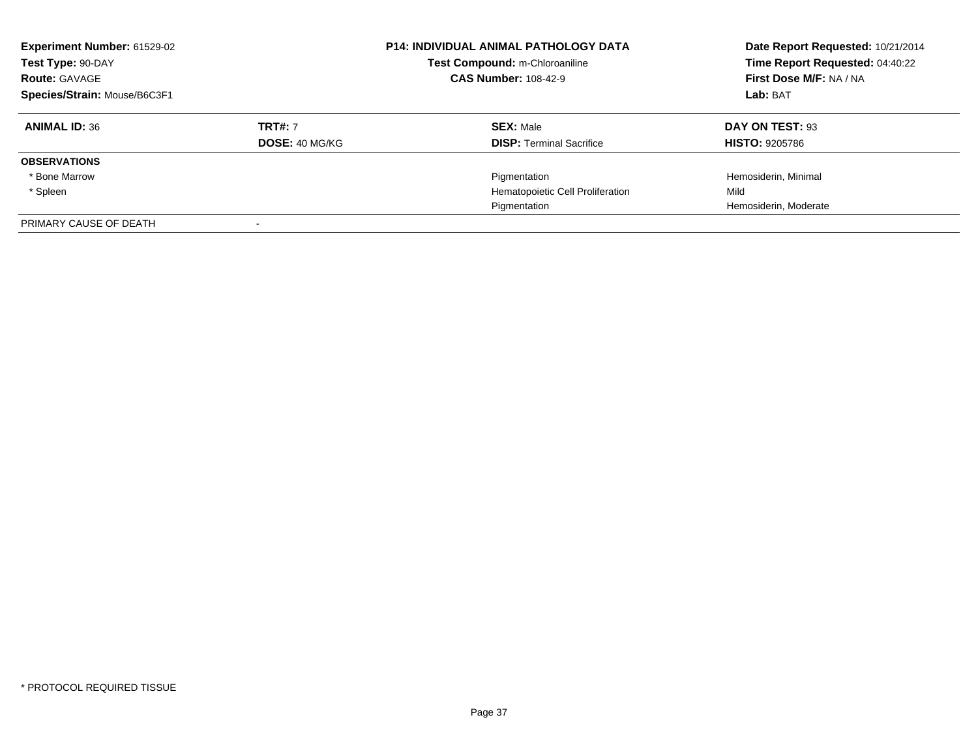| <b>Experiment Number: 61529-02</b><br>Test Type: 90-DAY<br><b>Route: GAVAGE</b><br>Species/Strain: Mouse/B6C3F1 |                                  | <b>P14: INDIVIDUAL ANIMAL PATHOLOGY DATA</b><br>Test Compound: m-Chloroaniline<br><b>CAS Number: 108-42-9</b> | Date Report Requested: 10/21/2014<br>Time Report Requested: 04:40:22<br>First Dose M/F: NA / NA<br>Lab: BAT |
|-----------------------------------------------------------------------------------------------------------------|----------------------------------|---------------------------------------------------------------------------------------------------------------|-------------------------------------------------------------------------------------------------------------|
| <b>ANIMAL ID: 36</b>                                                                                            | <b>TRT#: 7</b><br>DOSE: 40 MG/KG | <b>SEX: Male</b><br><b>DISP: Terminal Sacrifice</b>                                                           | DAY ON TEST: 93<br><b>HISTO: 9205786</b>                                                                    |
| <b>OBSERVATIONS</b>                                                                                             |                                  |                                                                                                               |                                                                                                             |
| * Bone Marrow                                                                                                   |                                  | Pigmentation                                                                                                  | Hemosiderin, Minimal                                                                                        |
| * Spleen                                                                                                        |                                  | Hematopoietic Cell Proliferation                                                                              | Mild                                                                                                        |
|                                                                                                                 |                                  | Pigmentation                                                                                                  | Hemosiderin, Moderate                                                                                       |
| PRIMARY CAUSE OF DEATH                                                                                          |                                  |                                                                                                               |                                                                                                             |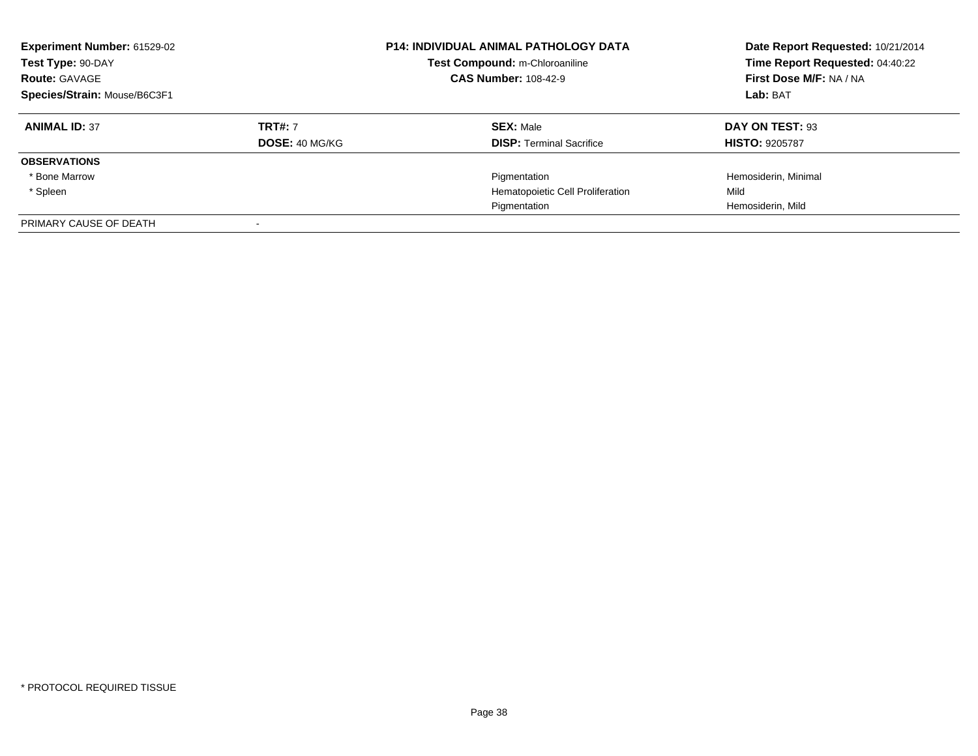| <b>Experiment Number: 61529-02</b><br>Test Type: 90-DAY<br><b>Route: GAVAGE</b><br>Species/Strain: Mouse/B6C3F1 |                       | <b>P14: INDIVIDUAL ANIMAL PATHOLOGY DATA</b><br>Test Compound: m-Chloroaniline<br><b>CAS Number: 108-42-9</b> | Date Report Requested: 10/21/2014<br>Time Report Requested: 04:40:22<br>First Dose M/F: NA / NA<br>Lab: BAT |
|-----------------------------------------------------------------------------------------------------------------|-----------------------|---------------------------------------------------------------------------------------------------------------|-------------------------------------------------------------------------------------------------------------|
| <b>ANIMAL ID: 37</b>                                                                                            | <b>TRT#: 7</b>        | <b>SEX: Male</b>                                                                                              | DAY ON TEST: 93                                                                                             |
|                                                                                                                 | <b>DOSE: 40 MG/KG</b> | <b>DISP: Terminal Sacrifice</b>                                                                               | <b>HISTO: 9205787</b>                                                                                       |
| <b>OBSERVATIONS</b>                                                                                             |                       |                                                                                                               |                                                                                                             |
| * Bone Marrow                                                                                                   |                       | Pigmentation                                                                                                  | Hemosiderin, Minimal                                                                                        |
| * Spleen                                                                                                        |                       | Hematopoietic Cell Proliferation                                                                              | Mild                                                                                                        |
|                                                                                                                 |                       | Pigmentation                                                                                                  | Hemosiderin, Mild                                                                                           |
| PRIMARY CAUSE OF DEATH                                                                                          |                       |                                                                                                               |                                                                                                             |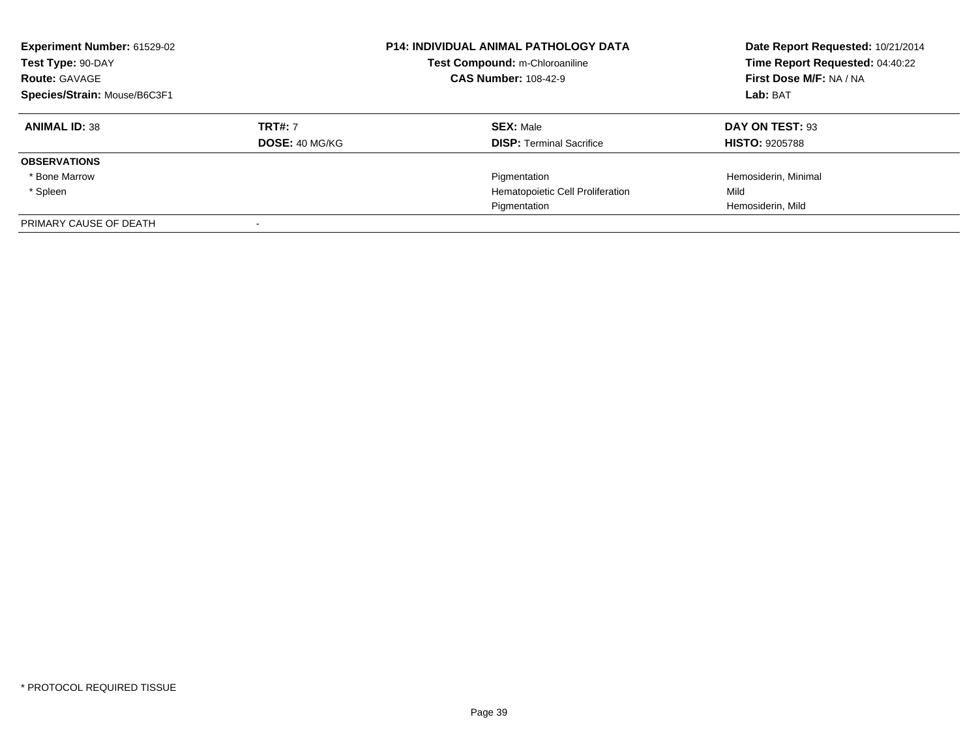| <b>Experiment Number: 61529-02</b><br>Test Type: 90-DAY<br><b>Route: GAVAGE</b><br>Species/Strain: Mouse/B6C3F1 |                                  | <b>P14: INDIVIDUAL ANIMAL PATHOLOGY DATA</b><br>Test Compound: m-Chloroaniline<br><b>CAS Number: 108-42-9</b> | Date Report Requested: 10/21/2014<br>Time Report Requested: 04:40:22<br>First Dose M/F: NA / NA<br>Lab: BAT |
|-----------------------------------------------------------------------------------------------------------------|----------------------------------|---------------------------------------------------------------------------------------------------------------|-------------------------------------------------------------------------------------------------------------|
| <b>ANIMAL ID: 38</b>                                                                                            | <b>TRT#: 7</b><br>DOSE: 40 MG/KG | <b>SEX: Male</b><br><b>DISP: Terminal Sacrifice</b>                                                           | DAY ON TEST: 93<br><b>HISTO: 9205788</b>                                                                    |
| <b>OBSERVATIONS</b>                                                                                             |                                  |                                                                                                               |                                                                                                             |
| * Bone Marrow                                                                                                   |                                  | Pigmentation                                                                                                  | Hemosiderin, Minimal                                                                                        |
| * Spleen                                                                                                        |                                  | Hematopoietic Cell Proliferation                                                                              | Mild                                                                                                        |
|                                                                                                                 |                                  | Pigmentation                                                                                                  | Hemosiderin, Mild                                                                                           |
| PRIMARY CAUSE OF DEATH                                                                                          |                                  |                                                                                                               |                                                                                                             |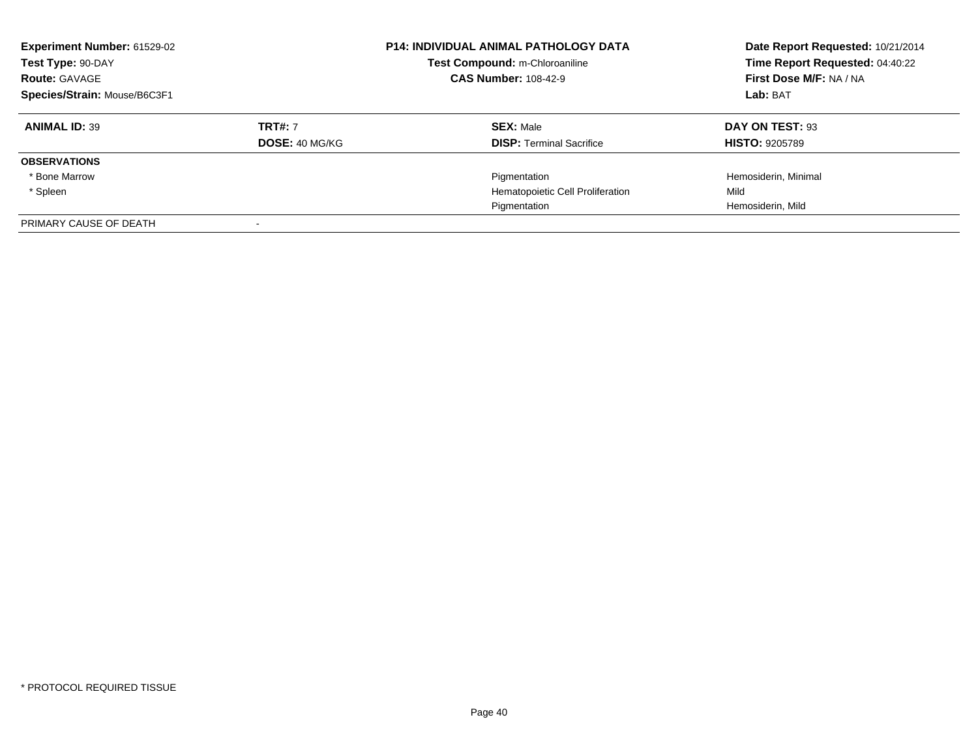| <b>Experiment Number: 61529-02</b><br>Test Type: 90-DAY<br><b>Route: GAVAGE</b><br>Species/Strain: Mouse/B6C3F1 |                       | <b>P14: INDIVIDUAL ANIMAL PATHOLOGY DATA</b><br>Test Compound: m-Chloroaniline<br><b>CAS Number: 108-42-9</b> | Date Report Requested: 10/21/2014<br>Time Report Requested: 04:40:22<br>First Dose M/F: NA / NA<br>Lab: BAT |
|-----------------------------------------------------------------------------------------------------------------|-----------------------|---------------------------------------------------------------------------------------------------------------|-------------------------------------------------------------------------------------------------------------|
| <b>ANIMAL ID: 39</b>                                                                                            | <b>TRT#: 7</b>        | <b>SEX: Male</b>                                                                                              | DAY ON TEST: 93                                                                                             |
|                                                                                                                 | <b>DOSE: 40 MG/KG</b> | <b>DISP: Terminal Sacrifice</b>                                                                               | <b>HISTO: 9205789</b>                                                                                       |
| <b>OBSERVATIONS</b>                                                                                             |                       |                                                                                                               |                                                                                                             |
| * Bone Marrow                                                                                                   |                       | Pigmentation                                                                                                  | Hemosiderin, Minimal                                                                                        |
| * Spleen                                                                                                        |                       | Hematopoietic Cell Proliferation                                                                              | Mild                                                                                                        |
|                                                                                                                 |                       | Pigmentation                                                                                                  | Hemosiderin, Mild                                                                                           |
| PRIMARY CAUSE OF DEATH                                                                                          |                       |                                                                                                               |                                                                                                             |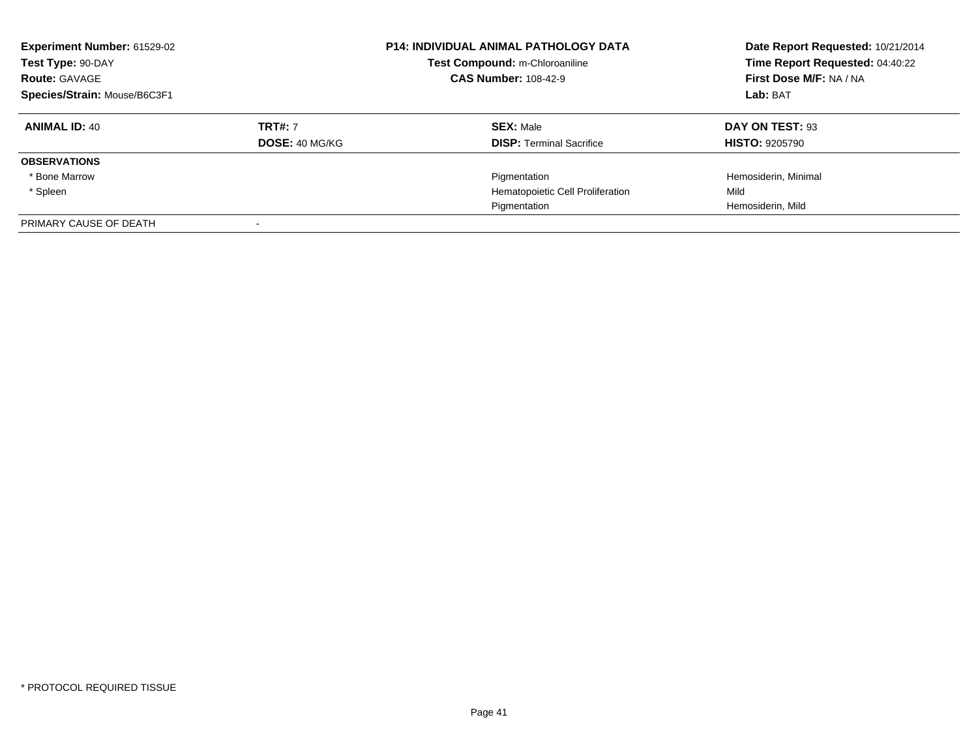| <b>Experiment Number: 61529-02</b><br>Test Type: 90-DAY<br><b>Route: GAVAGE</b><br>Species/Strain: Mouse/B6C3F1 |                       | <b>P14: INDIVIDUAL ANIMAL PATHOLOGY DATA</b><br>Test Compound: m-Chloroaniline<br><b>CAS Number: 108-42-9</b> | Date Report Requested: 10/21/2014<br>Time Report Requested: 04:40:22<br>First Dose M/F: NA / NA<br>Lab: BAT |
|-----------------------------------------------------------------------------------------------------------------|-----------------------|---------------------------------------------------------------------------------------------------------------|-------------------------------------------------------------------------------------------------------------|
| <b>ANIMAL ID: 40</b>                                                                                            | <b>TRT#: 7</b>        | <b>SEX: Male</b>                                                                                              | DAY ON TEST: 93                                                                                             |
|                                                                                                                 | <b>DOSE: 40 MG/KG</b> | <b>DISP: Terminal Sacrifice</b>                                                                               | <b>HISTO: 9205790</b>                                                                                       |
| <b>OBSERVATIONS</b>                                                                                             |                       |                                                                                                               |                                                                                                             |
| * Bone Marrow                                                                                                   |                       | Pigmentation                                                                                                  | Hemosiderin, Minimal                                                                                        |
| * Spleen                                                                                                        |                       | Hematopoietic Cell Proliferation                                                                              | Mild                                                                                                        |
|                                                                                                                 |                       | Pigmentation                                                                                                  | Hemosiderin, Mild                                                                                           |
| PRIMARY CAUSE OF DEATH                                                                                          |                       |                                                                                                               |                                                                                                             |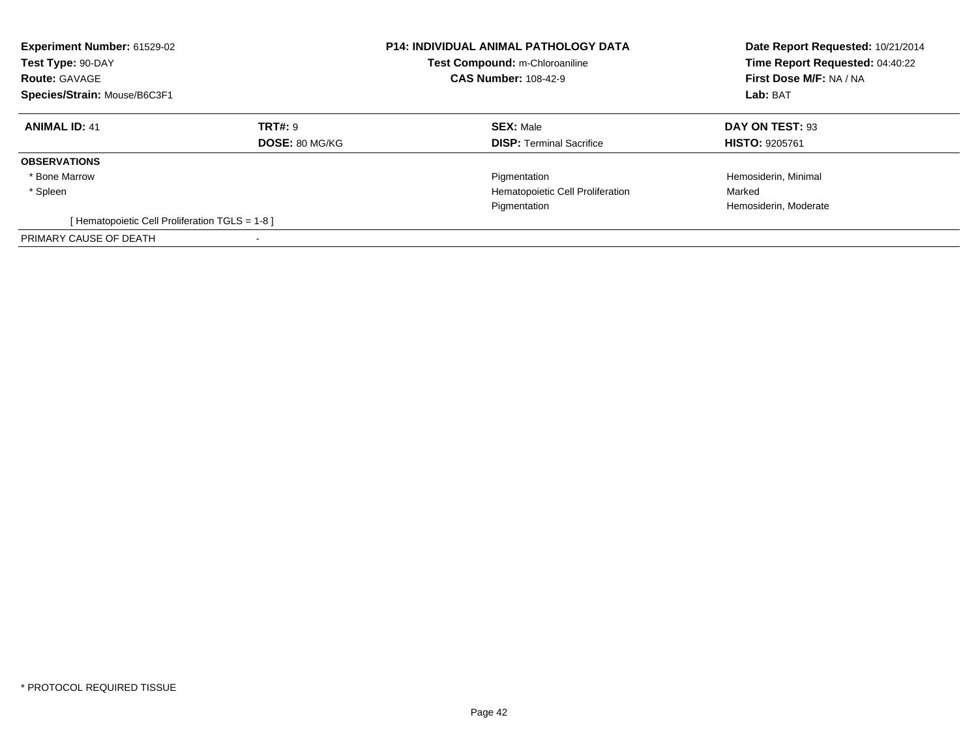| Experiment Number: 61529-02<br>Test Type: 90-DAY<br><b>Route: GAVAGE</b><br>Species/Strain: Mouse/B6C3F1 |                                         | <b>P14: INDIVIDUAL ANIMAL PATHOLOGY DATA</b><br>Test Compound: m-Chloroaniline<br><b>CAS Number: 108-42-9</b> | Date Report Requested: 10/21/2014<br>Time Report Requested: 04:40:22<br>First Dose M/F: NA / NA<br>Lab: BAT |
|----------------------------------------------------------------------------------------------------------|-----------------------------------------|---------------------------------------------------------------------------------------------------------------|-------------------------------------------------------------------------------------------------------------|
| <b>ANIMAL ID: 41</b>                                                                                     | <b>TRT#: 9</b><br><b>DOSE: 80 MG/KG</b> | <b>SEX: Male</b><br><b>DISP:</b> Terminal Sacrifice                                                           | DAY ON TEST: 93<br><b>HISTO: 9205761</b>                                                                    |
| <b>OBSERVATIONS</b>                                                                                      |                                         |                                                                                                               |                                                                                                             |
| * Bone Marrow                                                                                            |                                         | Pigmentation                                                                                                  | Hemosiderin, Minimal                                                                                        |
| * Spleen                                                                                                 |                                         | Hematopoietic Cell Proliferation                                                                              | Marked                                                                                                      |
|                                                                                                          |                                         | Pigmentation                                                                                                  | Hemosiderin, Moderate                                                                                       |
| [Hematopoietic Cell Proliferation TGLS = 1-8 ]                                                           |                                         |                                                                                                               |                                                                                                             |
| PRIMARY CAUSE OF DEATH                                                                                   |                                         |                                                                                                               |                                                                                                             |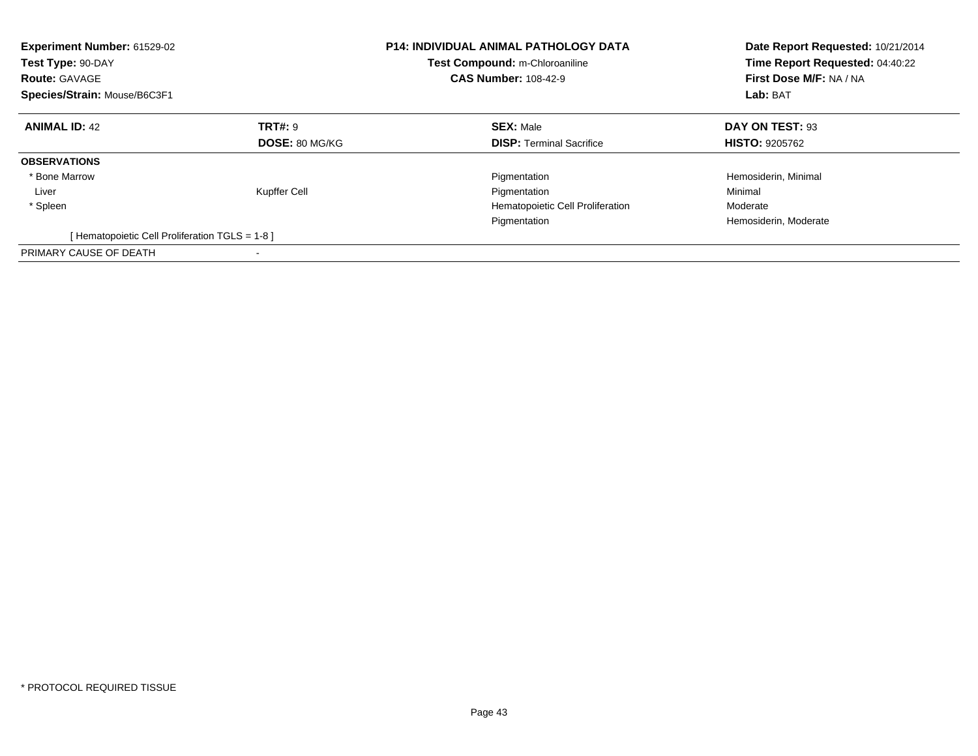| <b>Experiment Number: 61529-02</b><br>Test Type: 90-DAY<br><b>Route: GAVAGE</b><br>Species/Strain: Mouse/B6C3F1 |                | <b>P14: INDIVIDUAL ANIMAL PATHOLOGY DATA</b><br>Test Compound: m-Chloroaniline<br><b>CAS Number: 108-42-9</b> | Date Report Requested: 10/21/2014<br>Time Report Requested: 04:40:22<br>First Dose M/F: NA / NA<br>Lab: BAT |
|-----------------------------------------------------------------------------------------------------------------|----------------|---------------------------------------------------------------------------------------------------------------|-------------------------------------------------------------------------------------------------------------|
| <b>ANIMAL ID: 42</b>                                                                                            | <b>TRT#: 9</b> | <b>SEX: Male</b>                                                                                              | DAY ON TEST: 93                                                                                             |
|                                                                                                                 | DOSE: 80 MG/KG | <b>DISP:</b> Terminal Sacrifice                                                                               | <b>HISTO: 9205762</b>                                                                                       |
| <b>OBSERVATIONS</b>                                                                                             |                |                                                                                                               |                                                                                                             |
| * Bone Marrow                                                                                                   |                | Pigmentation                                                                                                  | Hemosiderin, Minimal                                                                                        |
| Liver                                                                                                           | Kupffer Cell   | Pigmentation                                                                                                  | Minimal                                                                                                     |
| * Spleen                                                                                                        |                | Hematopoietic Cell Proliferation                                                                              | Moderate                                                                                                    |
|                                                                                                                 |                | Pigmentation                                                                                                  | Hemosiderin, Moderate                                                                                       |
| [Hematopoietic Cell Proliferation TGLS = 1-8]                                                                   |                |                                                                                                               |                                                                                                             |
| PRIMARY CAUSE OF DEATH                                                                                          |                |                                                                                                               |                                                                                                             |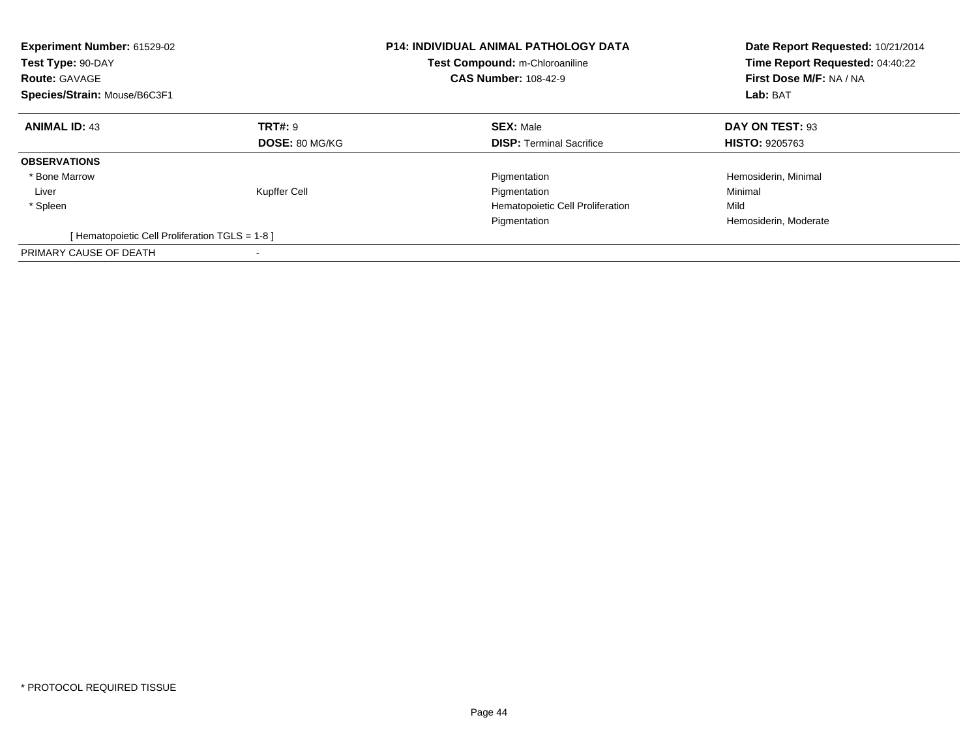| <b>Experiment Number: 61529-02</b><br>Test Type: 90-DAY<br><b>Route: GAVAGE</b><br>Species/Strain: Mouse/B6C3F1 |                | <b>P14: INDIVIDUAL ANIMAL PATHOLOGY DATA</b><br>Test Compound: m-Chloroaniline<br><b>CAS Number: 108-42-9</b> | Date Report Requested: 10/21/2014<br>Time Report Requested: 04:40:22<br>First Dose M/F: NA / NA<br>Lab: BAT |
|-----------------------------------------------------------------------------------------------------------------|----------------|---------------------------------------------------------------------------------------------------------------|-------------------------------------------------------------------------------------------------------------|
| <b>ANIMAL ID: 43</b>                                                                                            | <b>TRT#: 9</b> | <b>SEX: Male</b>                                                                                              | DAY ON TEST: 93                                                                                             |
|                                                                                                                 | DOSE: 80 MG/KG | <b>DISP:</b> Terminal Sacrifice                                                                               | <b>HISTO: 9205763</b>                                                                                       |
| <b>OBSERVATIONS</b>                                                                                             |                |                                                                                                               |                                                                                                             |
| * Bone Marrow                                                                                                   |                | Pigmentation                                                                                                  | Hemosiderin, Minimal                                                                                        |
| Liver                                                                                                           | Kupffer Cell   | Pigmentation                                                                                                  | Minimal                                                                                                     |
| * Spleen                                                                                                        |                | Hematopoietic Cell Proliferation                                                                              | Mild                                                                                                        |
|                                                                                                                 |                | Pigmentation                                                                                                  | Hemosiderin, Moderate                                                                                       |
| [Hematopoietic Cell Proliferation TGLS = 1-8]                                                                   |                |                                                                                                               |                                                                                                             |
| PRIMARY CAUSE OF DEATH                                                                                          |                |                                                                                                               |                                                                                                             |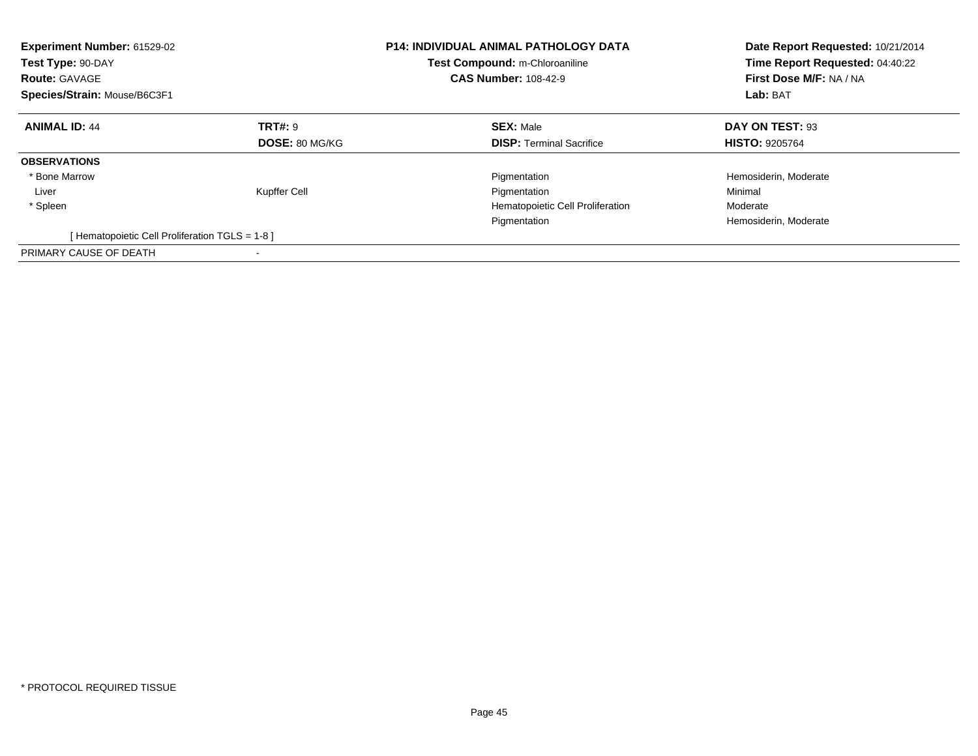| <b>Experiment Number: 61529-02</b><br>Test Type: 90-DAY<br><b>Route: GAVAGE</b><br>Species/Strain: Mouse/B6C3F1 |                | <b>P14: INDIVIDUAL ANIMAL PATHOLOGY DATA</b><br>Test Compound: m-Chloroaniline<br><b>CAS Number: 108-42-9</b> | Date Report Requested: 10/21/2014<br>Time Report Requested: 04:40:22<br>First Dose M/F: NA / NA<br>Lab: BAT |
|-----------------------------------------------------------------------------------------------------------------|----------------|---------------------------------------------------------------------------------------------------------------|-------------------------------------------------------------------------------------------------------------|
| <b>ANIMAL ID: 44</b>                                                                                            | <b>TRT#: 9</b> | <b>SEX: Male</b>                                                                                              | DAY ON TEST: 93                                                                                             |
|                                                                                                                 | DOSE: 80 MG/KG | <b>DISP:</b> Terminal Sacrifice                                                                               | <b>HISTO: 9205764</b>                                                                                       |
| <b>OBSERVATIONS</b>                                                                                             |                |                                                                                                               |                                                                                                             |
| * Bone Marrow                                                                                                   |                | Pigmentation                                                                                                  | Hemosiderin, Moderate                                                                                       |
| Liver                                                                                                           | Kupffer Cell   | Pigmentation                                                                                                  | Minimal                                                                                                     |
| * Spleen                                                                                                        |                | Hematopoietic Cell Proliferation                                                                              | Moderate                                                                                                    |
|                                                                                                                 |                | Pigmentation                                                                                                  | Hemosiderin, Moderate                                                                                       |
| [Hematopoietic Cell Proliferation TGLS = 1-8]                                                                   |                |                                                                                                               |                                                                                                             |
| PRIMARY CAUSE OF DEATH                                                                                          |                |                                                                                                               |                                                                                                             |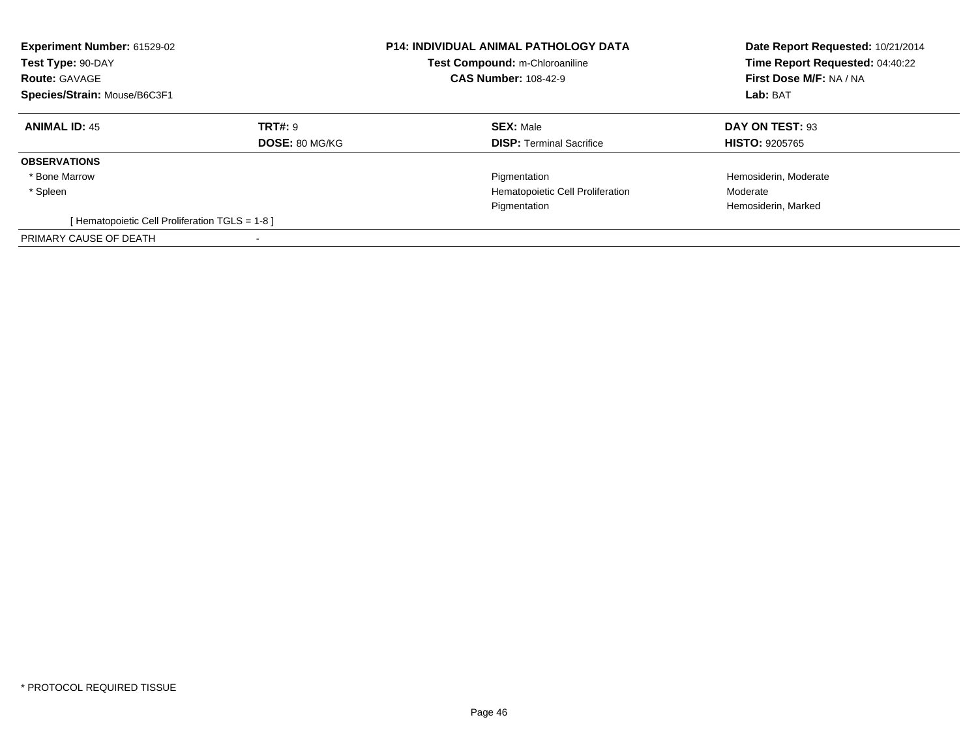| Experiment Number: 61529-02<br>Test Type: 90-DAY<br><b>Route: GAVAGE</b><br>Species/Strain: Mouse/B6C3F1 |                                         | <b>P14: INDIVIDUAL ANIMAL PATHOLOGY DATA</b><br>Test Compound: m-Chloroaniline<br><b>CAS Number: 108-42-9</b> | Date Report Requested: 10/21/2014<br>Time Report Requested: 04:40:22<br>First Dose M/F: NA / NA<br>Lab: BAT |
|----------------------------------------------------------------------------------------------------------|-----------------------------------------|---------------------------------------------------------------------------------------------------------------|-------------------------------------------------------------------------------------------------------------|
| <b>ANIMAL ID: 45</b>                                                                                     | <b>TRT#: 9</b><br><b>DOSE: 80 MG/KG</b> | <b>SEX: Male</b><br><b>DISP:</b> Terminal Sacrifice                                                           | DAY ON TEST: 93<br><b>HISTO: 9205765</b>                                                                    |
| <b>OBSERVATIONS</b>                                                                                      |                                         |                                                                                                               |                                                                                                             |
| * Bone Marrow                                                                                            |                                         | Pigmentation                                                                                                  | Hemosiderin, Moderate                                                                                       |
| * Spleen                                                                                                 |                                         | Hematopoietic Cell Proliferation                                                                              | Moderate                                                                                                    |
|                                                                                                          |                                         | Pigmentation                                                                                                  | Hemosiderin, Marked                                                                                         |
| [Hematopoietic Cell Proliferation TGLS = 1-8 ]                                                           |                                         |                                                                                                               |                                                                                                             |
| PRIMARY CAUSE OF DEATH                                                                                   |                                         |                                                                                                               |                                                                                                             |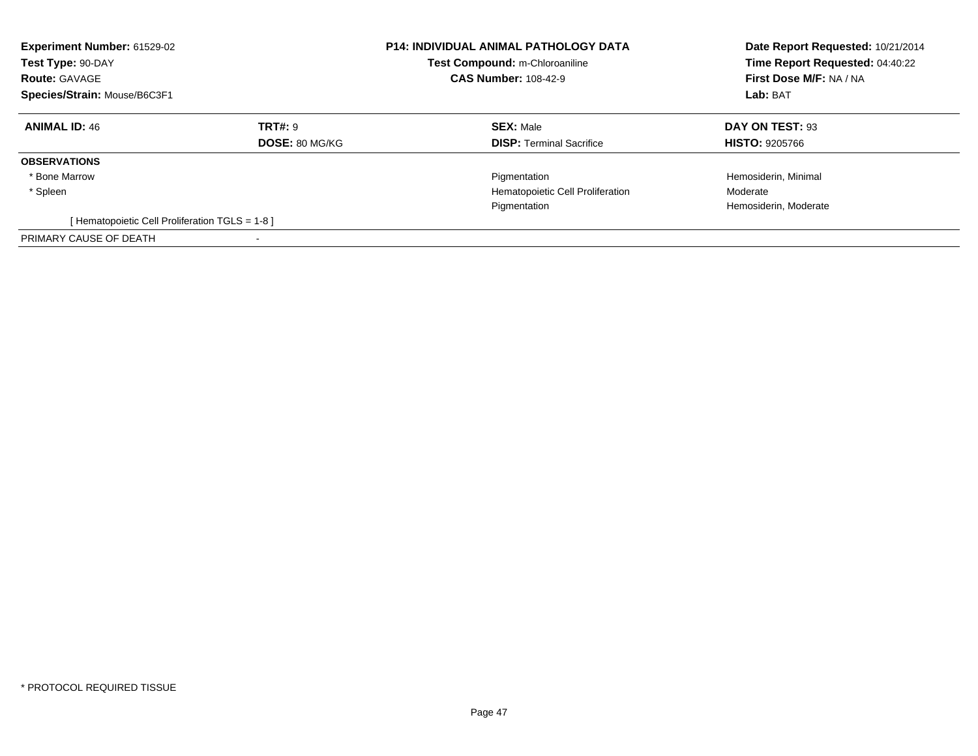| Experiment Number: 61529-02<br>Test Type: 90-DAY<br><b>Route: GAVAGE</b><br>Species/Strain: Mouse/B6C3F1 |                                         | <b>P14: INDIVIDUAL ANIMAL PATHOLOGY DATA</b><br>Test Compound: m-Chloroaniline<br><b>CAS Number: 108-42-9</b> | Date Report Requested: 10/21/2014<br>Time Report Requested: 04:40:22<br>First Dose M/F: NA / NA<br>Lab: BAT |
|----------------------------------------------------------------------------------------------------------|-----------------------------------------|---------------------------------------------------------------------------------------------------------------|-------------------------------------------------------------------------------------------------------------|
| <b>ANIMAL ID: 46</b>                                                                                     | <b>TRT#: 9</b><br><b>DOSE: 80 MG/KG</b> | <b>SEX: Male</b><br><b>DISP:</b> Terminal Sacrifice                                                           | DAY ON TEST: 93<br><b>HISTO: 9205766</b>                                                                    |
| <b>OBSERVATIONS</b>                                                                                      |                                         |                                                                                                               |                                                                                                             |
| * Bone Marrow                                                                                            |                                         | Pigmentation                                                                                                  | Hemosiderin, Minimal                                                                                        |
| * Spleen                                                                                                 |                                         | Hematopoietic Cell Proliferation                                                                              | Moderate                                                                                                    |
|                                                                                                          |                                         | Pigmentation                                                                                                  | Hemosiderin, Moderate                                                                                       |
| [Hematopoietic Cell Proliferation TGLS = 1-8 ]                                                           |                                         |                                                                                                               |                                                                                                             |
| PRIMARY CAUSE OF DEATH                                                                                   |                                         |                                                                                                               |                                                                                                             |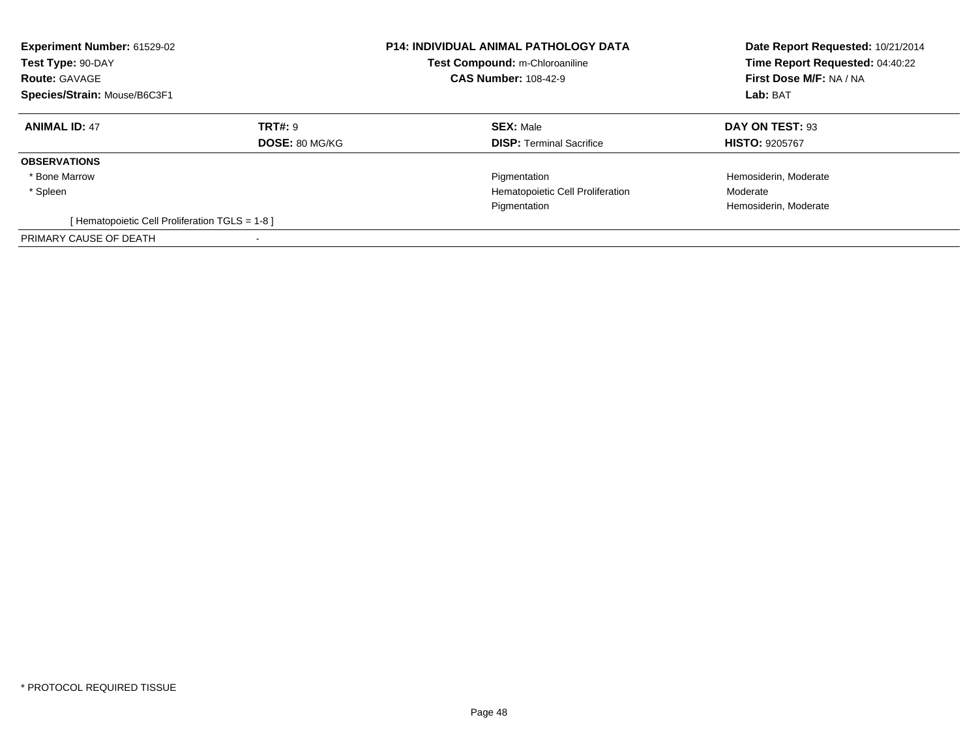| Experiment Number: 61529-02<br>Test Type: 90-DAY<br><b>Route: GAVAGE</b><br>Species/Strain: Mouse/B6C3F1 |                                         | <b>P14: INDIVIDUAL ANIMAL PATHOLOGY DATA</b><br><b>Test Compound: m-Chloroaniline</b><br><b>CAS Number: 108-42-9</b> | Date Report Requested: 10/21/2014<br>Time Report Requested: 04:40:22<br>First Dose M/F: NA / NA<br>Lab: BAT |
|----------------------------------------------------------------------------------------------------------|-----------------------------------------|----------------------------------------------------------------------------------------------------------------------|-------------------------------------------------------------------------------------------------------------|
| <b>ANIMAL ID: 47</b>                                                                                     | <b>TRT#: 9</b><br><b>DOSE: 80 MG/KG</b> | <b>SEX: Male</b><br><b>DISP:</b> Terminal Sacrifice                                                                  | DAY ON TEST: 93<br><b>HISTO: 9205767</b>                                                                    |
|                                                                                                          |                                         |                                                                                                                      |                                                                                                             |
| <b>OBSERVATIONS</b>                                                                                      |                                         |                                                                                                                      |                                                                                                             |
| * Bone Marrow                                                                                            |                                         | Pigmentation                                                                                                         | Hemosiderin, Moderate                                                                                       |
| * Spleen                                                                                                 |                                         | Hematopoietic Cell Proliferation                                                                                     | Moderate                                                                                                    |
|                                                                                                          |                                         | Pigmentation                                                                                                         | Hemosiderin, Moderate                                                                                       |
| [Hematopoietic Cell Proliferation TGLS = 1-8]                                                            |                                         |                                                                                                                      |                                                                                                             |
| PRIMARY CAUSE OF DEATH                                                                                   |                                         |                                                                                                                      |                                                                                                             |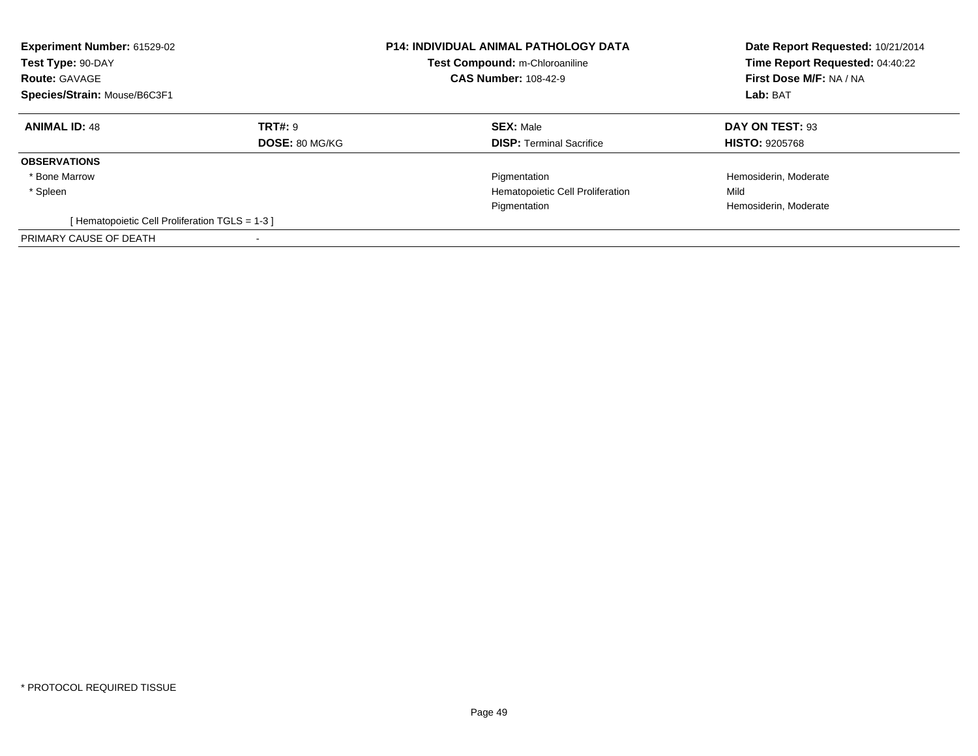| Experiment Number: 61529-02<br>Test Type: 90-DAY<br><b>Route: GAVAGE</b><br>Species/Strain: Mouse/B6C3F1 |                                  | <b>P14: INDIVIDUAL ANIMAL PATHOLOGY DATA</b><br>Test Compound: m-Chloroaniline<br><b>CAS Number: 108-42-9</b> | Date Report Requested: 10/21/2014<br>Time Report Requested: 04:40:22<br>First Dose M/F: NA / NA<br>Lab: BAT |
|----------------------------------------------------------------------------------------------------------|----------------------------------|---------------------------------------------------------------------------------------------------------------|-------------------------------------------------------------------------------------------------------------|
| <b>ANIMAL ID: 48</b>                                                                                     | TRT#: 9<br><b>DOSE: 80 MG/KG</b> | <b>SEX: Male</b><br><b>DISP:</b> Terminal Sacrifice                                                           | DAY ON TEST: 93<br><b>HISTO: 9205768</b>                                                                    |
| <b>OBSERVATIONS</b>                                                                                      |                                  |                                                                                                               |                                                                                                             |
| * Bone Marrow                                                                                            |                                  | Pigmentation                                                                                                  | Hemosiderin, Moderate                                                                                       |
| * Spleen                                                                                                 |                                  | Hematopoietic Cell Proliferation                                                                              | Mild                                                                                                        |
|                                                                                                          |                                  | Pigmentation                                                                                                  | Hemosiderin, Moderate                                                                                       |
| [Hematopoietic Cell Proliferation TGLS = 1-3 ]                                                           |                                  |                                                                                                               |                                                                                                             |
| PRIMARY CAUSE OF DEATH                                                                                   |                                  |                                                                                                               |                                                                                                             |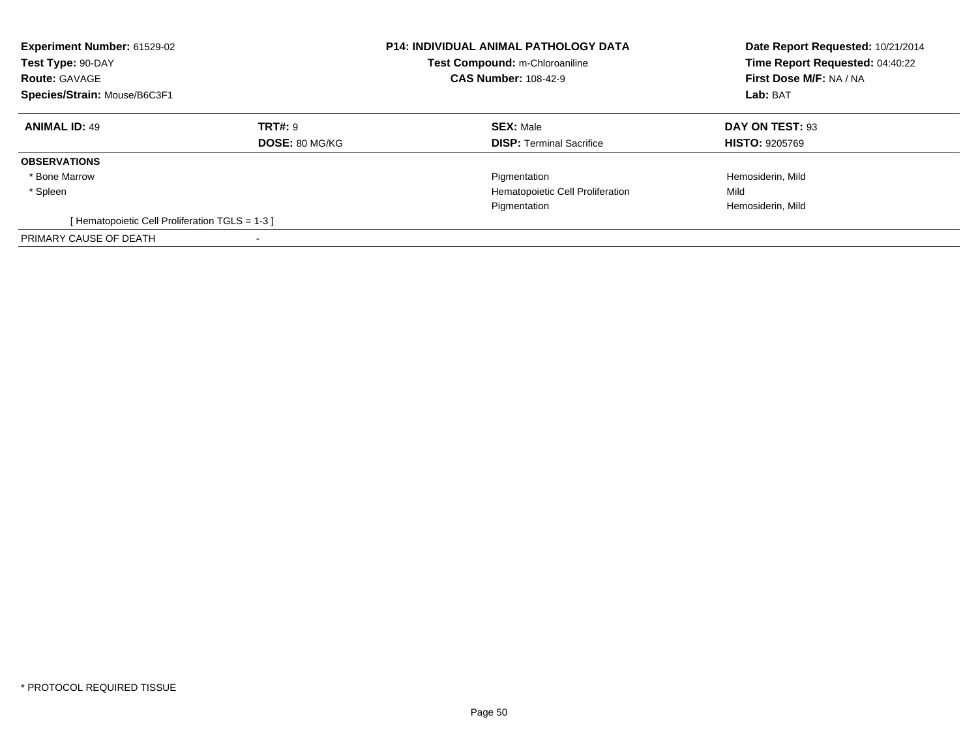| Experiment Number: 61529-02<br>Test Type: 90-DAY<br><b>Route: GAVAGE</b><br>Species/Strain: Mouse/B6C3F1 |                                  | <b>P14: INDIVIDUAL ANIMAL PATHOLOGY DATA</b><br>Test Compound: m-Chloroaniline<br><b>CAS Number: 108-42-9</b> | Date Report Requested: 10/21/2014<br>Time Report Requested: 04:40:22<br>First Dose M/F: NA / NA<br>Lab: BAT |
|----------------------------------------------------------------------------------------------------------|----------------------------------|---------------------------------------------------------------------------------------------------------------|-------------------------------------------------------------------------------------------------------------|
| <b>ANIMAL ID: 49</b>                                                                                     | TRT#: 9<br><b>DOSE: 80 MG/KG</b> | <b>SEX: Male</b><br><b>DISP:</b> Terminal Sacrifice                                                           | DAY ON TEST: 93<br><b>HISTO: 9205769</b>                                                                    |
| <b>OBSERVATIONS</b>                                                                                      |                                  |                                                                                                               |                                                                                                             |
| * Bone Marrow                                                                                            |                                  | Pigmentation                                                                                                  | Hemosiderin, Mild                                                                                           |
| * Spleen                                                                                                 |                                  | Hematopoietic Cell Proliferation                                                                              | Mild                                                                                                        |
|                                                                                                          |                                  | Pigmentation                                                                                                  | Hemosiderin, Mild                                                                                           |
| [Hematopoietic Cell Proliferation TGLS = 1-3 ]                                                           |                                  |                                                                                                               |                                                                                                             |
| PRIMARY CAUSE OF DEATH                                                                                   |                                  |                                                                                                               |                                                                                                             |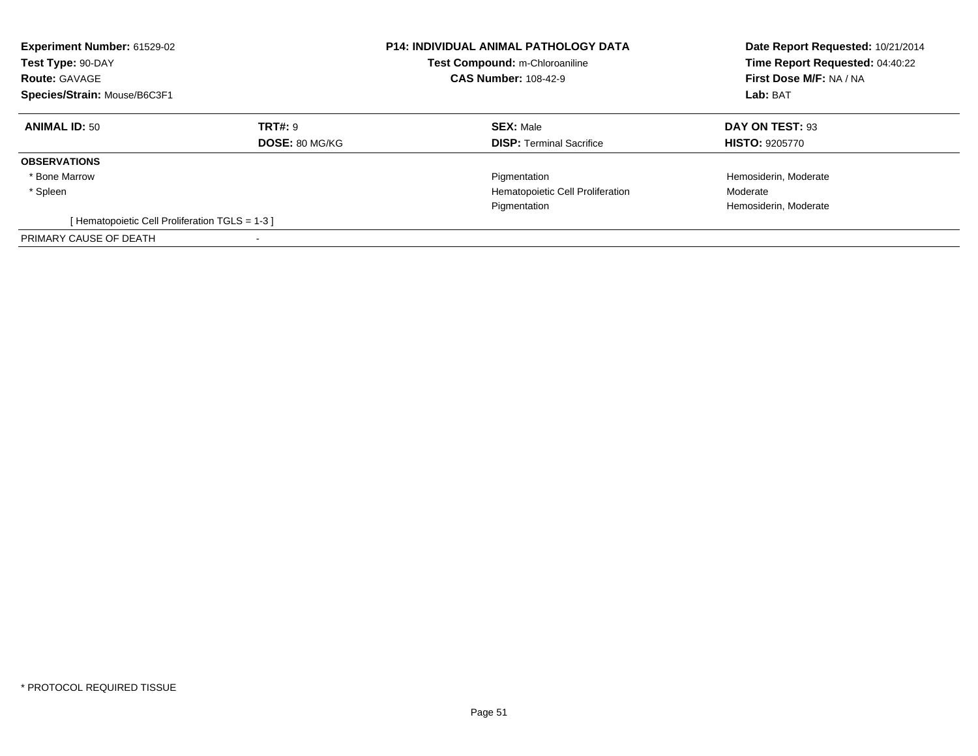| Experiment Number: 61529-02<br>Test Type: 90-DAY<br><b>Route: GAVAGE</b><br>Species/Strain: Mouse/B6C3F1 |                       | <b>P14: INDIVIDUAL ANIMAL PATHOLOGY DATA</b><br>Test Compound: m-Chloroaniline<br><b>CAS Number: 108-42-9</b> | Date Report Requested: 10/21/2014<br>Time Report Requested: 04:40:22<br>First Dose M/F: NA / NA<br>Lab: BAT |
|----------------------------------------------------------------------------------------------------------|-----------------------|---------------------------------------------------------------------------------------------------------------|-------------------------------------------------------------------------------------------------------------|
| <b>ANIMAL ID: 50</b>                                                                                     | <b>TRT#: 9</b>        | <b>SEX: Male</b>                                                                                              | DAY ON TEST: 93                                                                                             |
|                                                                                                          | <b>DOSE: 80 MG/KG</b> | <b>DISP:</b> Terminal Sacrifice                                                                               | <b>HISTO: 9205770</b>                                                                                       |
| <b>OBSERVATIONS</b>                                                                                      |                       |                                                                                                               |                                                                                                             |
| * Bone Marrow                                                                                            |                       | Pigmentation                                                                                                  | Hemosiderin, Moderate                                                                                       |
| * Spleen                                                                                                 |                       | Hematopoietic Cell Proliferation                                                                              | Moderate                                                                                                    |
|                                                                                                          |                       | Pigmentation                                                                                                  | Hemosiderin, Moderate                                                                                       |
| [Hematopoietic Cell Proliferation TGLS = 1-3 ]                                                           |                       |                                                                                                               |                                                                                                             |
| PRIMARY CAUSE OF DEATH                                                                                   |                       |                                                                                                               |                                                                                                             |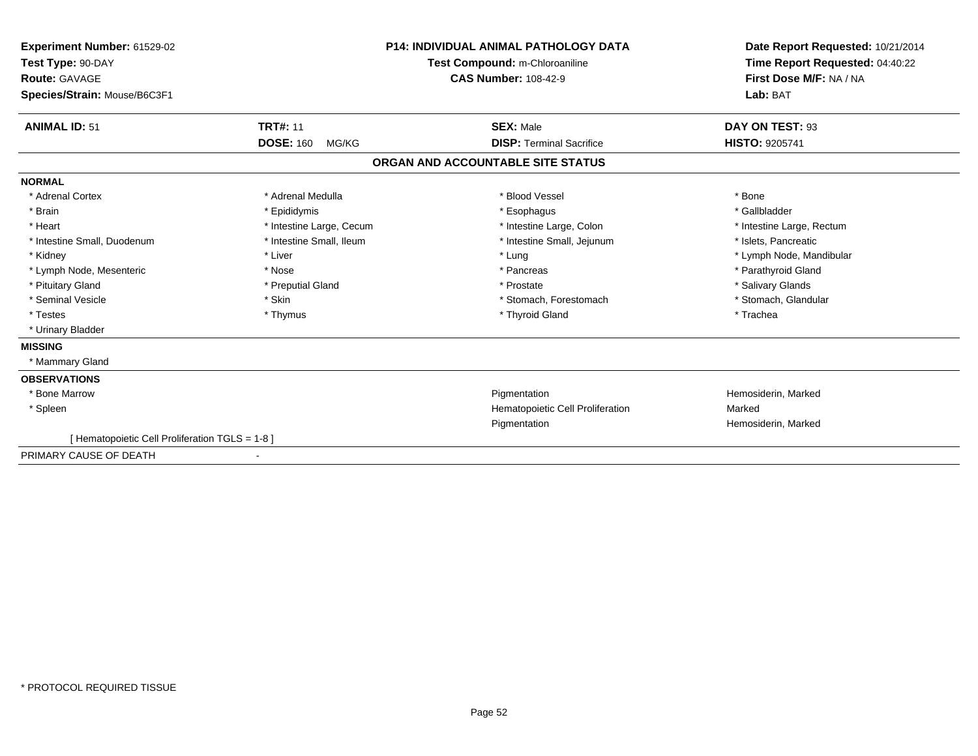| Experiment Number: 61529-02<br>Test Type: 90-DAY<br>Route: GAVAGE<br>Species/Strain: Mouse/B6C3F1 |                           | <b>P14: INDIVIDUAL ANIMAL PATHOLOGY DATA</b><br>Test Compound: m-Chloroaniline<br><b>CAS Number: 108-42-9</b> | Date Report Requested: 10/21/2014<br>Time Report Requested: 04:40:22<br>First Dose M/F: NA / NA<br>Lab: BAT |
|---------------------------------------------------------------------------------------------------|---------------------------|---------------------------------------------------------------------------------------------------------------|-------------------------------------------------------------------------------------------------------------|
| <b>ANIMAL ID: 51</b>                                                                              | <b>TRT#: 11</b>           | <b>SEX: Male</b>                                                                                              | DAY ON TEST: 93                                                                                             |
|                                                                                                   | <b>DOSE: 160</b><br>MG/KG | <b>DISP: Terminal Sacrifice</b>                                                                               | <b>HISTO: 9205741</b>                                                                                       |
|                                                                                                   |                           | ORGAN AND ACCOUNTABLE SITE STATUS                                                                             |                                                                                                             |
| <b>NORMAL</b>                                                                                     |                           |                                                                                                               |                                                                                                             |
| * Adrenal Cortex                                                                                  | * Adrenal Medulla         | * Blood Vessel                                                                                                | * Bone                                                                                                      |
| * Brain                                                                                           | * Epididymis              | * Esophagus                                                                                                   | * Gallbladder                                                                                               |
| * Heart                                                                                           | * Intestine Large, Cecum  | * Intestine Large, Colon                                                                                      | * Intestine Large, Rectum                                                                                   |
| * Intestine Small, Duodenum                                                                       | * Intestine Small, Ileum  | * Intestine Small, Jejunum                                                                                    | * Islets, Pancreatic                                                                                        |
| * Kidney                                                                                          | * Liver                   | * Lung                                                                                                        | * Lymph Node, Mandibular                                                                                    |
| * Lymph Node, Mesenteric                                                                          | * Nose                    | * Pancreas                                                                                                    | * Parathyroid Gland                                                                                         |
| * Pituitary Gland                                                                                 | * Preputial Gland         | * Prostate                                                                                                    | * Salivary Glands                                                                                           |
| * Seminal Vesicle                                                                                 | * Skin                    | * Stomach, Forestomach                                                                                        | * Stomach, Glandular                                                                                        |
| * Testes                                                                                          | * Thymus                  | * Thyroid Gland                                                                                               | * Trachea                                                                                                   |
| * Urinary Bladder                                                                                 |                           |                                                                                                               |                                                                                                             |
| <b>MISSING</b>                                                                                    |                           |                                                                                                               |                                                                                                             |
| * Mammary Gland                                                                                   |                           |                                                                                                               |                                                                                                             |
| <b>OBSERVATIONS</b>                                                                               |                           |                                                                                                               |                                                                                                             |
| * Bone Marrow                                                                                     |                           | Pigmentation                                                                                                  | Hemosiderin, Marked                                                                                         |
| * Spleen                                                                                          |                           | Hematopoietic Cell Proliferation                                                                              | Marked                                                                                                      |
|                                                                                                   |                           | Pigmentation                                                                                                  | Hemosiderin, Marked                                                                                         |
| [ Hematopoietic Cell Proliferation TGLS = 1-8 ]                                                   |                           |                                                                                                               |                                                                                                             |
| PRIMARY CAUSE OF DEATH                                                                            |                           |                                                                                                               |                                                                                                             |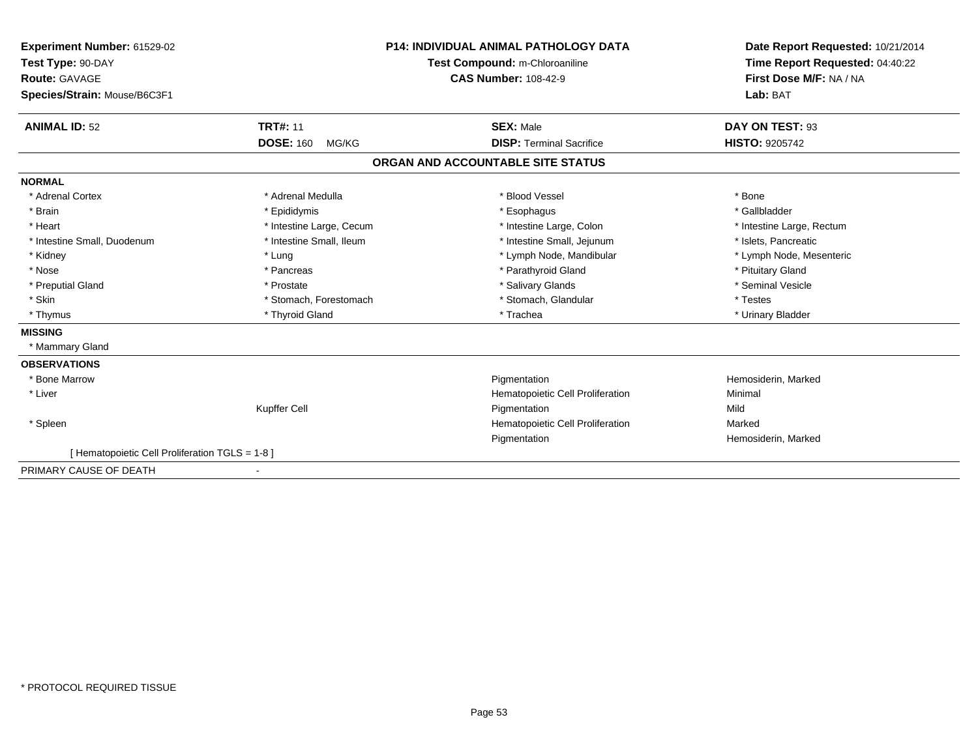| Experiment Number: 61529-02                     |                           | <b>P14: INDIVIDUAL ANIMAL PATHOLOGY DATA</b> | Date Report Requested: 10/21/2014 |
|-------------------------------------------------|---------------------------|----------------------------------------------|-----------------------------------|
| Test Type: 90-DAY                               |                           | Test Compound: m-Chloroaniline               | Time Report Requested: 04:40:22   |
| <b>Route: GAVAGE</b>                            |                           | <b>CAS Number: 108-42-9</b>                  | First Dose M/F: NA / NA           |
| Species/Strain: Mouse/B6C3F1                    |                           |                                              | Lab: BAT                          |
| <b>ANIMAL ID: 52</b>                            | <b>TRT#: 11</b>           | <b>SEX: Male</b>                             | DAY ON TEST: 93                   |
|                                                 | <b>DOSE: 160</b><br>MG/KG | <b>DISP: Terminal Sacrifice</b>              | <b>HISTO: 9205742</b>             |
|                                                 |                           | ORGAN AND ACCOUNTABLE SITE STATUS            |                                   |
| <b>NORMAL</b>                                   |                           |                                              |                                   |
| * Adrenal Cortex                                | * Adrenal Medulla         | * Blood Vessel                               | * Bone                            |
| * Brain                                         | * Epididymis              | * Esophagus                                  | * Gallbladder                     |
| * Heart                                         | * Intestine Large, Cecum  | * Intestine Large, Colon                     | * Intestine Large, Rectum         |
| * Intestine Small, Duodenum                     | * Intestine Small, Ileum  | * Intestine Small, Jejunum                   | * Islets, Pancreatic              |
| * Kidney                                        | * Lung                    | * Lymph Node, Mandibular                     | * Lymph Node, Mesenteric          |
| * Nose                                          | * Pancreas                | * Parathyroid Gland                          | * Pituitary Gland                 |
| * Preputial Gland                               | * Prostate                | * Salivary Glands                            | * Seminal Vesicle                 |
| * Skin                                          | * Stomach, Forestomach    | * Stomach, Glandular                         | * Testes                          |
| * Thymus                                        | * Thyroid Gland           | * Trachea                                    | * Urinary Bladder                 |
| <b>MISSING</b>                                  |                           |                                              |                                   |
| * Mammary Gland                                 |                           |                                              |                                   |
| <b>OBSERVATIONS</b>                             |                           |                                              |                                   |
| * Bone Marrow                                   |                           | Pigmentation                                 | Hemosiderin, Marked               |
| * Liver                                         |                           | Hematopoietic Cell Proliferation             | Minimal                           |
|                                                 | Kupffer Cell              | Pigmentation                                 | Mild                              |
| * Spleen                                        |                           | Hematopoietic Cell Proliferation             | Marked                            |
|                                                 |                           | Pigmentation                                 | Hemosiderin, Marked               |
| [ Hematopoietic Cell Proliferation TGLS = 1-8 ] |                           |                                              |                                   |
| PRIMARY CAUSE OF DEATH                          |                           |                                              |                                   |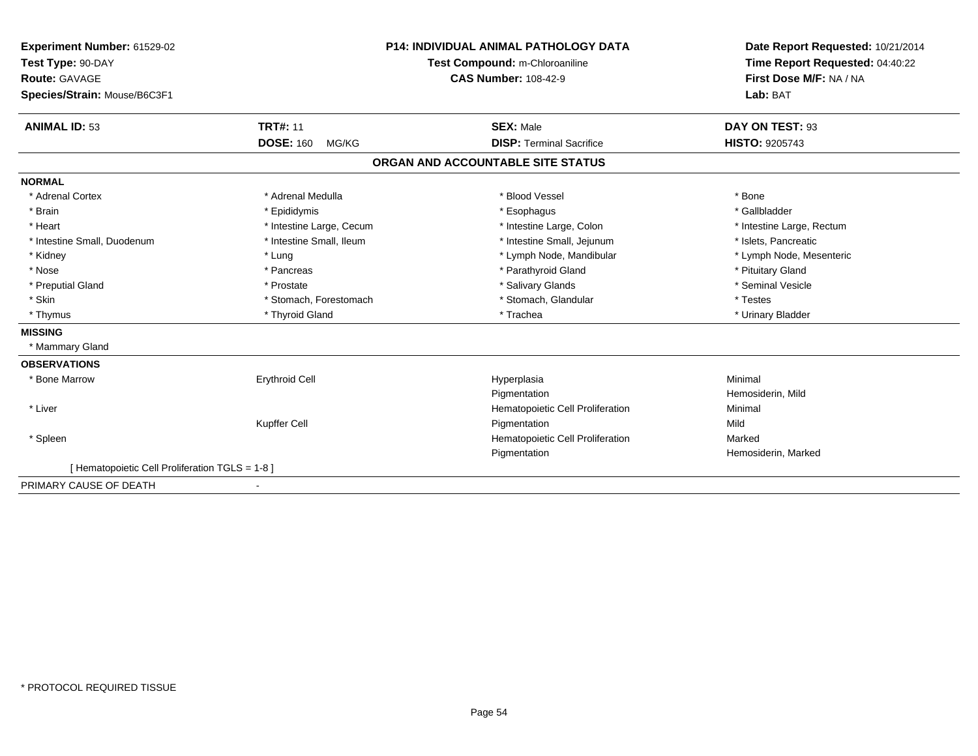| Experiment Number: 61529-02                   |                           | <b>P14: INDIVIDUAL ANIMAL PATHOLOGY DATA</b> | Date Report Requested: 10/21/2014                          |
|-----------------------------------------------|---------------------------|----------------------------------------------|------------------------------------------------------------|
| Test Type: 90-DAY                             |                           | Test Compound: m-Chloroaniline               | Time Report Requested: 04:40:22<br>First Dose M/F: NA / NA |
| <b>Route: GAVAGE</b>                          |                           | <b>CAS Number: 108-42-9</b>                  |                                                            |
| Species/Strain: Mouse/B6C3F1                  |                           |                                              | Lab: BAT                                                   |
| <b>ANIMAL ID: 53</b>                          | <b>TRT#: 11</b>           | <b>SEX: Male</b>                             | DAY ON TEST: 93                                            |
|                                               | <b>DOSE: 160</b><br>MG/KG | <b>DISP: Terminal Sacrifice</b>              | HISTO: 9205743                                             |
|                                               |                           | ORGAN AND ACCOUNTABLE SITE STATUS            |                                                            |
| <b>NORMAL</b>                                 |                           |                                              |                                                            |
| * Adrenal Cortex                              | * Adrenal Medulla         | * Blood Vessel                               | * Bone                                                     |
| * Brain                                       | * Epididymis              | * Esophagus                                  | * Gallbladder                                              |
| * Heart                                       | * Intestine Large, Cecum  | * Intestine Large, Colon                     | * Intestine Large, Rectum                                  |
| * Intestine Small, Duodenum                   | * Intestine Small, Ileum  | * Intestine Small, Jejunum                   | * Islets, Pancreatic                                       |
| * Kidney                                      | * Lung                    | * Lymph Node, Mandibular                     | * Lymph Node, Mesenteric                                   |
| * Nose                                        | * Pancreas                | * Parathyroid Gland                          | * Pituitary Gland                                          |
| * Preputial Gland                             | * Prostate                | * Salivary Glands                            | * Seminal Vesicle                                          |
| * Skin                                        | * Stomach, Forestomach    | * Stomach, Glandular                         | * Testes                                                   |
| * Thymus                                      | * Thyroid Gland           | * Trachea                                    | * Urinary Bladder                                          |
| <b>MISSING</b>                                |                           |                                              |                                                            |
| * Mammary Gland                               |                           |                                              |                                                            |
| <b>OBSERVATIONS</b>                           |                           |                                              |                                                            |
| * Bone Marrow                                 | <b>Erythroid Cell</b>     | Hyperplasia                                  | Minimal                                                    |
|                                               |                           | Pigmentation                                 | Hemosiderin, Mild                                          |
| * Liver                                       |                           | Hematopoietic Cell Proliferation             | Minimal                                                    |
|                                               | Kupffer Cell              | Pigmentation                                 | Mild                                                       |
| * Spleen                                      |                           | Hematopoietic Cell Proliferation             | Marked                                                     |
|                                               |                           | Pigmentation                                 | Hemosiderin, Marked                                        |
| [Hematopoietic Cell Proliferation TGLS = 1-8] |                           |                                              |                                                            |
| PRIMARY CAUSE OF DEATH                        |                           |                                              |                                                            |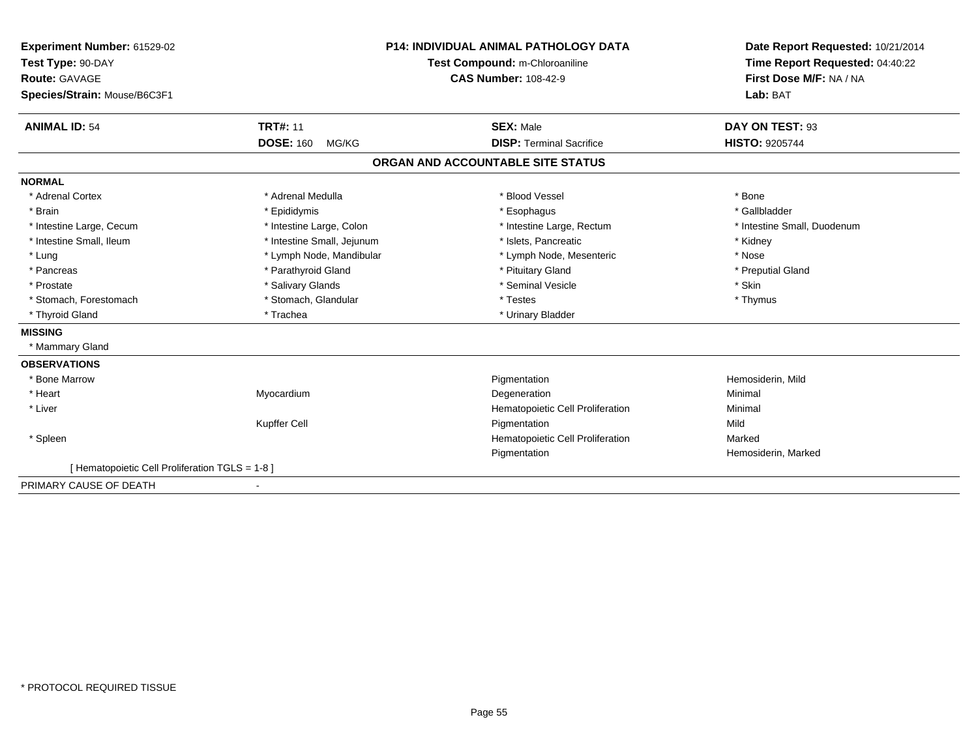| Experiment Number: 61529-02                     |                            | P14: INDIVIDUAL ANIMAL PATHOLOGY DATA | Date Report Requested: 10/21/2014<br>Time Report Requested: 04:40:22 |
|-------------------------------------------------|----------------------------|---------------------------------------|----------------------------------------------------------------------|
| Test Type: 90-DAY                               |                            | Test Compound: m-Chloroaniline        |                                                                      |
| <b>Route: GAVAGE</b>                            |                            | <b>CAS Number: 108-42-9</b>           | First Dose M/F: NA / NA                                              |
| Species/Strain: Mouse/B6C3F1                    |                            |                                       | Lab: BAT                                                             |
| <b>ANIMAL ID: 54</b>                            | <b>TRT#: 11</b>            | <b>SEX: Male</b>                      | DAY ON TEST: 93                                                      |
|                                                 | <b>DOSE: 160</b><br>MG/KG  | <b>DISP: Terminal Sacrifice</b>       | <b>HISTO: 9205744</b>                                                |
|                                                 |                            | ORGAN AND ACCOUNTABLE SITE STATUS     |                                                                      |
| <b>NORMAL</b>                                   |                            |                                       |                                                                      |
| * Adrenal Cortex                                | * Adrenal Medulla          | * Blood Vessel                        | * Bone                                                               |
| * Brain                                         | * Epididymis               | * Esophagus                           | * Gallbladder                                                        |
| * Intestine Large, Cecum                        | * Intestine Large, Colon   | * Intestine Large, Rectum             | * Intestine Small, Duodenum                                          |
| * Intestine Small, Ileum                        | * Intestine Small, Jejunum | * Islets, Pancreatic                  | * Kidney                                                             |
| * Lung                                          | * Lymph Node, Mandibular   | * Lymph Node, Mesenteric              | * Nose                                                               |
| * Pancreas                                      | * Parathyroid Gland        | * Pituitary Gland                     | * Preputial Gland                                                    |
| * Prostate                                      | * Salivary Glands          | * Seminal Vesicle                     | * Skin                                                               |
| * Stomach, Forestomach                          | * Stomach, Glandular       | * Testes                              | * Thymus                                                             |
| * Thyroid Gland                                 | * Trachea                  | * Urinary Bladder                     |                                                                      |
| <b>MISSING</b>                                  |                            |                                       |                                                                      |
| * Mammary Gland                                 |                            |                                       |                                                                      |
| <b>OBSERVATIONS</b>                             |                            |                                       |                                                                      |
| * Bone Marrow                                   |                            | Pigmentation                          | Hemosiderin, Mild                                                    |
| * Heart                                         | Myocardium                 | Degeneration                          | Minimal                                                              |
| * Liver                                         |                            | Hematopoietic Cell Proliferation      | Minimal                                                              |
|                                                 | Kupffer Cell               | Pigmentation                          | Mild                                                                 |
| * Spleen                                        |                            | Hematopoietic Cell Proliferation      | Marked                                                               |
|                                                 |                            | Pigmentation                          | Hemosiderin, Marked                                                  |
| [ Hematopoietic Cell Proliferation TGLS = 1-8 ] |                            |                                       |                                                                      |
| PRIMARY CAUSE OF DEATH                          |                            |                                       |                                                                      |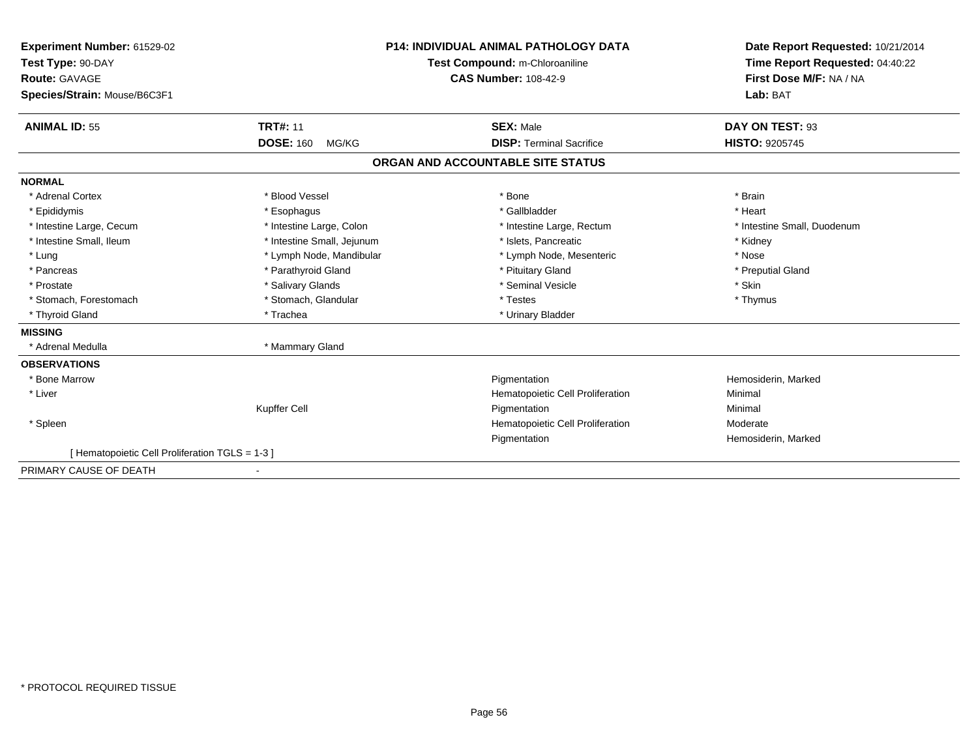| <b>Experiment Number: 61529-02</b><br>Test Type: 90-DAY<br><b>Route: GAVAGE</b><br>Species/Strain: Mouse/B6C3F1                |                                                                                                                                                                 | <b>P14: INDIVIDUAL ANIMAL PATHOLOGY DATA</b><br>Test Compound: m-Chloroaniline<br><b>CAS Number: 108-42-9</b>                                      | Date Report Requested: 10/21/2014<br>Time Report Requested: 04:40:22<br>First Dose M/F: NA / NA<br>Lab: BAT |
|--------------------------------------------------------------------------------------------------------------------------------|-----------------------------------------------------------------------------------------------------------------------------------------------------------------|----------------------------------------------------------------------------------------------------------------------------------------------------|-------------------------------------------------------------------------------------------------------------|
| <b>ANIMAL ID: 55</b>                                                                                                           | <b>TRT#: 11</b><br><b>DOSE: 160</b><br>MG/KG                                                                                                                    | <b>SEX: Male</b><br><b>DISP: Terminal Sacrifice</b>                                                                                                | DAY ON TEST: 93<br><b>HISTO: 9205745</b>                                                                    |
|                                                                                                                                |                                                                                                                                                                 | ORGAN AND ACCOUNTABLE SITE STATUS                                                                                                                  |                                                                                                             |
| <b>NORMAL</b>                                                                                                                  |                                                                                                                                                                 |                                                                                                                                                    |                                                                                                             |
| * Adrenal Cortex<br>* Epididymis<br>* Intestine Large, Cecum<br>* Intestine Small, Ileum<br>* Lung<br>* Pancreas<br>* Prostate | * Blood Vessel<br>* Esophagus<br>* Intestine Large, Colon<br>* Intestine Small, Jejunum<br>* Lymph Node, Mandibular<br>* Parathyroid Gland<br>* Salivary Glands | * Bone<br>* Gallbladder<br>* Intestine Large, Rectum<br>* Islets. Pancreatic<br>* Lymph Node, Mesenteric<br>* Pituitary Gland<br>* Seminal Vesicle | * Brain<br>* Heart<br>* Intestine Small, Duodenum<br>* Kidney<br>* Nose<br>* Preputial Gland<br>* Skin      |
| * Stomach, Forestomach                                                                                                         | * Stomach, Glandular                                                                                                                                            | * Testes                                                                                                                                           | * Thymus                                                                                                    |
| * Thyroid Gland                                                                                                                | * Trachea                                                                                                                                                       | * Urinary Bladder                                                                                                                                  |                                                                                                             |
| <b>MISSING</b><br>* Adrenal Medulla                                                                                            | * Mammary Gland                                                                                                                                                 |                                                                                                                                                    |                                                                                                             |
| <b>OBSERVATIONS</b><br>* Bone Marrow<br>* Liver                                                                                | Kupffer Cell                                                                                                                                                    | Pigmentation<br>Hematopoietic Cell Proliferation<br>Pigmentation                                                                                   | Hemosiderin, Marked<br>Minimal<br>Minimal                                                                   |
| * Spleen                                                                                                                       |                                                                                                                                                                 | Hematopoietic Cell Proliferation<br>Pigmentation                                                                                                   | Moderate<br>Hemosiderin, Marked                                                                             |
| [ Hematopoietic Cell Proliferation TGLS = 1-3 ]                                                                                |                                                                                                                                                                 |                                                                                                                                                    |                                                                                                             |
| PRIMARY CAUSE OF DEATH                                                                                                         |                                                                                                                                                                 |                                                                                                                                                    |                                                                                                             |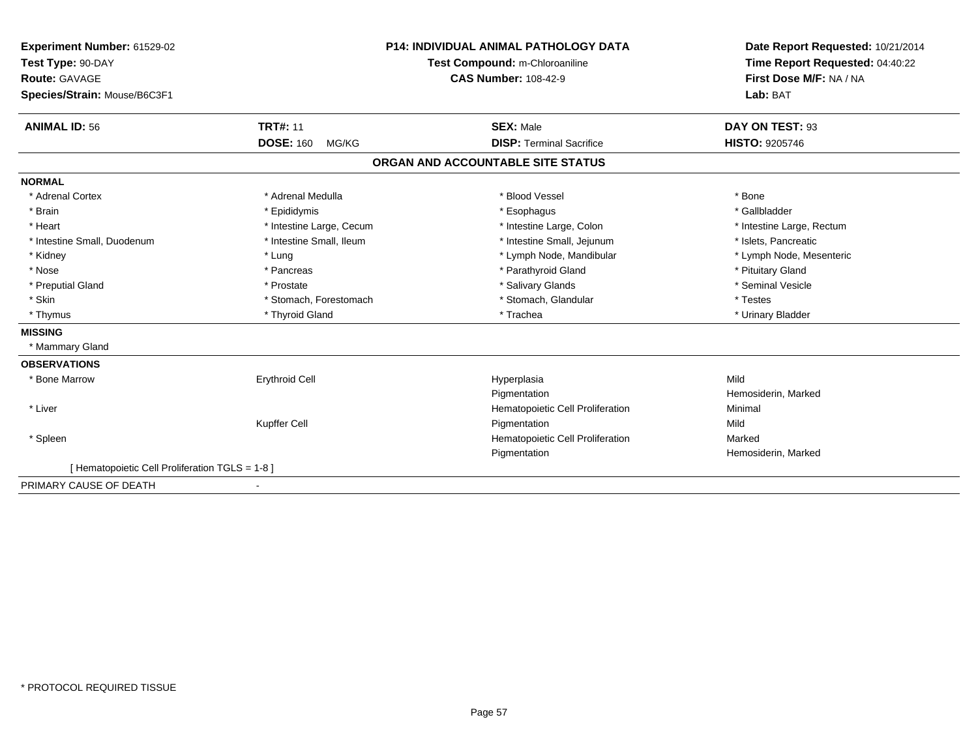| Experiment Number: 61529-02                   |                           | <b>P14: INDIVIDUAL ANIMAL PATHOLOGY DATA</b> | Date Report Requested: 10/21/2014 |
|-----------------------------------------------|---------------------------|----------------------------------------------|-----------------------------------|
| Test Type: 90-DAY                             |                           | Test Compound: m-Chloroaniline               | Time Report Requested: 04:40:22   |
| <b>Route: GAVAGE</b>                          |                           | <b>CAS Number: 108-42-9</b>                  | First Dose M/F: NA / NA           |
| Species/Strain: Mouse/B6C3F1                  |                           |                                              | Lab: BAT                          |
| <b>ANIMAL ID: 56</b>                          | <b>TRT#: 11</b>           | <b>SEX: Male</b>                             | DAY ON TEST: 93                   |
|                                               | <b>DOSE: 160</b><br>MG/KG | <b>DISP: Terminal Sacrifice</b>              | <b>HISTO: 9205746</b>             |
|                                               |                           | ORGAN AND ACCOUNTABLE SITE STATUS            |                                   |
| <b>NORMAL</b>                                 |                           |                                              |                                   |
| * Adrenal Cortex                              | * Adrenal Medulla         | * Blood Vessel                               | * Bone                            |
| * Brain                                       | * Epididymis              | * Esophagus                                  | * Gallbladder                     |
| * Heart                                       | * Intestine Large, Cecum  | * Intestine Large, Colon                     | * Intestine Large, Rectum         |
| * Intestine Small, Duodenum                   | * Intestine Small, Ileum  | * Intestine Small, Jejunum                   | * Islets, Pancreatic              |
| * Kidney                                      | * Lung                    | * Lymph Node, Mandibular                     | * Lymph Node, Mesenteric          |
| * Nose                                        | * Pancreas                | * Parathyroid Gland                          | * Pituitary Gland                 |
| * Preputial Gland                             | * Prostate                | * Salivary Glands                            | * Seminal Vesicle                 |
| * Skin                                        | * Stomach, Forestomach    | * Stomach, Glandular                         | * Testes                          |
| * Thymus                                      | * Thyroid Gland           | * Trachea                                    | * Urinary Bladder                 |
| <b>MISSING</b>                                |                           |                                              |                                   |
| * Mammary Gland                               |                           |                                              |                                   |
| <b>OBSERVATIONS</b>                           |                           |                                              |                                   |
| * Bone Marrow                                 | <b>Erythroid Cell</b>     | Hyperplasia                                  | Mild                              |
|                                               |                           | Pigmentation                                 | Hemosiderin, Marked               |
| * Liver                                       |                           | Hematopoietic Cell Proliferation             | Minimal                           |
|                                               | Kupffer Cell              | Pigmentation                                 | Mild                              |
| * Spleen                                      |                           | Hematopoietic Cell Proliferation             | Marked                            |
|                                               |                           | Pigmentation                                 | Hemosiderin, Marked               |
| [Hematopoietic Cell Proliferation TGLS = 1-8] |                           |                                              |                                   |
| PRIMARY CAUSE OF DEATH                        |                           |                                              |                                   |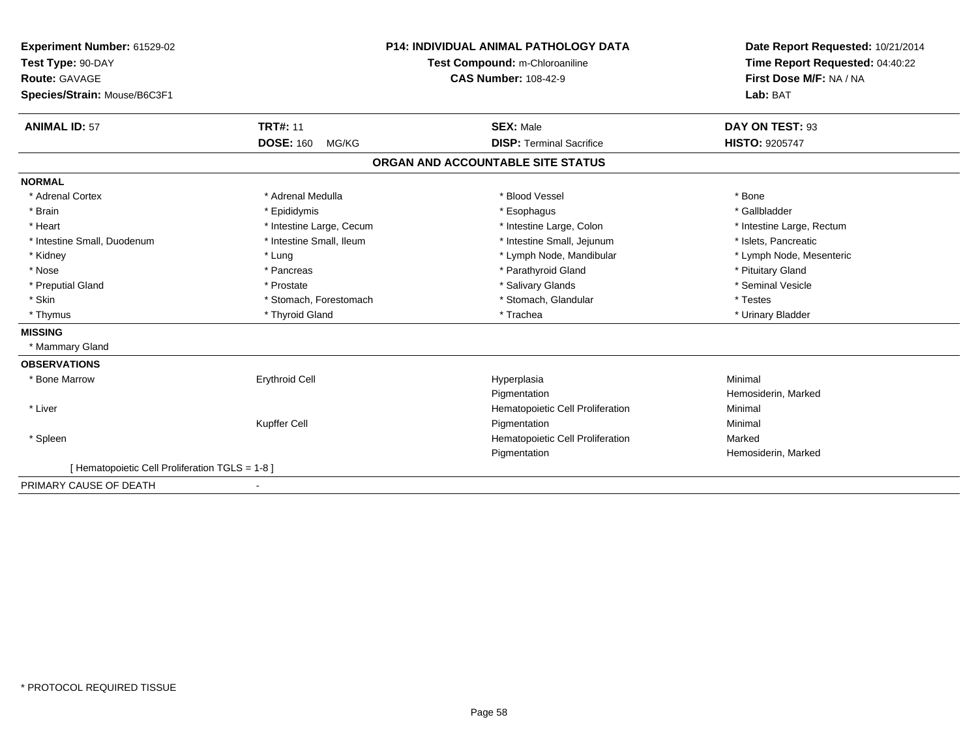| Experiment Number: 61529-02                   |                           | <b>P14: INDIVIDUAL ANIMAL PATHOLOGY DATA</b> | Date Report Requested: 10/21/2014 |
|-----------------------------------------------|---------------------------|----------------------------------------------|-----------------------------------|
| Test Type: 90-DAY                             |                           | Test Compound: m-Chloroaniline               | Time Report Requested: 04:40:22   |
| <b>Route: GAVAGE</b>                          |                           | <b>CAS Number: 108-42-9</b>                  | First Dose M/F: NA / NA           |
| Species/Strain: Mouse/B6C3F1                  |                           |                                              | Lab: BAT                          |
| <b>ANIMAL ID: 57</b>                          | <b>TRT#: 11</b>           | <b>SEX: Male</b>                             | DAY ON TEST: 93                   |
|                                               | <b>DOSE: 160</b><br>MG/KG | <b>DISP: Terminal Sacrifice</b>              | HISTO: 9205747                    |
|                                               |                           | ORGAN AND ACCOUNTABLE SITE STATUS            |                                   |
| <b>NORMAL</b>                                 |                           |                                              |                                   |
| * Adrenal Cortex                              | * Adrenal Medulla         | * Blood Vessel                               | * Bone                            |
| * Brain                                       | * Epididymis              | * Esophagus                                  | * Gallbladder                     |
| * Heart                                       | * Intestine Large, Cecum  | * Intestine Large, Colon                     | * Intestine Large, Rectum         |
| * Intestine Small, Duodenum                   | * Intestine Small, Ileum  | * Intestine Small, Jejunum                   | * Islets, Pancreatic              |
| * Kidney                                      | * Lung                    | * Lymph Node, Mandibular                     | * Lymph Node, Mesenteric          |
| * Nose                                        | * Pancreas                | * Parathyroid Gland                          | * Pituitary Gland                 |
| * Preputial Gland                             | * Prostate                | * Salivary Glands                            | * Seminal Vesicle                 |
| * Skin                                        | * Stomach, Forestomach    | * Stomach, Glandular                         | * Testes                          |
| * Thymus                                      | * Thyroid Gland           | * Trachea                                    | * Urinary Bladder                 |
| <b>MISSING</b>                                |                           |                                              |                                   |
| * Mammary Gland                               |                           |                                              |                                   |
| <b>OBSERVATIONS</b>                           |                           |                                              |                                   |
| * Bone Marrow                                 | <b>Erythroid Cell</b>     | Hyperplasia                                  | Minimal                           |
|                                               |                           | Pigmentation                                 | Hemosiderin, Marked               |
| * Liver                                       |                           | Hematopoietic Cell Proliferation             | Minimal                           |
|                                               | Kupffer Cell              | Pigmentation                                 | Minimal                           |
| * Spleen                                      |                           | Hematopoietic Cell Proliferation             | Marked                            |
|                                               |                           | Pigmentation                                 | Hemosiderin, Marked               |
| [Hematopoietic Cell Proliferation TGLS = 1-8] |                           |                                              |                                   |
| PRIMARY CAUSE OF DEATH                        |                           |                                              |                                   |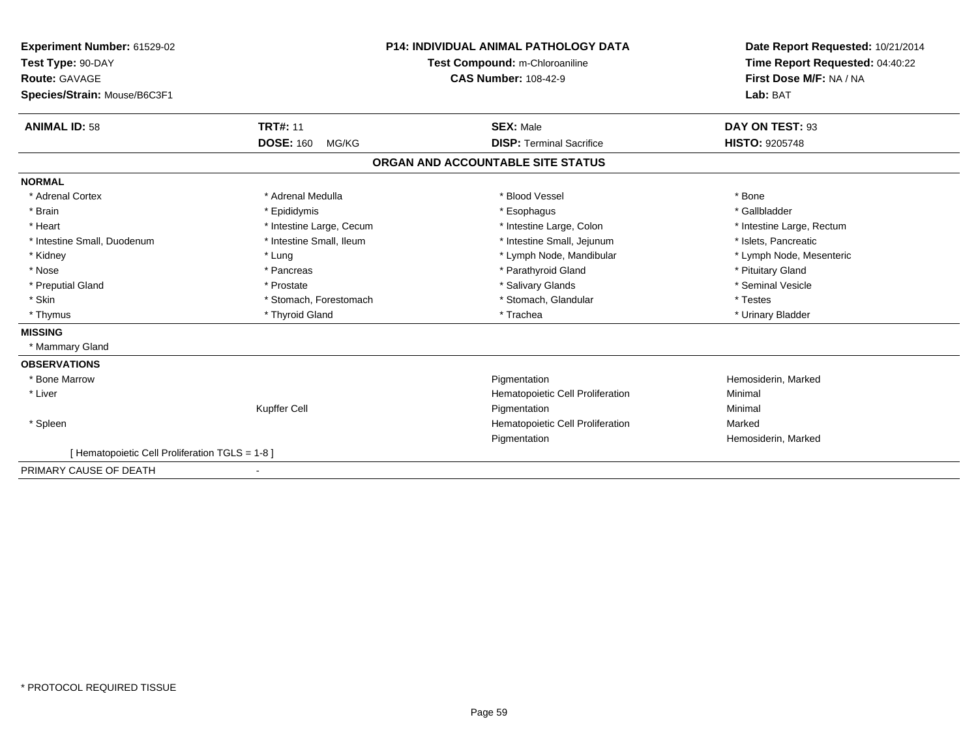| Experiment Number: 61529-02                     |                           | <b>P14: INDIVIDUAL ANIMAL PATHOLOGY DATA</b> | Date Report Requested: 10/21/2014 |
|-------------------------------------------------|---------------------------|----------------------------------------------|-----------------------------------|
| Test Type: 90-DAY                               |                           | Test Compound: m-Chloroaniline               | Time Report Requested: 04:40:22   |
| Route: GAVAGE                                   |                           | <b>CAS Number: 108-42-9</b>                  | First Dose M/F: NA / NA           |
| Species/Strain: Mouse/B6C3F1                    |                           |                                              | Lab: BAT                          |
| <b>ANIMAL ID: 58</b>                            | <b>TRT#: 11</b>           | <b>SEX: Male</b>                             | DAY ON TEST: 93                   |
|                                                 | <b>DOSE: 160</b><br>MG/KG | <b>DISP: Terminal Sacrifice</b>              | <b>HISTO: 9205748</b>             |
|                                                 |                           | ORGAN AND ACCOUNTABLE SITE STATUS            |                                   |
| <b>NORMAL</b>                                   |                           |                                              |                                   |
| * Adrenal Cortex                                | * Adrenal Medulla         | * Blood Vessel                               | * Bone                            |
| * Brain                                         | * Epididymis              | * Esophagus                                  | * Gallbladder                     |
| * Heart                                         | * Intestine Large, Cecum  | * Intestine Large, Colon                     | * Intestine Large, Rectum         |
| * Intestine Small, Duodenum                     | * Intestine Small, Ileum  | * Intestine Small, Jejunum                   | * Islets, Pancreatic              |
| * Kidney                                        | * Lung                    | * Lymph Node, Mandibular                     | * Lymph Node, Mesenteric          |
| * Nose                                          | * Pancreas                | * Parathyroid Gland                          | * Pituitary Gland                 |
| * Preputial Gland                               | * Prostate                | * Salivary Glands                            | * Seminal Vesicle                 |
| * Skin                                          | * Stomach, Forestomach    | * Stomach, Glandular                         | * Testes                          |
| * Thymus                                        | * Thyroid Gland           | * Trachea                                    | * Urinary Bladder                 |
| <b>MISSING</b>                                  |                           |                                              |                                   |
| * Mammary Gland                                 |                           |                                              |                                   |
| <b>OBSERVATIONS</b>                             |                           |                                              |                                   |
| * Bone Marrow                                   |                           | Pigmentation                                 | Hemosiderin, Marked               |
| * Liver                                         |                           | Hematopoietic Cell Proliferation             | Minimal                           |
|                                                 | Kupffer Cell              | Pigmentation                                 | Minimal                           |
| * Spleen                                        |                           | Hematopoietic Cell Proliferation             | Marked                            |
|                                                 |                           | Pigmentation                                 | Hemosiderin, Marked               |
| [ Hematopoietic Cell Proliferation TGLS = 1-8 ] |                           |                                              |                                   |
| PRIMARY CAUSE OF DEATH                          |                           |                                              |                                   |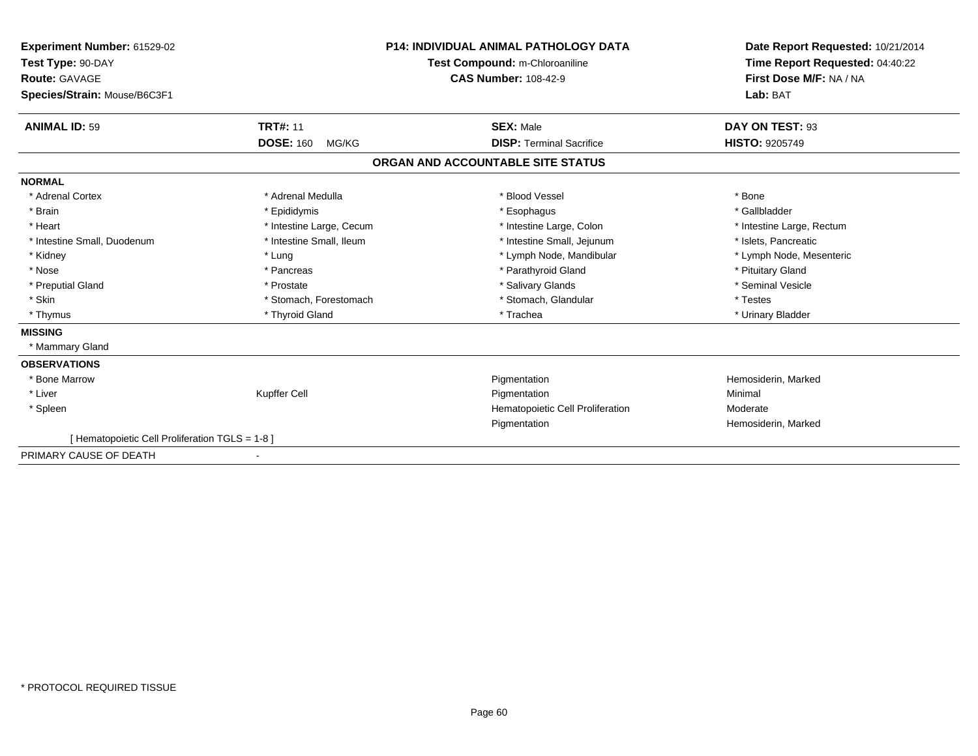| Experiment Number: 61529-02<br>Test Type: 90-DAY<br>Route: GAVAGE |                           | <b>P14: INDIVIDUAL ANIMAL PATHOLOGY DATA</b><br>Test Compound: m-Chloroaniline<br><b>CAS Number: 108-42-9</b> | Date Report Requested: 10/21/2014<br>Time Report Requested: 04:40:22<br>First Dose M/F: NA / NA |
|-------------------------------------------------------------------|---------------------------|---------------------------------------------------------------------------------------------------------------|-------------------------------------------------------------------------------------------------|
| Species/Strain: Mouse/B6C3F1                                      |                           |                                                                                                               | Lab: BAT                                                                                        |
| <b>ANIMAL ID: 59</b>                                              | <b>TRT#: 11</b>           | <b>SEX: Male</b>                                                                                              | DAY ON TEST: 93                                                                                 |
|                                                                   | <b>DOSE: 160</b><br>MG/KG | <b>DISP: Terminal Sacrifice</b>                                                                               | HISTO: 9205749                                                                                  |
|                                                                   |                           | ORGAN AND ACCOUNTABLE SITE STATUS                                                                             |                                                                                                 |
| <b>NORMAL</b>                                                     |                           |                                                                                                               |                                                                                                 |
| * Adrenal Cortex                                                  | * Adrenal Medulla         | * Blood Vessel                                                                                                | * Bone                                                                                          |
| * Brain                                                           | * Epididymis              | * Esophagus                                                                                                   | * Gallbladder                                                                                   |
| * Heart                                                           | * Intestine Large, Cecum  | * Intestine Large, Colon                                                                                      | * Intestine Large, Rectum                                                                       |
| * Intestine Small, Duodenum                                       | * Intestine Small, Ileum  | * Intestine Small, Jejunum                                                                                    | * Islets, Pancreatic                                                                            |
| * Kidney                                                          | * Lung                    | * Lymph Node, Mandibular                                                                                      | * Lymph Node, Mesenteric                                                                        |
| * Nose                                                            | * Pancreas                | * Parathyroid Gland                                                                                           | * Pituitary Gland                                                                               |
| * Preputial Gland                                                 | * Prostate                | * Salivary Glands                                                                                             | * Seminal Vesicle                                                                               |
| * Skin                                                            | * Stomach, Forestomach    | * Stomach, Glandular                                                                                          | * Testes                                                                                        |
| * Thymus                                                          | * Thyroid Gland           | * Trachea                                                                                                     | * Urinary Bladder                                                                               |
| <b>MISSING</b>                                                    |                           |                                                                                                               |                                                                                                 |
| * Mammary Gland                                                   |                           |                                                                                                               |                                                                                                 |
| <b>OBSERVATIONS</b>                                               |                           |                                                                                                               |                                                                                                 |
| <b>Bone Marrow</b>                                                |                           | Pigmentation                                                                                                  | Hemosiderin, Marked                                                                             |
| * Liver                                                           | <b>Kupffer Cell</b>       | Pigmentation                                                                                                  | Minimal                                                                                         |
| * Spleen                                                          |                           | Hematopoietic Cell Proliferation                                                                              | Moderate                                                                                        |
|                                                                   |                           | Pigmentation                                                                                                  | Hemosiderin, Marked                                                                             |
| [ Hematopoietic Cell Proliferation TGLS = 1-8 ]                   |                           |                                                                                                               |                                                                                                 |
| PRIMARY CAUSE OF DEATH                                            | ٠                         |                                                                                                               |                                                                                                 |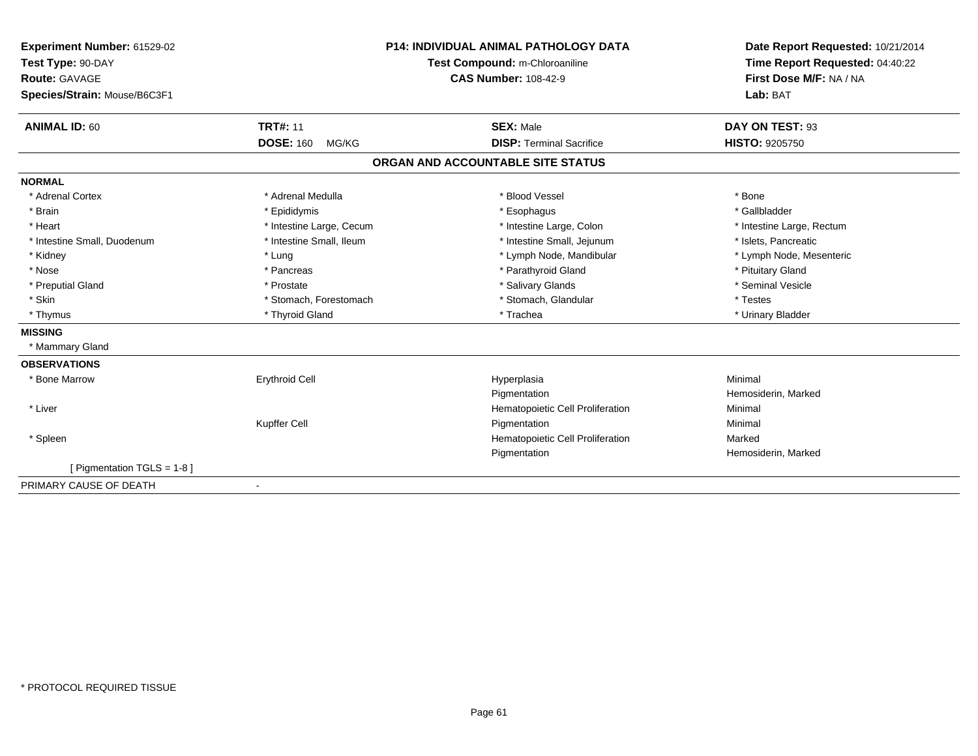| Experiment Number: 61529-02   | <b>P14: INDIVIDUAL ANIMAL PATHOLOGY DATA</b><br>Test Compound: m-Chloroaniline |                                   | Date Report Requested: 10/21/2014<br>Time Report Requested: 04:40:22 |
|-------------------------------|--------------------------------------------------------------------------------|-----------------------------------|----------------------------------------------------------------------|
| Test Type: 90-DAY             |                                                                                |                                   |                                                                      |
| <b>Route: GAVAGE</b>          |                                                                                | <b>CAS Number: 108-42-9</b>       | First Dose M/F: NA / NA                                              |
| Species/Strain: Mouse/B6C3F1  |                                                                                |                                   | Lab: BAT                                                             |
| <b>ANIMAL ID: 60</b>          | <b>TRT#: 11</b>                                                                | <b>SEX: Male</b>                  | DAY ON TEST: 93                                                      |
|                               | <b>DOSE: 160</b><br>MG/KG                                                      | <b>DISP: Terminal Sacrifice</b>   | <b>HISTO: 9205750</b>                                                |
|                               |                                                                                | ORGAN AND ACCOUNTABLE SITE STATUS |                                                                      |
| <b>NORMAL</b>                 |                                                                                |                                   |                                                                      |
| * Adrenal Cortex              | * Adrenal Medulla                                                              | * Blood Vessel                    | * Bone                                                               |
| * Brain                       | * Epididymis                                                                   | * Esophagus                       | * Gallbladder                                                        |
| * Heart                       | * Intestine Large, Cecum                                                       | * Intestine Large, Colon          | * Intestine Large, Rectum                                            |
| * Intestine Small, Duodenum   | * Intestine Small, Ileum                                                       | * Intestine Small, Jejunum        | * Islets, Pancreatic                                                 |
| * Kidney                      | * Lung                                                                         | * Lymph Node, Mandibular          | * Lymph Node, Mesenteric                                             |
| * Nose                        | * Pancreas                                                                     | * Parathyroid Gland               | * Pituitary Gland                                                    |
| * Preputial Gland             | * Prostate                                                                     | * Salivary Glands                 | * Seminal Vesicle                                                    |
| * Skin                        | * Stomach, Forestomach                                                         | * Stomach, Glandular              | * Testes                                                             |
| * Thymus                      | * Thyroid Gland                                                                | * Trachea                         | * Urinary Bladder                                                    |
| <b>MISSING</b>                |                                                                                |                                   |                                                                      |
| * Mammary Gland               |                                                                                |                                   |                                                                      |
| <b>OBSERVATIONS</b>           |                                                                                |                                   |                                                                      |
| * Bone Marrow                 | <b>Erythroid Cell</b>                                                          | Hyperplasia                       | Minimal                                                              |
|                               |                                                                                | Pigmentation                      | Hemosiderin, Marked                                                  |
| * Liver                       |                                                                                | Hematopoietic Cell Proliferation  | Minimal                                                              |
|                               | Kupffer Cell                                                                   | Pigmentation                      | Minimal                                                              |
| * Spleen                      |                                                                                | Hematopoietic Cell Proliferation  | Marked                                                               |
|                               |                                                                                | Pigmentation                      | Hemosiderin, Marked                                                  |
| [ Pigmentation TGLS = $1-8$ ] |                                                                                |                                   |                                                                      |
| PRIMARY CAUSE OF DEATH        | $\qquad \qquad \blacksquare$                                                   |                                   |                                                                      |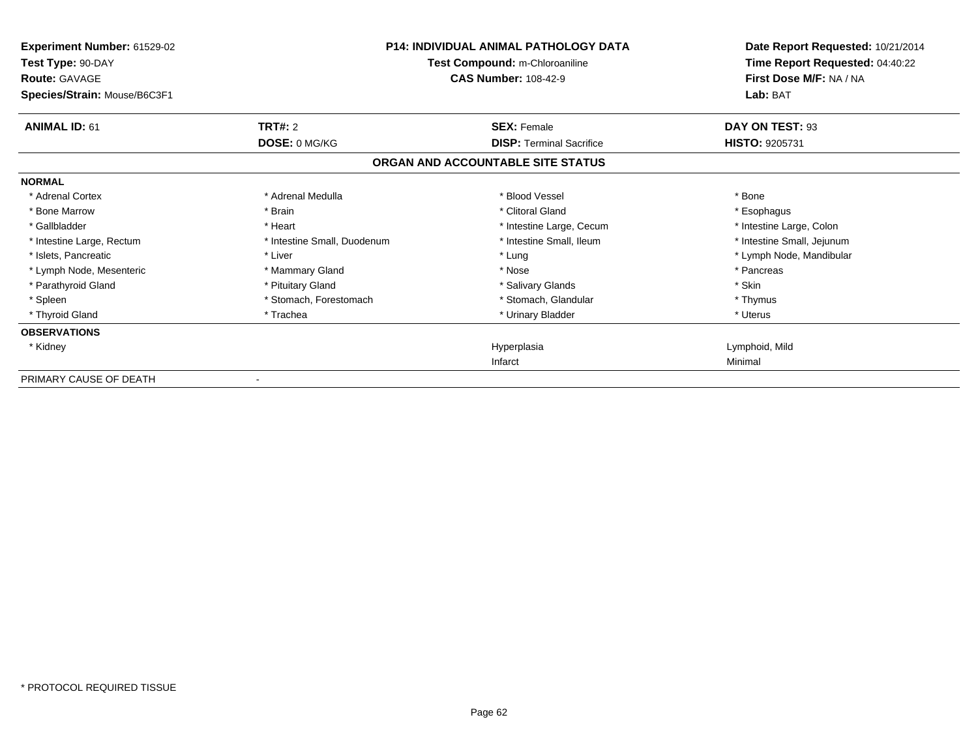| Experiment Number: 61529-02<br>Test Type: 90-DAY<br><b>Route: GAVAGE</b><br>Species/Strain: Mouse/B6C3F1 | P14: INDIVIDUAL ANIMAL PATHOLOGY DATA<br>Test Compound: m-Chloroaniline<br><b>CAS Number: 108-42-9</b> |                                   | Date Report Requested: 10/21/2014<br>Time Report Requested: 04:40:22<br>First Dose M/F: NA / NA<br>Lab: BAT |
|----------------------------------------------------------------------------------------------------------|--------------------------------------------------------------------------------------------------------|-----------------------------------|-------------------------------------------------------------------------------------------------------------|
| <b>ANIMAL ID: 61</b>                                                                                     | TRT#: 2                                                                                                | <b>SEX: Female</b>                | DAY ON TEST: 93                                                                                             |
|                                                                                                          | DOSE: 0 MG/KG                                                                                          | <b>DISP: Terminal Sacrifice</b>   | <b>HISTO: 9205731</b>                                                                                       |
|                                                                                                          |                                                                                                        | ORGAN AND ACCOUNTABLE SITE STATUS |                                                                                                             |
| <b>NORMAL</b>                                                                                            |                                                                                                        |                                   |                                                                                                             |
| * Adrenal Cortex                                                                                         | * Adrenal Medulla                                                                                      | * Blood Vessel                    | * Bone                                                                                                      |
| * Bone Marrow                                                                                            | * Brain                                                                                                | * Clitoral Gland                  | * Esophagus                                                                                                 |
| * Gallbladder                                                                                            | * Heart                                                                                                | * Intestine Large, Cecum          | * Intestine Large, Colon                                                                                    |
| * Intestine Large, Rectum                                                                                | * Intestine Small, Duodenum                                                                            | * Intestine Small, Ileum          | * Intestine Small, Jejunum                                                                                  |
| * Islets, Pancreatic                                                                                     | * Liver                                                                                                | * Lung                            | * Lymph Node, Mandibular                                                                                    |
| * Lymph Node, Mesenteric                                                                                 | * Mammary Gland                                                                                        | * Nose                            | * Pancreas                                                                                                  |
| * Parathyroid Gland                                                                                      | * Pituitary Gland                                                                                      | * Salivary Glands                 | * Skin                                                                                                      |
| * Spleen                                                                                                 | * Stomach, Forestomach                                                                                 | * Stomach, Glandular              | * Thymus                                                                                                    |
| * Thyroid Gland                                                                                          | * Trachea                                                                                              | * Urinary Bladder                 | * Uterus                                                                                                    |
| <b>OBSERVATIONS</b>                                                                                      |                                                                                                        |                                   |                                                                                                             |
| * Kidney                                                                                                 |                                                                                                        | Hyperplasia                       | Lymphoid, Mild                                                                                              |
|                                                                                                          |                                                                                                        | Infarct                           | Minimal                                                                                                     |
| PRIMARY CAUSE OF DEATH                                                                                   |                                                                                                        |                                   |                                                                                                             |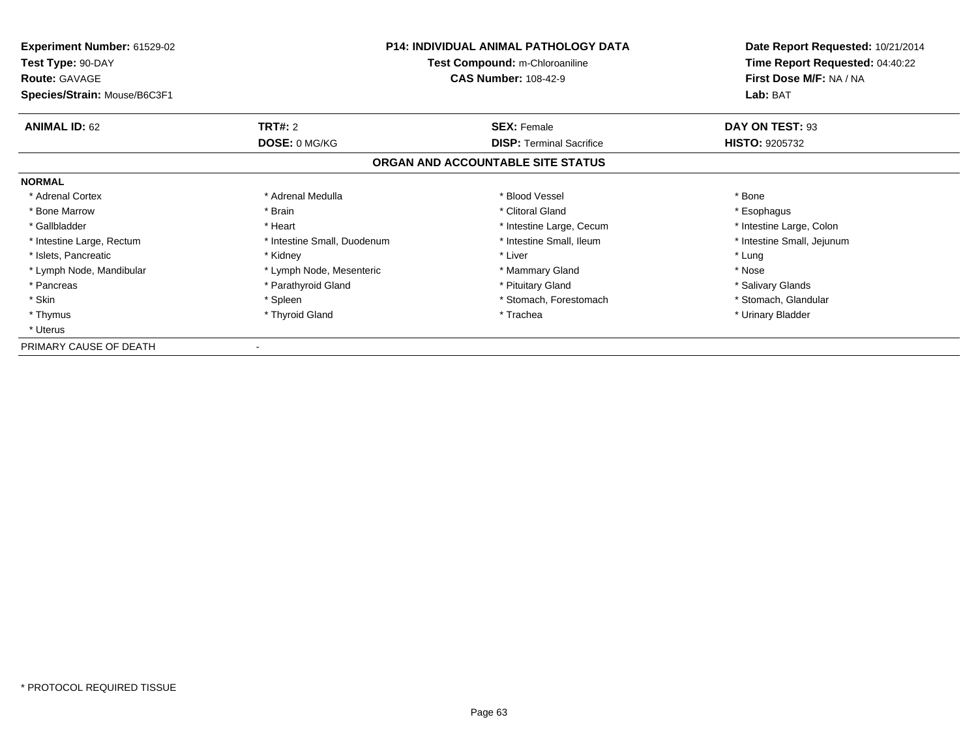| <b>Experiment Number: 61529-02</b><br>Test Type: 90-DAY<br><b>Route: GAVAGE</b> | <b>P14: INDIVIDUAL ANIMAL PATHOLOGY DATA</b><br>Test Compound: m-Chloroaniline<br><b>CAS Number: 108-42-9</b> |                                   | Date Report Requested: 10/21/2014<br>Time Report Requested: 04:40:22<br>First Dose M/F: NA / NA |
|---------------------------------------------------------------------------------|---------------------------------------------------------------------------------------------------------------|-----------------------------------|-------------------------------------------------------------------------------------------------|
| Species/Strain: Mouse/B6C3F1                                                    |                                                                                                               |                                   | Lab: BAT                                                                                        |
| <b>ANIMAL ID: 62</b>                                                            | <b>TRT#: 2</b>                                                                                                | <b>SEX: Female</b>                | DAY ON TEST: 93                                                                                 |
|                                                                                 | DOSE: 0 MG/KG                                                                                                 | <b>DISP:</b> Terminal Sacrifice   | <b>HISTO: 9205732</b>                                                                           |
|                                                                                 |                                                                                                               | ORGAN AND ACCOUNTABLE SITE STATUS |                                                                                                 |
| <b>NORMAL</b>                                                                   |                                                                                                               |                                   |                                                                                                 |
| * Adrenal Cortex                                                                | * Adrenal Medulla                                                                                             | * Blood Vessel                    | * Bone                                                                                          |
| * Bone Marrow                                                                   | * Brain                                                                                                       | * Clitoral Gland                  | * Esophagus                                                                                     |
| * Gallbladder                                                                   | * Heart                                                                                                       | * Intestine Large, Cecum          | * Intestine Large, Colon                                                                        |
| * Intestine Large, Rectum                                                       | * Intestine Small, Duodenum                                                                                   | * Intestine Small, Ileum          | * Intestine Small, Jejunum                                                                      |
| * Islets, Pancreatic                                                            | * Kidney                                                                                                      | * Liver                           | * Lung                                                                                          |
| * Lymph Node, Mandibular                                                        | * Lymph Node, Mesenteric                                                                                      | * Mammary Gland                   | * Nose                                                                                          |
| * Pancreas                                                                      | * Parathyroid Gland                                                                                           | * Pituitary Gland                 | * Salivary Glands                                                                               |
| * Skin                                                                          | * Spleen                                                                                                      | * Stomach, Forestomach            | * Stomach, Glandular                                                                            |
| * Thymus                                                                        | * Thyroid Gland                                                                                               | * Trachea                         | * Urinary Bladder                                                                               |
| * Uterus                                                                        |                                                                                                               |                                   |                                                                                                 |
| PRIMARY CAUSE OF DEATH                                                          |                                                                                                               |                                   |                                                                                                 |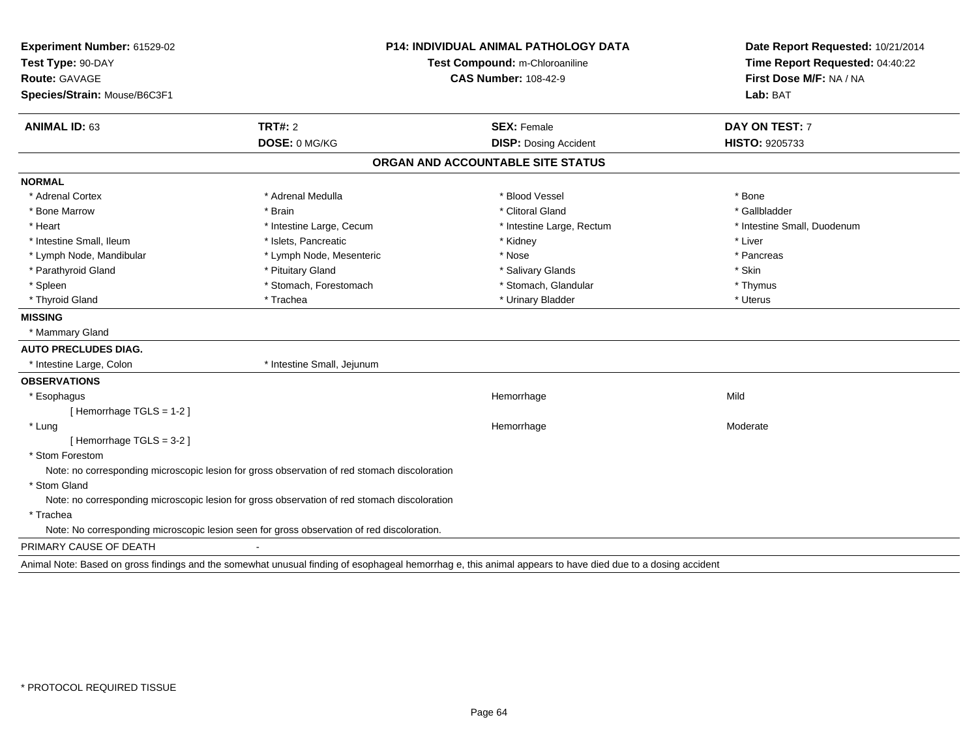| Experiment Number: 61529-02  |                                                                                              | <b>P14: INDIVIDUAL ANIMAL PATHOLOGY DATA</b>                                                                                                               |                                 |
|------------------------------|----------------------------------------------------------------------------------------------|------------------------------------------------------------------------------------------------------------------------------------------------------------|---------------------------------|
| Test Type: 90-DAY            | Test Compound: m-Chloroaniline                                                               |                                                                                                                                                            | Time Report Requested: 04:40:22 |
| Route: GAVAGE                |                                                                                              | <b>CAS Number: 108-42-9</b>                                                                                                                                | First Dose M/F: NA / NA         |
| Species/Strain: Mouse/B6C3F1 |                                                                                              |                                                                                                                                                            | Lab: BAT                        |
| <b>ANIMAL ID: 63</b>         | <b>TRT#: 2</b>                                                                               | <b>SEX: Female</b>                                                                                                                                         | DAY ON TEST: 7                  |
|                              | DOSE: 0 MG/KG                                                                                | <b>DISP: Dosing Accident</b>                                                                                                                               | HISTO: 9205733                  |
|                              |                                                                                              | ORGAN AND ACCOUNTABLE SITE STATUS                                                                                                                          |                                 |
| <b>NORMAL</b>                |                                                                                              |                                                                                                                                                            |                                 |
| * Adrenal Cortex             | * Adrenal Medulla                                                                            | * Blood Vessel                                                                                                                                             | * Bone                          |
| * Bone Marrow                | * Brain                                                                                      | * Clitoral Gland                                                                                                                                           | * Gallbladder                   |
| * Heart                      | * Intestine Large, Cecum                                                                     | * Intestine Large, Rectum                                                                                                                                  | * Intestine Small, Duodenum     |
| * Intestine Small, Ileum     | * Islets, Pancreatic                                                                         | * Kidney                                                                                                                                                   | * Liver                         |
| * Lymph Node, Mandibular     | * Lymph Node, Mesenteric                                                                     | * Nose                                                                                                                                                     | * Pancreas                      |
| * Parathyroid Gland          | * Pituitary Gland                                                                            | * Salivary Glands                                                                                                                                          | * Skin                          |
| * Spleen                     | * Stomach, Forestomach                                                                       | * Stomach, Glandular                                                                                                                                       | * Thymus                        |
| * Thyroid Gland              | * Trachea                                                                                    | * Urinary Bladder                                                                                                                                          | * Uterus                        |
| <b>MISSING</b>               |                                                                                              |                                                                                                                                                            |                                 |
| * Mammary Gland              |                                                                                              |                                                                                                                                                            |                                 |
| <b>AUTO PRECLUDES DIAG.</b>  |                                                                                              |                                                                                                                                                            |                                 |
| * Intestine Large, Colon     | * Intestine Small, Jejunum                                                                   |                                                                                                                                                            |                                 |
| <b>OBSERVATIONS</b>          |                                                                                              |                                                                                                                                                            |                                 |
| * Esophagus                  |                                                                                              | Hemorrhage                                                                                                                                                 | Mild                            |
| [Hemorrhage TGLS = 1-2]      |                                                                                              |                                                                                                                                                            |                                 |
| * Lung                       |                                                                                              | Hemorrhage                                                                                                                                                 | Moderate                        |
| [Hemorrhage TGLS = 3-2]      |                                                                                              |                                                                                                                                                            |                                 |
| * Stom Forestom              |                                                                                              |                                                                                                                                                            |                                 |
|                              | Note: no corresponding microscopic lesion for gross observation of red stomach discoloration |                                                                                                                                                            |                                 |
| * Stom Gland                 |                                                                                              |                                                                                                                                                            |                                 |
|                              | Note: no corresponding microscopic lesion for gross observation of red stomach discoloration |                                                                                                                                                            |                                 |
| * Trachea                    |                                                                                              |                                                                                                                                                            |                                 |
|                              | Note: No corresponding microscopic lesion seen for gross observation of red discoloration.   |                                                                                                                                                            |                                 |
| PRIMARY CAUSE OF DEATH       |                                                                                              |                                                                                                                                                            |                                 |
|                              |                                                                                              | Animal Note: Based on gross findings and the somewhat unusual finding of esophageal hemorrhag e, this animal appears to have died due to a dosing accident |                                 |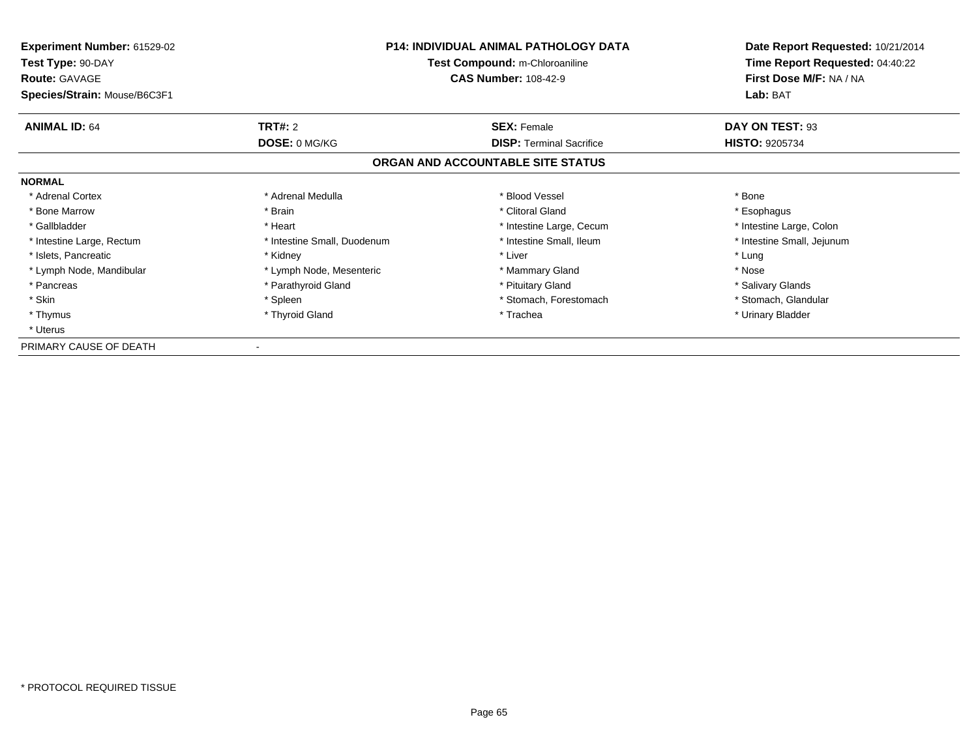| <b>Experiment Number: 61529-02</b><br>Test Type: 90-DAY<br><b>Route: GAVAGE</b> | <b>P14: INDIVIDUAL ANIMAL PATHOLOGY DATA</b><br>Test Compound: m-Chloroaniline<br><b>CAS Number: 108-42-9</b> |                                   | Date Report Requested: 10/21/2014<br>Time Report Requested: 04:40:22<br>First Dose M/F: NA / NA |
|---------------------------------------------------------------------------------|---------------------------------------------------------------------------------------------------------------|-----------------------------------|-------------------------------------------------------------------------------------------------|
| Species/Strain: Mouse/B6C3F1                                                    |                                                                                                               |                                   | Lab: BAT                                                                                        |
| <b>ANIMAL ID: 64</b>                                                            | <b>TRT#: 2</b>                                                                                                | <b>SEX: Female</b>                | DAY ON TEST: 93                                                                                 |
|                                                                                 | DOSE: 0 MG/KG                                                                                                 | <b>DISP:</b> Terminal Sacrifice   | <b>HISTO: 9205734</b>                                                                           |
|                                                                                 |                                                                                                               | ORGAN AND ACCOUNTABLE SITE STATUS |                                                                                                 |
| <b>NORMAL</b>                                                                   |                                                                                                               |                                   |                                                                                                 |
| * Adrenal Cortex                                                                | * Adrenal Medulla                                                                                             | * Blood Vessel                    | * Bone                                                                                          |
| * Bone Marrow                                                                   | * Brain                                                                                                       | * Clitoral Gland                  | * Esophagus                                                                                     |
| * Gallbladder                                                                   | * Heart                                                                                                       | * Intestine Large, Cecum          | * Intestine Large, Colon                                                                        |
| * Intestine Large, Rectum                                                       | * Intestine Small, Duodenum                                                                                   | * Intestine Small, Ileum          | * Intestine Small, Jejunum                                                                      |
| * Islets, Pancreatic                                                            | * Kidney                                                                                                      | * Liver                           | * Lung                                                                                          |
| * Lymph Node, Mandibular                                                        | * Lymph Node, Mesenteric                                                                                      | * Mammary Gland                   | * Nose                                                                                          |
| * Pancreas                                                                      | * Parathyroid Gland                                                                                           | * Pituitary Gland                 | * Salivary Glands                                                                               |
| * Skin                                                                          | * Spleen                                                                                                      | * Stomach, Forestomach            | * Stomach, Glandular                                                                            |
| * Thymus                                                                        | * Thyroid Gland                                                                                               | * Trachea                         | * Urinary Bladder                                                                               |
| * Uterus                                                                        |                                                                                                               |                                   |                                                                                                 |
| PRIMARY CAUSE OF DEATH                                                          |                                                                                                               |                                   |                                                                                                 |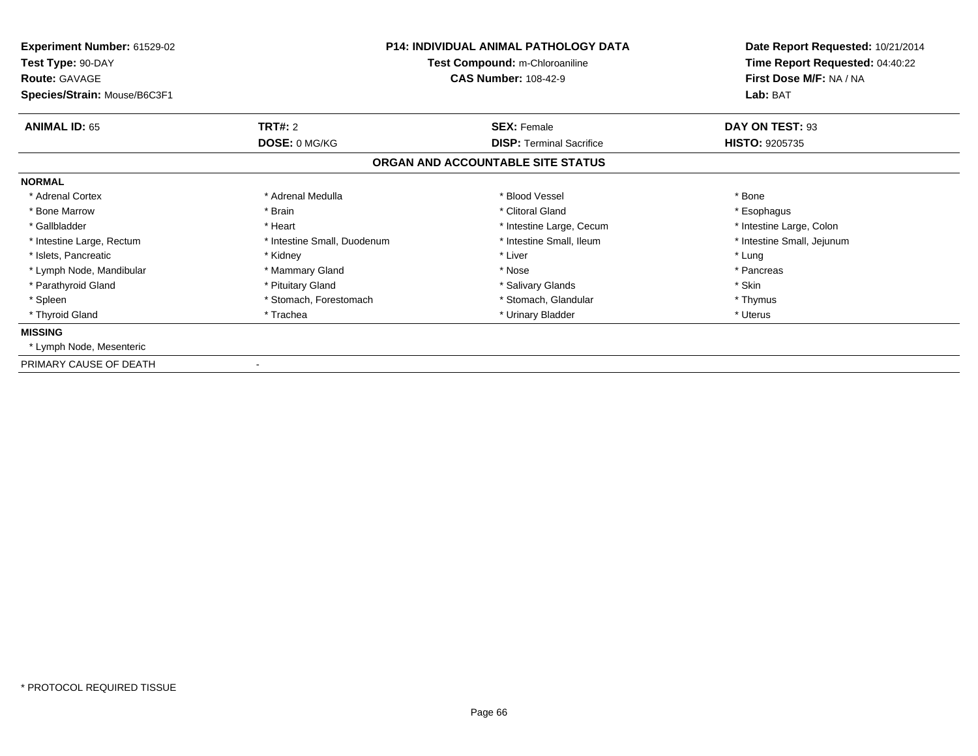| Experiment Number: 61529-02<br>Test Type: 90-DAY<br><b>Route: GAVAGE</b><br>Species/Strain: Mouse/B6C3F1 |                             | <b>P14: INDIVIDUAL ANIMAL PATHOLOGY DATA</b><br>Test Compound: m-Chloroaniline<br><b>CAS Number: 108-42-9</b> | Date Report Requested: 10/21/2014<br>Time Report Requested: 04:40:22<br>First Dose M/F: NA / NA<br>Lab: BAT |
|----------------------------------------------------------------------------------------------------------|-----------------------------|---------------------------------------------------------------------------------------------------------------|-------------------------------------------------------------------------------------------------------------|
| <b>ANIMAL ID: 65</b>                                                                                     | <b>TRT#: 2</b>              | <b>SEX: Female</b>                                                                                            | DAY ON TEST: 93                                                                                             |
|                                                                                                          | DOSE: 0 MG/KG               | <b>DISP:</b> Terminal Sacrifice                                                                               | <b>HISTO: 9205735</b>                                                                                       |
|                                                                                                          |                             | ORGAN AND ACCOUNTABLE SITE STATUS                                                                             |                                                                                                             |
| <b>NORMAL</b>                                                                                            |                             |                                                                                                               |                                                                                                             |
| * Adrenal Cortex                                                                                         | * Adrenal Medulla           | * Blood Vessel                                                                                                | * Bone                                                                                                      |
| * Bone Marrow                                                                                            | * Brain                     | * Clitoral Gland                                                                                              | * Esophagus                                                                                                 |
| * Gallbladder                                                                                            | * Heart                     | * Intestine Large, Cecum                                                                                      | * Intestine Large, Colon                                                                                    |
| * Intestine Large, Rectum                                                                                | * Intestine Small, Duodenum | * Intestine Small, Ileum                                                                                      | * Intestine Small, Jejunum                                                                                  |
| * Islets, Pancreatic                                                                                     | * Kidney                    | * Liver                                                                                                       | * Lung                                                                                                      |
| * Lymph Node, Mandibular                                                                                 | * Mammary Gland             | * Nose                                                                                                        | * Pancreas                                                                                                  |
| * Parathyroid Gland                                                                                      | * Pituitary Gland           | * Salivary Glands                                                                                             | * Skin                                                                                                      |
| * Spleen                                                                                                 | * Stomach, Forestomach      | * Stomach, Glandular                                                                                          | * Thymus                                                                                                    |
| * Thyroid Gland                                                                                          | * Trachea                   | * Urinary Bladder                                                                                             | * Uterus                                                                                                    |
| <b>MISSING</b>                                                                                           |                             |                                                                                                               |                                                                                                             |
| * Lymph Node, Mesenteric                                                                                 |                             |                                                                                                               |                                                                                                             |
| PRIMARY CAUSE OF DEATH                                                                                   |                             |                                                                                                               |                                                                                                             |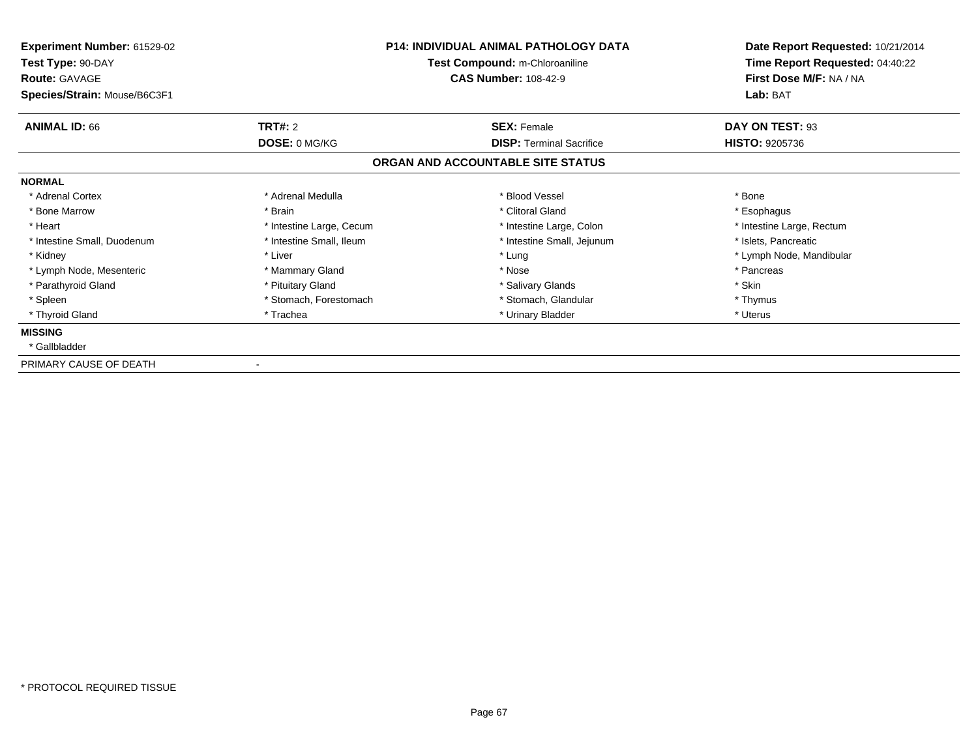| Experiment Number: 61529-02<br>Test Type: 90-DAY<br><b>Route: GAVAGE</b><br>Species/Strain: Mouse/B6C3F1 | <b>P14: INDIVIDUAL ANIMAL PATHOLOGY DATA</b><br>Test Compound: m-Chloroaniline<br><b>CAS Number: 108-42-9</b> |                                   | Date Report Requested: 10/21/2014<br>Time Report Requested: 04:40:22<br>First Dose M/F: NA / NA<br>Lab: BAT |
|----------------------------------------------------------------------------------------------------------|---------------------------------------------------------------------------------------------------------------|-----------------------------------|-------------------------------------------------------------------------------------------------------------|
| <b>ANIMAL ID: 66</b>                                                                                     | <b>TRT#: 2</b>                                                                                                | <b>SEX: Female</b>                | DAY ON TEST: 93                                                                                             |
|                                                                                                          | DOSE: 0 MG/KG                                                                                                 | <b>DISP:</b> Terminal Sacrifice   | <b>HISTO: 9205736</b>                                                                                       |
|                                                                                                          |                                                                                                               | ORGAN AND ACCOUNTABLE SITE STATUS |                                                                                                             |
| <b>NORMAL</b>                                                                                            |                                                                                                               |                                   |                                                                                                             |
| * Adrenal Cortex                                                                                         | * Adrenal Medulla                                                                                             | * Blood Vessel                    | * Bone                                                                                                      |
| * Bone Marrow                                                                                            | * Brain                                                                                                       | * Clitoral Gland                  | * Esophagus                                                                                                 |
| * Heart                                                                                                  | * Intestine Large, Cecum                                                                                      | * Intestine Large, Colon          | * Intestine Large, Rectum                                                                                   |
| * Intestine Small, Duodenum                                                                              | * Intestine Small, Ileum                                                                                      | * Intestine Small, Jejunum        | * Islets, Pancreatic                                                                                        |
| * Kidney                                                                                                 | * Liver                                                                                                       | * Lung                            | * Lymph Node, Mandibular                                                                                    |
| * Lymph Node, Mesenteric                                                                                 | * Mammary Gland                                                                                               | * Nose                            | * Pancreas                                                                                                  |
| * Parathyroid Gland                                                                                      | * Pituitary Gland                                                                                             | * Salivary Glands                 | * Skin                                                                                                      |
| * Spleen                                                                                                 | * Stomach, Forestomach                                                                                        | * Stomach, Glandular              | * Thymus                                                                                                    |
| * Thyroid Gland                                                                                          | * Trachea                                                                                                     | * Urinary Bladder                 | * Uterus                                                                                                    |
| <b>MISSING</b>                                                                                           |                                                                                                               |                                   |                                                                                                             |
| * Gallbladder                                                                                            |                                                                                                               |                                   |                                                                                                             |
| PRIMARY CAUSE OF DEATH                                                                                   |                                                                                                               |                                   |                                                                                                             |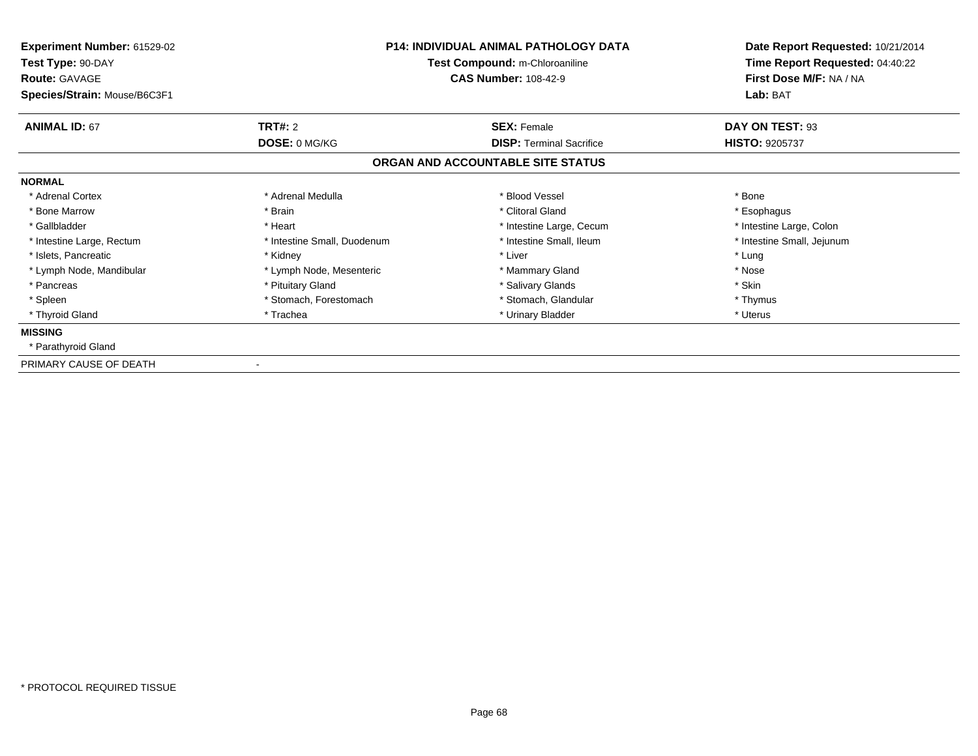| Experiment Number: 61529-02<br>Test Type: 90-DAY<br><b>Route: GAVAGE</b><br>Species/Strain: Mouse/B6C3F1 |                             | <b>P14: INDIVIDUAL ANIMAL PATHOLOGY DATA</b><br>Test Compound: m-Chloroaniline<br><b>CAS Number: 108-42-9</b> | Date Report Requested: 10/21/2014<br>Time Report Requested: 04:40:22<br>First Dose M/F: NA / NA<br>Lab: BAT |
|----------------------------------------------------------------------------------------------------------|-----------------------------|---------------------------------------------------------------------------------------------------------------|-------------------------------------------------------------------------------------------------------------|
| <b>ANIMAL ID: 67</b>                                                                                     | <b>TRT#: 2</b>              | <b>SEX: Female</b>                                                                                            | DAY ON TEST: 93                                                                                             |
|                                                                                                          | DOSE: 0 MG/KG               | <b>DISP:</b> Terminal Sacrifice                                                                               | <b>HISTO: 9205737</b>                                                                                       |
|                                                                                                          |                             | ORGAN AND ACCOUNTABLE SITE STATUS                                                                             |                                                                                                             |
| <b>NORMAL</b>                                                                                            |                             |                                                                                                               |                                                                                                             |
| * Adrenal Cortex                                                                                         | * Adrenal Medulla           | * Blood Vessel                                                                                                | * Bone                                                                                                      |
| * Bone Marrow                                                                                            | * Brain                     | * Clitoral Gland                                                                                              | * Esophagus                                                                                                 |
| * Gallbladder                                                                                            | * Heart                     | * Intestine Large, Cecum                                                                                      | * Intestine Large, Colon                                                                                    |
| * Intestine Large, Rectum                                                                                | * Intestine Small, Duodenum | * Intestine Small, Ileum                                                                                      | * Intestine Small, Jejunum                                                                                  |
| * Islets, Pancreatic                                                                                     | * Kidney                    | * Liver                                                                                                       | * Lung                                                                                                      |
| * Lymph Node, Mandibular                                                                                 | * Lymph Node, Mesenteric    | * Mammary Gland                                                                                               | * Nose                                                                                                      |
| * Pancreas                                                                                               | * Pituitary Gland           | * Salivary Glands                                                                                             | * Skin                                                                                                      |
| * Spleen                                                                                                 | * Stomach, Forestomach      | * Stomach, Glandular                                                                                          | * Thymus                                                                                                    |
| * Thyroid Gland                                                                                          | * Trachea                   | * Urinary Bladder                                                                                             | * Uterus                                                                                                    |
| <b>MISSING</b>                                                                                           |                             |                                                                                                               |                                                                                                             |
| * Parathyroid Gland                                                                                      |                             |                                                                                                               |                                                                                                             |
| PRIMARY CAUSE OF DEATH                                                                                   |                             |                                                                                                               |                                                                                                             |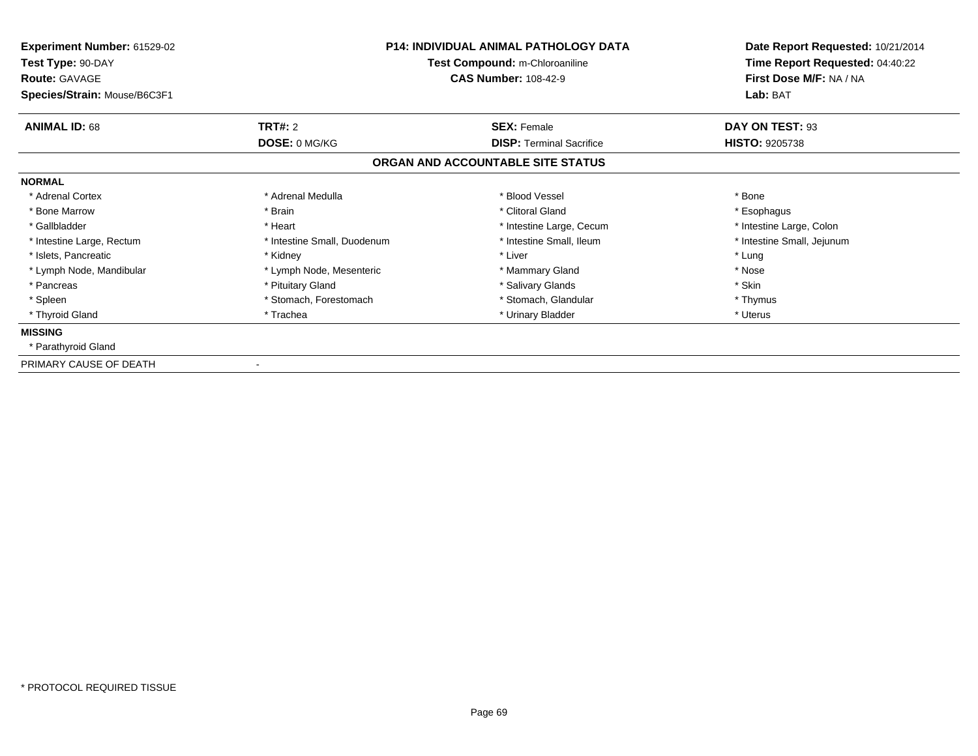| <b>Experiment Number: 61529-02</b><br>Test Type: 90-DAY<br><b>Route: GAVAGE</b><br>Species/Strain: Mouse/B6C3F1 | <b>P14: INDIVIDUAL ANIMAL PATHOLOGY DATA</b><br>Test Compound: m-Chloroaniline<br><b>CAS Number: 108-42-9</b> |                                   | Date Report Requested: 10/21/2014<br>Time Report Requested: 04:40:22<br>First Dose M/F: NA / NA<br>Lab: BAT |
|-----------------------------------------------------------------------------------------------------------------|---------------------------------------------------------------------------------------------------------------|-----------------------------------|-------------------------------------------------------------------------------------------------------------|
| <b>ANIMAL ID: 68</b>                                                                                            | <b>TRT#: 2</b>                                                                                                | <b>SEX: Female</b>                | DAY ON TEST: 93                                                                                             |
|                                                                                                                 | DOSE: 0 MG/KG                                                                                                 | <b>DISP:</b> Terminal Sacrifice   | <b>HISTO: 9205738</b>                                                                                       |
|                                                                                                                 |                                                                                                               | ORGAN AND ACCOUNTABLE SITE STATUS |                                                                                                             |
| <b>NORMAL</b>                                                                                                   |                                                                                                               |                                   |                                                                                                             |
| * Adrenal Cortex                                                                                                | * Adrenal Medulla                                                                                             | * Blood Vessel                    | * Bone                                                                                                      |
| * Bone Marrow                                                                                                   | * Brain                                                                                                       | * Clitoral Gland                  | * Esophagus                                                                                                 |
| * Gallbladder                                                                                                   | * Heart                                                                                                       | * Intestine Large, Cecum          | * Intestine Large, Colon                                                                                    |
| * Intestine Large, Rectum                                                                                       | * Intestine Small, Duodenum                                                                                   | * Intestine Small, Ileum          | * Intestine Small, Jejunum                                                                                  |
| * Islets, Pancreatic                                                                                            | * Kidney                                                                                                      | * Liver                           | * Lung                                                                                                      |
| * Lymph Node, Mandibular                                                                                        | * Lymph Node, Mesenteric                                                                                      | * Mammary Gland                   | * Nose                                                                                                      |
| * Pancreas                                                                                                      | * Pituitary Gland                                                                                             | * Salivary Glands                 | * Skin                                                                                                      |
| * Spleen                                                                                                        | * Stomach, Forestomach                                                                                        | * Stomach, Glandular              | * Thymus                                                                                                    |
| * Thyroid Gland                                                                                                 | * Trachea                                                                                                     | * Urinary Bladder                 | * Uterus                                                                                                    |
| <b>MISSING</b>                                                                                                  |                                                                                                               |                                   |                                                                                                             |
| * Parathyroid Gland                                                                                             |                                                                                                               |                                   |                                                                                                             |
| PRIMARY CAUSE OF DEATH                                                                                          |                                                                                                               |                                   |                                                                                                             |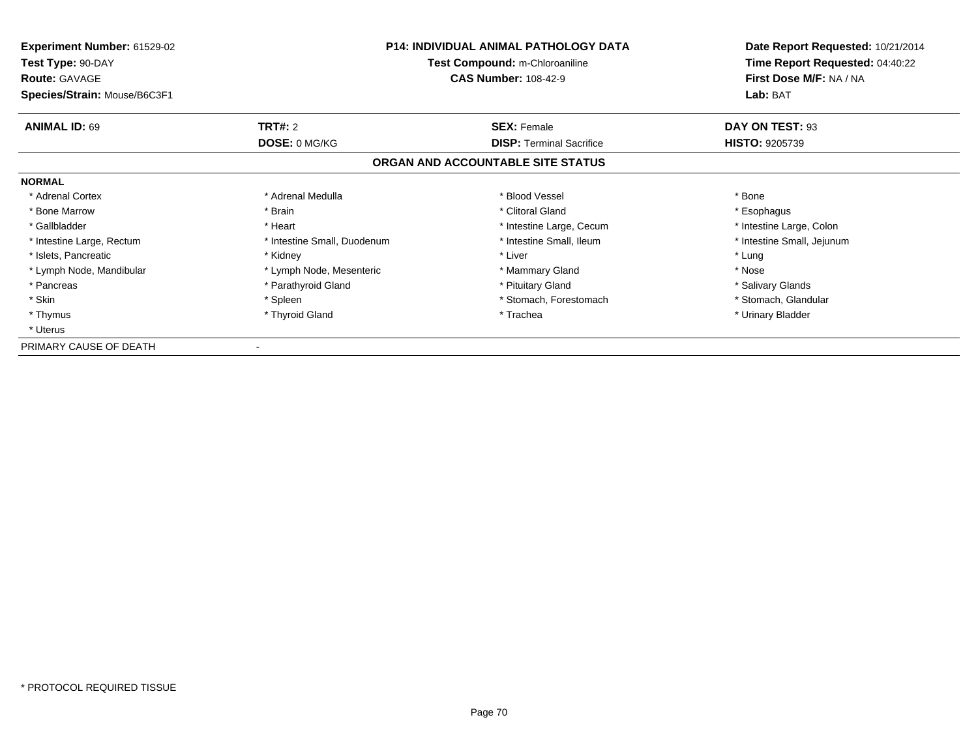| <b>Experiment Number: 61529-02</b><br>Test Type: 90-DAY<br><b>Route: GAVAGE</b> | <b>P14: INDIVIDUAL ANIMAL PATHOLOGY DATA</b><br>Test Compound: m-Chloroaniline<br><b>CAS Number: 108-42-9</b> |                                   | Date Report Requested: 10/21/2014<br>Time Report Requested: 04:40:22<br>First Dose M/F: NA / NA |
|---------------------------------------------------------------------------------|---------------------------------------------------------------------------------------------------------------|-----------------------------------|-------------------------------------------------------------------------------------------------|
| Species/Strain: Mouse/B6C3F1                                                    |                                                                                                               |                                   | Lab: BAT                                                                                        |
| <b>ANIMAL ID: 69</b>                                                            | <b>TRT#: 2</b>                                                                                                | <b>SEX: Female</b>                | DAY ON TEST: 93                                                                                 |
|                                                                                 | DOSE: 0 MG/KG                                                                                                 | <b>DISP:</b> Terminal Sacrifice   | <b>HISTO: 9205739</b>                                                                           |
|                                                                                 |                                                                                                               | ORGAN AND ACCOUNTABLE SITE STATUS |                                                                                                 |
| <b>NORMAL</b>                                                                   |                                                                                                               |                                   |                                                                                                 |
| * Adrenal Cortex                                                                | * Adrenal Medulla                                                                                             | * Blood Vessel                    | * Bone                                                                                          |
| * Bone Marrow                                                                   | * Brain                                                                                                       | * Clitoral Gland                  | * Esophagus                                                                                     |
| * Gallbladder                                                                   | * Heart                                                                                                       | * Intestine Large, Cecum          | * Intestine Large, Colon                                                                        |
| * Intestine Large, Rectum                                                       | * Intestine Small, Duodenum                                                                                   | * Intestine Small, Ileum          | * Intestine Small, Jejunum                                                                      |
| * Islets, Pancreatic                                                            | * Kidney                                                                                                      | * Liver                           | * Lung                                                                                          |
| * Lymph Node, Mandibular                                                        | * Lymph Node, Mesenteric                                                                                      | * Mammary Gland                   | * Nose                                                                                          |
| * Pancreas                                                                      | * Parathyroid Gland                                                                                           | * Pituitary Gland                 | * Salivary Glands                                                                               |
| * Skin                                                                          | * Spleen                                                                                                      | * Stomach, Forestomach            | * Stomach, Glandular                                                                            |
| * Thymus                                                                        | * Thyroid Gland                                                                                               | * Trachea                         | * Urinary Bladder                                                                               |
| * Uterus                                                                        |                                                                                                               |                                   |                                                                                                 |
| PRIMARY CAUSE OF DEATH                                                          |                                                                                                               |                                   |                                                                                                 |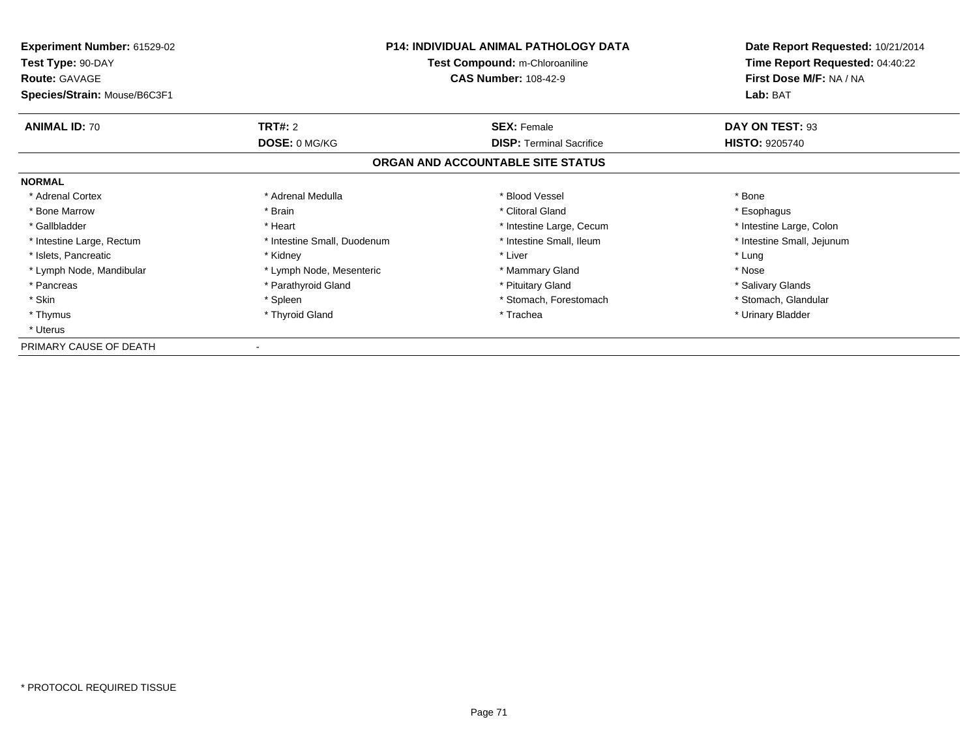| <b>Experiment Number: 61529-02</b><br>Test Type: 90-DAY<br><b>Route: GAVAGE</b> | <b>P14: INDIVIDUAL ANIMAL PATHOLOGY DATA</b><br>Test Compound: m-Chloroaniline<br><b>CAS Number: 108-42-9</b> |                                   | Date Report Requested: 10/21/2014<br>Time Report Requested: 04:40:22<br>First Dose M/F: NA / NA |
|---------------------------------------------------------------------------------|---------------------------------------------------------------------------------------------------------------|-----------------------------------|-------------------------------------------------------------------------------------------------|
| Species/Strain: Mouse/B6C3F1                                                    |                                                                                                               |                                   | Lab: BAT                                                                                        |
| <b>ANIMAL ID: 70</b>                                                            | <b>TRT#: 2</b>                                                                                                | <b>SEX: Female</b>                | DAY ON TEST: 93                                                                                 |
|                                                                                 | DOSE: 0 MG/KG                                                                                                 | <b>DISP:</b> Terminal Sacrifice   | <b>HISTO: 9205740</b>                                                                           |
|                                                                                 |                                                                                                               | ORGAN AND ACCOUNTABLE SITE STATUS |                                                                                                 |
| <b>NORMAL</b>                                                                   |                                                                                                               |                                   |                                                                                                 |
| * Adrenal Cortex                                                                | * Adrenal Medulla                                                                                             | * Blood Vessel                    | * Bone                                                                                          |
| * Bone Marrow                                                                   | * Brain                                                                                                       | * Clitoral Gland                  | * Esophagus                                                                                     |
| * Gallbladder                                                                   | * Heart                                                                                                       | * Intestine Large, Cecum          | * Intestine Large, Colon                                                                        |
| * Intestine Large, Rectum                                                       | * Intestine Small, Duodenum                                                                                   | * Intestine Small, Ileum          | * Intestine Small, Jejunum                                                                      |
| * Islets, Pancreatic                                                            | * Kidney                                                                                                      | * Liver                           | * Lung                                                                                          |
| * Lymph Node, Mandibular                                                        | * Lymph Node, Mesenteric                                                                                      | * Mammary Gland                   | * Nose                                                                                          |
| * Pancreas                                                                      | * Parathyroid Gland                                                                                           | * Pituitary Gland                 | * Salivary Glands                                                                               |
| * Skin                                                                          | * Spleen                                                                                                      | * Stomach, Forestomach            | * Stomach, Glandular                                                                            |
| * Thymus                                                                        | * Thyroid Gland                                                                                               | * Trachea                         | * Urinary Bladder                                                                               |
| * Uterus                                                                        |                                                                                                               |                                   |                                                                                                 |
| PRIMARY CAUSE OF DEATH                                                          |                                                                                                               |                                   |                                                                                                 |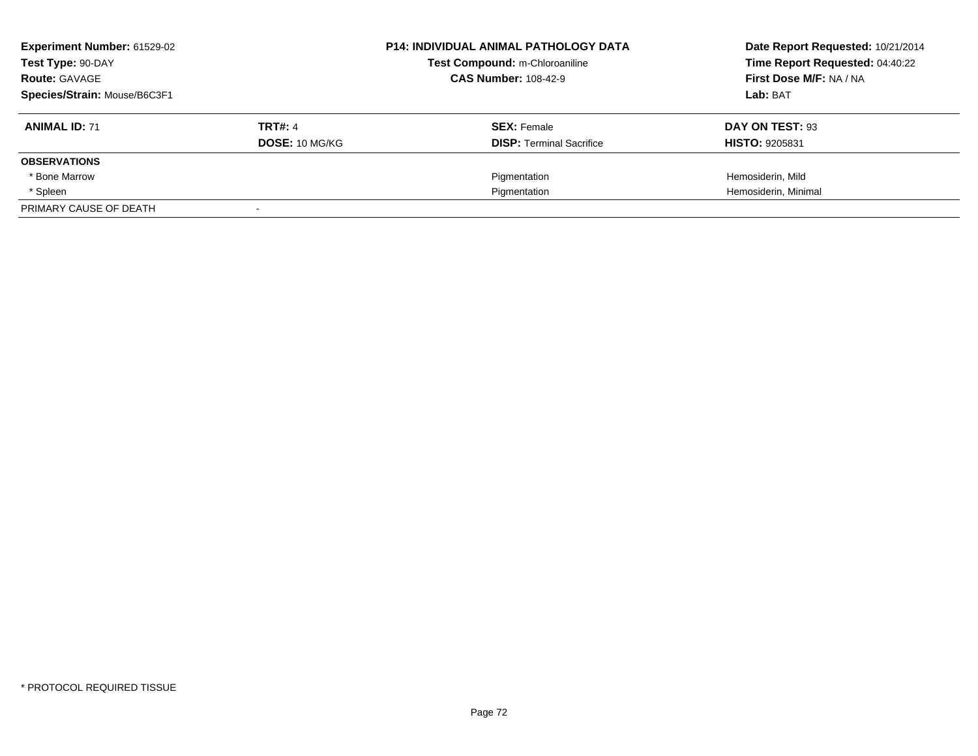| Experiment Number: 61529-02<br>Test Type: 90-DAY<br><b>Route: GAVAGE</b> |                | <b>P14: INDIVIDUAL ANIMAL PATHOLOGY DATA</b><br>Test Compound: m-Chloroaniline<br><b>CAS Number: 108-42-9</b> | Date Report Requested: 10/21/2014<br>Time Report Requested: 04:40:22<br>First Dose M/F: NA / NA |  |
|--------------------------------------------------------------------------|----------------|---------------------------------------------------------------------------------------------------------------|-------------------------------------------------------------------------------------------------|--|
| Species/Strain: Mouse/B6C3F1                                             |                |                                                                                                               | Lab: BAT                                                                                        |  |
| <b>ANIMAL ID: 71</b>                                                     | <b>TRT#: 4</b> | <b>SEX: Female</b>                                                                                            | DAY ON TEST: 93                                                                                 |  |
|                                                                          | DOSE: 10 MG/KG | <b>DISP:</b> Terminal Sacrifice                                                                               | <b>HISTO: 9205831</b>                                                                           |  |
| <b>OBSERVATIONS</b>                                                      |                |                                                                                                               |                                                                                                 |  |
| * Bone Marrow                                                            |                | Pigmentation                                                                                                  | Hemosiderin, Mild                                                                               |  |
| * Spleen                                                                 |                | Pigmentation                                                                                                  | Hemosiderin, Minimal                                                                            |  |
| PRIMARY CAUSE OF DEATH                                                   |                |                                                                                                               |                                                                                                 |  |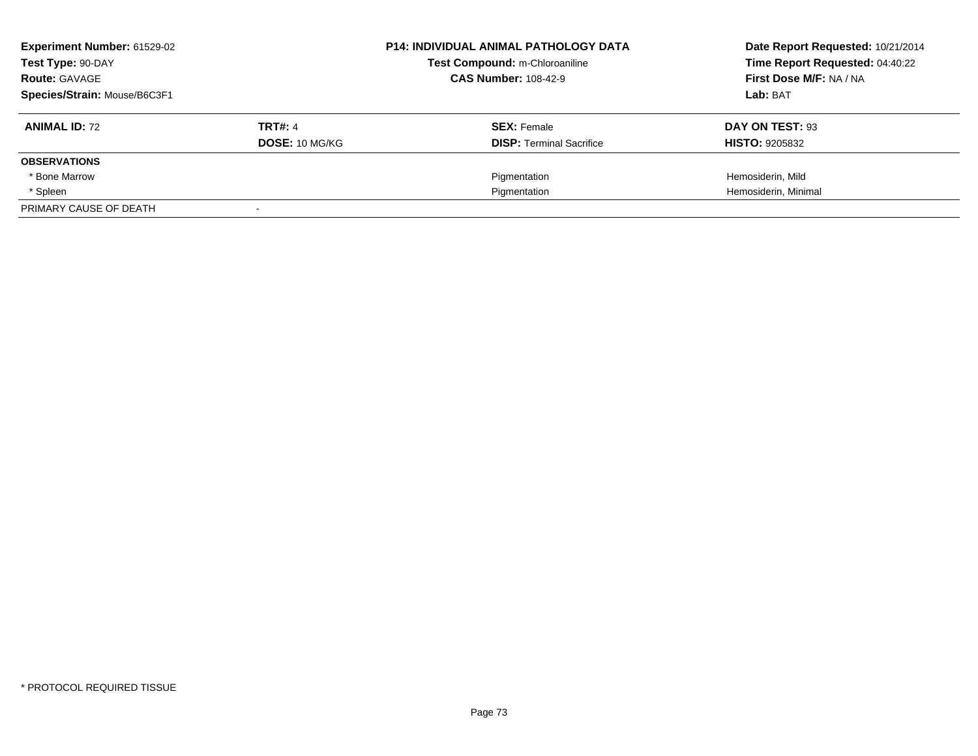| Experiment Number: 61529-02<br>Test Type: 90-DAY<br><b>Route: GAVAGE</b> |                | <b>P14: INDIVIDUAL ANIMAL PATHOLOGY DATA</b><br>Test Compound: m-Chloroaniline<br><b>CAS Number: 108-42-9</b> | Date Report Requested: 10/21/2014<br>Time Report Requested: 04:40:22<br>First Dose M/F: NA / NA |  |
|--------------------------------------------------------------------------|----------------|---------------------------------------------------------------------------------------------------------------|-------------------------------------------------------------------------------------------------|--|
| Species/Strain: Mouse/B6C3F1                                             |                |                                                                                                               | Lab: BAT                                                                                        |  |
| <b>ANIMAL ID: 72</b>                                                     | <b>TRT#: 4</b> | <b>SEX: Female</b>                                                                                            | DAY ON TEST: 93                                                                                 |  |
|                                                                          | DOSE: 10 MG/KG | <b>DISP:</b> Terminal Sacrifice                                                                               | <b>HISTO: 9205832</b>                                                                           |  |
| <b>OBSERVATIONS</b>                                                      |                |                                                                                                               |                                                                                                 |  |
| * Bone Marrow                                                            |                | Pigmentation                                                                                                  | Hemosiderin, Mild                                                                               |  |
| * Spleen                                                                 |                | Pigmentation                                                                                                  | Hemosiderin, Minimal                                                                            |  |
| PRIMARY CAUSE OF DEATH                                                   |                |                                                                                                               |                                                                                                 |  |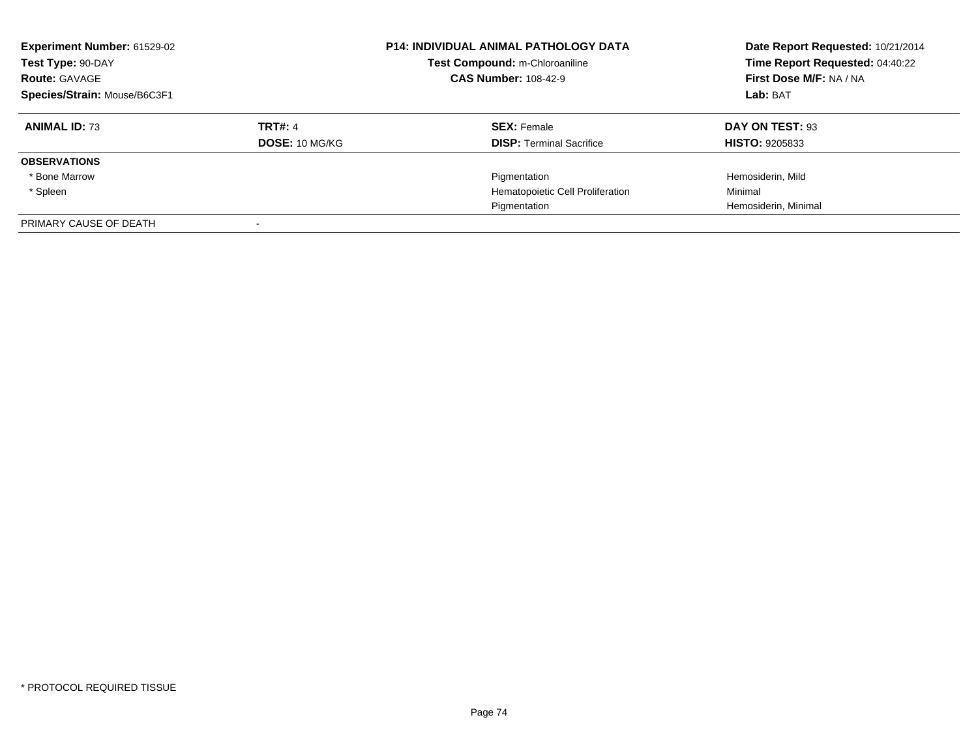| <b>Experiment Number: 61529-02</b><br>Test Type: 90-DAY<br><b>Route: GAVAGE</b><br>Species/Strain: Mouse/B6C3F1 |                | <b>P14: INDIVIDUAL ANIMAL PATHOLOGY DATA</b><br>Test Compound: m-Chloroaniline<br><b>CAS Number: 108-42-9</b> | Date Report Requested: 10/21/2014<br>Time Report Requested: 04:40:22<br>First Dose M/F: NA / NA<br>Lab: BAT |
|-----------------------------------------------------------------------------------------------------------------|----------------|---------------------------------------------------------------------------------------------------------------|-------------------------------------------------------------------------------------------------------------|
| <b>ANIMAL ID: 73</b>                                                                                            | <b>TRT#: 4</b> | <b>SEX: Female</b>                                                                                            | DAY ON TEST: 93                                                                                             |
|                                                                                                                 | DOSE: 10 MG/KG | <b>DISP:</b> Terminal Sacrifice                                                                               | <b>HISTO: 9205833</b>                                                                                       |
| <b>OBSERVATIONS</b>                                                                                             |                |                                                                                                               |                                                                                                             |
| * Bone Marrow                                                                                                   |                | Pigmentation                                                                                                  | Hemosiderin, Mild                                                                                           |
| * Spleen                                                                                                        |                | Hematopoietic Cell Proliferation                                                                              | Minimal                                                                                                     |
|                                                                                                                 |                | Pigmentation                                                                                                  | Hemosiderin, Minimal                                                                                        |
| PRIMARY CAUSE OF DEATH                                                                                          |                |                                                                                                               |                                                                                                             |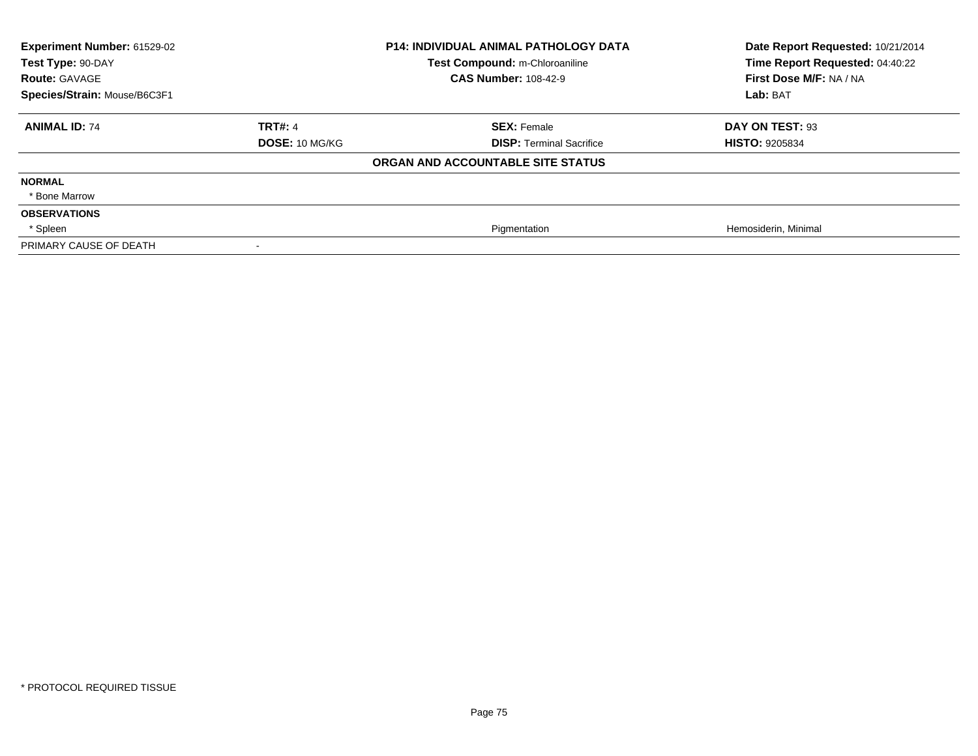| Experiment Number: 61529-02<br>Test Type: 90-DAY<br><b>Route: GAVAGE</b><br>Species/Strain: Mouse/B6C3F1 | <b>P14: INDIVIDUAL ANIMAL PATHOLOGY DATA</b><br>Test Compound: m-Chloroaniline<br><b>CAS Number: 108-42-9</b> |                                   | Date Report Requested: 10/21/2014<br>Time Report Requested: 04:40:22<br>First Dose M/F: NA / NA<br>Lab: BAT |
|----------------------------------------------------------------------------------------------------------|---------------------------------------------------------------------------------------------------------------|-----------------------------------|-------------------------------------------------------------------------------------------------------------|
| <b>ANIMAL ID: 74</b>                                                                                     | <b>TRT#: 4</b>                                                                                                | <b>SEX: Female</b>                | DAY ON TEST: 93                                                                                             |
|                                                                                                          | <b>DOSE: 10 MG/KG</b>                                                                                         | <b>DISP:</b> Terminal Sacrifice   | <b>HISTO: 9205834</b>                                                                                       |
|                                                                                                          |                                                                                                               | ORGAN AND ACCOUNTABLE SITE STATUS |                                                                                                             |
| <b>NORMAL</b>                                                                                            |                                                                                                               |                                   |                                                                                                             |
| * Bone Marrow                                                                                            |                                                                                                               |                                   |                                                                                                             |
| <b>OBSERVATIONS</b>                                                                                      |                                                                                                               |                                   |                                                                                                             |
| * Spleen                                                                                                 |                                                                                                               | Pigmentation                      | Hemosiderin, Minimal                                                                                        |
| PRIMARY CAUSE OF DEATH                                                                                   |                                                                                                               |                                   |                                                                                                             |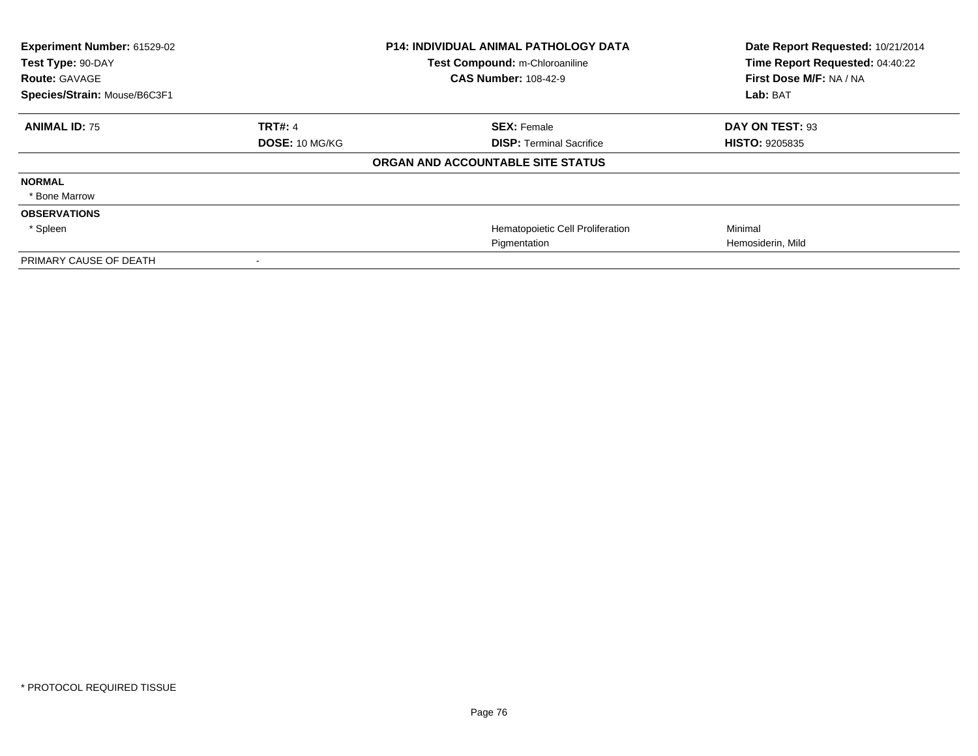| Experiment Number: 61529-02<br>Test Type: 90-DAY<br><b>Route: GAVAGE</b> |                       | <b>P14: INDIVIDUAL ANIMAL PATHOLOGY DATA</b><br>Test Compound: m-Chloroaniline<br><b>CAS Number: 108-42-9</b> | Date Report Requested: 10/21/2014<br>Time Report Requested: 04:40:22<br>First Dose M/F: NA / NA |
|--------------------------------------------------------------------------|-----------------------|---------------------------------------------------------------------------------------------------------------|-------------------------------------------------------------------------------------------------|
| Species/Strain: Mouse/B6C3F1                                             |                       |                                                                                                               | Lab: BAT                                                                                        |
| <b>ANIMAL ID: 75</b>                                                     | <b>TRT#: 4</b>        | <b>SEX: Female</b>                                                                                            | DAY ON TEST: 93                                                                                 |
|                                                                          | <b>DOSE: 10 MG/KG</b> | <b>DISP: Terminal Sacrifice</b>                                                                               | <b>HISTO: 9205835</b>                                                                           |
|                                                                          |                       | ORGAN AND ACCOUNTABLE SITE STATUS                                                                             |                                                                                                 |
| <b>NORMAL</b>                                                            |                       |                                                                                                               |                                                                                                 |
| * Bone Marrow                                                            |                       |                                                                                                               |                                                                                                 |
| <b>OBSERVATIONS</b>                                                      |                       |                                                                                                               |                                                                                                 |
| * Spleen                                                                 |                       | Hematopoietic Cell Proliferation                                                                              | Minimal                                                                                         |
|                                                                          |                       | Pigmentation                                                                                                  | Hemosiderin, Mild                                                                               |
| PRIMARY CAUSE OF DEATH                                                   |                       |                                                                                                               |                                                                                                 |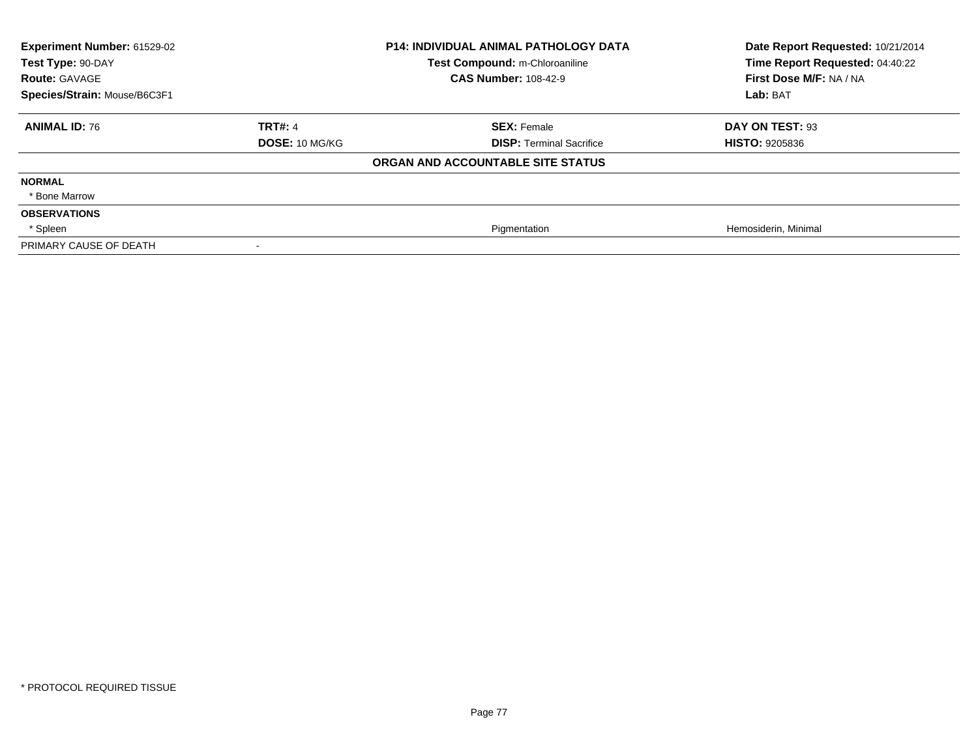| Experiment Number: 61529-02<br>Test Type: 90-DAY<br><b>Route: GAVAGE</b><br>Species/Strain: Mouse/B6C3F1 | <b>P14: INDIVIDUAL ANIMAL PATHOLOGY DATA</b><br>Test Compound: m-Chloroaniline<br><b>CAS Number: 108-42-9</b> |                                   | Date Report Requested: 10/21/2014<br>Time Report Requested: 04:40:22<br>First Dose M/F: NA / NA<br>Lab: BAT |
|----------------------------------------------------------------------------------------------------------|---------------------------------------------------------------------------------------------------------------|-----------------------------------|-------------------------------------------------------------------------------------------------------------|
| <b>ANIMAL ID: 76</b>                                                                                     | <b>TRT#: 4</b>                                                                                                | <b>SEX: Female</b>                | DAY ON TEST: 93                                                                                             |
|                                                                                                          | <b>DOSE: 10 MG/KG</b>                                                                                         | <b>DISP:</b> Terminal Sacrifice   | <b>HISTO: 9205836</b>                                                                                       |
|                                                                                                          |                                                                                                               | ORGAN AND ACCOUNTABLE SITE STATUS |                                                                                                             |
| <b>NORMAL</b>                                                                                            |                                                                                                               |                                   |                                                                                                             |
| * Bone Marrow                                                                                            |                                                                                                               |                                   |                                                                                                             |
| <b>OBSERVATIONS</b>                                                                                      |                                                                                                               |                                   |                                                                                                             |
| * Spleen                                                                                                 |                                                                                                               | Pigmentation                      | Hemosiderin, Minimal                                                                                        |
| PRIMARY CAUSE OF DEATH                                                                                   |                                                                                                               |                                   |                                                                                                             |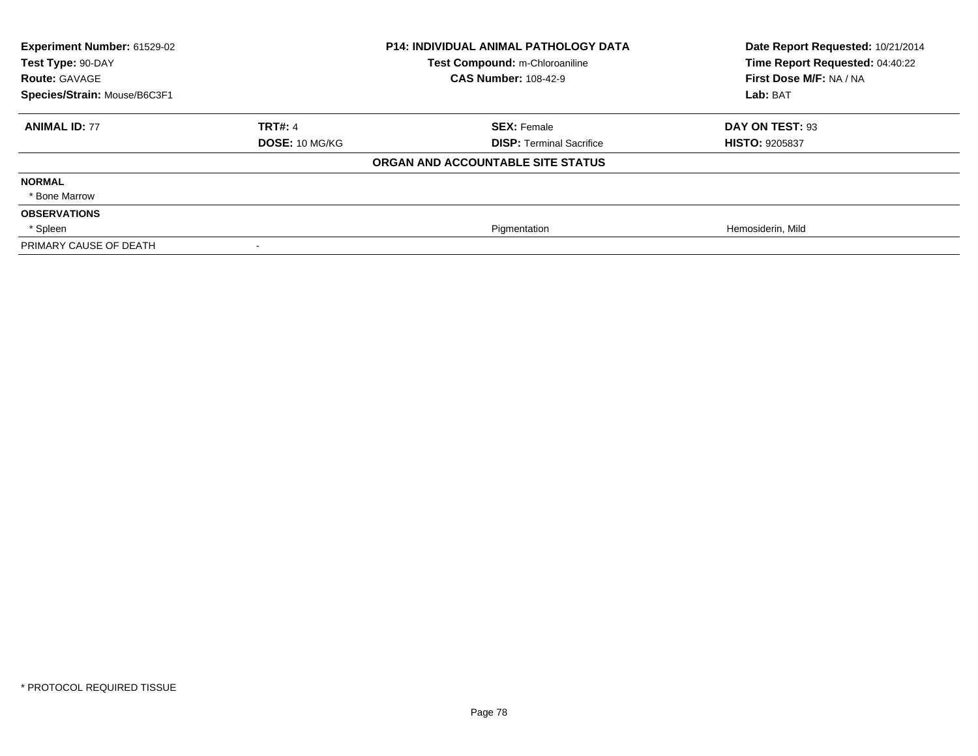| Experiment Number: 61529-02<br>Test Type: 90-DAY<br><b>Route: GAVAGE</b><br>Species/Strain: Mouse/B6C3F1 | P14: INDIVIDUAL ANIMAL PATHOLOGY DATA<br>Test Compound: m-Chloroaniline<br><b>CAS Number: 108-42-9</b> |                                   | Date Report Requested: 10/21/2014<br>Time Report Requested: 04:40:22<br>First Dose M/F: NA / NA<br>Lab: BAT |
|----------------------------------------------------------------------------------------------------------|--------------------------------------------------------------------------------------------------------|-----------------------------------|-------------------------------------------------------------------------------------------------------------|
| <b>ANIMAL ID: 77</b>                                                                                     | <b>TRT#: 4</b>                                                                                         | <b>SEX: Female</b>                | DAY ON TEST: 93                                                                                             |
|                                                                                                          | <b>DOSE: 10 MG/KG</b>                                                                                  | <b>DISP:</b> Terminal Sacrifice   | <b>HISTO: 9205837</b>                                                                                       |
|                                                                                                          |                                                                                                        | ORGAN AND ACCOUNTABLE SITE STATUS |                                                                                                             |
| <b>NORMAL</b>                                                                                            |                                                                                                        |                                   |                                                                                                             |
| * Bone Marrow                                                                                            |                                                                                                        |                                   |                                                                                                             |
| <b>OBSERVATIONS</b>                                                                                      |                                                                                                        |                                   |                                                                                                             |
| * Spleen                                                                                                 |                                                                                                        | Pigmentation                      | Hemosiderin, Mild                                                                                           |
| PRIMARY CAUSE OF DEATH                                                                                   |                                                                                                        |                                   |                                                                                                             |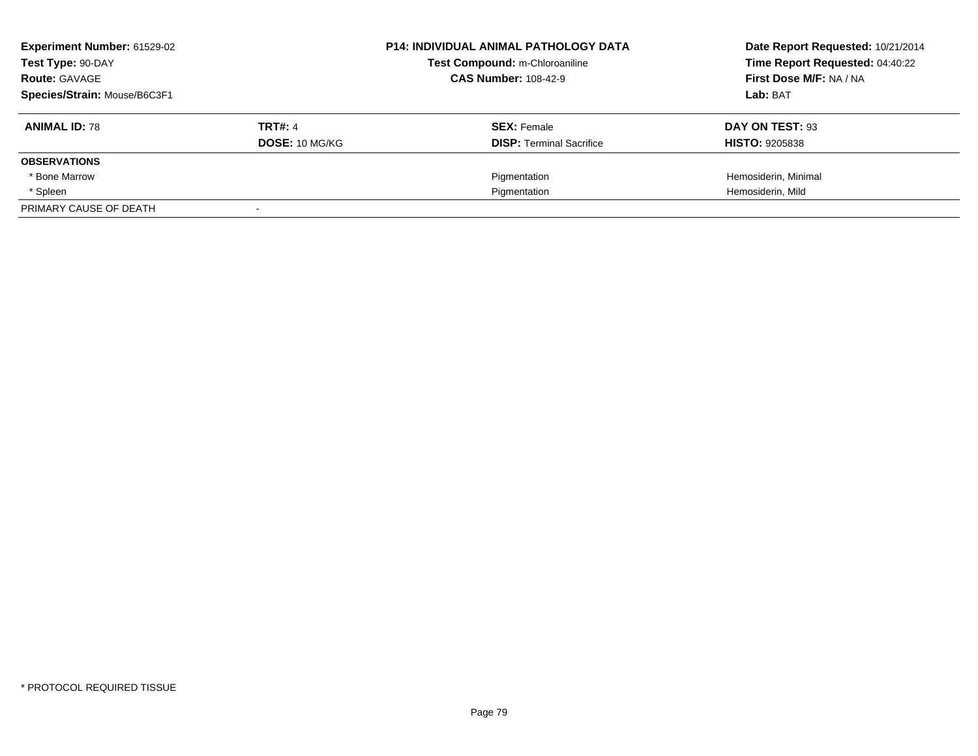| Experiment Number: 61529-02<br>Test Type: 90-DAY<br><b>Route: GAVAGE</b> |                | <b>P14: INDIVIDUAL ANIMAL PATHOLOGY DATA</b><br>Test Compound: m-Chloroaniline<br><b>CAS Number: 108-42-9</b> | Date Report Requested: 10/21/2014<br>Time Report Requested: 04:40:22<br>First Dose M/F: NA / NA |  |
|--------------------------------------------------------------------------|----------------|---------------------------------------------------------------------------------------------------------------|-------------------------------------------------------------------------------------------------|--|
| Species/Strain: Mouse/B6C3F1                                             |                |                                                                                                               | Lab: BAT                                                                                        |  |
| <b>ANIMAL ID: 78</b>                                                     | <b>TRT#: 4</b> | <b>SEX: Female</b>                                                                                            | DAY ON TEST: 93                                                                                 |  |
|                                                                          | DOSE: 10 MG/KG | <b>DISP: Terminal Sacrifice</b>                                                                               | <b>HISTO: 9205838</b>                                                                           |  |
| <b>OBSERVATIONS</b>                                                      |                |                                                                                                               |                                                                                                 |  |
| * Bone Marrow                                                            |                | Pigmentation                                                                                                  | Hemosiderin, Minimal                                                                            |  |
| * Spleen                                                                 |                | Pigmentation                                                                                                  | Hemosiderin, Mild                                                                               |  |
| PRIMARY CAUSE OF DEATH                                                   |                |                                                                                                               |                                                                                                 |  |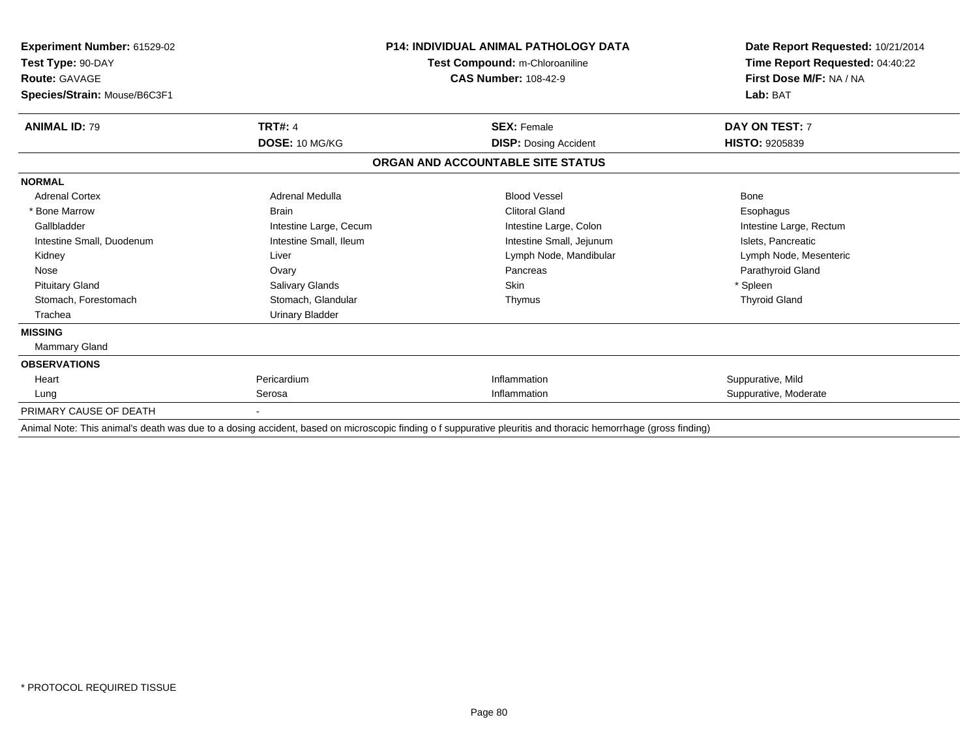| Experiment Number: 61529-02<br>Test Type: 90-DAY     | <b>P14: INDIVIDUAL ANIMAL PATHOLOGY DATA</b><br>Test Compound: m-Chloroaniline |                                   | Date Report Requested: 10/21/2014<br>Time Report Requested: 04:40:22 |
|------------------------------------------------------|--------------------------------------------------------------------------------|-----------------------------------|----------------------------------------------------------------------|
| <b>Route: GAVAGE</b><br>Species/Strain: Mouse/B6C3F1 |                                                                                | <b>CAS Number: 108-42-9</b>       | First Dose M/F: NA / NA<br>Lab: BAT                                  |
| <b>ANIMAL ID: 79</b>                                 | <b>TRT#: 4</b>                                                                 | <b>SEX: Female</b>                | DAY ON TEST: 7                                                       |
|                                                      | DOSE: 10 MG/KG                                                                 | <b>DISP: Dosing Accident</b>      | <b>HISTO: 9205839</b>                                                |
|                                                      |                                                                                | ORGAN AND ACCOUNTABLE SITE STATUS |                                                                      |
| <b>NORMAL</b>                                        |                                                                                |                                   |                                                                      |
| <b>Adrenal Cortex</b>                                | Adrenal Medulla                                                                | <b>Blood Vessel</b>               | <b>Bone</b>                                                          |
| * Bone Marrow                                        | <b>Brain</b>                                                                   | <b>Clitoral Gland</b>             | Esophagus                                                            |
| Gallbladder                                          | Intestine Large, Cecum                                                         | Intestine Large, Colon            | Intestine Large, Rectum                                              |
| Intestine Small, Duodenum                            | Intestine Small, Ileum                                                         | Intestine Small, Jejunum          | Islets, Pancreatic                                                   |
| Kidney                                               | Liver                                                                          | Lymph Node, Mandibular            | Lymph Node, Mesenteric                                               |
| Nose                                                 | Ovary                                                                          | Pancreas                          | Parathyroid Gland                                                    |
| <b>Pituitary Gland</b>                               | Salivary Glands                                                                | Skin                              | * Spleen                                                             |
| Stomach, Forestomach                                 | Stomach, Glandular                                                             | Thymus                            | <b>Thyroid Gland</b>                                                 |
| Trachea                                              | <b>Urinary Bladder</b>                                                         |                                   |                                                                      |
| <b>MISSING</b>                                       |                                                                                |                                   |                                                                      |
| Mammary Gland                                        |                                                                                |                                   |                                                                      |
| <b>OBSERVATIONS</b>                                  |                                                                                |                                   |                                                                      |
| Heart                                                | Pericardium                                                                    | Inflammation                      | Suppurative, Mild                                                    |
| Lung                                                 | Serosa                                                                         | Inflammation                      | Suppurative, Moderate                                                |
| PRIMARY CAUSE OF DEATH                               |                                                                                |                                   |                                                                      |

Animal Note: This animal's death was due to a dosing accident, based on microscopic finding o f suppurative pleuritis and thoracic hemorrhage (gross finding)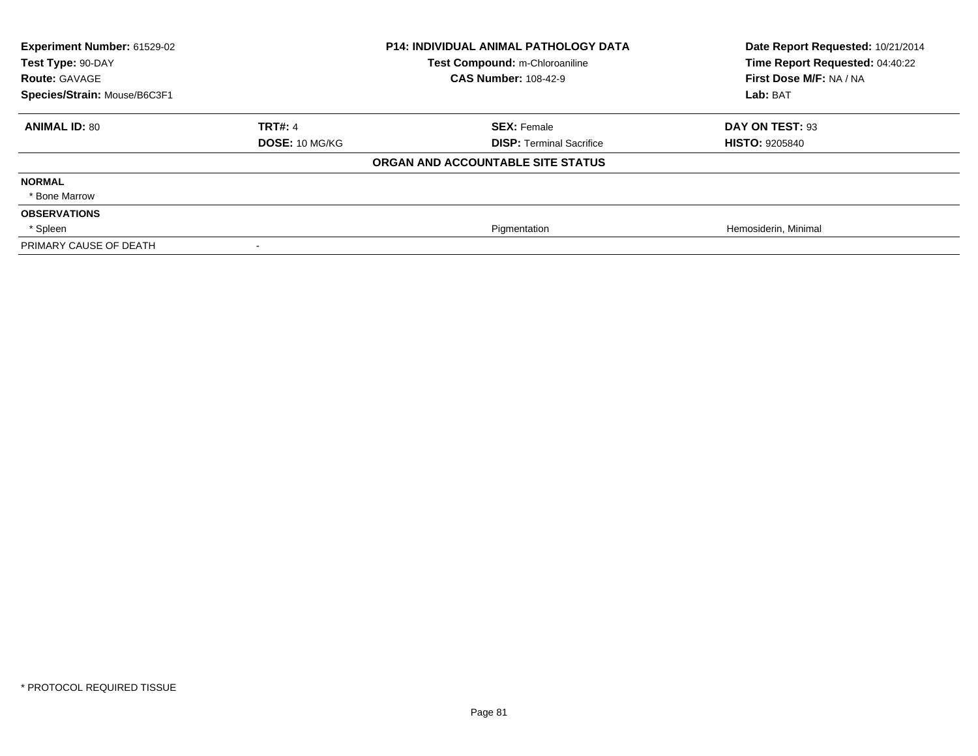| Experiment Number: 61529-02<br>Test Type: 90-DAY<br><b>Route: GAVAGE</b><br>Species/Strain: Mouse/B6C3F1 | <b>P14: INDIVIDUAL ANIMAL PATHOLOGY DATA</b><br>Test Compound: m-Chloroaniline<br><b>CAS Number: 108-42-9</b> |                                   | Date Report Requested: 10/21/2014<br>Time Report Requested: 04:40:22<br>First Dose M/F: NA / NA<br>Lab: BAT |
|----------------------------------------------------------------------------------------------------------|---------------------------------------------------------------------------------------------------------------|-----------------------------------|-------------------------------------------------------------------------------------------------------------|
| <b>ANIMAL ID: 80</b>                                                                                     | <b>TRT#: 4</b>                                                                                                | <b>SEX: Female</b>                | DAY ON TEST: 93                                                                                             |
|                                                                                                          | <b>DOSE: 10 MG/KG</b>                                                                                         | <b>DISP: Terminal Sacrifice</b>   | <b>HISTO: 9205840</b>                                                                                       |
|                                                                                                          |                                                                                                               | ORGAN AND ACCOUNTABLE SITE STATUS |                                                                                                             |
| <b>NORMAL</b>                                                                                            |                                                                                                               |                                   |                                                                                                             |
| * Bone Marrow                                                                                            |                                                                                                               |                                   |                                                                                                             |
| <b>OBSERVATIONS</b>                                                                                      |                                                                                                               |                                   |                                                                                                             |
| * Spleen                                                                                                 |                                                                                                               | Pigmentation                      | Hemosiderin, Minimal                                                                                        |
| PRIMARY CAUSE OF DEATH                                                                                   |                                                                                                               |                                   |                                                                                                             |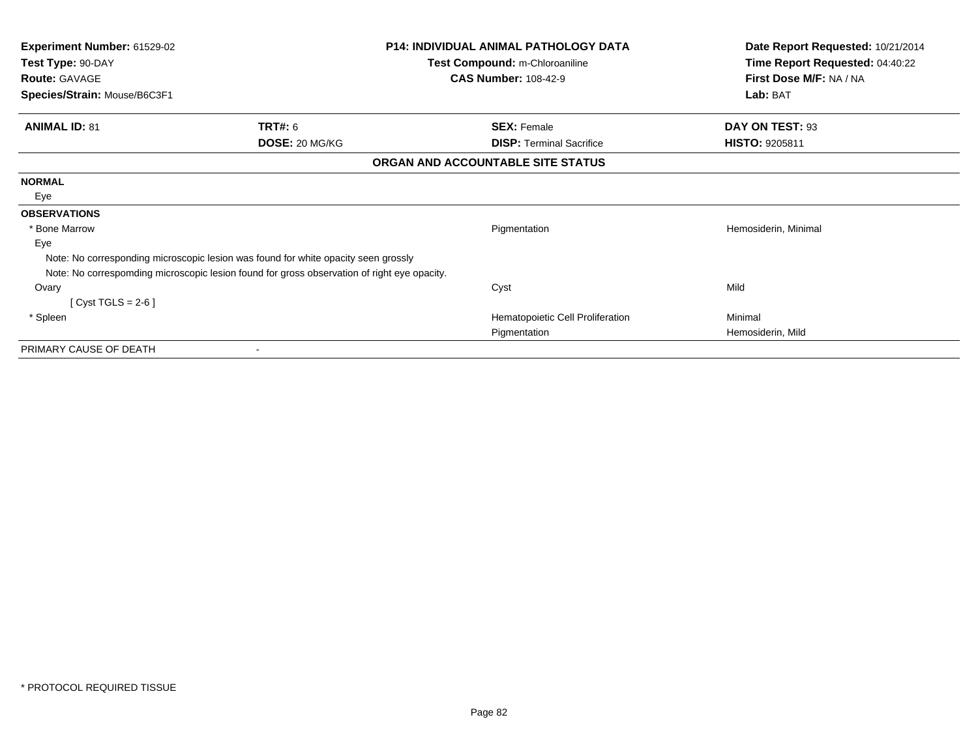| Experiment Number: 61529-02<br>Test Type: 90-DAY |                                                                                             | <b>P14: INDIVIDUAL ANIMAL PATHOLOGY DATA</b> | Date Report Requested: 10/21/2014<br>Time Report Requested: 04:40:22 |
|--------------------------------------------------|---------------------------------------------------------------------------------------------|----------------------------------------------|----------------------------------------------------------------------|
|                                                  |                                                                                             | Test Compound: m-Chloroaniline               |                                                                      |
| <b>Route: GAVAGE</b>                             |                                                                                             | <b>CAS Number: 108-42-9</b>                  | First Dose M/F: NA / NA                                              |
| Species/Strain: Mouse/B6C3F1                     |                                                                                             |                                              | Lab: BAT                                                             |
| <b>ANIMAL ID: 81</b>                             | <b>TRT#: 6</b>                                                                              | <b>SEX: Female</b>                           | DAY ON TEST: 93                                                      |
|                                                  | DOSE: 20 MG/KG                                                                              | <b>DISP:</b> Terminal Sacrifice              | <b>HISTO: 9205811</b>                                                |
|                                                  |                                                                                             | ORGAN AND ACCOUNTABLE SITE STATUS            |                                                                      |
| <b>NORMAL</b>                                    |                                                                                             |                                              |                                                                      |
| Eye                                              |                                                                                             |                                              |                                                                      |
| <b>OBSERVATIONS</b>                              |                                                                                             |                                              |                                                                      |
| * Bone Marrow                                    |                                                                                             | Pigmentation                                 | Hemosiderin, Minimal                                                 |
| Eye                                              |                                                                                             |                                              |                                                                      |
|                                                  | Note: No corresponding microscopic lesion was found for white opacity seen grossly          |                                              |                                                                      |
|                                                  | Note: No correspomding microscopic lesion found for gross observation of right eye opacity. |                                              |                                                                      |
| Ovary                                            |                                                                                             | Cyst                                         | Mild                                                                 |
| [ Cyst TGLS = 2-6 ]                              |                                                                                             |                                              |                                                                      |
| * Spleen                                         |                                                                                             | Hematopoietic Cell Proliferation             | Minimal                                                              |
|                                                  |                                                                                             | Pigmentation                                 | Hemosiderin, Mild                                                    |
| PRIMARY CAUSE OF DEATH                           |                                                                                             |                                              |                                                                      |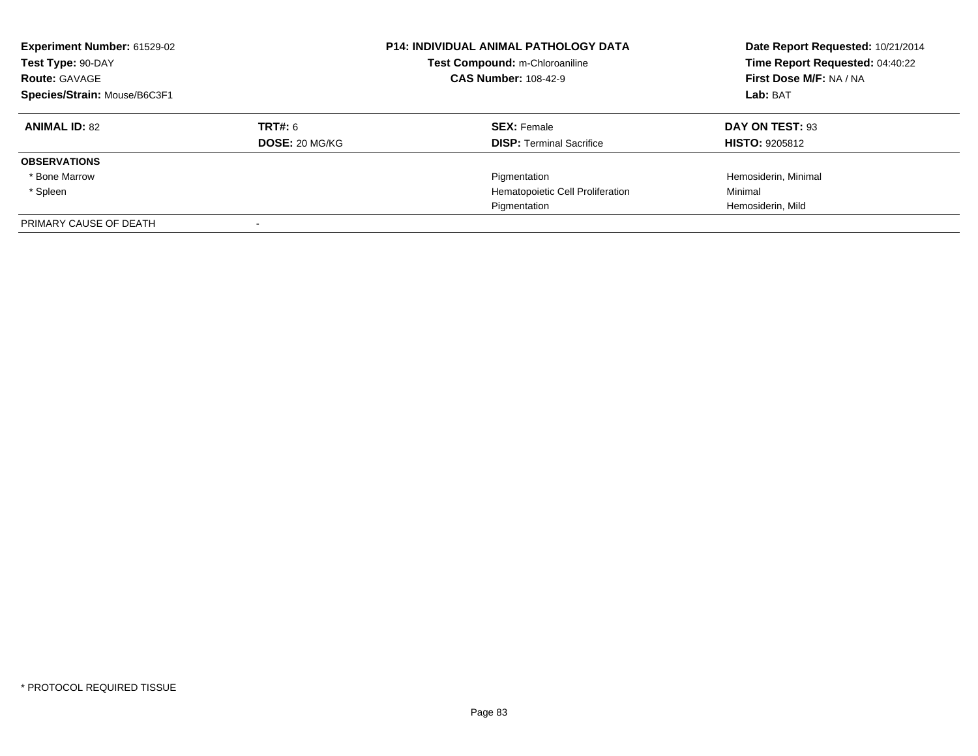| <b>Experiment Number: 61529-02</b><br>Test Type: 90-DAY<br><b>Route: GAVAGE</b><br>Species/Strain: Mouse/B6C3F1 |                       | <b>P14: INDIVIDUAL ANIMAL PATHOLOGY DATA</b><br>Test Compound: m-Chloroaniline<br><b>CAS Number: 108-42-9</b> | Date Report Requested: 10/21/2014<br>Time Report Requested: 04:40:22<br>First Dose M/F: NA / NA<br>Lab: BAT |
|-----------------------------------------------------------------------------------------------------------------|-----------------------|---------------------------------------------------------------------------------------------------------------|-------------------------------------------------------------------------------------------------------------|
| <b>ANIMAL ID: 82</b>                                                                                            | TRT#: 6               | <b>SEX: Female</b>                                                                                            | DAY ON TEST: 93                                                                                             |
|                                                                                                                 | <b>DOSE: 20 MG/KG</b> | <b>DISP:</b> Terminal Sacrifice                                                                               | <b>HISTO: 9205812</b>                                                                                       |
| <b>OBSERVATIONS</b>                                                                                             |                       |                                                                                                               |                                                                                                             |
| * Bone Marrow                                                                                                   |                       | Pigmentation                                                                                                  | Hemosiderin, Minimal                                                                                        |
| * Spleen                                                                                                        |                       | Hematopoietic Cell Proliferation                                                                              | Minimal                                                                                                     |
|                                                                                                                 |                       | Pigmentation                                                                                                  | Hemosiderin, Mild                                                                                           |
| PRIMARY CAUSE OF DEATH                                                                                          |                       |                                                                                                               |                                                                                                             |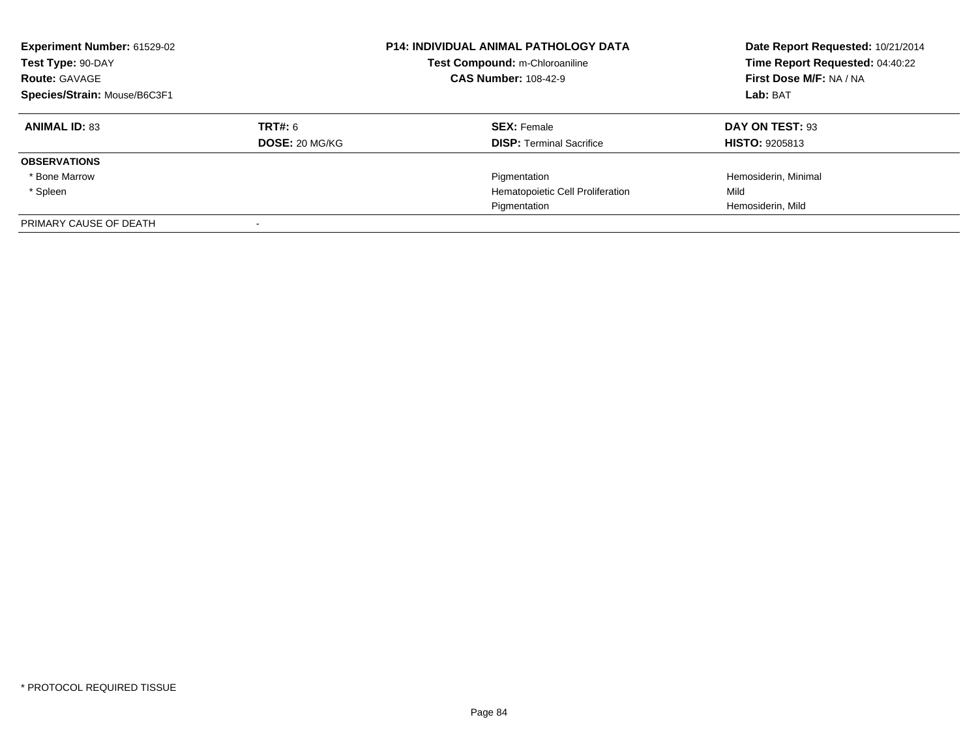| Experiment Number: 61529-02<br>Test Type: 90-DAY<br><b>Route: GAVAGE</b><br>Species/Strain: Mouse/B6C3F1 |                           | <b>P14: INDIVIDUAL ANIMAL PATHOLOGY DATA</b><br>Test Compound: m-Chloroaniline<br><b>CAS Number: 108-42-9</b> | Date Report Requested: 10/21/2014<br>Time Report Requested: 04:40:22<br>First Dose M/F: NA / NA<br>Lab: BAT |
|----------------------------------------------------------------------------------------------------------|---------------------------|---------------------------------------------------------------------------------------------------------------|-------------------------------------------------------------------------------------------------------------|
| <b>ANIMAL ID: 83</b>                                                                                     | TRT#: 6<br>DOSE: 20 MG/KG | <b>SEX: Female</b><br><b>DISP:</b> Terminal Sacrifice                                                         | DAY ON TEST: 93<br><b>HISTO: 9205813</b>                                                                    |
| <b>OBSERVATIONS</b>                                                                                      |                           |                                                                                                               |                                                                                                             |
| * Bone Marrow                                                                                            |                           | Pigmentation                                                                                                  | Hemosiderin, Minimal                                                                                        |
| * Spleen                                                                                                 |                           | Hematopoietic Cell Proliferation                                                                              | Mild                                                                                                        |
|                                                                                                          |                           | Pigmentation                                                                                                  | Hemosiderin, Mild                                                                                           |
| PRIMARY CAUSE OF DEATH                                                                                   |                           |                                                                                                               |                                                                                                             |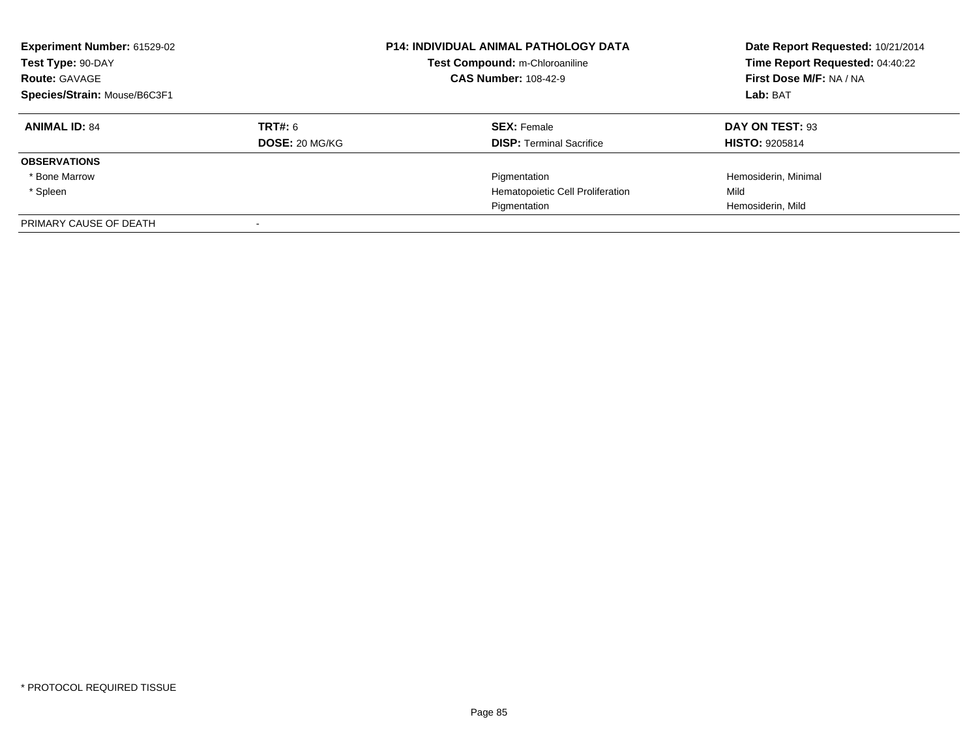| Experiment Number: 61529-02<br>Test Type: 90-DAY<br><b>Route: GAVAGE</b><br>Species/Strain: Mouse/B6C3F1 |                           | <b>P14: INDIVIDUAL ANIMAL PATHOLOGY DATA</b><br>Test Compound: m-Chloroaniline<br><b>CAS Number: 108-42-9</b> | Date Report Requested: 10/21/2014<br>Time Report Requested: 04:40:22<br>First Dose M/F: NA / NA<br>Lab: BAT |
|----------------------------------------------------------------------------------------------------------|---------------------------|---------------------------------------------------------------------------------------------------------------|-------------------------------------------------------------------------------------------------------------|
| <b>ANIMAL ID: 84</b>                                                                                     | TRT#: 6<br>DOSE: 20 MG/KG | <b>SEX: Female</b><br><b>DISP:</b> Terminal Sacrifice                                                         | DAY ON TEST: 93<br><b>HISTO: 9205814</b>                                                                    |
| <b>OBSERVATIONS</b>                                                                                      |                           |                                                                                                               |                                                                                                             |
| * Bone Marrow                                                                                            |                           | Pigmentation                                                                                                  | Hemosiderin, Minimal                                                                                        |
| * Spleen                                                                                                 |                           | Hematopoietic Cell Proliferation                                                                              | Mild                                                                                                        |
|                                                                                                          |                           | Pigmentation                                                                                                  | Hemosiderin, Mild                                                                                           |
| PRIMARY CAUSE OF DEATH                                                                                   |                           |                                                                                                               |                                                                                                             |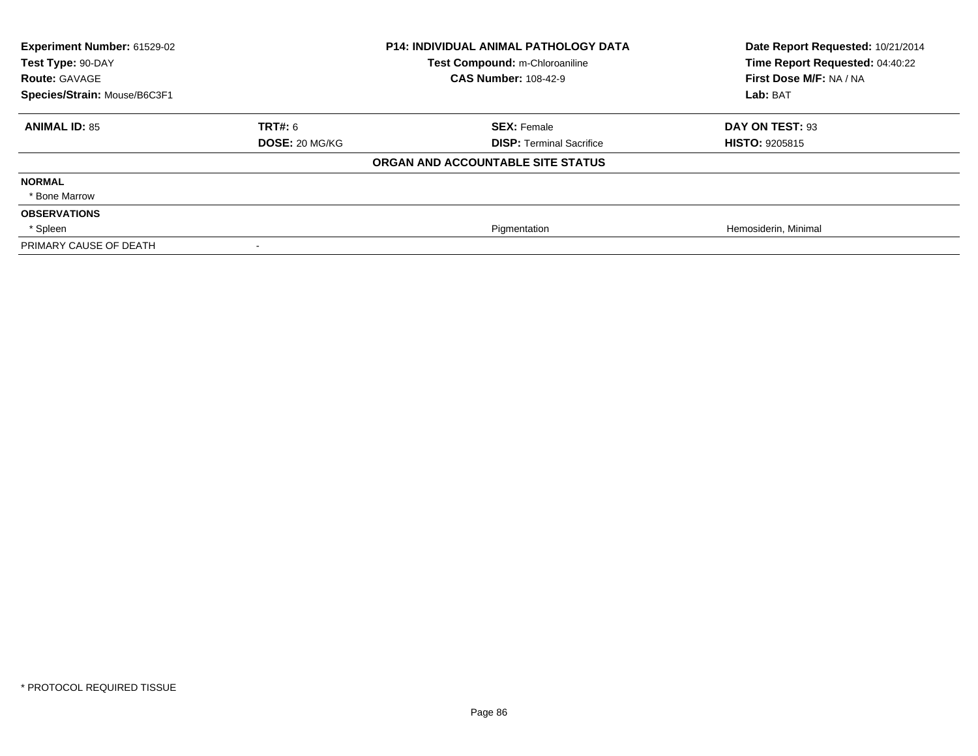| Experiment Number: 61529-02<br>Test Type: 90-DAY |                       | <b>P14: INDIVIDUAL ANIMAL PATHOLOGY DATA</b><br>Test Compound: m-Chloroaniline | Date Report Requested: 10/21/2014<br>Time Report Requested: 04:40:22 |
|--------------------------------------------------|-----------------------|--------------------------------------------------------------------------------|----------------------------------------------------------------------|
| <b>Route: GAVAGE</b>                             |                       | <b>CAS Number: 108-42-9</b>                                                    | First Dose M/F: NA / NA                                              |
| Species/Strain: Mouse/B6C3F1                     |                       |                                                                                | Lab: BAT                                                             |
| <b>ANIMAL ID: 85</b>                             | <b>TRT#: 6</b>        | <b>SEX: Female</b>                                                             | DAY ON TEST: 93                                                      |
|                                                  | <b>DOSE: 20 MG/KG</b> | <b>DISP: Terminal Sacrifice</b>                                                | <b>HISTO: 9205815</b>                                                |
|                                                  |                       | ORGAN AND ACCOUNTABLE SITE STATUS                                              |                                                                      |
| <b>NORMAL</b>                                    |                       |                                                                                |                                                                      |
| * Bone Marrow                                    |                       |                                                                                |                                                                      |
| <b>OBSERVATIONS</b>                              |                       |                                                                                |                                                                      |
| * Spleen                                         |                       | Pigmentation                                                                   | Hemosiderin, Minimal                                                 |
| PRIMARY CAUSE OF DEATH                           |                       |                                                                                |                                                                      |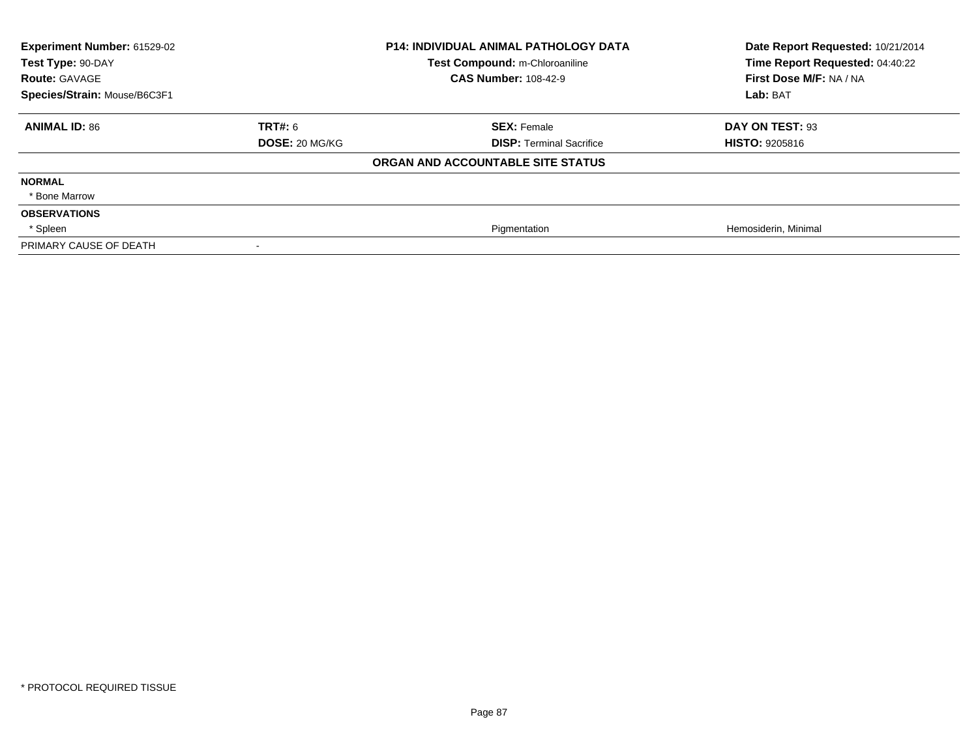| Experiment Number: 61529-02<br>Test Type: 90-DAY<br><b>Route: GAVAGE</b> |                       | <b>P14: INDIVIDUAL ANIMAL PATHOLOGY DATA</b><br>Test Compound: m-Chloroaniline<br><b>CAS Number: 108-42-9</b> | Date Report Requested: 10/21/2014<br>Time Report Requested: 04:40:22<br>First Dose M/F: NA / NA |
|--------------------------------------------------------------------------|-----------------------|---------------------------------------------------------------------------------------------------------------|-------------------------------------------------------------------------------------------------|
| Species/Strain: Mouse/B6C3F1                                             |                       |                                                                                                               | Lab: BAT                                                                                        |
|                                                                          |                       |                                                                                                               |                                                                                                 |
| <b>ANIMAL ID: 86</b>                                                     | <b>TRT#: 6</b>        | <b>SEX: Female</b>                                                                                            | DAY ON TEST: 93                                                                                 |
|                                                                          | <b>DOSE: 20 MG/KG</b> | <b>DISP: Terminal Sacrifice</b>                                                                               | <b>HISTO: 9205816</b>                                                                           |
|                                                                          |                       | ORGAN AND ACCOUNTABLE SITE STATUS                                                                             |                                                                                                 |
| <b>NORMAL</b>                                                            |                       |                                                                                                               |                                                                                                 |
| * Bone Marrow                                                            |                       |                                                                                                               |                                                                                                 |
| <b>OBSERVATIONS</b>                                                      |                       |                                                                                                               |                                                                                                 |
| * Spleen                                                                 |                       | Pigmentation                                                                                                  | Hemosiderin, Minimal                                                                            |
| PRIMARY CAUSE OF DEATH                                                   |                       |                                                                                                               |                                                                                                 |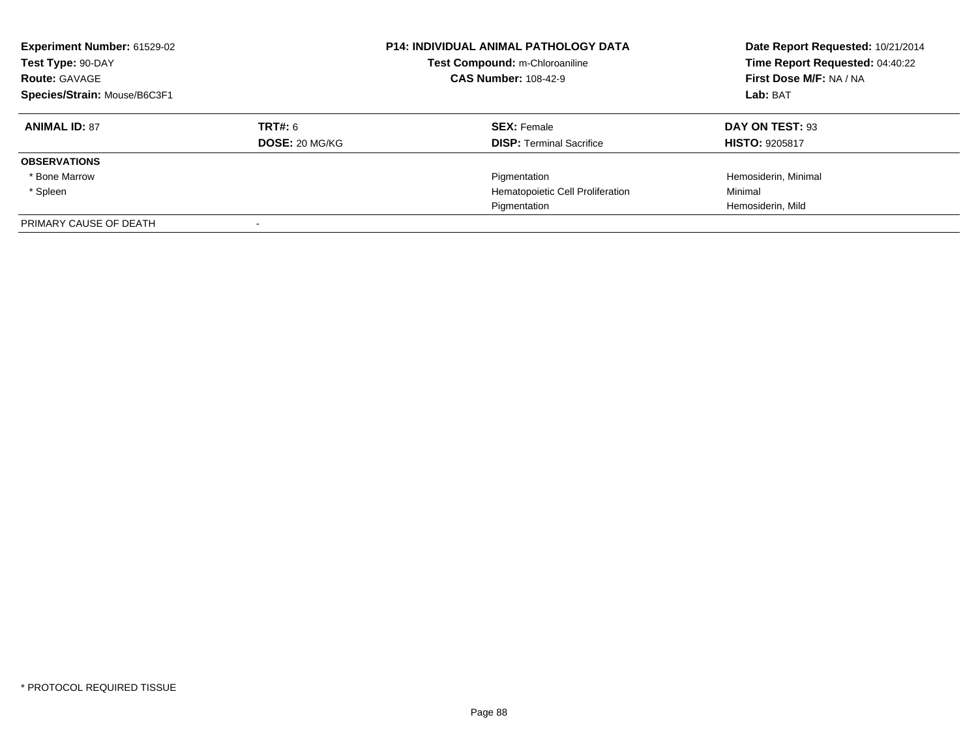| <b>Experiment Number: 61529-02</b><br>Test Type: 90-DAY<br><b>Route: GAVAGE</b><br>Species/Strain: Mouse/B6C3F1 |                       | <b>P14: INDIVIDUAL ANIMAL PATHOLOGY DATA</b><br>Test Compound: m-Chloroaniline<br><b>CAS Number: 108-42-9</b> | Date Report Requested: 10/21/2014<br>Time Report Requested: 04:40:22<br>First Dose M/F: NA / NA<br>Lab: BAT |
|-----------------------------------------------------------------------------------------------------------------|-----------------------|---------------------------------------------------------------------------------------------------------------|-------------------------------------------------------------------------------------------------------------|
| <b>ANIMAL ID: 87</b>                                                                                            | TRT#: 6               | <b>SEX: Female</b>                                                                                            | DAY ON TEST: 93                                                                                             |
|                                                                                                                 | <b>DOSE: 20 MG/KG</b> | <b>DISP: Terminal Sacrifice</b>                                                                               | <b>HISTO: 9205817</b>                                                                                       |
| <b>OBSERVATIONS</b>                                                                                             |                       |                                                                                                               |                                                                                                             |
| * Bone Marrow                                                                                                   |                       | Pigmentation                                                                                                  | Hemosiderin, Minimal                                                                                        |
| * Spleen                                                                                                        |                       | Hematopoietic Cell Proliferation                                                                              | Minimal                                                                                                     |
|                                                                                                                 |                       | Pigmentation                                                                                                  | Hemosiderin, Mild                                                                                           |
| PRIMARY CAUSE OF DEATH                                                                                          |                       |                                                                                                               |                                                                                                             |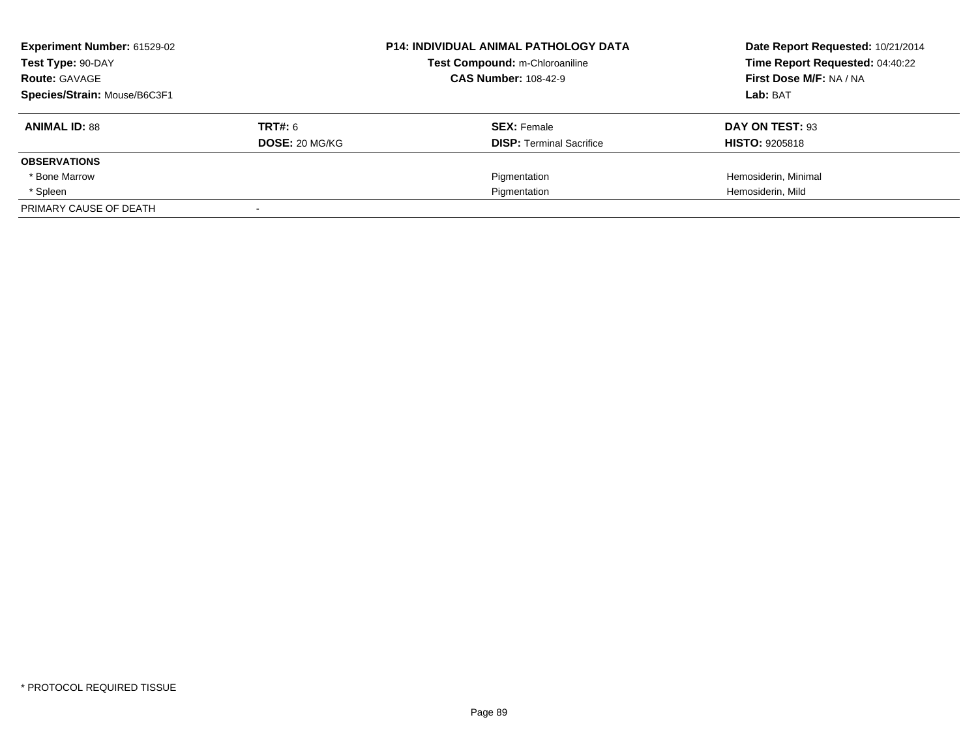| Experiment Number: 61529-02<br>Test Type: 90-DAY<br><b>Route: GAVAGE</b> |                | <b>P14: INDIVIDUAL ANIMAL PATHOLOGY DATA</b><br>Test Compound: m-Chloroaniline<br><b>CAS Number: 108-42-9</b> | Date Report Requested: 10/21/2014<br>Time Report Requested: 04:40:22<br>First Dose M/F: NA / NA |
|--------------------------------------------------------------------------|----------------|---------------------------------------------------------------------------------------------------------------|-------------------------------------------------------------------------------------------------|
| Species/Strain: Mouse/B6C3F1                                             |                |                                                                                                               | Lab: BAT                                                                                        |
| <b>ANIMAL ID: 88</b>                                                     | <b>TRT#: 6</b> | <b>SEX: Female</b>                                                                                            | DAY ON TEST: 93                                                                                 |
|                                                                          | DOSE: 20 MG/KG | <b>DISP:</b> Terminal Sacrifice                                                                               | <b>HISTO: 9205818</b>                                                                           |
| <b>OBSERVATIONS</b>                                                      |                |                                                                                                               |                                                                                                 |
| * Bone Marrow                                                            |                | Pigmentation                                                                                                  | Hemosiderin, Minimal                                                                            |
| * Spleen                                                                 |                | Pigmentation                                                                                                  | Hemosiderin, Mild                                                                               |
| PRIMARY CAUSE OF DEATH                                                   |                |                                                                                                               |                                                                                                 |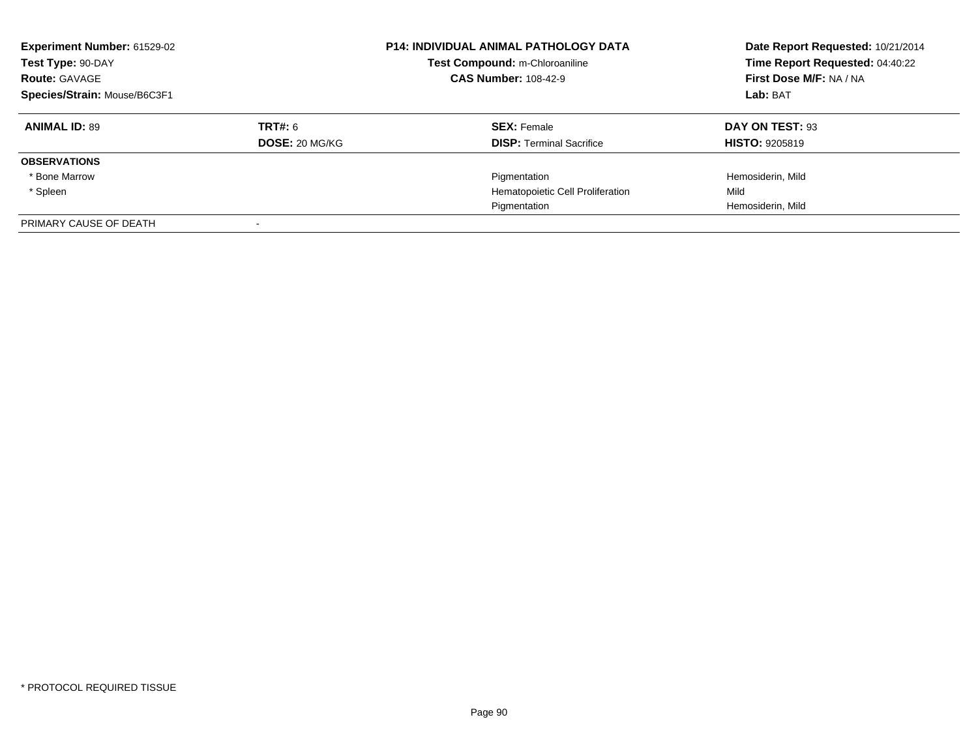| Experiment Number: 61529-02<br>Test Type: 90-DAY<br><b>Route: GAVAGE</b><br>Species/Strain: Mouse/B6C3F1 |                           | <b>P14: INDIVIDUAL ANIMAL PATHOLOGY DATA</b><br>Test Compound: m-Chloroaniline<br><b>CAS Number: 108-42-9</b> | Date Report Requested: 10/21/2014<br>Time Report Requested: 04:40:22<br>First Dose M/F: NA / NA<br>Lab: BAT |
|----------------------------------------------------------------------------------------------------------|---------------------------|---------------------------------------------------------------------------------------------------------------|-------------------------------------------------------------------------------------------------------------|
| <b>ANIMAL ID: 89</b>                                                                                     | TRT#: 6<br>DOSE: 20 MG/KG | <b>SEX: Female</b><br><b>DISP:</b> Terminal Sacrifice                                                         | DAY ON TEST: 93<br><b>HISTO: 9205819</b>                                                                    |
| <b>OBSERVATIONS</b>                                                                                      |                           |                                                                                                               |                                                                                                             |
| * Bone Marrow                                                                                            |                           | Pigmentation                                                                                                  | Hemosiderin, Mild                                                                                           |
| * Spleen                                                                                                 |                           | Hematopoietic Cell Proliferation                                                                              | Mild                                                                                                        |
|                                                                                                          |                           | Pigmentation                                                                                                  | Hemosiderin, Mild                                                                                           |
| PRIMARY CAUSE OF DEATH                                                                                   |                           |                                                                                                               |                                                                                                             |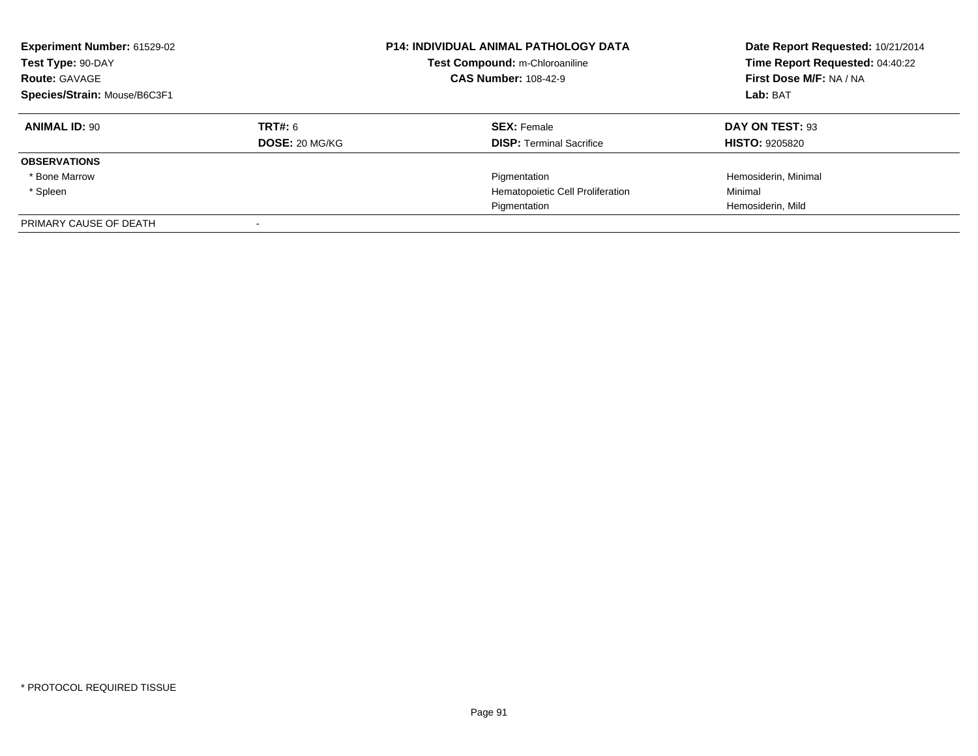| <b>Experiment Number: 61529-02</b><br>Test Type: 90-DAY<br><b>Route: GAVAGE</b><br>Species/Strain: Mouse/B6C3F1 |                       | <b>P14: INDIVIDUAL ANIMAL PATHOLOGY DATA</b><br>Test Compound: m-Chloroaniline<br><b>CAS Number: 108-42-9</b> | Date Report Requested: 10/21/2014<br>Time Report Requested: 04:40:22<br>First Dose M/F: NA / NA<br>Lab: BAT |
|-----------------------------------------------------------------------------------------------------------------|-----------------------|---------------------------------------------------------------------------------------------------------------|-------------------------------------------------------------------------------------------------------------|
| <b>ANIMAL ID: 90</b>                                                                                            | TRT#: 6               | <b>SEX: Female</b>                                                                                            | DAY ON TEST: 93                                                                                             |
|                                                                                                                 | <b>DOSE: 20 MG/KG</b> | <b>DISP:</b> Terminal Sacrifice                                                                               | <b>HISTO: 9205820</b>                                                                                       |
| <b>OBSERVATIONS</b>                                                                                             |                       |                                                                                                               |                                                                                                             |
| * Bone Marrow                                                                                                   |                       | Pigmentation                                                                                                  | Hemosiderin, Minimal                                                                                        |
| * Spleen                                                                                                        |                       | Hematopoietic Cell Proliferation                                                                              | Minimal                                                                                                     |
|                                                                                                                 |                       | Pigmentation                                                                                                  | Hemosiderin, Mild                                                                                           |
| PRIMARY CAUSE OF DEATH                                                                                          |                       |                                                                                                               |                                                                                                             |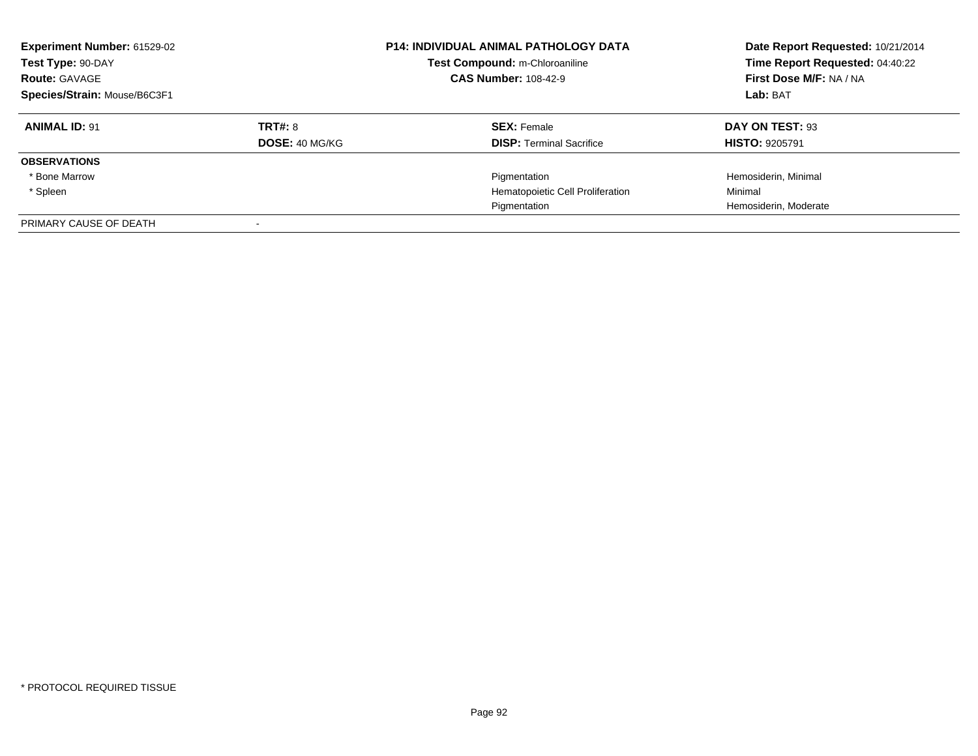| <b>Experiment Number: 61529-02</b><br>Test Type: 90-DAY<br><b>Route: GAVAGE</b><br>Species/Strain: Mouse/B6C3F1 |                       | <b>P14: INDIVIDUAL ANIMAL PATHOLOGY DATA</b><br>Test Compound: m-Chloroaniline<br><b>CAS Number: 108-42-9</b> | Date Report Requested: 10/21/2014<br>Time Report Requested: 04:40:22<br>First Dose M/F: NA / NA<br>Lab: BAT |
|-----------------------------------------------------------------------------------------------------------------|-----------------------|---------------------------------------------------------------------------------------------------------------|-------------------------------------------------------------------------------------------------------------|
| <b>ANIMAL ID: 91</b>                                                                                            | <b>TRT#: 8</b>        | <b>SEX: Female</b>                                                                                            | DAY ON TEST: 93                                                                                             |
|                                                                                                                 | <b>DOSE: 40 MG/KG</b> | <b>DISP: Terminal Sacrifice</b>                                                                               | <b>HISTO: 9205791</b>                                                                                       |
| <b>OBSERVATIONS</b>                                                                                             |                       |                                                                                                               |                                                                                                             |
| * Bone Marrow                                                                                                   |                       | Pigmentation                                                                                                  | Hemosiderin, Minimal                                                                                        |
| * Spleen                                                                                                        |                       | Hematopoietic Cell Proliferation                                                                              | Minimal                                                                                                     |
|                                                                                                                 |                       | Pigmentation                                                                                                  | Hemosiderin, Moderate                                                                                       |
| PRIMARY CAUSE OF DEATH                                                                                          |                       |                                                                                                               |                                                                                                             |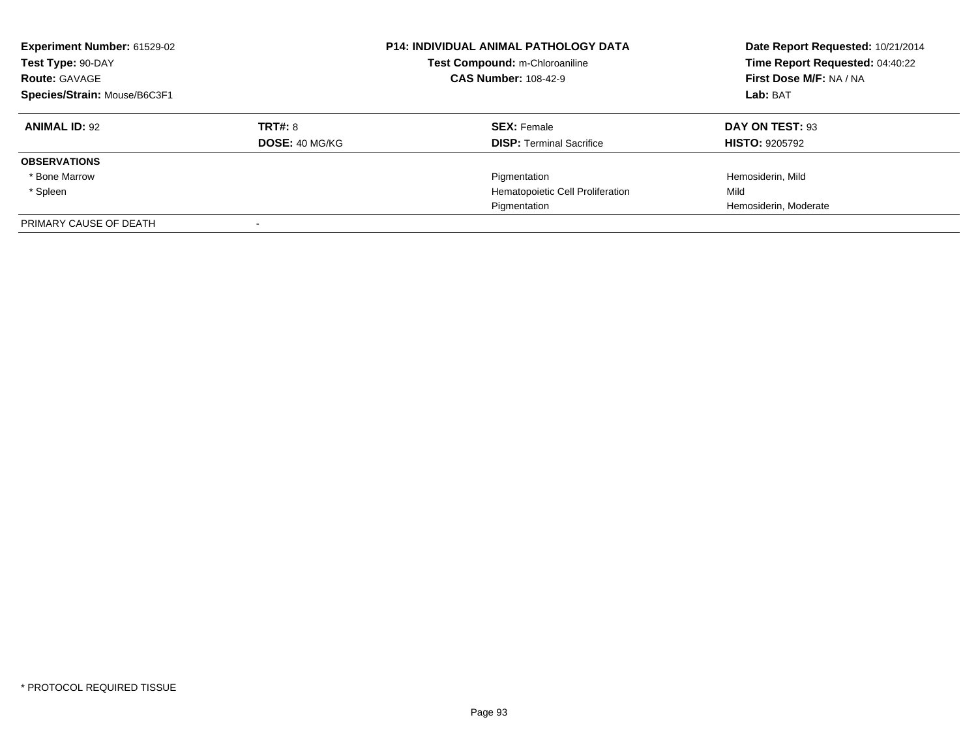| Experiment Number: 61529-02<br>Test Type: 90-DAY<br><b>Route: GAVAGE</b><br>Species/Strain: Mouse/B6C3F1 |                           | <b>P14: INDIVIDUAL ANIMAL PATHOLOGY DATA</b><br>Test Compound: m-Chloroaniline<br><b>CAS Number: 108-42-9</b> | Date Report Requested: 10/21/2014<br>Time Report Requested: 04:40:22<br>First Dose M/F: NA / NA<br>Lab: BAT |
|----------------------------------------------------------------------------------------------------------|---------------------------|---------------------------------------------------------------------------------------------------------------|-------------------------------------------------------------------------------------------------------------|
| <b>ANIMAL ID: 92</b>                                                                                     | TRT#: 8<br>DOSE: 40 MG/KG | <b>SEX: Female</b><br><b>DISP:</b> Terminal Sacrifice                                                         | DAY ON TEST: 93<br><b>HISTO: 9205792</b>                                                                    |
| <b>OBSERVATIONS</b>                                                                                      |                           |                                                                                                               |                                                                                                             |
| * Bone Marrow                                                                                            |                           | Pigmentation                                                                                                  | Hemosiderin, Mild                                                                                           |
| * Spleen                                                                                                 |                           | Hematopoietic Cell Proliferation                                                                              | Mild                                                                                                        |
|                                                                                                          |                           | Pigmentation                                                                                                  | Hemosiderin, Moderate                                                                                       |
| PRIMARY CAUSE OF DEATH                                                                                   |                           |                                                                                                               |                                                                                                             |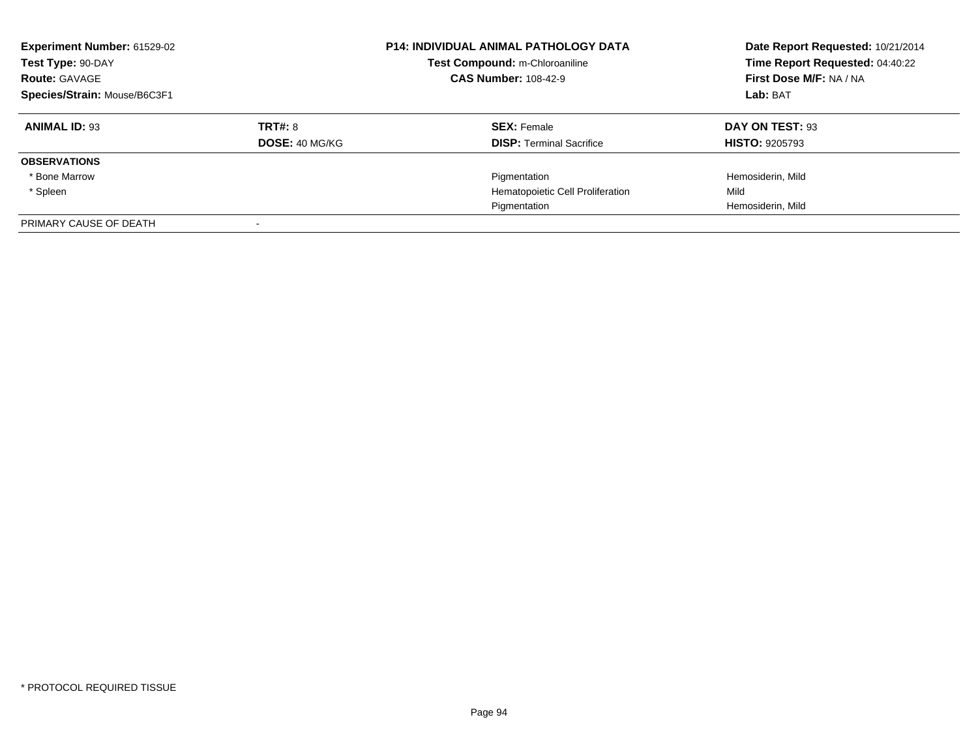| Experiment Number: 61529-02<br>Test Type: 90-DAY<br><b>Route: GAVAGE</b><br>Species/Strain: Mouse/B6C3F1 |                           | <b>P14: INDIVIDUAL ANIMAL PATHOLOGY DATA</b><br>Test Compound: m-Chloroaniline<br><b>CAS Number: 108-42-9</b> | Date Report Requested: 10/21/2014<br>Time Report Requested: 04:40:22<br>First Dose M/F: NA / NA<br>Lab: BAT |
|----------------------------------------------------------------------------------------------------------|---------------------------|---------------------------------------------------------------------------------------------------------------|-------------------------------------------------------------------------------------------------------------|
| <b>ANIMAL ID: 93</b>                                                                                     | TRT#: 8<br>DOSE: 40 MG/KG | <b>SEX: Female</b><br><b>DISP: Terminal Sacrifice</b>                                                         | DAY ON TEST: 93<br><b>HISTO: 9205793</b>                                                                    |
| <b>OBSERVATIONS</b>                                                                                      |                           |                                                                                                               |                                                                                                             |
| * Bone Marrow                                                                                            |                           | Pigmentation                                                                                                  | Hemosiderin, Mild                                                                                           |
| * Spleen                                                                                                 |                           | Hematopoietic Cell Proliferation                                                                              | Mild                                                                                                        |
|                                                                                                          |                           | Pigmentation                                                                                                  | Hemosiderin, Mild                                                                                           |
| PRIMARY CAUSE OF DEATH                                                                                   |                           |                                                                                                               |                                                                                                             |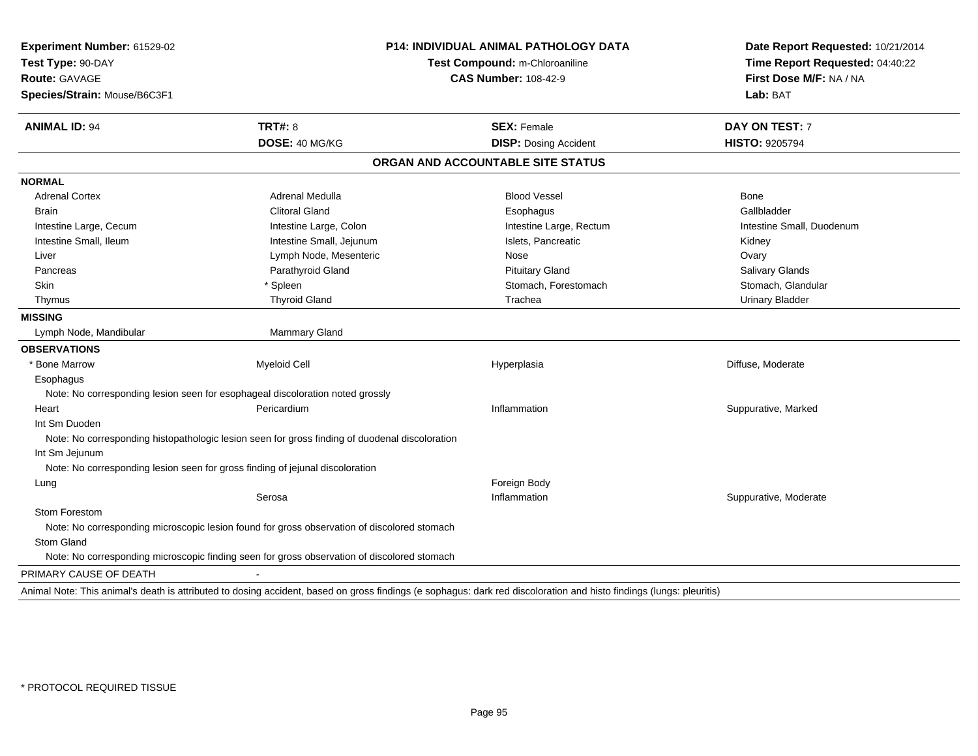| Date Report Requested: 10/21/2014                                                                                                                                    |          |
|----------------------------------------------------------------------------------------------------------------------------------------------------------------------|----------|
| Time Report Requested: 04:40:22<br>First Dose M/F: NA / NA                                                                                                           |          |
|                                                                                                                                                                      | Lab: BAT |
| <b>DAY ON TEST: 7</b>                                                                                                                                                |          |
| <b>HISTO: 9205794</b>                                                                                                                                                |          |
|                                                                                                                                                                      |          |
|                                                                                                                                                                      |          |
| Bone                                                                                                                                                                 |          |
| Gallbladder                                                                                                                                                          |          |
| Intestine Small, Duodenum                                                                                                                                            |          |
| Kidney                                                                                                                                                               |          |
| Ovary                                                                                                                                                                |          |
| Salivary Glands                                                                                                                                                      |          |
| Stomach, Glandular                                                                                                                                                   |          |
| <b>Urinary Bladder</b>                                                                                                                                               |          |
|                                                                                                                                                                      |          |
|                                                                                                                                                                      |          |
|                                                                                                                                                                      |          |
| Diffuse, Moderate                                                                                                                                                    |          |
|                                                                                                                                                                      |          |
|                                                                                                                                                                      |          |
| Suppurative, Marked                                                                                                                                                  |          |
|                                                                                                                                                                      |          |
|                                                                                                                                                                      |          |
|                                                                                                                                                                      |          |
|                                                                                                                                                                      |          |
|                                                                                                                                                                      |          |
| Suppurative, Moderate                                                                                                                                                |          |
|                                                                                                                                                                      |          |
|                                                                                                                                                                      |          |
|                                                                                                                                                                      |          |
|                                                                                                                                                                      |          |
|                                                                                                                                                                      |          |
| Animal Note: This animal's death is attributed to dosing accident, based on gross findings (e sophagus: dark red discoloration and histo findings (lungs: pleuritis) |          |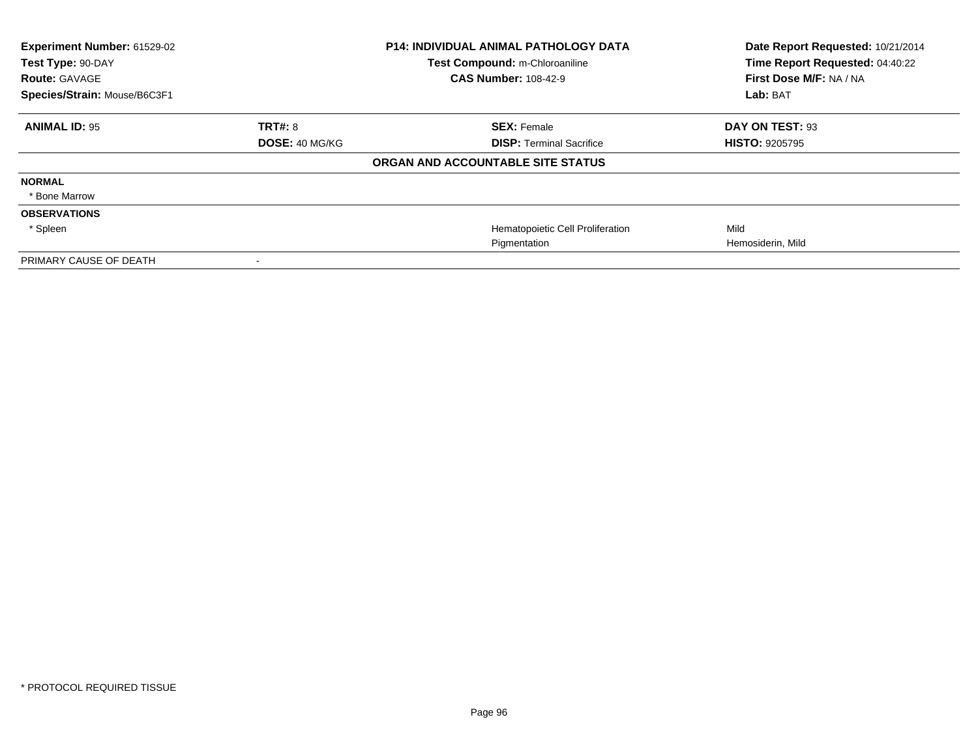| Experiment Number: 61529-02<br>Test Type: 90-DAY<br><b>Route: GAVAGE</b> |                       | <b>P14: INDIVIDUAL ANIMAL PATHOLOGY DATA</b><br>Test Compound: m-Chloroaniline<br><b>CAS Number: 108-42-9</b> | Date Report Requested: 10/21/2014<br>Time Report Requested: 04:40:22<br>First Dose M/F: NA / NA |
|--------------------------------------------------------------------------|-----------------------|---------------------------------------------------------------------------------------------------------------|-------------------------------------------------------------------------------------------------|
| Species/Strain: Mouse/B6C3F1                                             |                       |                                                                                                               | Lab: BAT                                                                                        |
| <b>ANIMAL ID: 95</b>                                                     | <b>TRT#: 8</b>        | <b>SEX: Female</b>                                                                                            | DAY ON TEST: 93                                                                                 |
|                                                                          | <b>DOSE: 40 MG/KG</b> | <b>DISP: Terminal Sacrifice</b>                                                                               | <b>HISTO: 9205795</b>                                                                           |
|                                                                          |                       | ORGAN AND ACCOUNTABLE SITE STATUS                                                                             |                                                                                                 |
| <b>NORMAL</b>                                                            |                       |                                                                                                               |                                                                                                 |
| * Bone Marrow                                                            |                       |                                                                                                               |                                                                                                 |
| <b>OBSERVATIONS</b>                                                      |                       |                                                                                                               |                                                                                                 |
| * Spleen                                                                 |                       | Hematopoietic Cell Proliferation                                                                              | Mild                                                                                            |
|                                                                          |                       | Pigmentation                                                                                                  | Hemosiderin, Mild                                                                               |
| PRIMARY CAUSE OF DEATH                                                   |                       |                                                                                                               |                                                                                                 |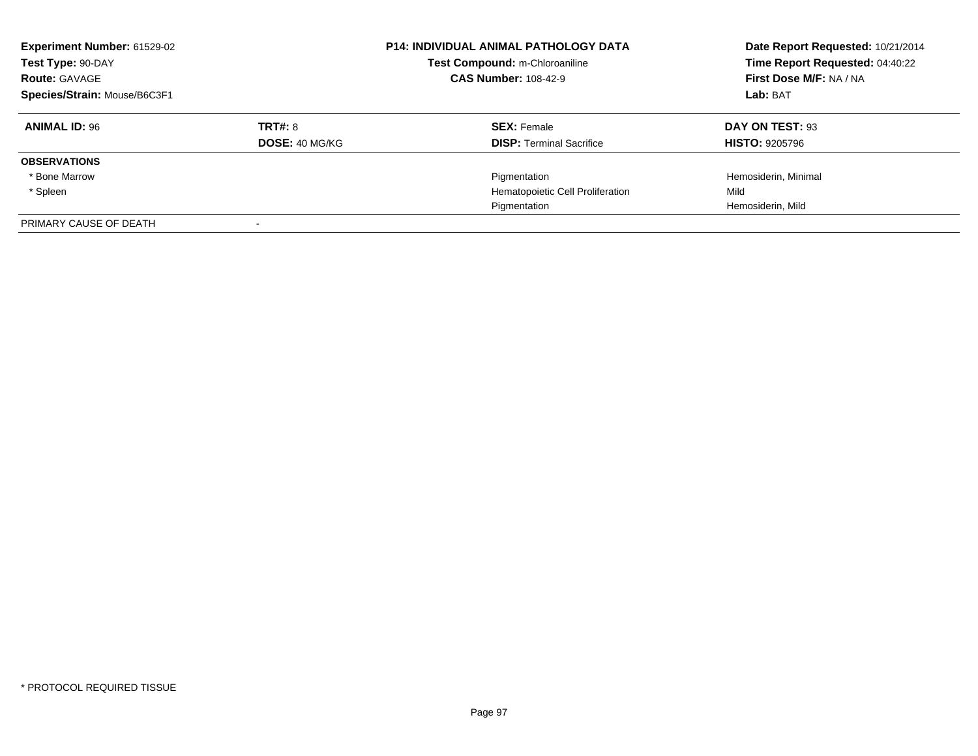| <b>Experiment Number: 61529-02</b><br>Test Type: 90-DAY<br><b>Route: GAVAGE</b><br>Species/Strain: Mouse/B6C3F1 |                       | <b>P14: INDIVIDUAL ANIMAL PATHOLOGY DATA</b><br>Test Compound: m-Chloroaniline<br><b>CAS Number: 108-42-9</b> | Date Report Requested: 10/21/2014<br>Time Report Requested: 04:40:22<br>First Dose M/F: NA / NA<br>Lab: BAT |
|-----------------------------------------------------------------------------------------------------------------|-----------------------|---------------------------------------------------------------------------------------------------------------|-------------------------------------------------------------------------------------------------------------|
| <b>ANIMAL ID: 96</b>                                                                                            | TRT#: 8               | <b>SEX: Female</b>                                                                                            | DAY ON TEST: 93                                                                                             |
|                                                                                                                 | <b>DOSE: 40 MG/KG</b> | <b>DISP: Terminal Sacrifice</b>                                                                               | <b>HISTO: 9205796</b>                                                                                       |
| <b>OBSERVATIONS</b>                                                                                             |                       |                                                                                                               |                                                                                                             |
| * Bone Marrow                                                                                                   |                       | Pigmentation                                                                                                  | Hemosiderin, Minimal                                                                                        |
| * Spleen                                                                                                        |                       | Hematopoietic Cell Proliferation                                                                              | Mild                                                                                                        |
|                                                                                                                 |                       | Pigmentation                                                                                                  | Hemosiderin, Mild                                                                                           |
| PRIMARY CAUSE OF DEATH                                                                                          |                       |                                                                                                               |                                                                                                             |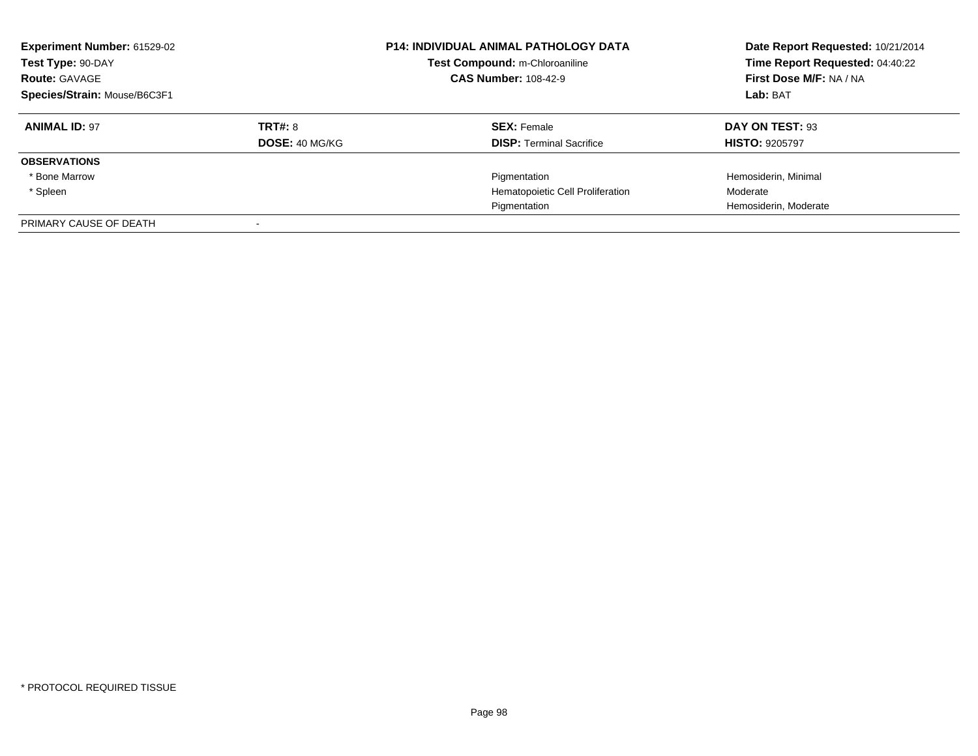| <b>Experiment Number: 61529-02</b><br>Test Type: 90-DAY<br><b>Route: GAVAGE</b><br>Species/Strain: Mouse/B6C3F1 |                       | <b>P14: INDIVIDUAL ANIMAL PATHOLOGY DATA</b><br>Test Compound: m-Chloroaniline<br><b>CAS Number: 108-42-9</b> | Date Report Requested: 10/21/2014<br>Time Report Requested: 04:40:22<br>First Dose M/F: NA / NA<br>Lab: BAT |
|-----------------------------------------------------------------------------------------------------------------|-----------------------|---------------------------------------------------------------------------------------------------------------|-------------------------------------------------------------------------------------------------------------|
| <b>ANIMAL ID: 97</b>                                                                                            | TRT#: 8               | <b>SEX: Female</b>                                                                                            | DAY ON TEST: 93                                                                                             |
|                                                                                                                 | <b>DOSE: 40 MG/KG</b> | <b>DISP:</b> Terminal Sacrifice                                                                               | <b>HISTO: 9205797</b>                                                                                       |
| <b>OBSERVATIONS</b>                                                                                             |                       |                                                                                                               |                                                                                                             |
| * Bone Marrow                                                                                                   |                       | Pigmentation                                                                                                  | Hemosiderin, Minimal                                                                                        |
| * Spleen                                                                                                        |                       | Hematopoietic Cell Proliferation                                                                              | Moderate                                                                                                    |
|                                                                                                                 |                       | Pigmentation                                                                                                  | Hemosiderin, Moderate                                                                                       |
| PRIMARY CAUSE OF DEATH                                                                                          |                       |                                                                                                               |                                                                                                             |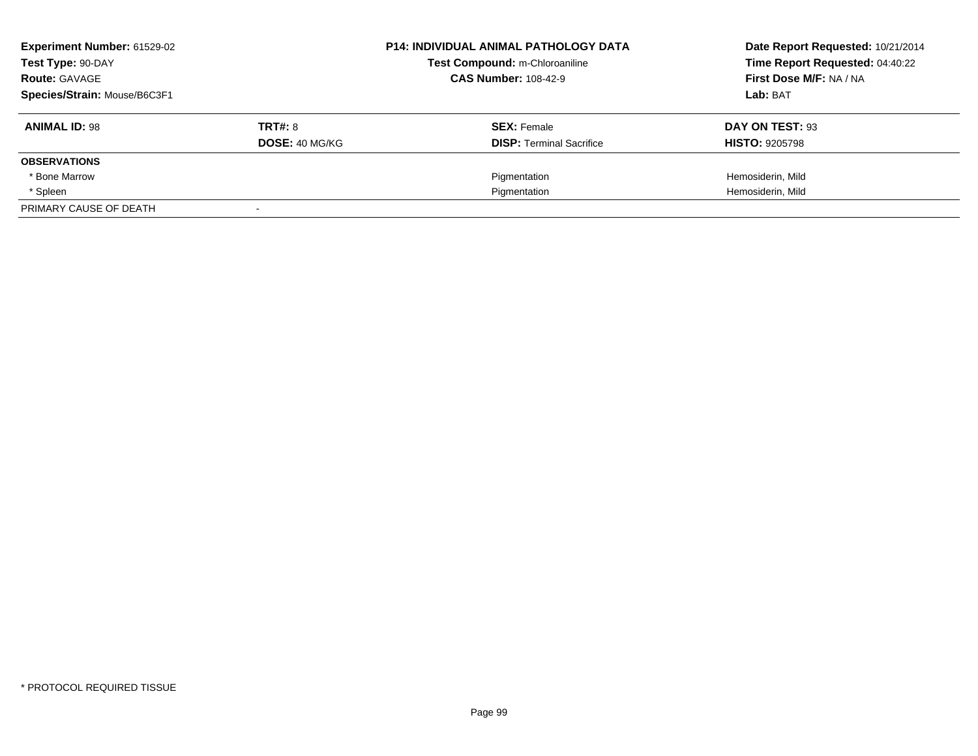| <b>Experiment Number: 61529-02</b> |                       | <b>P14: INDIVIDUAL ANIMAL PATHOLOGY DATA</b><br>Test Compound: m-Chloroaniline | Date Report Requested: 10/21/2014 |
|------------------------------------|-----------------------|--------------------------------------------------------------------------------|-----------------------------------|
| Test Type: 90-DAY                  |                       |                                                                                | Time Report Requested: 04:40:22   |
| <b>Route: GAVAGE</b>               |                       | <b>CAS Number: 108-42-9</b>                                                    | First Dose M/F: NA / NA           |
| Species/Strain: Mouse/B6C3F1       |                       |                                                                                | Lab: BAT                          |
| <b>ANIMAL ID: 98</b>               | <b>TRT#: 8</b>        | <b>SEX: Female</b>                                                             | DAY ON TEST: 93                   |
|                                    | <b>DOSE: 40 MG/KG</b> | <b>DISP:</b> Terminal Sacrifice                                                | <b>HISTO: 9205798</b>             |
| <b>OBSERVATIONS</b>                |                       |                                                                                |                                   |
| * Bone Marrow                      |                       | Pigmentation                                                                   | Hemosiderin, Mild                 |
| * Spleen                           |                       | Pigmentation                                                                   | Hemosiderin, Mild                 |
| PRIMARY CAUSE OF DEATH             |                       |                                                                                |                                   |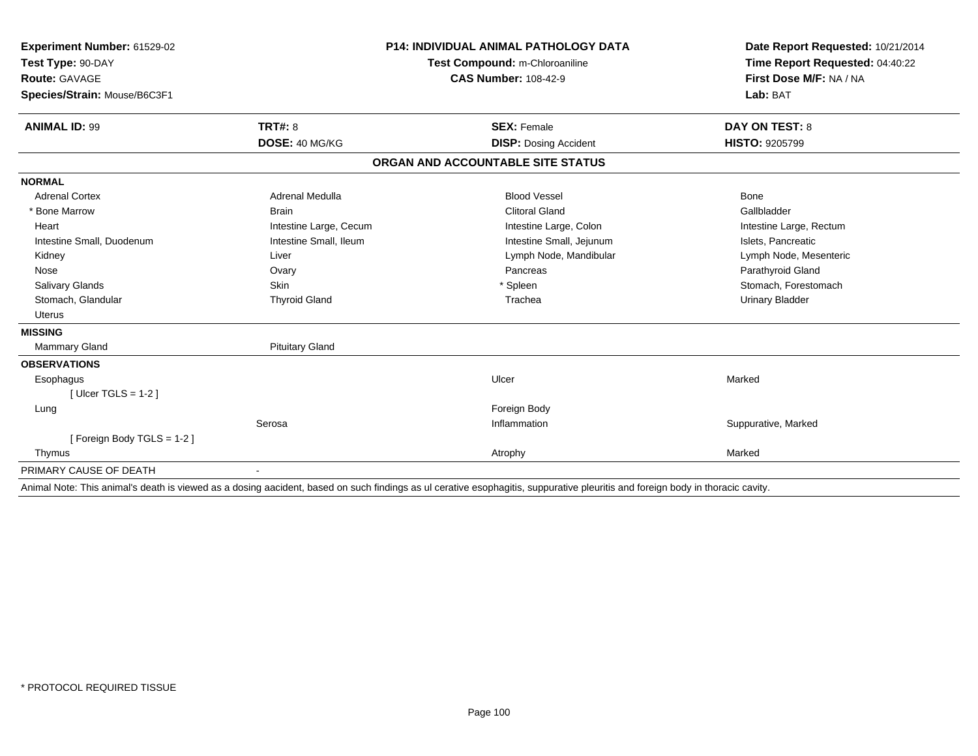| Experiment Number: 61529-02<br>Test Type: 90-DAY                                                                |                        | <b>P14: INDIVIDUAL ANIMAL PATHOLOGY DATA</b><br>Test Compound: m-Chloroaniline                                  | Date Report Requested: 10/21/2014<br>Time Report Requested: 04:40:22 |
|-----------------------------------------------------------------------------------------------------------------|------------------------|-----------------------------------------------------------------------------------------------------------------|----------------------------------------------------------------------|
| Route: GAVAGE                                                                                                   |                        | <b>CAS Number: 108-42-9</b>                                                                                     | First Dose M/F: NA / NA                                              |
|                                                                                                                 |                        |                                                                                                                 | Lab: BAT                                                             |
| Species/Strain: Mouse/B6C3F1                                                                                    |                        |                                                                                                                 |                                                                      |
| <b>ANIMAL ID: 99</b>                                                                                            | TRT#: 8                | <b>SEX: Female</b>                                                                                              | <b>DAY ON TEST: 8</b>                                                |
|                                                                                                                 | DOSE: 40 MG/KG         | <b>DISP: Dosing Accident</b>                                                                                    | HISTO: 9205799                                                       |
|                                                                                                                 |                        | ORGAN AND ACCOUNTABLE SITE STATUS                                                                               |                                                                      |
| <b>NORMAL</b>                                                                                                   |                        |                                                                                                                 |                                                                      |
| <b>Adrenal Cortex</b>                                                                                           | Adrenal Medulla        | <b>Blood Vessel</b>                                                                                             | <b>Bone</b>                                                          |
| * Bone Marrow                                                                                                   | <b>Brain</b>           | <b>Clitoral Gland</b>                                                                                           | Gallbladder                                                          |
| Heart                                                                                                           | Intestine Large, Cecum | Intestine Large, Colon                                                                                          | Intestine Large, Rectum                                              |
| Intestine Small, Duodenum                                                                                       | Intestine Small, Ileum | Intestine Small, Jejunum                                                                                        | Islets, Pancreatic                                                   |
| Kidney                                                                                                          | Liver                  | Lymph Node, Mandibular                                                                                          | Lymph Node, Mesenteric                                               |
| Nose                                                                                                            | Ovary                  | Pancreas                                                                                                        | Parathyroid Gland                                                    |
| Salivary Glands                                                                                                 | <b>Skin</b>            | * Spleen                                                                                                        | Stomach, Forestomach                                                 |
| Stomach, Glandular                                                                                              | <b>Thyroid Gland</b>   | Trachea                                                                                                         | <b>Urinary Bladder</b>                                               |
| Uterus                                                                                                          |                        |                                                                                                                 |                                                                      |
| <b>MISSING</b>                                                                                                  |                        |                                                                                                                 |                                                                      |
| Mammary Gland                                                                                                   | <b>Pituitary Gland</b> |                                                                                                                 |                                                                      |
| <b>OBSERVATIONS</b>                                                                                             |                        |                                                                                                                 |                                                                      |
| Esophagus                                                                                                       |                        | Ulcer                                                                                                           | Marked                                                               |
| [Ulcer TGLS = $1-2$ ]                                                                                           |                        |                                                                                                                 |                                                                      |
| Lung                                                                                                            |                        | Foreign Body                                                                                                    |                                                                      |
|                                                                                                                 | Serosa                 | Inflammation                                                                                                    | Suppurative, Marked                                                  |
| [Foreign Body TGLS = 1-2]                                                                                       |                        |                                                                                                                 |                                                                      |
| Thymus                                                                                                          |                        | Atrophy                                                                                                         | Marked                                                               |
| PRIMARY CAUSE OF DEATH                                                                                          |                        |                                                                                                                 |                                                                      |
| a an Mhandarth Caithneachd an dùthchan ann an dùthchan agus an dùthchan agus an dùthchan Mhandard agus an duadh |                        | a la capitat de la capacidad de la capital de la capital de la capital de la calcada de la capital de la capita |                                                                      |

Animal Note: This animal's death is viewed as a dosing aacident, based on such findings as ul cerative esophagitis, suppurative pleuritis and foreign body in thoracic cavity.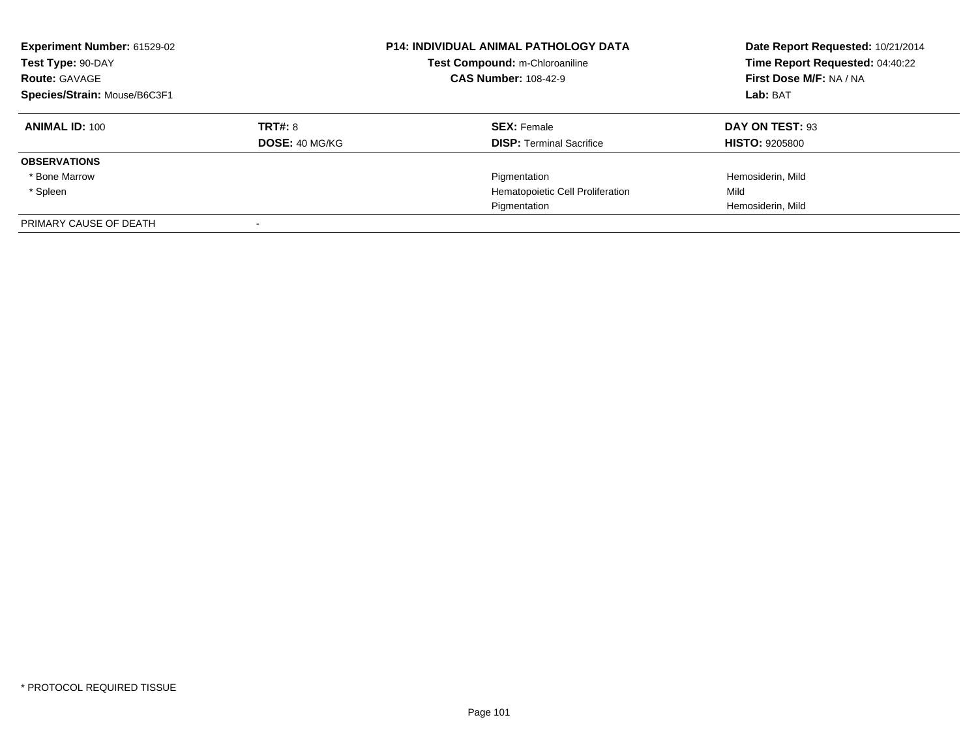| Experiment Number: 61529-02<br>Test Type: 90-DAY<br><b>Route: GAVAGE</b><br>Species/Strain: Mouse/B6C3F1 |                           | <b>P14: INDIVIDUAL ANIMAL PATHOLOGY DATA</b><br>Test Compound: m-Chloroaniline<br><b>CAS Number: 108-42-9</b> | Date Report Requested: 10/21/2014<br>Time Report Requested: 04:40:22<br>First Dose M/F: NA / NA<br>Lab: BAT |
|----------------------------------------------------------------------------------------------------------|---------------------------|---------------------------------------------------------------------------------------------------------------|-------------------------------------------------------------------------------------------------------------|
| <b>ANIMAL ID: 100</b>                                                                                    | TRT#: 8<br>DOSE: 40 MG/KG | <b>SEX: Female</b><br><b>DISP: Terminal Sacrifice</b>                                                         | DAY ON TEST: 93<br><b>HISTO: 9205800</b>                                                                    |
| <b>OBSERVATIONS</b>                                                                                      |                           |                                                                                                               |                                                                                                             |
| * Bone Marrow                                                                                            |                           | Pigmentation                                                                                                  | Hemosiderin, Mild                                                                                           |
| * Spleen                                                                                                 |                           | Hematopoietic Cell Proliferation                                                                              | Mild                                                                                                        |
|                                                                                                          |                           | Pigmentation                                                                                                  | Hemosiderin, Mild                                                                                           |
| PRIMARY CAUSE OF DEATH                                                                                   |                           |                                                                                                               |                                                                                                             |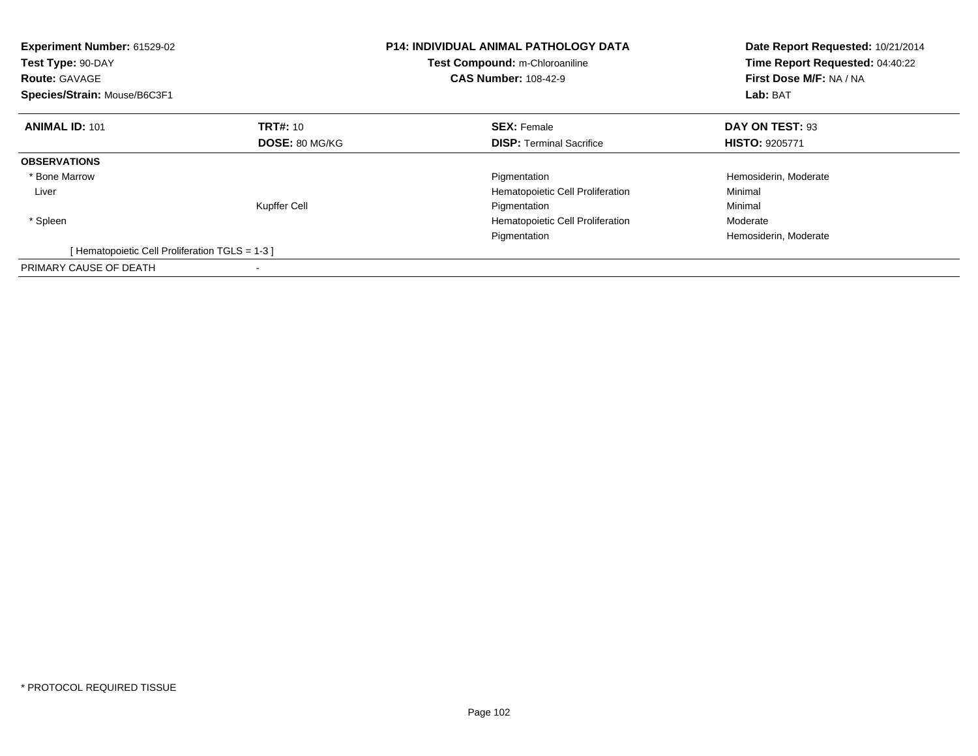| Experiment Number: 61529-02<br>Test Type: 90-DAY<br><b>Route: GAVAGE</b><br>Species/Strain: Mouse/B6C3F1 |                       | <b>P14: INDIVIDUAL ANIMAL PATHOLOGY DATA</b><br>Test Compound: m-Chloroaniline<br><b>CAS Number: 108-42-9</b> | Date Report Requested: 10/21/2014<br>Time Report Requested: 04:40:22<br>First Dose M/F: NA / NA<br>Lab: BAT |
|----------------------------------------------------------------------------------------------------------|-----------------------|---------------------------------------------------------------------------------------------------------------|-------------------------------------------------------------------------------------------------------------|
| <b>ANIMAL ID: 101</b>                                                                                    | <b>TRT#: 10</b>       | <b>SEX: Female</b>                                                                                            | DAY ON TEST: 93                                                                                             |
|                                                                                                          | <b>DOSE: 80 MG/KG</b> | <b>DISP:</b> Terminal Sacrifice                                                                               | <b>HISTO: 9205771</b>                                                                                       |
| <b>OBSERVATIONS</b>                                                                                      |                       |                                                                                                               |                                                                                                             |
| * Bone Marrow                                                                                            |                       | Pigmentation                                                                                                  | Hemosiderin, Moderate                                                                                       |
| Liver                                                                                                    |                       | Hematopoietic Cell Proliferation                                                                              | Minimal                                                                                                     |
|                                                                                                          | Kupffer Cell          | Pigmentation                                                                                                  | Minimal                                                                                                     |
| * Spleen                                                                                                 |                       | Hematopoietic Cell Proliferation                                                                              | Moderate                                                                                                    |
|                                                                                                          |                       | Pigmentation                                                                                                  | Hemosiderin, Moderate                                                                                       |
| [Hematopoietic Cell Proliferation TGLS = 1-3 ]                                                           |                       |                                                                                                               |                                                                                                             |
| PRIMARY CAUSE OF DEATH                                                                                   |                       |                                                                                                               |                                                                                                             |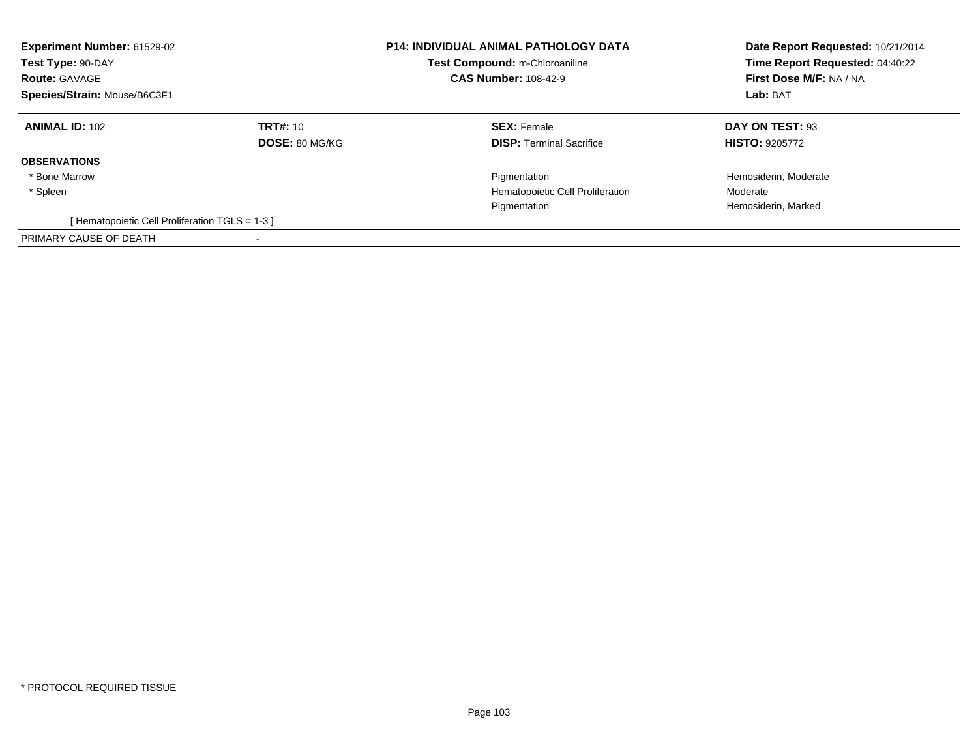| Experiment Number: 61529-02<br>Test Type: 90-DAY<br><b>Route: GAVAGE</b><br>Species/Strain: Mouse/B6C3F1 |                                   | <b>P14: INDIVIDUAL ANIMAL PATHOLOGY DATA</b><br>Test Compound: m-Chloroaniline<br><b>CAS Number: 108-42-9</b> | Date Report Requested: 10/21/2014<br>Time Report Requested: 04:40:22<br>First Dose M/F: NA / NA<br>Lab: BAT |
|----------------------------------------------------------------------------------------------------------|-----------------------------------|---------------------------------------------------------------------------------------------------------------|-------------------------------------------------------------------------------------------------------------|
| <b>ANIMAL ID: 102</b>                                                                                    | TRT#: 10<br><b>DOSE: 80 MG/KG</b> | <b>SEX: Female</b><br><b>DISP:</b> Terminal Sacrifice                                                         | DAY ON TEST: 93<br><b>HISTO: 9205772</b>                                                                    |
| <b>OBSERVATIONS</b>                                                                                      |                                   |                                                                                                               |                                                                                                             |
| * Bone Marrow                                                                                            |                                   | Pigmentation                                                                                                  | Hemosiderin, Moderate                                                                                       |
| * Spleen                                                                                                 |                                   | Hematopoietic Cell Proliferation                                                                              | Moderate                                                                                                    |
|                                                                                                          |                                   | Pigmentation                                                                                                  | Hemosiderin, Marked                                                                                         |
| [Hematopoietic Cell Proliferation TGLS = 1-3 ]                                                           |                                   |                                                                                                               |                                                                                                             |
| PRIMARY CAUSE OF DEATH                                                                                   |                                   |                                                                                                               |                                                                                                             |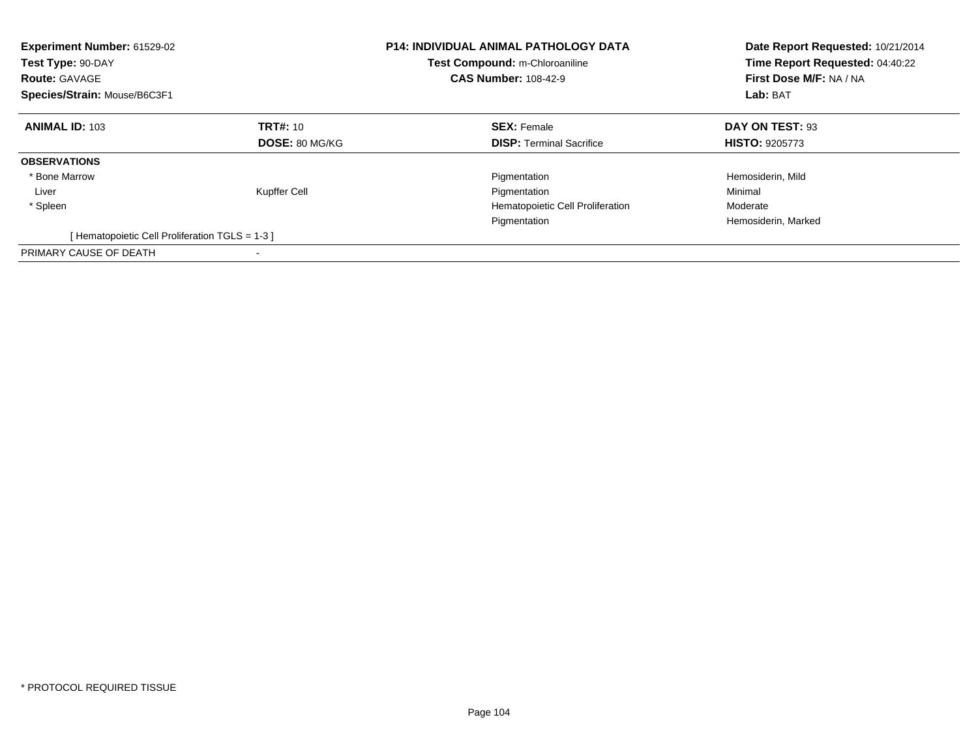| Experiment Number: 61529-02<br>Test Type: 90-DAY<br><b>Route: GAVAGE</b><br>Species/Strain: Mouse/B6C3F1 |                       | <b>P14: INDIVIDUAL ANIMAL PATHOLOGY DATA</b><br>Test Compound: m-Chloroaniline<br><b>CAS Number: 108-42-9</b> | Date Report Requested: 10/21/2014<br>Time Report Requested: 04:40:22<br>First Dose M/F: NA / NA<br>Lab: BAT |
|----------------------------------------------------------------------------------------------------------|-----------------------|---------------------------------------------------------------------------------------------------------------|-------------------------------------------------------------------------------------------------------------|
| <b>ANIMAL ID: 103</b>                                                                                    | <b>TRT#: 10</b>       | <b>SEX: Female</b>                                                                                            | DAY ON TEST: 93                                                                                             |
|                                                                                                          | <b>DOSE: 80 MG/KG</b> | <b>DISP:</b> Terminal Sacrifice                                                                               | <b>HISTO: 9205773</b>                                                                                       |
| <b>OBSERVATIONS</b>                                                                                      |                       |                                                                                                               |                                                                                                             |
| * Bone Marrow                                                                                            |                       | Pigmentation                                                                                                  | Hemosiderin, Mild                                                                                           |
| Liver                                                                                                    | Kupffer Cell          | Pigmentation                                                                                                  | Minimal                                                                                                     |
| * Spleen                                                                                                 |                       | Hematopoietic Cell Proliferation                                                                              | Moderate                                                                                                    |
|                                                                                                          |                       | Pigmentation                                                                                                  | Hemosiderin, Marked                                                                                         |
| [Hematopoietic Cell Proliferation TGLS = 1-3 ]                                                           |                       |                                                                                                               |                                                                                                             |
| PRIMARY CAUSE OF DEATH                                                                                   |                       |                                                                                                               |                                                                                                             |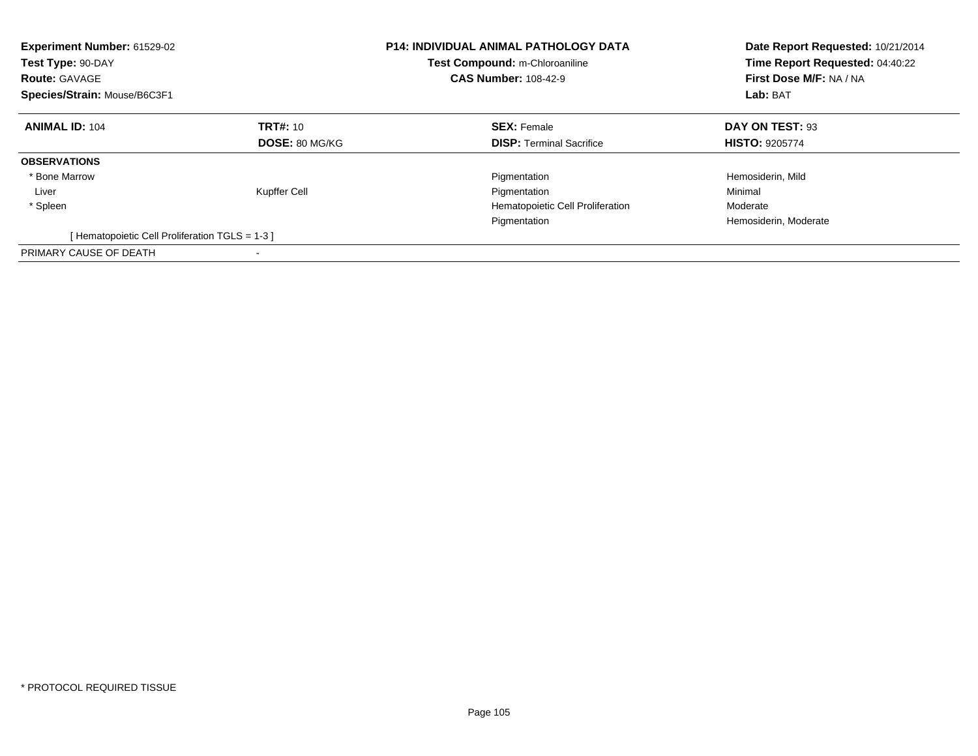| Experiment Number: 61529-02<br>Test Type: 90-DAY<br><b>Route: GAVAGE</b><br>Species/Strain: Mouse/B6C3F1 |                       | <b>P14: INDIVIDUAL ANIMAL PATHOLOGY DATA</b><br>Test Compound: m-Chloroaniline<br><b>CAS Number: 108-42-9</b> | Date Report Requested: 10/21/2014<br>Time Report Requested: 04:40:22<br>First Dose M/F: NA / NA<br>Lab: BAT |
|----------------------------------------------------------------------------------------------------------|-----------------------|---------------------------------------------------------------------------------------------------------------|-------------------------------------------------------------------------------------------------------------|
| <b>ANIMAL ID: 104</b>                                                                                    | <b>TRT#: 10</b>       | <b>SEX: Female</b>                                                                                            | DAY ON TEST: 93                                                                                             |
|                                                                                                          | <b>DOSE: 80 MG/KG</b> | <b>DISP:</b> Terminal Sacrifice                                                                               | <b>HISTO: 9205774</b>                                                                                       |
| <b>OBSERVATIONS</b>                                                                                      |                       |                                                                                                               |                                                                                                             |
| * Bone Marrow                                                                                            |                       | Pigmentation                                                                                                  | Hemosiderin, Mild                                                                                           |
| Liver                                                                                                    | Kupffer Cell          | Pigmentation                                                                                                  | Minimal                                                                                                     |
| * Spleen                                                                                                 |                       | Hematopoietic Cell Proliferation                                                                              | Moderate                                                                                                    |
|                                                                                                          |                       | Pigmentation                                                                                                  | Hemosiderin, Moderate                                                                                       |
| [Hematopoietic Cell Proliferation TGLS = 1-3 ]                                                           |                       |                                                                                                               |                                                                                                             |
| PRIMARY CAUSE OF DEATH                                                                                   |                       |                                                                                                               |                                                                                                             |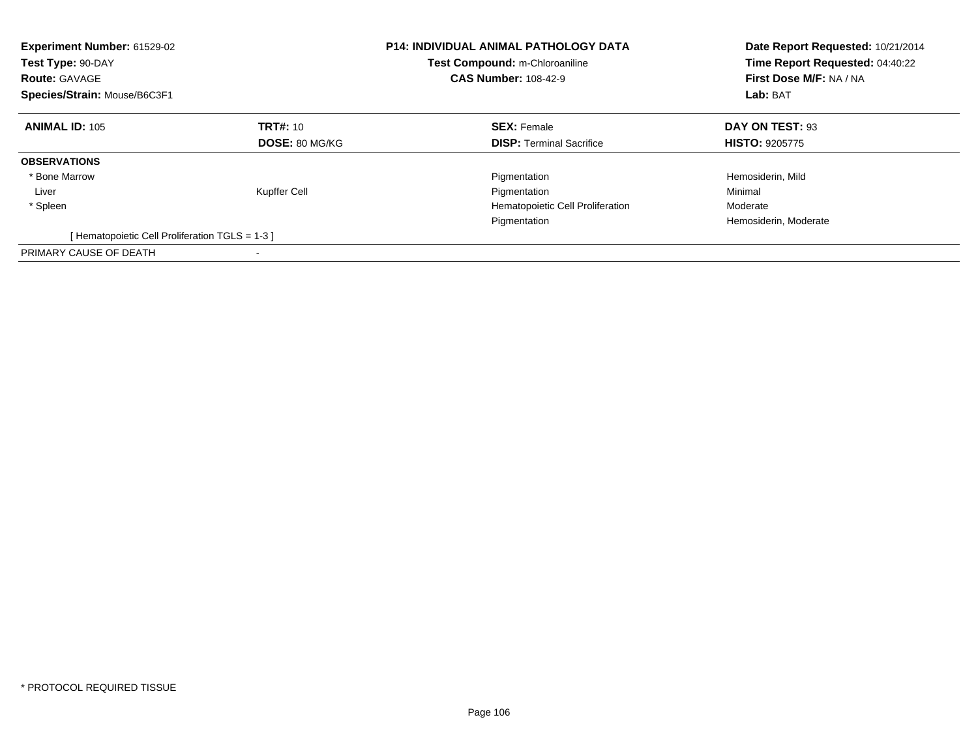| Experiment Number: 61529-02<br>Test Type: 90-DAY<br><b>Route: GAVAGE</b><br>Species/Strain: Mouse/B6C3F1 |                       | <b>P14: INDIVIDUAL ANIMAL PATHOLOGY DATA</b><br>Test Compound: m-Chloroaniline<br><b>CAS Number: 108-42-9</b> | Date Report Requested: 10/21/2014<br>Time Report Requested: 04:40:22<br>First Dose M/F: NA / NA<br>Lab: BAT |
|----------------------------------------------------------------------------------------------------------|-----------------------|---------------------------------------------------------------------------------------------------------------|-------------------------------------------------------------------------------------------------------------|
| <b>ANIMAL ID: 105</b>                                                                                    | <b>TRT#: 10</b>       | <b>SEX: Female</b>                                                                                            | DAY ON TEST: 93                                                                                             |
|                                                                                                          | <b>DOSE: 80 MG/KG</b> | <b>DISP:</b> Terminal Sacrifice                                                                               | <b>HISTO: 9205775</b>                                                                                       |
| <b>OBSERVATIONS</b>                                                                                      |                       |                                                                                                               |                                                                                                             |
| * Bone Marrow                                                                                            |                       | Pigmentation                                                                                                  | Hemosiderin, Mild                                                                                           |
| Liver                                                                                                    | Kupffer Cell          | Pigmentation                                                                                                  | Minimal                                                                                                     |
| * Spleen                                                                                                 |                       | Hematopoietic Cell Proliferation                                                                              | Moderate                                                                                                    |
|                                                                                                          |                       | Pigmentation                                                                                                  | Hemosiderin, Moderate                                                                                       |
| [Hematopoietic Cell Proliferation TGLS = 1-3 ]                                                           |                       |                                                                                                               |                                                                                                             |
| PRIMARY CAUSE OF DEATH                                                                                   |                       |                                                                                                               |                                                                                                             |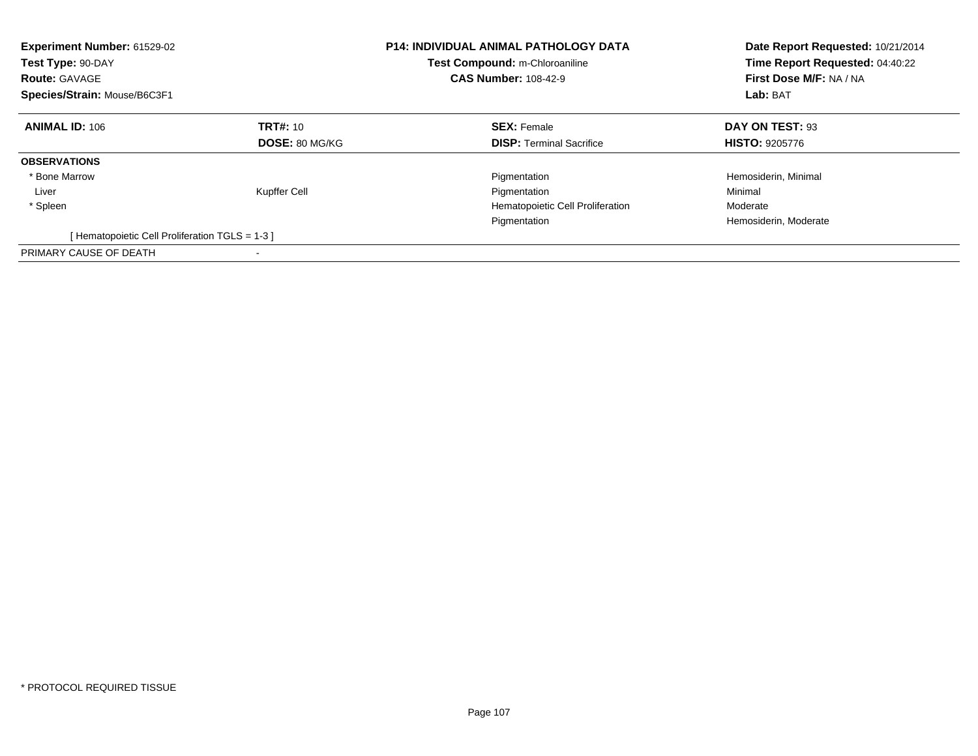| Experiment Number: 61529-02<br>Test Type: 90-DAY<br><b>Route: GAVAGE</b><br>Species/Strain: Mouse/B6C3F1 |                       | <b>P14: INDIVIDUAL ANIMAL PATHOLOGY DATA</b><br>Test Compound: m-Chloroaniline<br><b>CAS Number: 108-42-9</b> | Date Report Requested: 10/21/2014<br>Time Report Requested: 04:40:22<br>First Dose M/F: NA / NA<br>Lab: BAT |
|----------------------------------------------------------------------------------------------------------|-----------------------|---------------------------------------------------------------------------------------------------------------|-------------------------------------------------------------------------------------------------------------|
| <b>ANIMAL ID: 106</b>                                                                                    | <b>TRT#: 10</b>       | <b>SEX: Female</b>                                                                                            | DAY ON TEST: 93                                                                                             |
|                                                                                                          | <b>DOSE: 80 MG/KG</b> | <b>DISP:</b> Terminal Sacrifice                                                                               | <b>HISTO: 9205776</b>                                                                                       |
| <b>OBSERVATIONS</b>                                                                                      |                       |                                                                                                               |                                                                                                             |
| * Bone Marrow                                                                                            |                       | Pigmentation                                                                                                  | Hemosiderin, Minimal                                                                                        |
| Liver                                                                                                    | Kupffer Cell          | Pigmentation                                                                                                  | Minimal                                                                                                     |
| * Spleen                                                                                                 |                       | Hematopoietic Cell Proliferation                                                                              | Moderate                                                                                                    |
|                                                                                                          |                       | Pigmentation                                                                                                  | Hemosiderin, Moderate                                                                                       |
| [Hematopoietic Cell Proliferation TGLS = 1-3 ]                                                           |                       |                                                                                                               |                                                                                                             |
| PRIMARY CAUSE OF DEATH                                                                                   |                       |                                                                                                               |                                                                                                             |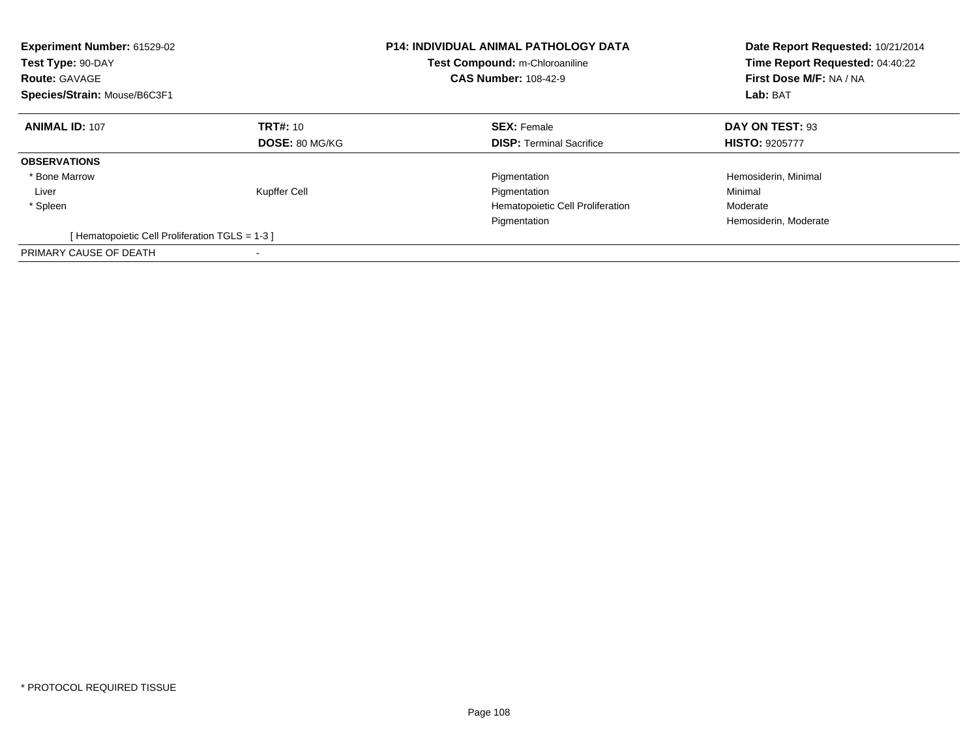| <b>Experiment Number: 61529-02</b><br>Test Type: 90-DAY<br><b>Route: GAVAGE</b><br>Species/Strain: Mouse/B6C3F1 |                 | <b>P14: INDIVIDUAL ANIMAL PATHOLOGY DATA</b><br>Test Compound: m-Chloroaniline<br><b>CAS Number: 108-42-9</b> | Date Report Requested: 10/21/2014<br>Time Report Requested: 04:40:22<br>First Dose M/F: NA / NA<br>Lab: BAT |
|-----------------------------------------------------------------------------------------------------------------|-----------------|---------------------------------------------------------------------------------------------------------------|-------------------------------------------------------------------------------------------------------------|
| <b>ANIMAL ID: 107</b>                                                                                           | <b>TRT#: 10</b> | <b>SEX: Female</b>                                                                                            | DAY ON TEST: 93                                                                                             |
|                                                                                                                 | DOSE: 80 MG/KG  | <b>DISP:</b> Terminal Sacrifice                                                                               | <b>HISTO: 9205777</b>                                                                                       |
| <b>OBSERVATIONS</b>                                                                                             |                 |                                                                                                               |                                                                                                             |
| * Bone Marrow                                                                                                   |                 | Pigmentation                                                                                                  | Hemosiderin, Minimal                                                                                        |
| Liver                                                                                                           | Kupffer Cell    | Pigmentation                                                                                                  | Minimal                                                                                                     |
| * Spleen                                                                                                        |                 | Hematopoietic Cell Proliferation                                                                              | Moderate                                                                                                    |
|                                                                                                                 |                 | Pigmentation                                                                                                  | Hemosiderin, Moderate                                                                                       |
| [Hematopoietic Cell Proliferation TGLS = 1-3 ]                                                                  |                 |                                                                                                               |                                                                                                             |
| PRIMARY CAUSE OF DEATH                                                                                          |                 |                                                                                                               |                                                                                                             |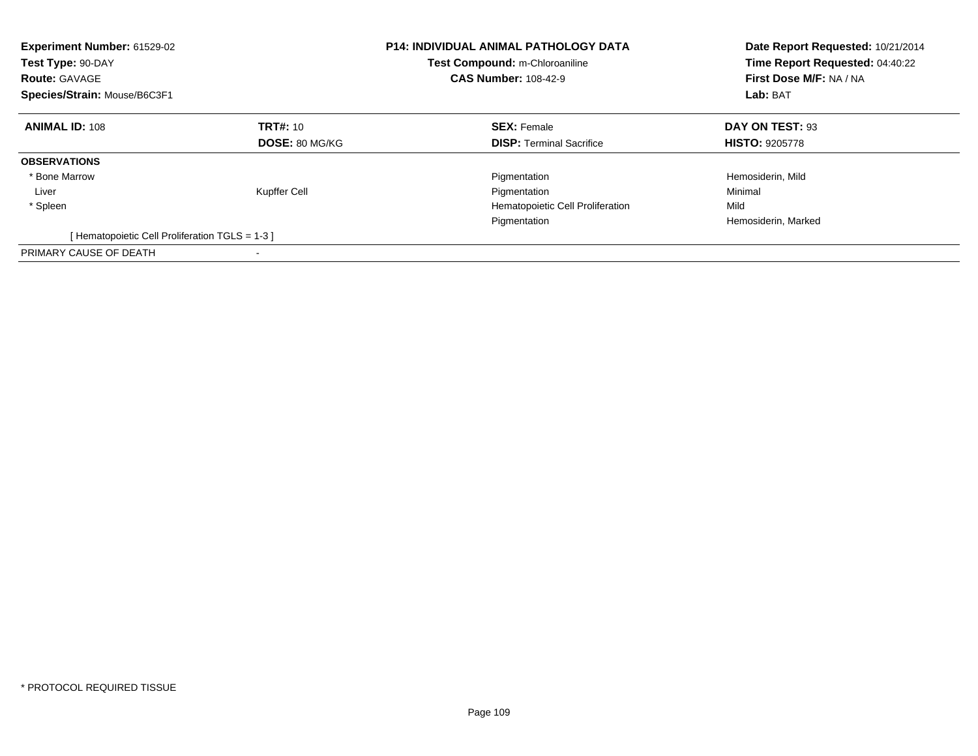| Experiment Number: 61529-02<br>Test Type: 90-DAY<br><b>Route: GAVAGE</b><br>Species/Strain: Mouse/B6C3F1 |                       | <b>P14: INDIVIDUAL ANIMAL PATHOLOGY DATA</b><br>Test Compound: m-Chloroaniline<br><b>CAS Number: 108-42-9</b> | Date Report Requested: 10/21/2014<br>Time Report Requested: 04:40:22<br>First Dose M/F: NA / NA<br>Lab: BAT |
|----------------------------------------------------------------------------------------------------------|-----------------------|---------------------------------------------------------------------------------------------------------------|-------------------------------------------------------------------------------------------------------------|
| <b>ANIMAL ID: 108</b>                                                                                    | <b>TRT#: 10</b>       | <b>SEX: Female</b>                                                                                            | DAY ON TEST: 93                                                                                             |
|                                                                                                          | <b>DOSE: 80 MG/KG</b> | <b>DISP:</b> Terminal Sacrifice                                                                               | <b>HISTO: 9205778</b>                                                                                       |
| <b>OBSERVATIONS</b>                                                                                      |                       |                                                                                                               |                                                                                                             |
| * Bone Marrow                                                                                            |                       | Pigmentation                                                                                                  | Hemosiderin, Mild                                                                                           |
| Liver                                                                                                    | Kupffer Cell          | Pigmentation                                                                                                  | Minimal                                                                                                     |
| * Spleen                                                                                                 |                       | Hematopoietic Cell Proliferation                                                                              | Mild                                                                                                        |
|                                                                                                          |                       | Pigmentation                                                                                                  | Hemosiderin, Marked                                                                                         |
| [Hematopoietic Cell Proliferation TGLS = 1-3 ]                                                           |                       |                                                                                                               |                                                                                                             |
| PRIMARY CAUSE OF DEATH                                                                                   |                       |                                                                                                               |                                                                                                             |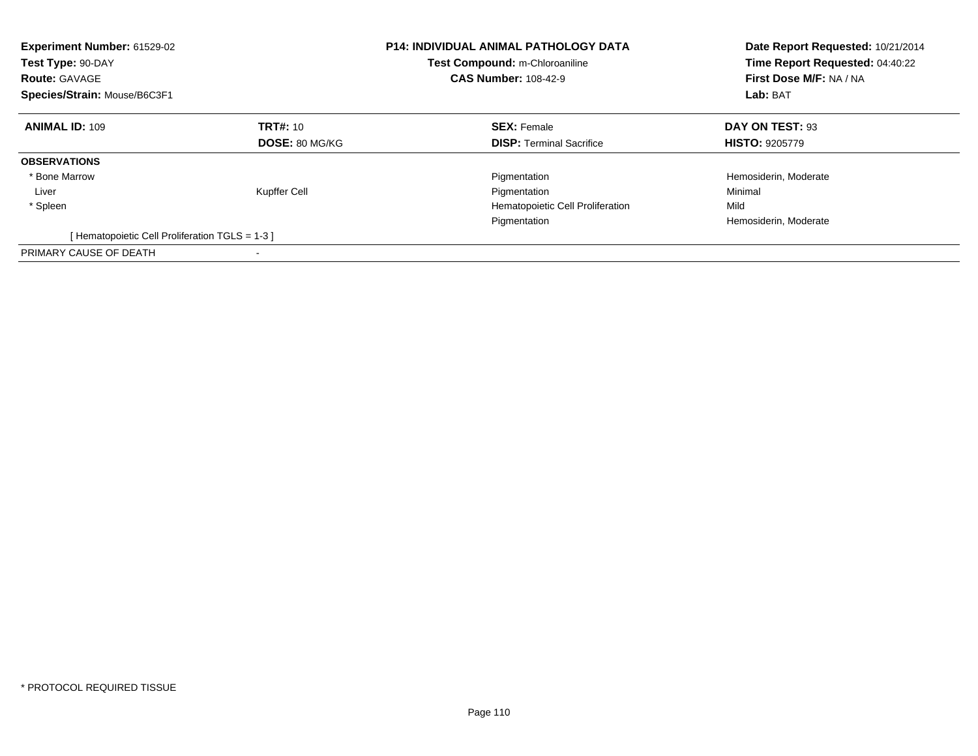| Experiment Number: 61529-02<br>Test Type: 90-DAY<br><b>Route: GAVAGE</b><br>Species/Strain: Mouse/B6C3F1 |                       | <b>P14: INDIVIDUAL ANIMAL PATHOLOGY DATA</b><br>Test Compound: m-Chloroaniline<br><b>CAS Number: 108-42-9</b> | Date Report Requested: 10/21/2014<br>Time Report Requested: 04:40:22<br>First Dose M/F: NA / NA<br>Lab: BAT |
|----------------------------------------------------------------------------------------------------------|-----------------------|---------------------------------------------------------------------------------------------------------------|-------------------------------------------------------------------------------------------------------------|
| <b>ANIMAL ID: 109</b>                                                                                    | <b>TRT#: 10</b>       | <b>SEX: Female</b>                                                                                            | DAY ON TEST: 93                                                                                             |
|                                                                                                          | <b>DOSE: 80 MG/KG</b> | <b>DISP:</b> Terminal Sacrifice                                                                               | <b>HISTO: 9205779</b>                                                                                       |
| <b>OBSERVATIONS</b>                                                                                      |                       |                                                                                                               |                                                                                                             |
| * Bone Marrow                                                                                            |                       | Pigmentation                                                                                                  | Hemosiderin, Moderate                                                                                       |
| Liver                                                                                                    | Kupffer Cell          | Pigmentation                                                                                                  | Minimal                                                                                                     |
| * Spleen                                                                                                 |                       | Hematopoietic Cell Proliferation                                                                              | Mild                                                                                                        |
|                                                                                                          |                       | Pigmentation                                                                                                  | Hemosiderin, Moderate                                                                                       |
| [Hematopoietic Cell Proliferation TGLS = 1-3 ]                                                           |                       |                                                                                                               |                                                                                                             |
| PRIMARY CAUSE OF DEATH                                                                                   |                       |                                                                                                               |                                                                                                             |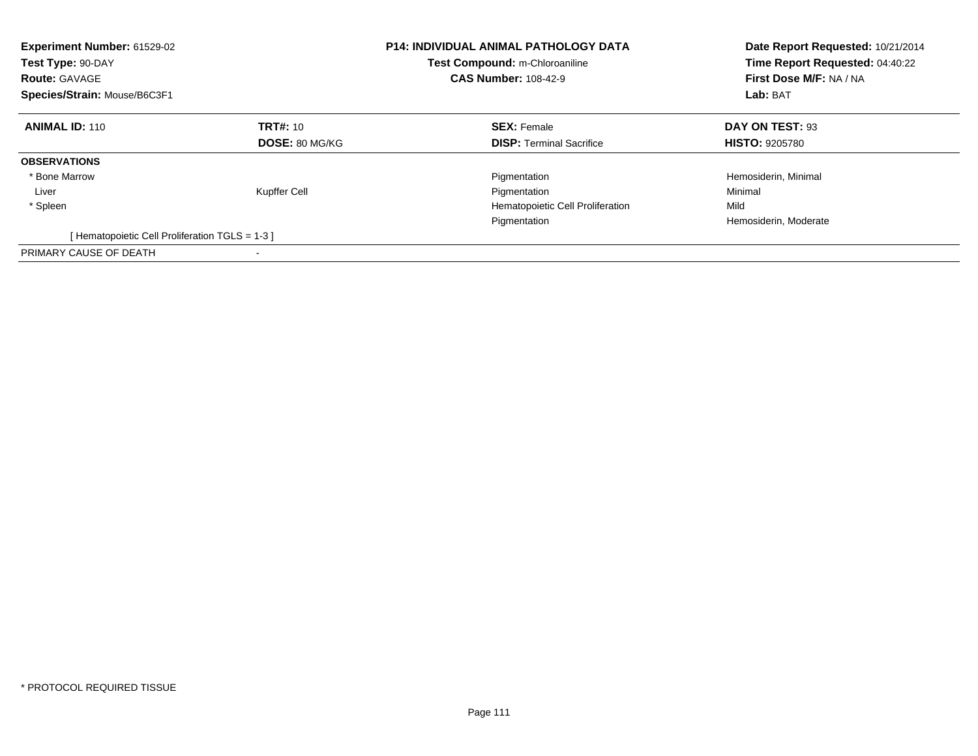| Experiment Number: 61529-02<br>Test Type: 90-DAY<br><b>Route: GAVAGE</b><br>Species/Strain: Mouse/B6C3F1 |                       | <b>P14: INDIVIDUAL ANIMAL PATHOLOGY DATA</b><br>Test Compound: m-Chloroaniline<br><b>CAS Number: 108-42-9</b> | Date Report Requested: 10/21/2014<br>Time Report Requested: 04:40:22<br>First Dose M/F: NA / NA<br>Lab: BAT |
|----------------------------------------------------------------------------------------------------------|-----------------------|---------------------------------------------------------------------------------------------------------------|-------------------------------------------------------------------------------------------------------------|
| <b>ANIMAL ID: 110</b>                                                                                    | <b>TRT#: 10</b>       | <b>SEX: Female</b>                                                                                            | DAY ON TEST: 93                                                                                             |
|                                                                                                          | <b>DOSE: 80 MG/KG</b> | <b>DISP:</b> Terminal Sacrifice                                                                               | <b>HISTO: 9205780</b>                                                                                       |
| <b>OBSERVATIONS</b>                                                                                      |                       |                                                                                                               |                                                                                                             |
| * Bone Marrow                                                                                            |                       | Pigmentation                                                                                                  | Hemosiderin, Minimal                                                                                        |
| Liver                                                                                                    | Kupffer Cell          | Pigmentation                                                                                                  | Minimal                                                                                                     |
| * Spleen                                                                                                 |                       | Hematopoietic Cell Proliferation                                                                              | Mild                                                                                                        |
|                                                                                                          |                       | Pigmentation                                                                                                  | Hemosiderin, Moderate                                                                                       |
| [Hematopoietic Cell Proliferation TGLS = 1-3 ]                                                           |                       |                                                                                                               |                                                                                                             |
| PRIMARY CAUSE OF DEATH                                                                                   |                       |                                                                                                               |                                                                                                             |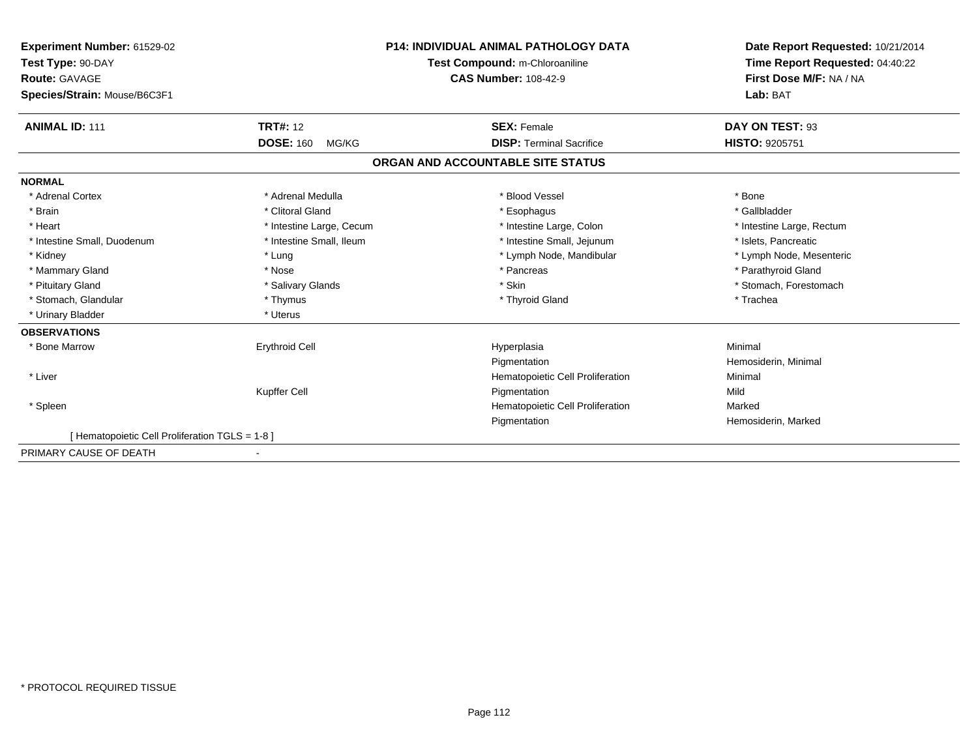| Experiment Number: 61529-02                     | <b>P14: INDIVIDUAL ANIMAL PATHOLOGY DATA</b><br>Test Compound: m-Chloroaniline |                                   | Date Report Requested: 10/21/2014<br>Time Report Requested: 04:40:22 |
|-------------------------------------------------|--------------------------------------------------------------------------------|-----------------------------------|----------------------------------------------------------------------|
| Test Type: 90-DAY                               |                                                                                |                                   |                                                                      |
| <b>Route: GAVAGE</b>                            |                                                                                | <b>CAS Number: 108-42-9</b>       | First Dose M/F: NA / NA                                              |
| Species/Strain: Mouse/B6C3F1                    |                                                                                |                                   | Lab: BAT                                                             |
| <b>ANIMAL ID: 111</b>                           | <b>TRT#: 12</b>                                                                | <b>SEX: Female</b>                | DAY ON TEST: 93                                                      |
|                                                 | <b>DOSE: 160</b><br>MG/KG                                                      | <b>DISP: Terminal Sacrifice</b>   | <b>HISTO: 9205751</b>                                                |
|                                                 |                                                                                | ORGAN AND ACCOUNTABLE SITE STATUS |                                                                      |
| <b>NORMAL</b>                                   |                                                                                |                                   |                                                                      |
| * Adrenal Cortex                                | * Adrenal Medulla                                                              | * Blood Vessel                    | * Bone                                                               |
| * Brain                                         | * Clitoral Gland                                                               | * Esophagus                       | * Gallbladder                                                        |
| * Heart                                         | * Intestine Large, Cecum                                                       | * Intestine Large, Colon          | * Intestine Large, Rectum                                            |
| * Intestine Small, Duodenum                     | * Intestine Small, Ileum                                                       | * Intestine Small, Jejunum        | * Islets, Pancreatic                                                 |
| * Kidney                                        | * Lung                                                                         | * Lymph Node, Mandibular          | * Lymph Node, Mesenteric                                             |
| * Mammary Gland                                 | * Nose                                                                         | * Pancreas                        | * Parathyroid Gland                                                  |
| * Pituitary Gland                               | * Salivary Glands                                                              | * Skin                            | * Stomach, Forestomach                                               |
| * Stomach, Glandular                            | * Thymus                                                                       | * Thyroid Gland                   | * Trachea                                                            |
| * Urinary Bladder                               | * Uterus                                                                       |                                   |                                                                      |
| <b>OBSERVATIONS</b>                             |                                                                                |                                   |                                                                      |
| * Bone Marrow                                   | <b>Erythroid Cell</b>                                                          | Hyperplasia                       | Minimal                                                              |
|                                                 |                                                                                | Pigmentation                      | Hemosiderin, Minimal                                                 |
| * Liver                                         |                                                                                | Hematopoietic Cell Proliferation  | Minimal                                                              |
|                                                 | Kupffer Cell                                                                   | Pigmentation                      | Mild                                                                 |
| * Spleen                                        |                                                                                | Hematopoietic Cell Proliferation  | Marked                                                               |
|                                                 |                                                                                | Pigmentation                      | Hemosiderin, Marked                                                  |
| [ Hematopoietic Cell Proliferation TGLS = 1-8 ] |                                                                                |                                   |                                                                      |
| PRIMARY CAUSE OF DEATH                          |                                                                                |                                   |                                                                      |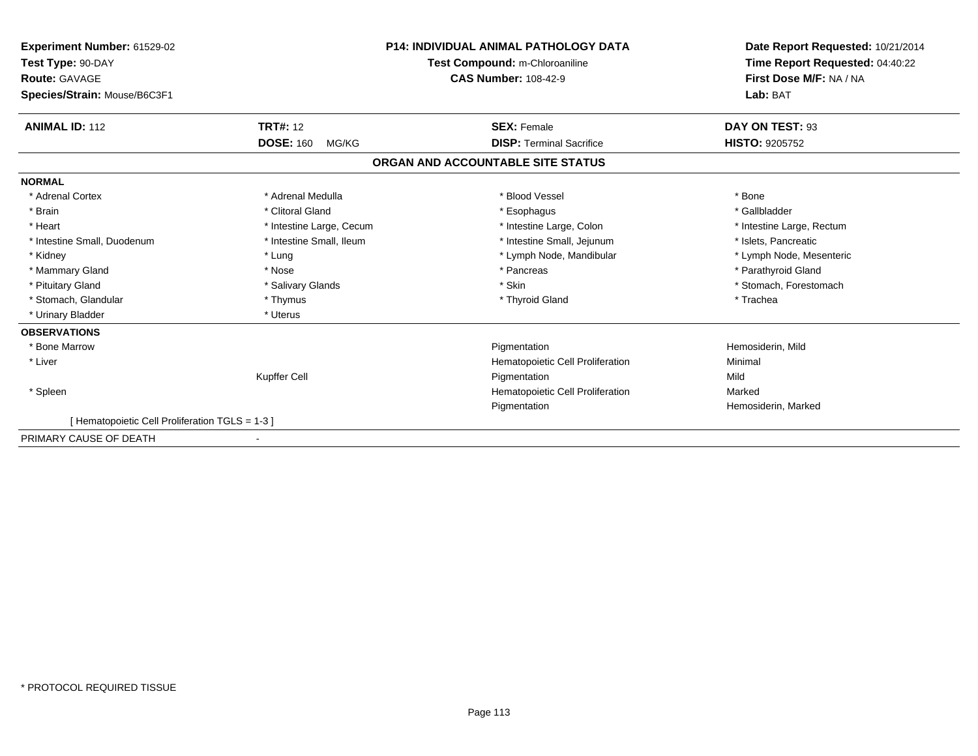| Experiment Number: 61529-02<br>Test Type: 90-DAY<br><b>Route: GAVAGE</b><br>Species/Strain: Mouse/B6C3F1 |                           | <b>P14: INDIVIDUAL ANIMAL PATHOLOGY DATA</b><br>Test Compound: m-Chloroaniline<br><b>CAS Number: 108-42-9</b> | Date Report Requested: 10/21/2014<br>Time Report Requested: 04:40:22<br>First Dose M/F: NA / NA<br>Lab: BAT |
|----------------------------------------------------------------------------------------------------------|---------------------------|---------------------------------------------------------------------------------------------------------------|-------------------------------------------------------------------------------------------------------------|
| <b>ANIMAL ID: 112</b>                                                                                    | <b>TRT#: 12</b>           | <b>SEX: Female</b>                                                                                            | DAY ON TEST: 93                                                                                             |
|                                                                                                          | <b>DOSE: 160</b><br>MG/KG | <b>DISP: Terminal Sacrifice</b>                                                                               | <b>HISTO: 9205752</b>                                                                                       |
|                                                                                                          |                           | ORGAN AND ACCOUNTABLE SITE STATUS                                                                             |                                                                                                             |
| <b>NORMAL</b>                                                                                            |                           |                                                                                                               |                                                                                                             |
| * Adrenal Cortex                                                                                         | * Adrenal Medulla         | * Blood Vessel                                                                                                | * Bone                                                                                                      |
| * Brain                                                                                                  | * Clitoral Gland          | * Esophagus                                                                                                   | * Gallbladder                                                                                               |
| * Heart                                                                                                  | * Intestine Large, Cecum  | * Intestine Large, Colon                                                                                      | * Intestine Large, Rectum                                                                                   |
| * Intestine Small, Duodenum                                                                              | * Intestine Small, Ileum  | * Intestine Small, Jejunum                                                                                    | * Islets, Pancreatic                                                                                        |
| * Kidney                                                                                                 | * Lung                    | * Lymph Node, Mandibular                                                                                      | * Lymph Node, Mesenteric                                                                                    |
| * Mammary Gland                                                                                          | * Nose                    | * Pancreas                                                                                                    | * Parathyroid Gland                                                                                         |
| * Pituitary Gland                                                                                        | * Salivary Glands         | * Skin                                                                                                        | * Stomach, Forestomach                                                                                      |
| * Stomach, Glandular                                                                                     | * Thymus                  | * Thyroid Gland                                                                                               | * Trachea                                                                                                   |
| * Urinary Bladder                                                                                        | * Uterus                  |                                                                                                               |                                                                                                             |
| <b>OBSERVATIONS</b>                                                                                      |                           |                                                                                                               |                                                                                                             |
| * Bone Marrow                                                                                            |                           | Pigmentation                                                                                                  | Hemosiderin, Mild                                                                                           |
| * Liver                                                                                                  |                           | Hematopoietic Cell Proliferation                                                                              | Minimal                                                                                                     |
|                                                                                                          | Kupffer Cell              | Pigmentation                                                                                                  | Mild                                                                                                        |
| * Spleen                                                                                                 |                           | Hematopoietic Cell Proliferation                                                                              | Marked                                                                                                      |
|                                                                                                          |                           | Pigmentation                                                                                                  | Hemosiderin, Marked                                                                                         |
| Hematopoietic Cell Proliferation TGLS = 1-3 ]                                                            |                           |                                                                                                               |                                                                                                             |
| PRIMARY CAUSE OF DEATH                                                                                   |                           |                                                                                                               |                                                                                                             |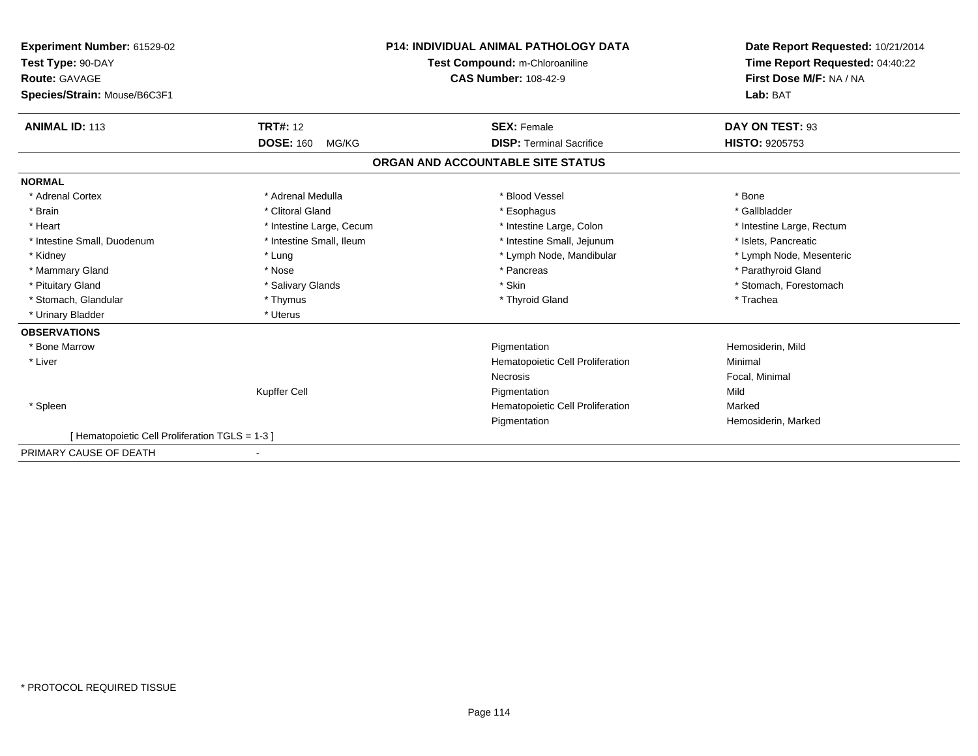| Experiment Number: 61529-02<br>Test Type: 90-DAY<br><b>Route: GAVAGE</b> |                           | <b>P14: INDIVIDUAL ANIMAL PATHOLOGY DATA</b><br>Test Compound: m-Chloroaniline<br><b>CAS Number: 108-42-9</b> | Date Report Requested: 10/21/2014<br>Time Report Requested: 04:40:22<br>First Dose M/F: NA / NA |
|--------------------------------------------------------------------------|---------------------------|---------------------------------------------------------------------------------------------------------------|-------------------------------------------------------------------------------------------------|
| Species/Strain: Mouse/B6C3F1                                             |                           |                                                                                                               | Lab: BAT                                                                                        |
| <b>ANIMAL ID: 113</b>                                                    | <b>TRT#: 12</b>           | <b>SEX: Female</b>                                                                                            | DAY ON TEST: 93                                                                                 |
|                                                                          | <b>DOSE: 160</b><br>MG/KG | <b>DISP: Terminal Sacrifice</b>                                                                               | <b>HISTO: 9205753</b>                                                                           |
|                                                                          |                           | ORGAN AND ACCOUNTABLE SITE STATUS                                                                             |                                                                                                 |
| <b>NORMAL</b>                                                            |                           |                                                                                                               |                                                                                                 |
| * Adrenal Cortex                                                         | * Adrenal Medulla         | * Blood Vessel                                                                                                | * Bone                                                                                          |
| * Brain                                                                  | * Clitoral Gland          | * Esophagus                                                                                                   | * Gallbladder                                                                                   |
| * Heart                                                                  | * Intestine Large, Cecum  | * Intestine Large, Colon                                                                                      | * Intestine Large, Rectum                                                                       |
| * Intestine Small, Duodenum                                              | * Intestine Small, Ileum  | * Intestine Small, Jejunum                                                                                    | * Islets. Pancreatic                                                                            |
| * Kidney                                                                 | * Lung                    | * Lymph Node, Mandibular                                                                                      | * Lymph Node, Mesenteric                                                                        |
| * Mammary Gland                                                          | * Nose                    | * Pancreas                                                                                                    | * Parathyroid Gland                                                                             |
| * Pituitary Gland                                                        | * Salivary Glands         | * Skin                                                                                                        | * Stomach, Forestomach                                                                          |
| * Stomach, Glandular                                                     | * Thymus                  | * Thyroid Gland                                                                                               | * Trachea                                                                                       |
| * Urinary Bladder                                                        | * Uterus                  |                                                                                                               |                                                                                                 |
| <b>OBSERVATIONS</b>                                                      |                           |                                                                                                               |                                                                                                 |
| * Bone Marrow                                                            |                           | Pigmentation                                                                                                  | Hemosiderin, Mild                                                                               |
| * Liver                                                                  |                           | Hematopoietic Cell Proliferation                                                                              | Minimal                                                                                         |
|                                                                          |                           | <b>Necrosis</b>                                                                                               | Focal, Minimal                                                                                  |
|                                                                          | Kupffer Cell              | Pigmentation                                                                                                  | Mild                                                                                            |
| * Spleen                                                                 |                           | Hematopoietic Cell Proliferation                                                                              | Marked                                                                                          |
|                                                                          |                           | Pigmentation                                                                                                  | Hemosiderin, Marked                                                                             |
| [Hematopoietic Cell Proliferation TGLS = 1-3 ]                           |                           |                                                                                                               |                                                                                                 |
| PRIMARY CAUSE OF DEATH                                                   |                           |                                                                                                               |                                                                                                 |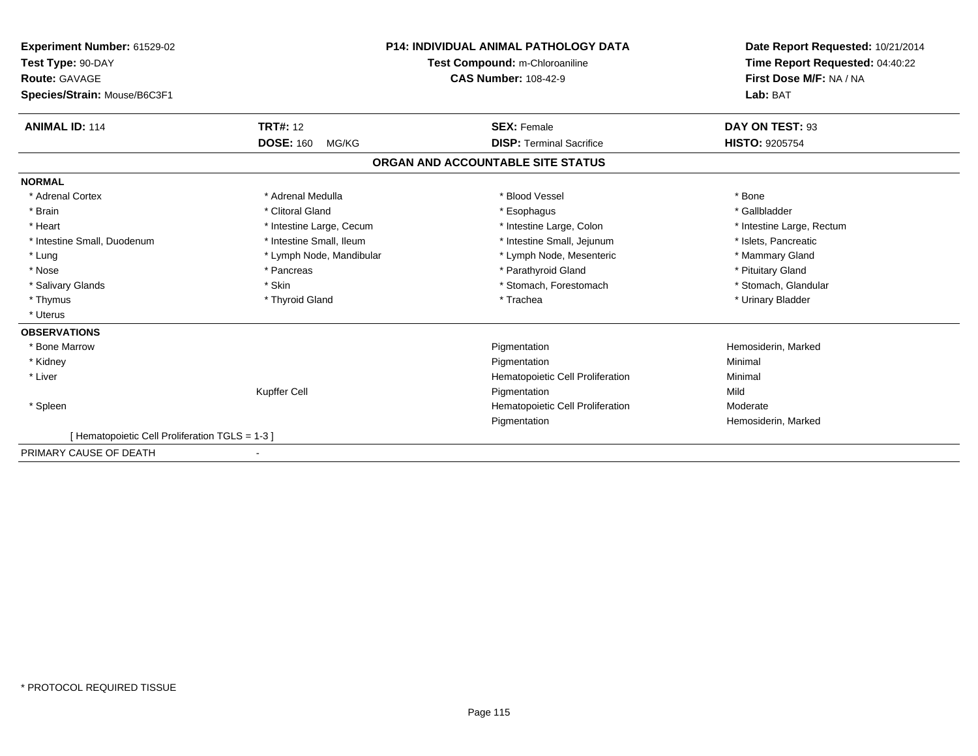| Experiment Number: 61529-02                    |                                | <b>P14: INDIVIDUAL ANIMAL PATHOLOGY DATA</b> | Date Report Requested: 10/21/2014 |
|------------------------------------------------|--------------------------------|----------------------------------------------|-----------------------------------|
| Test Type: 90-DAY                              | Test Compound: m-Chloroaniline |                                              | Time Report Requested: 04:40:22   |
| <b>Route: GAVAGE</b>                           |                                | <b>CAS Number: 108-42-9</b>                  | First Dose M/F: NA / NA           |
| Species/Strain: Mouse/B6C3F1                   |                                |                                              | Lab: BAT                          |
| <b>ANIMAL ID: 114</b>                          | <b>TRT#: 12</b>                | <b>SEX: Female</b>                           | DAY ON TEST: 93                   |
|                                                | <b>DOSE: 160</b><br>MG/KG      | <b>DISP: Terminal Sacrifice</b>              | <b>HISTO: 9205754</b>             |
|                                                |                                | ORGAN AND ACCOUNTABLE SITE STATUS            |                                   |
| <b>NORMAL</b>                                  |                                |                                              |                                   |
| * Adrenal Cortex                               | * Adrenal Medulla              | * Blood Vessel                               | * Bone                            |
| * Brain                                        | * Clitoral Gland               | * Esophagus                                  | * Gallbladder                     |
| * Heart                                        | * Intestine Large, Cecum       | * Intestine Large, Colon                     | * Intestine Large, Rectum         |
| * Intestine Small, Duodenum                    | * Intestine Small, Ileum       | * Intestine Small, Jejunum                   | * Islets, Pancreatic              |
| * Lung                                         | * Lymph Node, Mandibular       | * Lymph Node, Mesenteric                     | * Mammary Gland                   |
| * Nose                                         | * Pancreas                     | * Parathyroid Gland                          | * Pituitary Gland                 |
| * Salivary Glands                              | * Skin                         | * Stomach, Forestomach                       | * Stomach, Glandular              |
| * Thymus                                       | * Thyroid Gland                | * Trachea                                    | * Urinary Bladder                 |
| * Uterus                                       |                                |                                              |                                   |
| <b>OBSERVATIONS</b>                            |                                |                                              |                                   |
| * Bone Marrow                                  |                                | Pigmentation                                 | Hemosiderin, Marked               |
| * Kidney                                       |                                | Pigmentation                                 | Minimal                           |
| * Liver                                        |                                | Hematopoietic Cell Proliferation             | Minimal                           |
|                                                | Kupffer Cell                   | Pigmentation                                 | Mild                              |
| * Spleen                                       |                                | Hematopoietic Cell Proliferation             | Moderate                          |
|                                                |                                | Pigmentation                                 | Hemosiderin, Marked               |
| [Hematopoietic Cell Proliferation TGLS = 1-3 ] |                                |                                              |                                   |
| PRIMARY CAUSE OF DEATH                         |                                |                                              |                                   |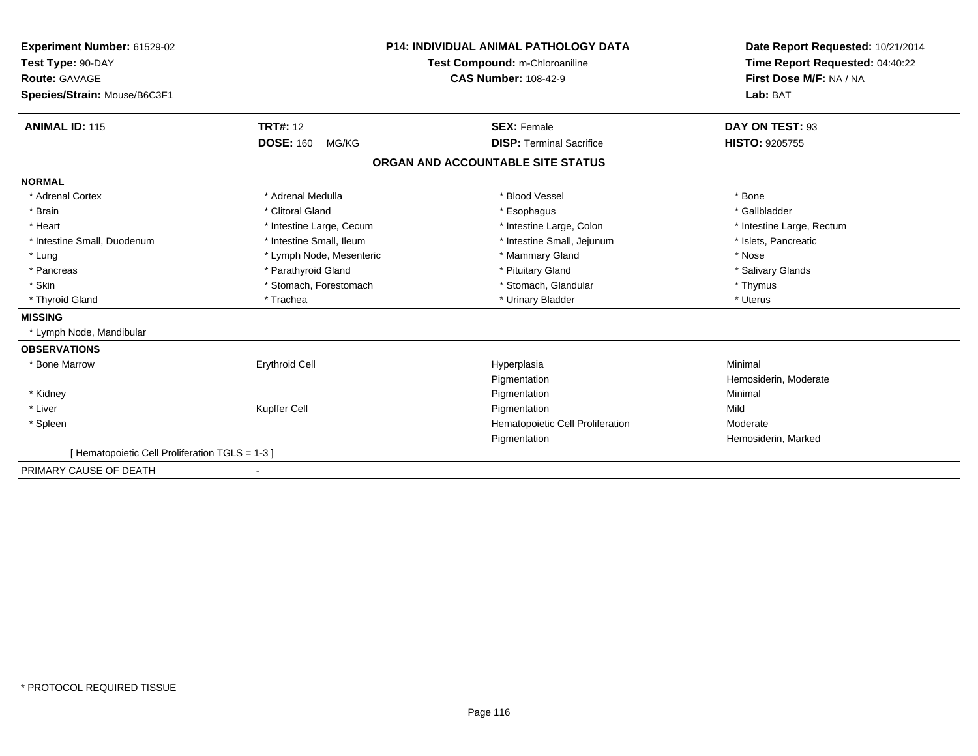| Experiment Number: 61529-02                    |                           | <b>P14: INDIVIDUAL ANIMAL PATHOLOGY DATA</b> | Date Report Requested: 10/21/2014 |
|------------------------------------------------|---------------------------|----------------------------------------------|-----------------------------------|
| Test Type: 90-DAY                              |                           | Test Compound: m-Chloroaniline               | Time Report Requested: 04:40:22   |
| Route: GAVAGE                                  |                           | <b>CAS Number: 108-42-9</b>                  | First Dose M/F: NA / NA           |
| Species/Strain: Mouse/B6C3F1                   |                           |                                              | Lab: BAT                          |
|                                                |                           |                                              |                                   |
| <b>ANIMAL ID: 115</b>                          | <b>TRT#: 12</b>           | <b>SEX: Female</b>                           | DAY ON TEST: 93                   |
|                                                | <b>DOSE: 160</b><br>MG/KG | <b>DISP: Terminal Sacrifice</b>              | <b>HISTO: 9205755</b>             |
|                                                |                           | ORGAN AND ACCOUNTABLE SITE STATUS            |                                   |
| <b>NORMAL</b>                                  |                           |                                              |                                   |
| * Adrenal Cortex                               | * Adrenal Medulla         | * Blood Vessel                               | * Bone                            |
| * Brain                                        | * Clitoral Gland          | * Esophagus                                  | * Gallbladder                     |
| * Heart                                        | * Intestine Large, Cecum  | * Intestine Large, Colon                     | * Intestine Large, Rectum         |
| * Intestine Small, Duodenum                    | * Intestine Small, Ileum  | * Intestine Small, Jejunum                   | * Islets, Pancreatic              |
| * Lung                                         | * Lymph Node, Mesenteric  | * Mammary Gland                              | * Nose                            |
| * Pancreas                                     | * Parathyroid Gland       | * Pituitary Gland                            | * Salivary Glands                 |
| * Skin                                         | * Stomach, Forestomach    | * Stomach, Glandular                         | * Thymus                          |
| * Thyroid Gland                                | * Trachea                 | * Urinary Bladder                            | * Uterus                          |
| <b>MISSING</b>                                 |                           |                                              |                                   |
| * Lymph Node, Mandibular                       |                           |                                              |                                   |
| <b>OBSERVATIONS</b>                            |                           |                                              |                                   |
| * Bone Marrow                                  | <b>Erythroid Cell</b>     | Hyperplasia                                  | Minimal                           |
|                                                |                           | Pigmentation                                 | Hemosiderin, Moderate             |
| * Kidney                                       |                           | Pigmentation                                 | Minimal                           |
| * Liver                                        | Kupffer Cell              | Pigmentation                                 | Mild                              |
| * Spleen                                       |                           | Hematopoietic Cell Proliferation             | Moderate                          |
|                                                |                           | Pigmentation                                 | Hemosiderin, Marked               |
| [Hematopoietic Cell Proliferation TGLS = 1-3 ] |                           |                                              |                                   |
| PRIMARY CAUSE OF DEATH                         |                           |                                              |                                   |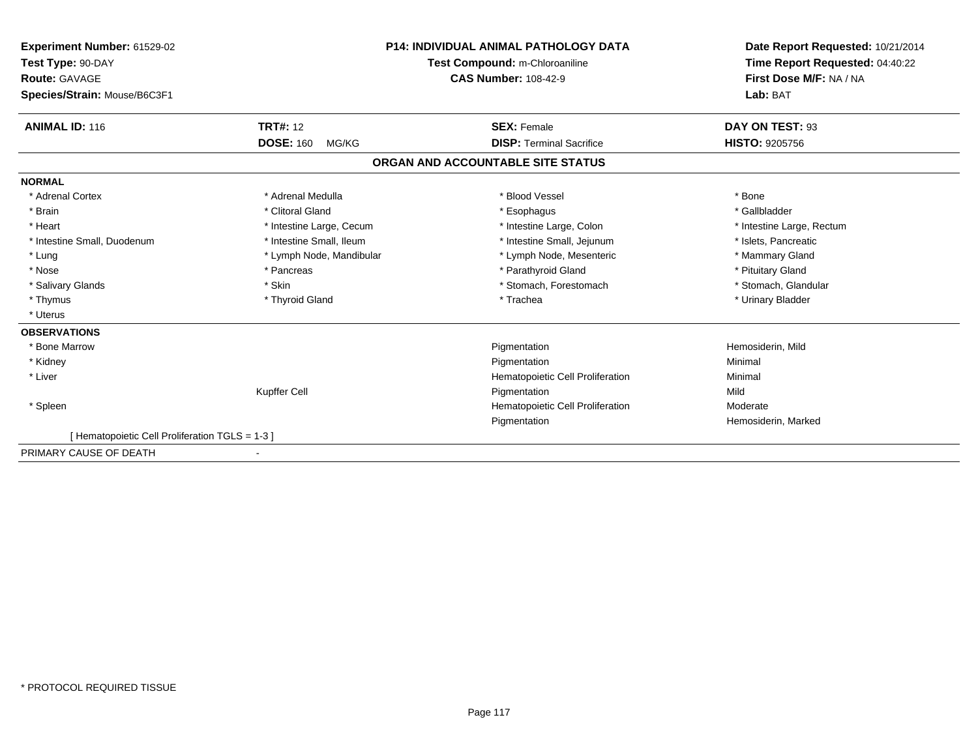| Experiment Number: 61529-02                    |                           | <b>P14: INDIVIDUAL ANIMAL PATHOLOGY DATA</b> | Date Report Requested: 10/21/2014                          |
|------------------------------------------------|---------------------------|----------------------------------------------|------------------------------------------------------------|
| Test Type: 90-DAY                              |                           | Test Compound: m-Chloroaniline               | Time Report Requested: 04:40:22<br>First Dose M/F: NA / NA |
| <b>Route: GAVAGE</b>                           |                           | <b>CAS Number: 108-42-9</b>                  |                                                            |
| Species/Strain: Mouse/B6C3F1                   |                           |                                              | Lab: BAT                                                   |
| <b>ANIMAL ID: 116</b>                          | <b>TRT#: 12</b>           | <b>SEX: Female</b>                           | DAY ON TEST: 93                                            |
|                                                | <b>DOSE: 160</b><br>MG/KG | <b>DISP: Terminal Sacrifice</b>              | <b>HISTO: 9205756</b>                                      |
|                                                |                           | ORGAN AND ACCOUNTABLE SITE STATUS            |                                                            |
| <b>NORMAL</b>                                  |                           |                                              |                                                            |
| * Adrenal Cortex                               | * Adrenal Medulla         | * Blood Vessel                               | * Bone                                                     |
| * Brain                                        | * Clitoral Gland          | * Esophagus                                  | * Gallbladder                                              |
| * Heart                                        | * Intestine Large, Cecum  | * Intestine Large, Colon                     | * Intestine Large, Rectum                                  |
| * Intestine Small, Duodenum                    | * Intestine Small, Ileum  | * Intestine Small, Jejunum                   | * Islets, Pancreatic                                       |
| * Lung                                         | * Lymph Node, Mandibular  | * Lymph Node, Mesenteric                     | * Mammary Gland                                            |
| * Nose                                         | * Pancreas                | * Parathyroid Gland                          | * Pituitary Gland                                          |
| * Salivary Glands                              | * Skin                    | * Stomach, Forestomach                       | * Stomach, Glandular                                       |
| * Thymus                                       | * Thyroid Gland           | * Trachea                                    | * Urinary Bladder                                          |
| * Uterus                                       |                           |                                              |                                                            |
| <b>OBSERVATIONS</b>                            |                           |                                              |                                                            |
| * Bone Marrow                                  |                           | Pigmentation                                 | Hemosiderin, Mild                                          |
| * Kidney                                       |                           | Pigmentation                                 | Minimal                                                    |
| * Liver                                        |                           | Hematopoietic Cell Proliferation             | Minimal                                                    |
|                                                | Kupffer Cell              | Pigmentation                                 | Mild                                                       |
| * Spleen                                       |                           | Hematopoietic Cell Proliferation             | Moderate                                                   |
|                                                |                           | Pigmentation                                 | Hemosiderin, Marked                                        |
| [Hematopoietic Cell Proliferation TGLS = 1-3 ] |                           |                                              |                                                            |
| PRIMARY CAUSE OF DEATH                         |                           |                                              |                                                            |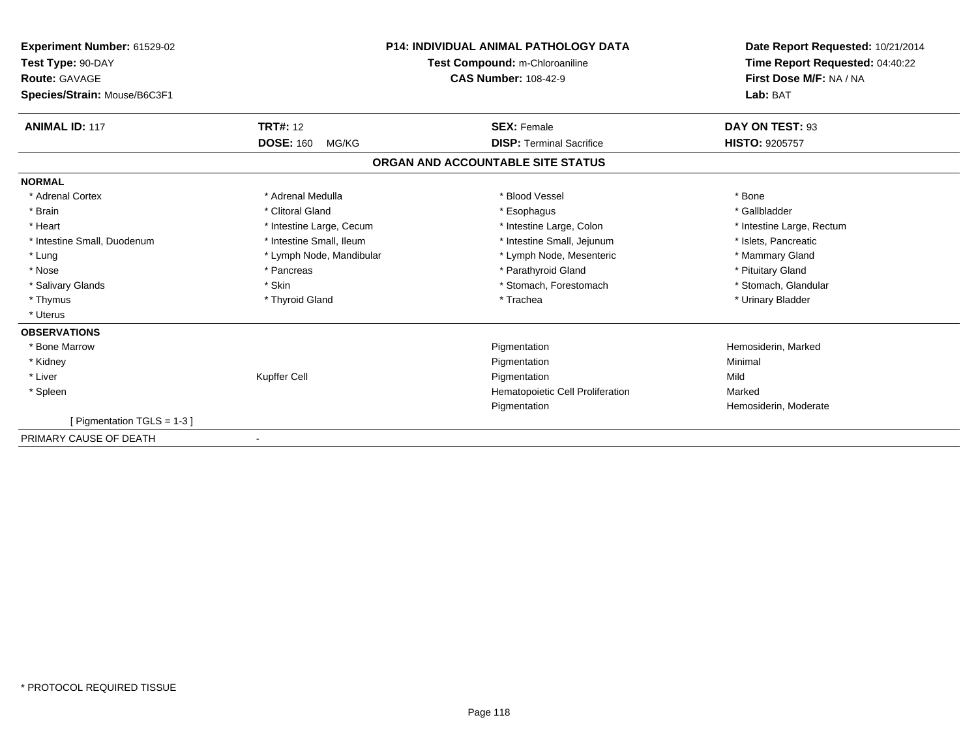| Experiment Number: 61529-02<br>Test Type: 90-DAY<br><b>Route: GAVAGE</b><br>Species/Strain: Mouse/B6C3F1 |                           | <b>P14: INDIVIDUAL ANIMAL PATHOLOGY DATA</b><br>Test Compound: m-Chloroaniline<br><b>CAS Number: 108-42-9</b> | Date Report Requested: 10/21/2014<br>Time Report Requested: 04:40:22<br>First Dose M/F: NA / NA<br>Lab: BAT |
|----------------------------------------------------------------------------------------------------------|---------------------------|---------------------------------------------------------------------------------------------------------------|-------------------------------------------------------------------------------------------------------------|
| <b>ANIMAL ID: 117</b>                                                                                    | <b>TRT#: 12</b>           | <b>SEX: Female</b>                                                                                            | DAY ON TEST: 93                                                                                             |
|                                                                                                          | <b>DOSE: 160</b><br>MG/KG | <b>DISP: Terminal Sacrifice</b>                                                                               | <b>HISTO: 9205757</b>                                                                                       |
|                                                                                                          |                           | ORGAN AND ACCOUNTABLE SITE STATUS                                                                             |                                                                                                             |
| <b>NORMAL</b>                                                                                            |                           |                                                                                                               |                                                                                                             |
| * Adrenal Cortex                                                                                         | * Adrenal Medulla         | * Blood Vessel                                                                                                | * Bone                                                                                                      |
| * Brain                                                                                                  | * Clitoral Gland          | * Esophagus                                                                                                   | * Gallbladder                                                                                               |
| * Heart                                                                                                  | * Intestine Large, Cecum  | * Intestine Large, Colon                                                                                      | * Intestine Large, Rectum                                                                                   |
| * Intestine Small, Duodenum                                                                              | * Intestine Small, Ileum  | * Intestine Small, Jejunum                                                                                    | * Islets, Pancreatic                                                                                        |
| * Lung                                                                                                   | * Lymph Node, Mandibular  | * Lymph Node, Mesenteric                                                                                      | * Mammary Gland                                                                                             |
| * Nose                                                                                                   | * Pancreas                | * Parathyroid Gland                                                                                           | * Pituitary Gland                                                                                           |
| * Salivary Glands                                                                                        | * Skin                    | * Stomach, Forestomach                                                                                        | * Stomach, Glandular                                                                                        |
| * Thymus                                                                                                 | * Thyroid Gland           | * Trachea                                                                                                     | * Urinary Bladder                                                                                           |
| * Uterus                                                                                                 |                           |                                                                                                               |                                                                                                             |
| <b>OBSERVATIONS</b>                                                                                      |                           |                                                                                                               |                                                                                                             |
| * Bone Marrow                                                                                            |                           | Pigmentation                                                                                                  | Hemosiderin, Marked                                                                                         |
| * Kidney                                                                                                 |                           | Pigmentation                                                                                                  | Minimal                                                                                                     |
| * Liver                                                                                                  | Kupffer Cell              | Pigmentation                                                                                                  | Mild                                                                                                        |
| * Spleen                                                                                                 |                           | Hematopoietic Cell Proliferation                                                                              | Marked                                                                                                      |
|                                                                                                          |                           | Pigmentation                                                                                                  | Hemosiderin, Moderate                                                                                       |
| [Pigmentation TGLS = 1-3]                                                                                |                           |                                                                                                               |                                                                                                             |
| PRIMARY CAUSE OF DEATH                                                                                   |                           |                                                                                                               |                                                                                                             |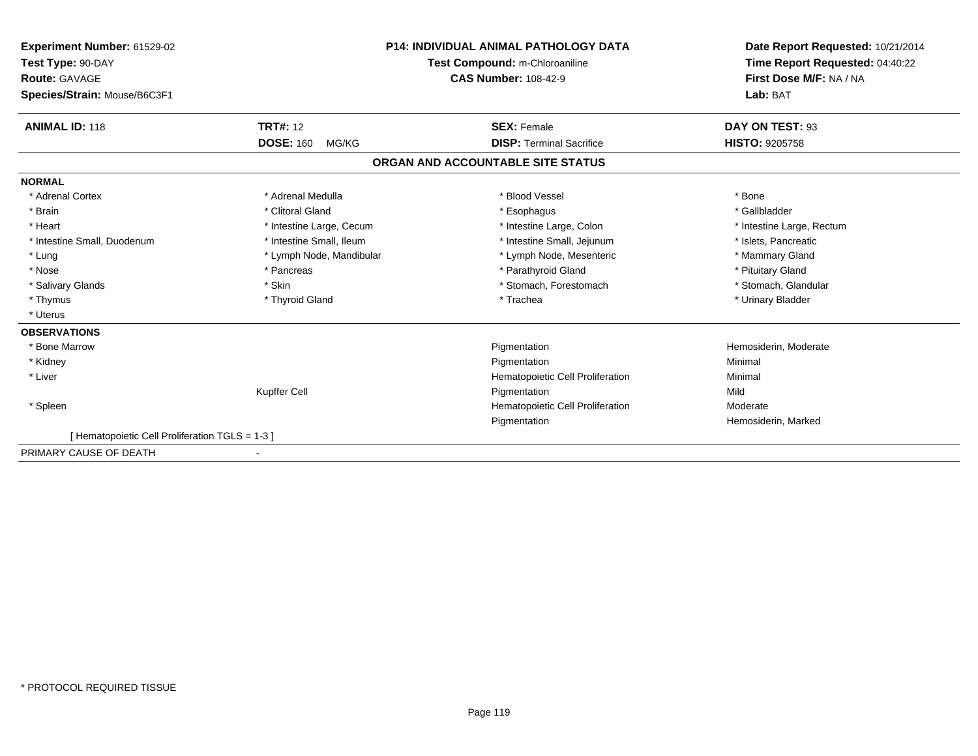| Experiment Number: 61529-02                    |                           | <b>P14: INDIVIDUAL ANIMAL PATHOLOGY DATA</b> | Date Report Requested: 10/21/2014<br>Time Report Requested: 04:40:22 |
|------------------------------------------------|---------------------------|----------------------------------------------|----------------------------------------------------------------------|
| Test Type: 90-DAY                              |                           | Test Compound: m-Chloroaniline               |                                                                      |
| Route: GAVAGE                                  |                           | <b>CAS Number: 108-42-9</b>                  | First Dose M/F: NA / NA                                              |
| Species/Strain: Mouse/B6C3F1                   |                           |                                              | Lab: BAT                                                             |
| <b>ANIMAL ID: 118</b>                          | <b>TRT#: 12</b>           | <b>SEX: Female</b>                           | DAY ON TEST: 93                                                      |
|                                                | <b>DOSE: 160</b><br>MG/KG | <b>DISP: Terminal Sacrifice</b>              | <b>HISTO: 9205758</b>                                                |
|                                                |                           | ORGAN AND ACCOUNTABLE SITE STATUS            |                                                                      |
| <b>NORMAL</b>                                  |                           |                                              |                                                                      |
| * Adrenal Cortex                               | * Adrenal Medulla         | * Blood Vessel                               | * Bone                                                               |
| * Brain                                        | * Clitoral Gland          | * Esophagus                                  | * Gallbladder                                                        |
| * Heart                                        | * Intestine Large, Cecum  | * Intestine Large, Colon                     | * Intestine Large, Rectum                                            |
| * Intestine Small, Duodenum                    | * Intestine Small, Ileum  | * Intestine Small, Jejunum                   | * Islets, Pancreatic                                                 |
| * Lung                                         | * Lymph Node, Mandibular  | * Lymph Node, Mesenteric                     | * Mammary Gland                                                      |
| * Nose                                         | * Pancreas                | * Parathyroid Gland                          | * Pituitary Gland                                                    |
| * Salivary Glands                              | * Skin                    | * Stomach, Forestomach                       | * Stomach, Glandular                                                 |
| * Thymus                                       | * Thyroid Gland           | * Trachea                                    | * Urinary Bladder                                                    |
| * Uterus                                       |                           |                                              |                                                                      |
| <b>OBSERVATIONS</b>                            |                           |                                              |                                                                      |
| * Bone Marrow                                  |                           | Pigmentation                                 | Hemosiderin, Moderate                                                |
| * Kidney                                       |                           | Pigmentation                                 | Minimal                                                              |
| * Liver                                        |                           | Hematopoietic Cell Proliferation             | Minimal                                                              |
|                                                | Kupffer Cell              | Pigmentation                                 | Mild                                                                 |
| * Spleen                                       |                           | Hematopoietic Cell Proliferation             | Moderate                                                             |
|                                                |                           | Pigmentation                                 | Hemosiderin, Marked                                                  |
| [Hematopoietic Cell Proliferation TGLS = 1-3 ] |                           |                                              |                                                                      |
| PRIMARY CAUSE OF DEATH                         |                           |                                              |                                                                      |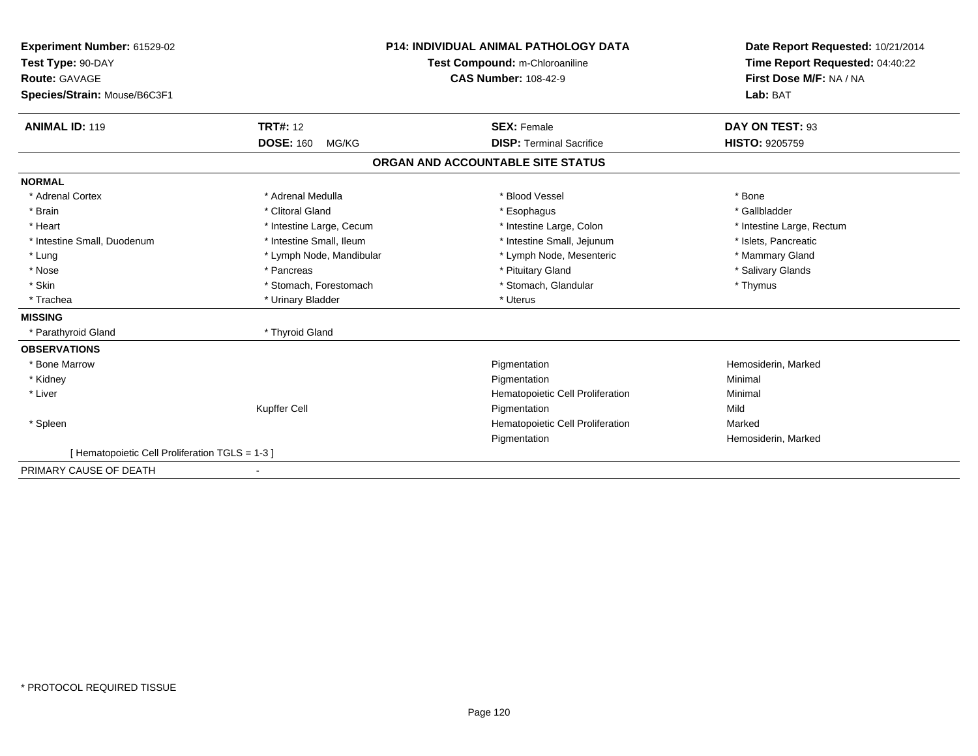| Experiment Number: 61529-02                     |                           | <b>P14: INDIVIDUAL ANIMAL PATHOLOGY DATA</b> | Date Report Requested: 10/21/2014 |  |
|-------------------------------------------------|---------------------------|----------------------------------------------|-----------------------------------|--|
| Test Type: 90-DAY                               |                           | Test Compound: m-Chloroaniline               | Time Report Requested: 04:40:22   |  |
| <b>Route: GAVAGE</b>                            |                           | <b>CAS Number: 108-42-9</b>                  | First Dose M/F: NA / NA           |  |
| Species/Strain: Mouse/B6C3F1                    |                           |                                              | Lab: BAT                          |  |
|                                                 |                           |                                              |                                   |  |
| <b>ANIMAL ID: 119</b>                           | <b>TRT#: 12</b>           | <b>SEX: Female</b>                           | DAY ON TEST: 93                   |  |
|                                                 | <b>DOSE: 160</b><br>MG/KG | <b>DISP: Terminal Sacrifice</b>              | <b>HISTO: 9205759</b>             |  |
|                                                 |                           | ORGAN AND ACCOUNTABLE SITE STATUS            |                                   |  |
| <b>NORMAL</b>                                   |                           |                                              |                                   |  |
| * Adrenal Cortex                                | * Adrenal Medulla         | * Blood Vessel                               | * Bone                            |  |
| * Brain                                         | * Clitoral Gland          | * Esophagus                                  | * Gallbladder                     |  |
| * Heart                                         | * Intestine Large, Cecum  | * Intestine Large, Colon                     | * Intestine Large, Rectum         |  |
| * Intestine Small, Duodenum                     | * Intestine Small. Ileum  | * Intestine Small, Jejunum                   | * Islets, Pancreatic              |  |
| * Lung                                          | * Lymph Node, Mandibular  | * Lymph Node, Mesenteric                     | * Mammary Gland                   |  |
| * Nose                                          | * Pancreas                | * Pituitary Gland                            | * Salivary Glands                 |  |
| * Skin                                          | * Stomach, Forestomach    | * Stomach, Glandular                         | * Thymus                          |  |
| * Trachea                                       | * Urinary Bladder         | * Uterus                                     |                                   |  |
| <b>MISSING</b>                                  |                           |                                              |                                   |  |
| * Parathyroid Gland                             | * Thyroid Gland           |                                              |                                   |  |
| <b>OBSERVATIONS</b>                             |                           |                                              |                                   |  |
| * Bone Marrow                                   |                           | Pigmentation                                 | Hemosiderin, Marked               |  |
| * Kidney                                        |                           | Pigmentation                                 | Minimal                           |  |
| * Liver                                         |                           | Hematopoietic Cell Proliferation             | Minimal                           |  |
|                                                 | Kupffer Cell              | Pigmentation                                 | Mild                              |  |
| * Spleen                                        |                           | Hematopoietic Cell Proliferation             | Marked                            |  |
|                                                 |                           | Pigmentation                                 | Hemosiderin, Marked               |  |
| [ Hematopoietic Cell Proliferation TGLS = 1-3 ] |                           |                                              |                                   |  |
| PRIMARY CAUSE OF DEATH                          |                           |                                              |                                   |  |